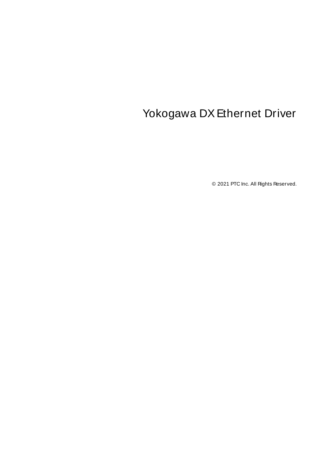# <span id="page-0-0"></span>Yokogawa DX Ethernet Driver

© 2021 PTC Inc. All Rights Reserved.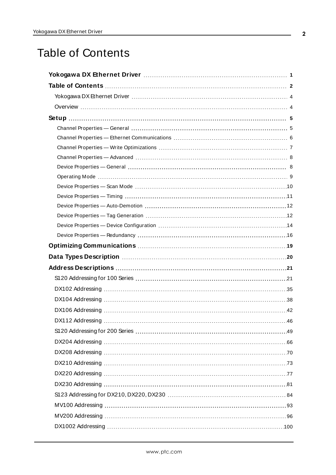## <span id="page-1-0"></span>Table of Contents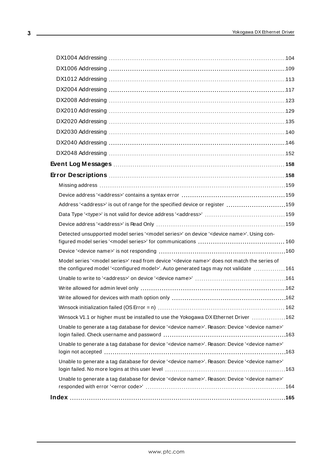| Address' <address>' is out of range for the specified device or register 159</address>                                                                                                                                       |  |
|------------------------------------------------------------------------------------------------------------------------------------------------------------------------------------------------------------------------------|--|
|                                                                                                                                                                                                                              |  |
|                                                                                                                                                                                                                              |  |
| Detected unsupported model series ' <model series="">' on device '<device name="">'. Using con-</device></model>                                                                                                             |  |
|                                                                                                                                                                                                                              |  |
| Model series ' <model series="">' read from device '<device name="">' does not match the series of<br/>the configured model '<configured model="">'. Auto generated tags may not validate  161</configured></device></model> |  |
|                                                                                                                                                                                                                              |  |
|                                                                                                                                                                                                                              |  |
|                                                                                                                                                                                                                              |  |
|                                                                                                                                                                                                                              |  |
| Winsock V1.1 or higher must be installed to use the Yokogawa DX Ethernet Driver 162                                                                                                                                          |  |
| Unable to generate a tag database for device ' <device name="">'. Reason: Device '<device name="">'</device></device>                                                                                                        |  |
| Unable to generate a tag database for device ' <device name="">'. Reason: Device '<device name="">'</device></device>                                                                                                        |  |
| Unable to generate a tag database for device ' <device name="">'. Reason: Device '<device name="">'</device></device>                                                                                                        |  |
| Unable to generate a tag database for device ' <device name="">'. Reason: Device '<device name="">'</device></device>                                                                                                        |  |
|                                                                                                                                                                                                                              |  |
|                                                                                                                                                                                                                              |  |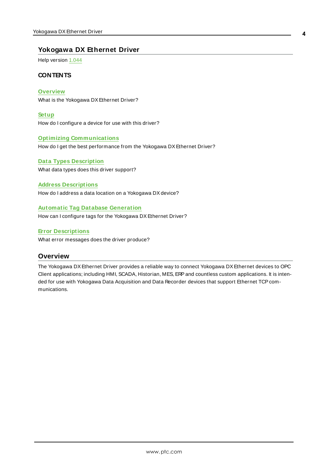## <span id="page-3-0"></span>**Yokogawa DX Ethernet Driver**

Help version 1.044

## **CONTENTS**

**[Overview](#page-3-1)** What is the Yokogawa DX Ethernet Driver?

**[Setup](#page-4-0)** How do I configure a device for use with this driver?

## **Optimizing [Communications](#page-18-0)**

How do I get the best performance from the Yokogawa DX Ethernet Driver?

**Data Types [Description](#page-19-0)** What data types does this driver support?

**Address [Descriptions](#page-20-0)** How do I address a data location on a Yokogawa DX device?

#### **Automatic Tag Database [Generation](#page-11-1)**

How can I configure tags for the Yokogawa DX Ethernet Driver?

**Error [Descriptions](#page-157-1)**

<span id="page-3-1"></span>What error messages does the driver produce?

## **Overview**

The Yokogawa DX Ethernet Driver provides a reliable way to connect Yokogawa DX Ethernet devices to OPC Client applications; including HMI, SCADA, Historian, MES, ERPand countless custom applications. It is intended for use with Yokogawa Data Acquisition and Data Recorder devices that support Ethernet TCP communications.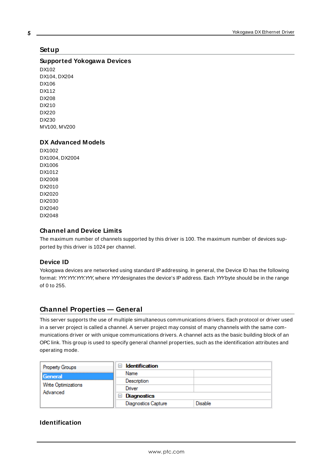## <span id="page-4-0"></span>**Setup**

## **Supported Yokogawa Devices**

DX102 DX104, DX204 DX106 DX112 DX208 DX210 DX220 DX230 MV100, MV200

#### **DX Advanced Models**

DX1002 DX1004, DX2004 DX1006 DX1012 DX2008 DX2010 DX2020 DX2030 DX2040 DX2048

## **Channel and Device Limits**

The maximum number of channels supported by this driver is 100. The maximum number of devices supported by this driver is 1024 per channel.

## **Device ID**

Yokogawa devices are networked using standard IPaddressing. In general, the Device ID has the following format: YYY.YYY.YYY.YYY, where YYYdesignates the device's IPaddress. Each YYYbyte should be in the range of 0 to 255.

## <span id="page-4-1"></span>**Channel Properties — General**

This server supports the use of multiple simultaneous communications drivers. Each protocol or driver used in a server project is called a channel. A server project may consist of many channels with the same communications driver or with unique communications drivers. A channel acts as the basic building block of an OPC link. This group is used to specify general channel properties, such as the identification attributes and operating mode.

| Property Groups                 | <b>Identification</b><br>$\overline{\phantom{a}}$ |         |
|---------------------------------|---------------------------------------------------|---------|
| General                         | Name                                              |         |
| Write Optimizations<br>Advanced | Description                                       |         |
|                                 | Driver                                            |         |
|                                 | $\Box$ Diagnostics                                |         |
|                                 | <b>Diagnostics Capture</b>                        | Disable |

## **Identification**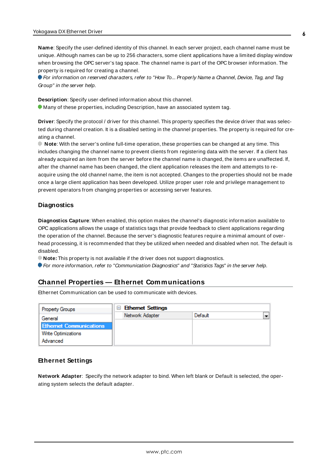**Name**: Specify the user-defined identity of this channel. In each server project, each channel name must be unique. Although names can be up to 256 characters, some client applications have a limited display window when browsing the OPC server's tag space. The channel name is part of the OPC browser information. The property is required for creating a channel.

For information on reserved characters, refer to "How To... Properly Name a Channel, Device, Tag, and Tag Group" in the server help.

**Description**: Specify user-defined information about this channel. **Many of these properties, including Description, have an associated system tag.** 

**Driver**: Specify the protocol / driver for this channel. This property specifies the device driver that was selected during channel creation. It is a disabled setting in the channel properties. The property is required for creating a channel.

**Note**: With the server's online full-time operation, these properties can be changed at any time. This includes changing the channel name to prevent clients from registering data with the server. If a client has already acquired an item from the server before the channel name is changed, the items are unaffected. If, after the channel name has been changed, the client application releases the item and attempts to reacquire using the old channel name, the item is not accepted. Changes to the properties should not be made once a large client application has been developed. Utilize proper user role and privilege management to prevent operators from changing properties or accessing server features.

## **Diagnostics**

**Diagnostics Capture**: When enabled, this option makes the channel's diagnostic information available to OPC applications allows the usage of statistics tags that provide feedback to client applications regarding the operation of the channel. Because the server's diagnostic features require a minimal amount of overhead processing, it is recommended that they be utilized when needed and disabled when not. The default is disabled.

**Note:** This property is not available if the driver does not support diagnostics.

<span id="page-5-0"></span>For more information, refer to "Communication Diagnostics" and "Statistics Tags" in the server help.

## **Channel Properties — Ethernet Communications**

Ethernet Communication can be used to communicate with devices.

| <b>Property Groups</b>         | $\Box$ Ethernet Settings |         |  |
|--------------------------------|--------------------------|---------|--|
| General                        | Network Adapter          | Default |  |
| <b>Ethernet Communications</b> |                          |         |  |
| <b>Write Optimizations</b>     |                          |         |  |
| Advanced                       |                          |         |  |

## **Ethernet Settings**

**Network Adapter**: Specify the network adapter to bind. When left blank or Default is selected, the operating system selects the default adapter.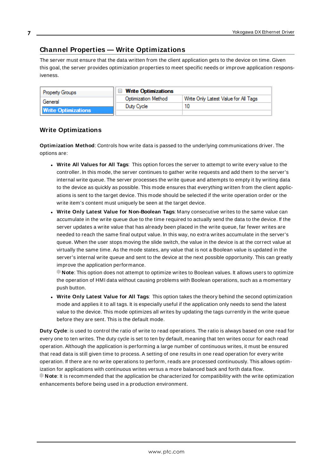## <span id="page-6-0"></span>**Channel Properties — Write Optimizations**

The server must ensure that the data written from the client application gets to the device on time. Given this goal, the server provides optimization properties to meet specific needs or improve application responsiveness.

| <b>Property Groups</b>     | $\Box$ Write Optimizations |                                      |
|----------------------------|----------------------------|--------------------------------------|
| General                    | <b>Optimization Method</b> | Write Only Latest Value for All Tags |
|                            | Duty Cycle                 |                                      |
| <b>Write Optimizations</b> |                            |                                      |

## **Write Optimizations**

**Optimization Method**: Controls how write data is passed to the underlying communications driver. The options are:

- <sup>l</sup> **Write All Values for All Tags**: This option forces the server to attempt to write every value to the controller. In this mode, the server continues to gather write requests and add them to the server's internal write queue. The server processes the write queue and attempts to empty it by writing data to the device as quickly as possible. This mode ensures that everything written from the client applications is sent to the target device. This mode should be selected if the write operation order or the write item's content must uniquely be seen at the target device.
- <sup>l</sup> **Write Only Latest Value for Non-Boolean Tags**: Many consecutive writes to the same value can accumulate in the write queue due to the time required to actually send the data to the device. If the server updates a write value that has already been placed in the write queue, far fewer writes are needed to reach the same final output value. In this way, no extra writes accumulate in the server's queue. When the user stops moving the slide switch, the value in the device is at the correct value at virtually the same time. As the mode states, any value that is not a Boolean value is updated in the server's internal write queue and sent to the device at the next possible opportunity. This can greatly improve the application performance.

**Note**: This option does not attempt to optimize writes to Boolean values. It allows users to optimize the operation of HMI data without causing problems with Boolean operations, such as a momentary push button.

**.** Write Only Latest Value for All Tags: This option takes the theory behind the second optimization mode and applies it to all tags. It is especially useful if the application only needs to send the latest value to the device. This mode optimizes all writes by updating the tags currently in the write queue before they are sent. This is the default mode.

**Duty Cycle**: is used to control the ratio of write to read operations. The ratio is always based on one read for every one to ten writes. The duty cycle is set to ten by default, meaning that ten writes occur for each read operation. Although the application is performing a large number of continuous writes, it must be ensured that read data is still given time to process. A setting of one results in one read operation for every write operation. If there are no write operations to perform, reads are processed continuously. This allows optimization for applications with continuous writes versus a more balanced back and forth data flow. **Note**: It is recommended that the application be characterized for compatibility with the write optimization enhancements before being used in a production environment.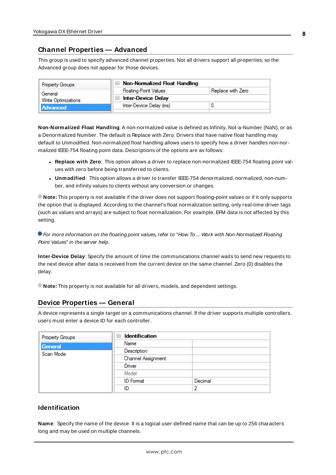## <span id="page-7-0"></span>**Channel Properties — Advanced**

This group is used to specify advanced channel properties. Not all drivers support all properties; so the Advanced group does not appear for those devices.

| <b>Property Groups</b>     | $\Box$ Non-Normalized Float Handling |                   |  |
|----------------------------|--------------------------------------|-------------------|--|
| General                    | <b>Floating-Point Values</b>         | Replace with Zero |  |
| <b>Write Optimizations</b> | <b>Inter-Device Delay</b>            |                   |  |
| Advanced                   | Inter-Device Delay (ms)              |                   |  |
|                            |                                      |                   |  |

**Non-Normalized Float Handling**: A non-normalized value is defined as Infinity, Not-a-Number (NaN), or as a Denormalized Number. The default is Replace with Zero. Drivers that have native float handling may default to Unmodified. Non-normalized float handling allows users to specify how a driver handles non-normalized IEEE-754 floating point data. Descriptions of the options are as follows:

- <sup>l</sup> **Replace with Zero**: This option allows a driver to replace non-normalized IEEE-754 floating point values with zero before being transferred to clients.
- <sup>l</sup> **Unmodified**: This option allows a driver to transfer IEEE-754 denormalized, normalized, non-number, and infinity values to clients without any conversion or changes.

**Note:** This property is not available if the driver does not support floating-point values or if it only supports the option that is displayed. According to the channel's float normalization setting, only real-time driver tags (such as values and arrays) are subject to float normalization. For example, EFM data is not affected by this setting.

**• For more information on the floating point values, refer to "How To ... Work with Non-Normalized Floating** Point Values" in the server help.

**Inter-Device Delay**: Specify the amount of time the communications channel waits to send new requests to the next device after data is received from the current device on the same channel. Zero (0) disables the delay.

<span id="page-7-1"></span>**Note:** This property is not available for all drivers, models, and dependent settings.

## **Device Properties — General**

A device represents a single target on a communications channel. If the driver supports multiple controllers, users must enter a device ID for each controller.

| <b>Property Groups</b> | <b>Identification</b><br>$\equiv$ |         |
|------------------------|-----------------------------------|---------|
| General                | Name                              |         |
| Scan Mode              | Description                       |         |
|                        | Channel Assignment                |         |
|                        | Driver                            |         |
|                        | Model                             |         |
|                        | <b>ID</b> Format                  | Decimal |
|                        | ID                                |         |

## **Identification**

**Name**: Specify the name of the device. It is a logical user-defined name that can be up to 256 characters long and may be used on multiple channels.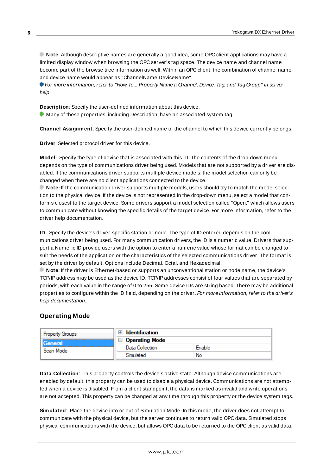**Note**: Although descriptive names are generally a good idea, some OPC client applications may have a limited display window when browsing the OPC server's tag space. The device name and channel name become part of the browse tree information as well. Within an OPC client, the combination of channel name and device name would appear as "ChannelName.DeviceName".

For more information, refer to "How To... Properly Name a Channel, Device, Tag, and Tag Group" in server help.

**Description**: Specify the user-defined information about this device.

**Many of these properties, including Description, have an associated system tag.** 

**Channel Assignment**: Specify the user-defined name of the channel to which this device currently belongs.

**Driver**: Selected protocol driver for this device.

**Model**: Specify the type of device that is associated with this ID. The contents of the drop-down menu depends on the type of communications driver being used. Models that are not supported by a driver are disabled. If the communications driver supports multiple device models, the model selection can only be changed when there are no client applications connected to the device.

**Note:** If the communication driver supports multiple models, users should try to match the model selection to the physical device. If the device is not represented in the drop-down menu, select a model that conforms closest to the target device. Some drivers support a model selection called "Open," which allows users to communicate without knowing the specific details of the target device. For more information, refer to the driver help documentation.

**ID**: Specify the device's driver-specific station or node. The type of ID entered depends on the communications driver being used. For many communication drivers, the ID is a numeric value. Drivers that support a Numeric ID provide users with the option to enter a numeric value whose format can be changed to suit the needs of the application or the characteristics of the selected communications driver. The format is set by the driver by default. Options include Decimal, Octal, and Hexadecimal.

**Note**: If the driver is Ethernet-based or supports an unconventional station or node name, the device's TCP/IPaddress may be used as the device ID. TCP/IPaddresses consist of four values that are separated by periods, with each value in the range of 0 to 255. Some device IDs are string based. There may be additional properties to configure within the ID field, depending on the driver. For more information, refer to the driver's help documentation.

## <span id="page-8-0"></span>**Operating Mode**

| <b>Property Groups</b> | <b>Identification</b> |        |
|------------------------|-----------------------|--------|
| General<br>Scan Mode   | <b>Operating Mode</b> |        |
|                        | Data Collection       | Enable |
|                        | Simulated             | No     |

**Data Collection**: This property controls the device's active state. Although device communications are enabled by default, this property can be used to disable a physical device. Communications are not attempted when a device is disabled. From a client standpoint, the data is marked as invalid and write operations are not accepted. This property can be changed at any time through this property or the device system tags.

**Simulated**: Place the device into or out of Simulation Mode. In this mode, the driver does not attempt to communicate with the physical device, but the server continues to return valid OPC data. Simulated stops physical communications with the device, but allows OPC data to be returned to the OPC client as valid data.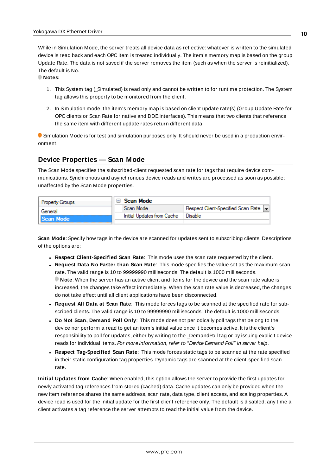While in Simulation Mode, the server treats all device data as reflective: whatever is written to the simulated device is read back and each OPC item is treated individually. The item's memory map is based on the group Update Rate. The data is not saved if the server removes the item (such as when the server is reinitialized). The default is No.

**Notes:**

- 1. This System tag (\_Simulated) is read only and cannot be written to for runtime protection. The System tag allows this property to be monitored from the client.
- 2. In Simulation mode, the item's memory map is based on client update rate(s) (Group Update Rate for OPC clients or Scan Rate for native and DDEinterfaces). This means that two clients that reference the same item with different update rates return different data.

Simulation Mode is for test and simulation purposes only. It should never be used in a production environment.

## <span id="page-9-0"></span>**Device Properties — Scan Mode**

The Scan Mode specifies the subscribed-client requested scan rate for tags that require device communications. Synchronous and asynchronous device reads and writes are processed as soon as possible; unaffected by the Scan Mode properties.

| <b>Property Groups</b> | ⊟ Scan Mode                |                                    |
|------------------------|----------------------------|------------------------------------|
| General                | Scan Mode                  | Respect Client-Specified Scan Rate |
| Scan Mode              | Initial Updates from Cache | Disable                            |
|                        |                            |                                    |

**Scan Mode**: Specify how tags in the device are scanned for updates sent to subscribing clients. Descriptions of the options are:

<sup>l</sup> **Respect Client-Specified Scan Rate**: This mode uses the scan rate requested by the client.

do not take effect until all client applications have been disconnected.

- <sup>l</sup> **Request Data No Faster than Scan Rate**: This mode specifies the value set as the maximum scan rate. The valid range is 10 to 99999990 milliseconds. The default is 1000 milliseconds. **Note**: When the server has an active client and items for the device and the scan rate value is increased, the changes take effect immediately. When the scan rate value is decreased, the changes
- <sup>l</sup> **Request All Data at Scan Rate**: This mode forces tags to be scanned at the specified rate for subscribed clients. The valid range is 10 to 99999990 milliseconds. The default is 1000 milliseconds.
- <sup>l</sup> **Do Not Scan, Demand Poll Only**: This mode does not periodically poll tags that belong to the device nor perform a read to get an item's initial value once it becomes active. It is the client's responsibility to poll for updates, either by writing to the \_DemandPoll tag or by issuing explicit device reads for individual items. For more information, refer to "Device Demand Poll" in server help.
- <sup>l</sup> **Respect Tag-Specified Scan Rate**: This mode forces static tags to be scanned at the rate specified in their static configuration tag properties. Dynamic tags are scanned at the client-specified scan rate.

**Initial Updates from Cache**: When enabled, this option allows the server to provide the first updates for newly activated tag references from stored (cached) data. Cache updates can only be provided when the new item reference shares the same address, scan rate, data type, client access, and scaling properties. A device read is used for the initial update for the first client reference only. The default is disabled; any time a client activates a tag reference the server attempts to read the initial value from the device.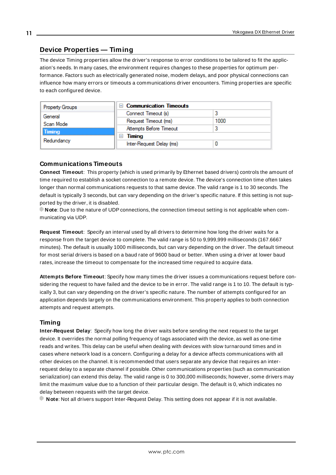## <span id="page-10-0"></span>**Device Properties — Timing**

The device Timing properties allow the driver's response to error conditions to be tailored to fit the application's needs. In many cases, the environment requires changes to these properties for optimum performance. Factors such as electrically generated noise, modem delays, and poor physical connections can influence how many errors or timeouts a communications driver encounters. Timing properties are specific to each configured device.

| <b>Property Groups</b> | $\Box$ Communication Timeouts |      |
|------------------------|-------------------------------|------|
| General                | Connect Timeout (s)           |      |
| Scan Mode              | Request Timeout (ms)          | 1000 |
| Timing                 | Attempts Before Timeout       |      |
| Redundancy             | Timing<br>$-$                 |      |
|                        | Inter-Request Delay (ms)      |      |

## **Communications Timeouts**

**Connect Timeout**: This property (which is used primarily by Ethernet based drivers) controls the amount of time required to establish a socket connection to a remote device. The device's connection time often takes longer than normal communications requests to that same device. The valid range is 1 to 30 seconds. The default is typically 3 seconds, but can vary depending on the driver's specific nature. If this setting is not supported by the driver, it is disabled.

**Note**: Due to the nature of UDPconnections, the connection timeout setting is not applicable when communicating via UDP.

**Request Timeout**: Specify an interval used by all drivers to determine how long the driver waits for a response from the target device to complete. The valid range is 50 to 9,999,999 milliseconds (167.6667 minutes). The default is usually 1000 milliseconds, but can vary depending on the driver. The default timeout for most serial drivers is based on a baud rate of 9600 baud or better. When using a driver at lower baud rates, increase the timeout to compensate for the increased time required to acquire data.

**Attempts Before Timeout**: Specify how many times the driver issues a communications request before considering the request to have failed and the device to be in error. The valid range is 1 to 10. The default is typically 3, but can vary depending on the driver's specific nature. The number of attempts configured for an application depends largely on the communications environment. This property applies to both connection attempts and request attempts.

## **Timing**

**Inter-Request Delay**: Specify how long the driver waits before sending the next request to the target device. It overrides the normal polling frequency of tags associated with the device, as well as one-time reads and writes. This delay can be useful when dealing with devices with slow turnaround times and in cases where network load is a concern. Configuring a delay for a device affects communications with all other devices on the channel. It is recommended that users separate any device that requires an interrequest delay to a separate channel if possible. Other communications properties (such as communication serialization) can extend this delay. The valid range is 0 to 300,000 milliseconds; however, some drivers may limit the maximum value due to a function of their particular design. The default is 0, which indicates no delay between requests with the target device.

**Note**: Not all drivers support Inter-Request Delay. This setting does not appear if it is not available.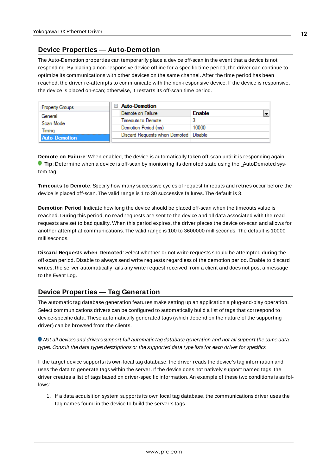## <span id="page-11-0"></span>**Device Properties — Auto-Demotion**

The Auto-Demotion properties can temporarily place a device off-scan in the event that a device is not responding. By placing a non-responsive device offline for a specific time period, the driver can continue to optimize its communications with other devices on the same channel. After the time period has been reached, the driver re-attempts to communicate with the non-responsive device. If the device is responsive, the device is placed on-scan; otherwise, it restarts its off-scan time period.

| <b>Property Groups</b> | $\Box$ Auto-Demotion                    |               |
|------------------------|-----------------------------------------|---------------|
| General                | Demote on Failure                       | <b>Enable</b> |
| Scan Mode              | Timeouts to Demote                      |               |
| Timina                 | Demotion Period (ms)                    | 10000         |
| <b>Auto-Demotion</b>   | Discard Requests when Demoted   Disable |               |
|                        |                                         |               |

**Demote on Failure**: When enabled, the device is automatically taken off-scan until it is responding again. **Tip**: Determine when a device is off-scan by monitoring its demoted state using the \_AutoDemoted system tag.

**Timeouts to Demote**: Specify how many successive cycles of request timeouts and retries occur before the device is placed off-scan. The valid range is 1 to 30 successive failures. The default is 3.

**Demotion Period**: Indicate how long the device should be placed off-scan when the timeouts value is reached. During this period, no read requests are sent to the device and all data associated with the read requests are set to bad quality. When this period expires, the driver places the device on-scan and allows for another attempt at communications. The valid range is 100 to 3600000 milliseconds. The default is 10000 milliseconds.

**Discard Requests when Demoted**: Select whether or not write requests should be attempted during the off-scan period. Disable to always send write requests regardless of the demotion period. Enable to discard writes; the server automatically fails any write request received from a client and does not post a message to the Event Log.

## <span id="page-11-1"></span>**Device Properties — Tag Generation**

The automatic tag database generation features make setting up an application a plug-and-play operation. Select communications drivers can be configured to automatically build a list of tags that correspond to device-specific data. These automatically generated tags (which depend on the nature of the supporting driver) can be browsed from the clients.

Not all devices and drivers support full automatic tag database generation and not all support the same data types. Consult the data types descriptions or the supported data type lists for each driver for specifics.

If the target device supports its own local tag database, the driver reads the device's tag information and uses the data to generate tags within the server. If the device does not natively support named tags, the driver creates a list of tags based on driver-specific information. An example of these two conditions is as follows:

1. If a data acquisition system supports its own local tag database, the communications driver uses the tag names found in the device to build the server's tags.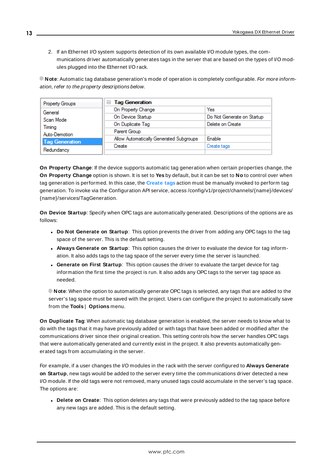2. If an Ethernet I/O system supports detection of its own available I/O module types, the communications driver automatically generates tags in the server that are based on the types of I/O modules plugged into the Ethernet I/O rack.

**Note**: Automatic tag database generation's mode of operation is completely configurable. For more information, refer to the property descriptions below.

| Property Groups       | <b>Tag Generation</b><br>$=$            |                            |
|-----------------------|-----------------------------------------|----------------------------|
| General               | On Property Change                      | Yes                        |
| Scan Mode             | On Device Startup                       | Do Not Generate on Startup |
| Timing                | On Duplicate Tag                        | Delete on Create           |
| Auto-Demotion         | Parent Group                            |                            |
| <b>Tag Generation</b> | Allow Automatically Generated Subgroups | Enable                     |
|                       | Create                                  | Create tags                |
| Redundancy            |                                         |                            |

**On Property Change**: If the device supports automatic tag generation when certain properties change, the **On Property Change** option is shown. It is set to **Yes** by default, but it can be set to **No** to control over when tag generation is performed. In this case, the **Create tags** action must be manually invoked to perform tag generation. To invoke via the Configuration API service, access /config/v1/project/channels/{name}/devices/ {name}/services/TagGeneration.

**On Device Startup**: Specify when OPC tags are automatically generated. Descriptions of the options are as follows:

- <sup>l</sup> **Do Not Generate on Startup**: This option prevents the driver from adding any OPC tags to the tag space of the server. This is the default setting.
- <sup>l</sup> **Always Generate on Startup**: This option causes the driver to evaluate the device for tag information. It also adds tags to the tag space of the server every time the server is launched.
- <sup>l</sup> **Generate on First Startup**: This option causes the driver to evaluate the target device for tag information the first time the project is run. It also adds any OPC tags to the server tag space as needed.

**Note**: When the option to automatically generate OPC tags is selected, any tags that are added to the server's tag space must be saved with the project. Users can configure the project to automatically save from the **Tools** | **Options** menu.

**On Duplicate Tag**: When automatic tag database generation is enabled, the server needs to know what to do with the tags that it may have previously added or with tags that have been added or modified after the communications driver since their original creation. This setting controls how the server handles OPC tags that were automatically generated and currently exist in the project. It also prevents automatically generated tags from accumulating in the server.

For example, if a user changes the I/O modules in the rack with the server configured to **Always Generate on Startup**, new tags would be added to the server every time the communications driver detected a new I/O module. If the old tags were not removed, many unused tags could accumulate in the server's tag space. The options are:

**.** Delete on Create: This option deletes any tags that were previously added to the tag space before any new tags are added. This is the default setting.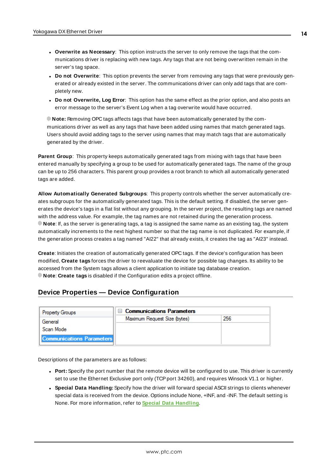- <sup>l</sup> **Overwrite as Necessary**: This option instructs the server to only remove the tags that the communications driver is replacing with new tags. Any tags that are not being overwritten remain in the server's tag space.
- <sup>l</sup> **Do not Overwrite**: This option prevents the server from removing any tags that were previously generated or already existed in the server. The communications driver can only add tags that are completely new.
- <sup>l</sup> **Do not Overwrite, Log Error**: This option has the same effect as the prior option, and also posts an error message to the server's Event Log when a tag overwrite would have occurred.

**Note:** Removing OPC tags affects tags that have been automatically generated by the communications driver as well as any tags that have been added using names that match generated tags. Users should avoid adding tags to the server using names that may match tags that are automatically generated by the driver.

**Parent Group**: This property keeps automatically generated tags from mixing with tags that have been entered manually by specifying a group to be used for automatically generated tags. The name of the group can be up to 256 characters. This parent group provides a root branch to which all automatically generated tags are added.

**Allow Automatically Generated Subgroups**: This property controls whether the server automatically creates subgroups for the automatically generated tags. This is the default setting. If disabled, the server generates the device's tags in a flat list without any grouping. In the server project, the resulting tags are named with the address value. For example, the tag names are not retained during the generation process. **Note**: If, as the server is generating tags, a tag is assigned the same name as an existing tag, the system automatically increments to the next highest number so that the tag name is not duplicated. For example, if the generation process creates a tag named "AI22" that already exists, it creates the tag as "AI23" instead.

**Create**: Initiates the creation of automatically generated OPC tags. If the device's configuration has been modified, **Create tags** forces the driver to reevaluate the device for possible tag changes. Its ability to be accessed from the System tags allows a client application to initiate tag database creation. **Note**: **Create tags** is disabled if the Configuration edits a project offline.

## <span id="page-13-0"></span>**Device Properties — Device Configuration**

| <b>Property Groups</b>           | $\Box$ Communications Parameters |     |
|----------------------------------|----------------------------------|-----|
| General                          | Maximum Request Size (bytes)     | 256 |
| Scan Mode                        |                                  |     |
| <b>Communications Parameters</b> |                                  |     |

Descriptions of the parameters are as follows:

- **Port:** Specify the port number that the remote device will be configured to use. This driver is currently set to use the Ethernet Exclusive port only (TCP port 34260), and requires Winsock V1.1 or higher.
- <sup>l</sup> **Special Data Handling:** Specify how the driver will forward special ASCII strings to clients whenever special data is received from the device. Options include None, +INF, and -INF. The default setting is None. For more information, refer to **Special Data [Handling](#page-15-1)**.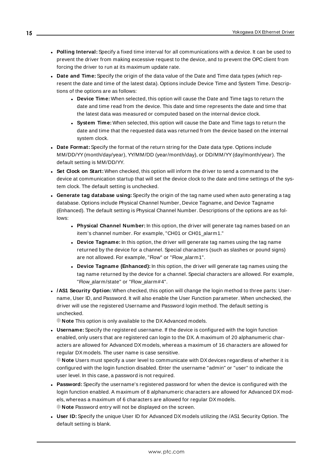- <sup>l</sup> **Polling Interval:** Specify a fixed time interval for all communications with a device. It can be used to prevent the driver from making excessive request to the device, and to prevent the OPC client from forcing the driver to run at its maximum update rate.
- <sup>l</sup> **Date and Time:** Specify the origin of the data value of the Date and Time data types (which represent the date and time of the latest data). Options include Device Time and System Time. Descriptions of the options are as follows:
	- **.** Device Time: When selected, this option will cause the Date and Time tags to return the date and time read from the device. This date and time represents the date and time that the latest data was measured or computed based on the internal device clock.
	- **.** System Time: When selected, this option will cause the Date and Time tags to return the date and time that the requested data was returned from the device based on the internal system clock.
- **Date Format:** Specify the format of the return string for the Date data type. Options include MM/DD/YY(month/day/year), YY/MM/DD (year/month/day), or DD/MM/YY(day/month/year). The default setting is MM/DD/YY.
- <sup>l</sup> **Set Clock on Start:** When checked, this option will inform the driver to send a command to the device at communication startup that will set the device clock to the date and time settings of the system clock. The default setting is unchecked.
- <sup>l</sup> **Generate tag database using:** Specify the origin of the tag name used when auto generating a tag database. Options include Physical Channel Number, Device Tagname, and Device Tagname (Enhanced). The default setting is Physical Channel Number. Descriptions of the options are as follows:
	- **Physical Channel Number:** In this option, the driver will generate tag names based on an item's channel number. For example, "CH01 or CH01\_alarm1."
	- **.** Device Tagname: In this option, the driver will generate tag names using the tag name returned by the device for a channel. Special characters (such as slashes or pound signs) are not allowed. For example, "Flow" or "Flow\_alarm1".
	- **.** Device Tagname (Enhanced): In this option, the driver will generate tag names using the tag name returned by the device for a channel. Special characters are allowed. For example, "Flow\_alarm/state" or "Flow\_alarm#4".
- <sup>l</sup> **/AS1 Security Option:** When checked, this option will change the login method to three parts: Username, User ID, and Password. It will also enable the User Function parameter. When unchecked, the driver will use the registered Username and Password login method. The default setting is unchecked.
	- **Note** This option is only available to the DX Advanced models.
- **· Username:** Specify the registered username. If the device is configured with the login function enabled, only users that are registered can login to the DX. A maximum of 20 alphanumeric characters are allowed for Advanced DX models, whereas a maximum of 16 characters are allowed for regular DX models. The user name is case sensitive.

**Note** Users must specify a user level to communicate with DXdevices regardless of whether it is configured with the login function disabled. Enter the username "admin" or "user" to indicate the user level. In this case, a password is not required.

- **Password:** Specify the username's registered password for when the device is configured with the login function enabled. A maximum of 8 alphanumeric characters are allowed for Advanced DX models, whereas a maximum of 6 characters are allowed for regular DX models. **Note** Password entry will not be displayed on the screen.
- **User ID:** Specify the unique User ID for Advanced DX models utilizing the /AS1 Security Option. The default setting is blank.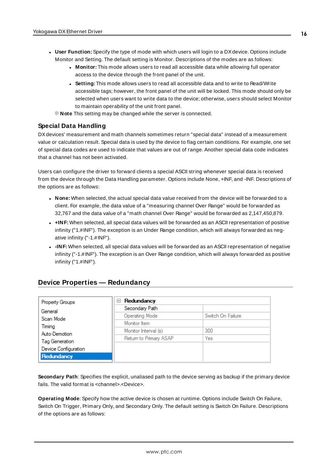- <span id="page-15-1"></span>**User Function:** Specify the type of mode with which users will login to a DX device. Options include Monitor and Setting. The default setting is Monitor. Descriptions of the modes are as follows:
	- **Monitor:** This mode allows users to read all accessible data while allowing full operator access to the device through the front panel of the unit.
	- **Setting:** This mode allows users to read all accessible data and to write to Read/Write accessible tags; however, the front panel of the unit will be locked. This mode should only be selected when users want to write data to the device; otherwise, users should select Monitor to maintain operability of the unit front panel.
	- **Note** This setting may be changed while the server is connected.

## **Special Data Handling**

DX devices' measurement and math channels sometimes return "special data" instead of a measurement value or calculation result. Special data is used by the device to flag certain conditions. For example, one set of special data codes are used to indicate that values are out of range. Another special data code indicates that a channel has not been activated.

Users can configure the driver to forward clients a special ASCII string whenever special data is received from the device through the Data Handling parameter. Options include None, +INF, and -INF. Descriptions of the options are as follows:

- **None:** When selected, the actual special data value received from the device will be forwarded to a client. For example, the data value of a "measuring channel Over Range" would be forwarded as 32,767 and the data value of a "math channel Over Range" would be forwarded as 2,147,450,879.
- **+INF:** When selected, all special data values will be forwarded as an ASCII representation of positive infinity ("1.#INF"). The exception is an Under Range condition, which will always forwarded as negative infinity ("-1.#INF").
- **-INF:** When selected, all special data values will be forwarded as an ASCII representation of negative infinity ("-1.#INF"). The exception is an Over Range condition, which will always forwarded as positive infinity ("1.#INF").

| Property Groups       | Redundancy<br>$\equiv$ |                   |
|-----------------------|------------------------|-------------------|
| General               | Secondary Path         |                   |
| Scan Mode             | <b>Operating Mode</b>  | Switch On Failure |
| Timing                | Monitor Item           |                   |
| Auto-Demotion         | Monitor Interval (s)   | 300               |
|                       | Return to Primary ASAP | Yes               |
| <b>Tag Generation</b> |                        |                   |
| Device Configuration  |                        |                   |
| Redundancy            |                        |                   |

## <span id="page-15-0"></span>**Device Properties — Redundancy**

**Secondary Path**: Specifies the explicit, unaliased path to the device serving as backup if the primary device fails. The valid format is <channel>.<Device>.

**Operating Mode**: Specify how the active device is chosen at runtime. Options include Switch On Failure, Switch On Trigger, Primary Only, and Secondary Only. The default setting is Switch On Failure. Descriptions of the options are as follows: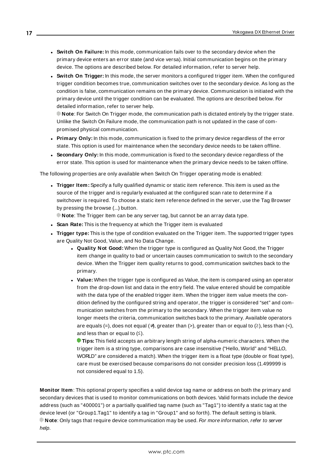- <sup>l</sup> **Switch On Failure:** In this mode, communication fails over to the secondary device when the primary device enters an error state (and vice versa). Initial communication begins on the primary device. The options are described below. For detailed information, refer to server help.
- <sup>l</sup> **Switch On Trigger:** In this mode, the server monitors a configured trigger item. When the configured trigger condition becomes true, communication switches over to the secondary device. As long as the condition is false, communication remains on the primary device. Communication is initiated with the primary device until the trigger condition can be evaluated. The options are described below. For detailed information, refer to server help.

**Note**: For Switch On Trigger mode, the communication path is dictated entirely by the trigger state. Unlike the Switch On Failure mode, the communication path is not updated in the case of compromised physical communication.

- **Primary Only:** In this mode, communication is fixed to the primary device regardless of the error state. This option is used for maintenance when the secondary device needs to be taken offline.
- **.** Secondary Only: In this mode, communication is fixed to the secondary device regardless of the error state. This option is used for maintenance when the primary device needs to be taken offline.

The following properties are only available when Switch On Trigger operating mode is enabled:

**Figger Item:** Specify a fully qualified dynamic or static item reference. This item is used as the source of the trigger and is regularly evaluated at the configured scan rate to determine if a switchover is required. To choose a static item reference defined in the server, use the Tag Browser by pressing the browse (...) button.

**Note**: The Trigger Item can be any server tag, but cannot be an array data type.

- **.** Scan Rate: This is the frequency at which the Trigger item is evaluated
- **Trigger type:** This is the type of condition evaluated on the Trigger item. The supported trigger types are Quality Not Good, Value, and No Data Change.
	- **.** Quality Not Good: When the trigger type is configured as Quality Not Good, the Trigger item change in quality to bad or uncertain causes communication to switch to the secondary device. When the Trigger item quality returns to good, communication switches back to the primary.
	- **· Value:** When the trigger type is configured as Value, the item is compared using an operator from the drop-down list and data in the entry field. The value entered should be compatible with the data type of the enabled trigger item. When the trigger item value meets the condition defined by the configured string and operator, the trigger is considered "set" and communication switches from the primary to the secondary. When the trigger item value no longer meets the criteria, communication switches back to the primary. Available operators are equals (=), does not equal ( $\neq$ ), greater than (>), greater than or equal to ( $\geq$ ), less than (<), and less than or equal to  $(≤)$ .

**Tips:** This field accepts an arbitrary length string of alpha-numeric characters. When the trigger item is a string type, comparisons are case insensitive ("Hello, World" and "HELLO, WORLD" are considered a match). When the trigger item is a float type (double or float type), care must be exercised because comparisons do not consider precision loss (1.499999 is not considered equal to 1.5).

**Monitor Item**: This optional property specifies a valid device tag name or address on both the primary and secondary devices that is used to monitor communications on both devices. Valid formats include the device address (such as "400001") or a partially qualified tag name (such as "Tag1") to identify a static tag at the device level (or "Group1.Tag1" to identify a tag in "Group1" and so forth). The default setting is blank. **Note:** Only tags that require device communication may be used. For more information, refer to server help.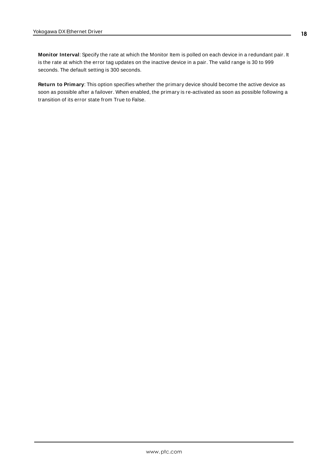**Monitor Interval**: Specify the rate at which the Monitor Item is polled on each device in a redundant pair. It is the rate at which the error tag updates on the inactive device in a pair. The valid range is 30 to 999 seconds. The default setting is 300 seconds.

**Return to Primary**: This option specifies whether the primary device should become the active device as soon as possible after a failover. When enabled, the primary is re-activated as soon as possible following a transition of its error state from True to False.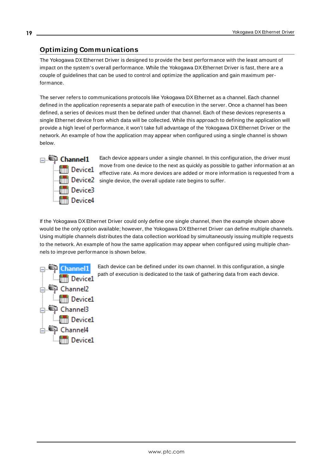## <span id="page-18-0"></span>**Optimizing Communications**

The Yokogawa DXEthernet Driver is designed to provide the best performance with the least amount of impact on the system's overall performance. While the Yokogawa DXEthernet Driver is fast, there are a couple of guidelines that can be used to control and optimize the application and gain maximum performance.

The server refers to communications protocols like Yokogawa DXEthernet as a channel. Each channel defined in the application represents a separate path of execution in the server. Once a channel has been defined, a series of devices must then be defined under that channel. Each of these devices represents a single Ethernet device from which data will be collected. While this approach to defining the application will provide a high level of performance, it won't take full advantage of the Yokogawa DXEthernet Driver or the network. An example of how the application may appear when configured using a single channel is shown below.



Each device appears under a single channel. In this configuration, the driver must move from one device to the next as quickly as possible to gather information at an effective rate. As more devices are added or more information is requested from a **Fill Device2** single device, the overall update rate begins to suffer.

If the Yokogawa DXEthernet Driver could only define one single channel, then the example shown above would be the only option available; however, the Yokogawa DX Ethernet Driver can define multiple channels. Using multiple channels distributes the data collection workload by simultaneously issuing multiple requests to the network. An example of how the same application may appear when configured using multiple channels to improve performance is shown below.



Each device can be defined under its own channel. In this configuration, a single path of execution is dedicated to the task of gathering data from each device.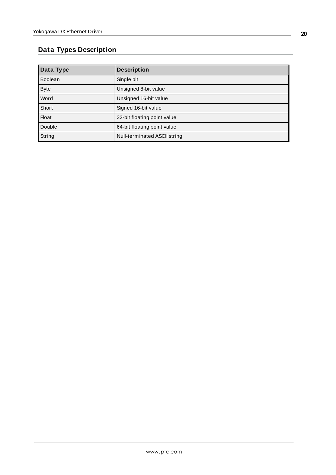## <span id="page-19-0"></span>**Data Types Description**

| Data Type      | <b>Description</b>           |
|----------------|------------------------------|
| <b>Boolean</b> | Single bit                   |
| <b>Byte</b>    | Unsigned 8-bit value         |
| Word           | Unsigned 16-bit value        |
| Short          | Signed 16-bit value          |
| <b>Float</b>   | 32-bit floating point value  |
| Double         | 64-bit floating point value  |
| String         | Null-terminated ASCII string |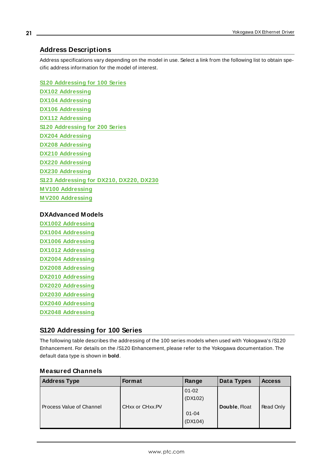## <span id="page-20-0"></span>**Address Descriptions**

Address specifications vary depending on the model in use. Select a link from the following list to obtain specific address information for the model of interest.

**S120 [Addressing](#page-20-1) for 100 Series DX102 [Addressing](#page-34-0) DX104 [Addressing](#page-37-0) DX106 [Addressing](#page-41-0) DX112 [Addressing](#page-45-0) S120 [Addressing](#page-48-0) for 200 Series DX204 [Addressing](#page-65-0) DX208 [Addressing](#page-69-0) DX210 [Addressing](#page-72-0) DX220 [Addressing](#page-76-0) DX230 [Addressing](#page-80-0) S123 [Addressing](#page-83-0) for DX210, DX220, DX230 M V100 [Addressing](#page-92-0) M V200 [Addressing](#page-95-0)**

## **DXAdvanced Models**

**DX1002 [Addressing](#page-99-0) DX1004 [Addressing](#page-103-0) DX1006 [Addressing](#page-108-0) DX1012 [Addressing](#page-112-0) DX2004 [Addressing](#page-116-0) DX2008 [Addressing](#page-122-0) DX2010 [Addressing](#page-128-0) DX2020 [Addressing](#page-134-0) DX2030 [Addressing](#page-139-0) DX2040 [Addressing](#page-145-0) DX2048 [Addressing](#page-151-0)**

## <span id="page-20-1"></span>**S120 Addressing for 100 Series**

The following table describes the addressing of the 100 series models when used with Yokogawa's /S120 Enhancement. For details on the /S120 Enhancement, please refer to the Yokogawa documentation. The default data type is shown in **bold**.

## **Measured Channels**

| <b>Address Type</b>      | <b>Format</b>   | Range     | Data Types    | <b>Access</b> |
|--------------------------|-----------------|-----------|---------------|---------------|
|                          |                 | $01 - 02$ |               |               |
|                          |                 | (DX102)   |               |               |
| Process Value of Channel | CHxx or CHxx.PV |           | Double, Float | Read Only     |
|                          |                 | $01 - 04$ |               |               |
|                          |                 | (DX104)   |               |               |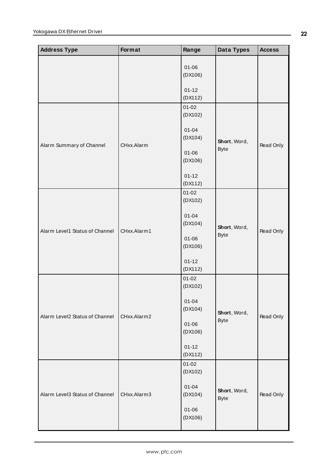| <b>Address Type</b>            | Format      | Range                | Data Types                  | <b>Access</b> |
|--------------------------------|-------------|----------------------|-----------------------------|---------------|
|                                |             | $01 - 06$<br>(DX106) |                             |               |
|                                |             | $01 - 12$<br>(DX112) |                             |               |
|                                |             | $01 - 02$<br>(DX102) |                             |               |
| Alarm Summary of Channel       | CHxx.Alarm  | $01 - 04$<br>(DX104) | Short, Word,                | Read Only     |
|                                |             | $01 - 06$<br>(DX106) | <b>Byte</b>                 |               |
|                                |             | $01 - 12$<br>(DX112) |                             |               |
|                                | CHxx.Alarm1 | $01 - 02$<br>(DX102) |                             |               |
| Alarm Level1 Status of Channel |             | $01 - 04$<br>(DX104) | Short, Word,<br><b>Byte</b> | Read Only     |
|                                |             | $01 - 06$<br>(DX106) |                             |               |
|                                |             | $01 - 12$<br>(DX112) |                             |               |
|                                |             | $01 - 02$<br>(DX102) |                             |               |
| Alarm Level2 Status of Channel | CHxx.Alarm2 | $01 - 04$<br>(DX104) | Short, Word,<br><b>Byte</b> | Read Only     |
|                                |             | $01 - 06$<br>(DX106) |                             |               |
|                                |             | $01 - 12$<br>(DX112) |                             |               |
| Alarm Level3 Status of Channel |             | $01 - 02$<br>(DX102) |                             |               |
|                                | CHxx.Alarm3 | $01 - 04$<br>(DX104) | Short, Word,<br><b>Byte</b> | Read Only     |
|                                |             | $01 - 06$<br>(DX106) |                             |               |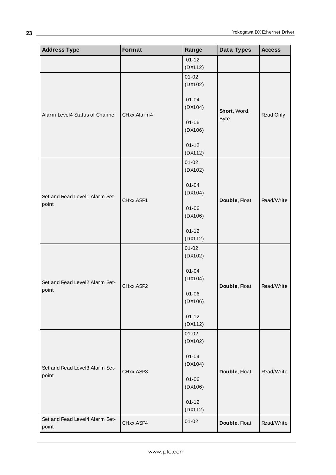| <b>Address Type</b>            | Format      | Range                | <b>Data Types</b>           | <b>Access</b> |
|--------------------------------|-------------|----------------------|-----------------------------|---------------|
|                                |             | $01 - 12$            |                             |               |
|                                |             | (DX112)              |                             |               |
|                                |             | $01 - 02$            |                             |               |
|                                |             | (DX102)              |                             |               |
|                                |             | $01 - 04$            |                             |               |
|                                |             | (DX104)              |                             |               |
| Alarm Level4 Status of Channel | CHxx.Alarm4 |                      | Short, Word,<br><b>Byte</b> | Read Only     |
|                                |             | $01 - 06$            |                             |               |
|                                |             | (DX106)              |                             |               |
|                                |             | $01 - 12$            |                             |               |
|                                |             | (DX112)              |                             |               |
|                                |             | $01 - 02$            |                             |               |
|                                |             | (DX102)              |                             |               |
|                                |             |                      |                             |               |
|                                |             | $01 - 04$<br>(DX104) |                             |               |
| Set and Read Level1 Alarm Set- | CHxx.ASP1   |                      | Double, Float               | Read/Write    |
| point                          |             | $01 - 06$            |                             |               |
|                                |             | (DX106)              |                             |               |
|                                |             |                      |                             |               |
|                                |             | $01 - 12$<br>(DX112) |                             |               |
|                                |             | $01 - 02$            |                             |               |
|                                |             | (DX102)              |                             |               |
|                                |             |                      |                             |               |
|                                |             | $01 - 04$            |                             |               |
| Set and Read Level2 Alarm Set- | CHxx.ASP2   | (DX104)              | Double, Float               | Read/Write    |
| point                          |             | $01 - 06$            |                             |               |
|                                |             | (DX106)              |                             |               |
|                                |             |                      |                             |               |
|                                |             | $01 - 12$            |                             |               |
|                                |             | (DX112)              |                             |               |
|                                |             | $01 - 02$<br>(DX102) |                             |               |
|                                |             |                      |                             |               |
|                                |             | $01 - 04$            |                             |               |
| Set and Read Level3 Alarm Set- |             | (DX104)              |                             |               |
| point                          | CHxx.ASP3   | $01 - 06$            | Double, Float               | Read/Write    |
|                                |             | (DX106)              |                             |               |
|                                |             |                      |                             |               |
|                                |             | $01 - 12$            |                             |               |
|                                |             | (DX112)              |                             |               |
| Set and Read Level4 Alarm Set- | CHxx.ASP4   | $01 - 02$            | Double, Float               | Read/Write    |
| point                          |             |                      |                             |               |

**23**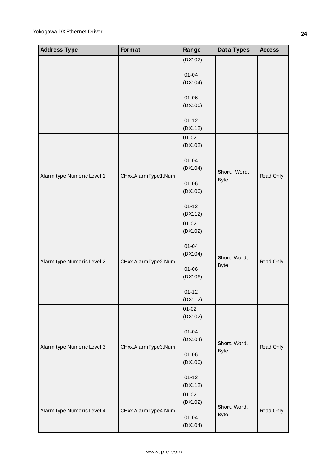| <b>Address Type</b>        | Format              | Range                | Data Types                  | <b>Access</b> |
|----------------------------|---------------------|----------------------|-----------------------------|---------------|
|                            |                     | (DX102)              |                             |               |
|                            |                     | $01 - 04$            |                             |               |
|                            |                     | (DX104)              |                             |               |
|                            |                     | $01 - 06$<br>(DX106) |                             |               |
|                            |                     |                      |                             |               |
|                            |                     | $01 - 12$<br>(DX112) |                             |               |
|                            |                     | $01 - 02$            |                             |               |
|                            |                     | (DX102)              |                             |               |
|                            | CHxx.AlarmType1.Num | $01 - 04$<br>(DX104) | Short, Word,                | Read Only     |
| Alarm type Numeric Level 1 |                     | $01 - 06$            | <b>Byte</b>                 |               |
|                            |                     | (DX106)              |                             |               |
|                            |                     | $01 - 12$            |                             |               |
|                            |                     | (DX112)              |                             |               |
|                            | CHxx.AlarmType2.Num | $01 - 02$<br>(DX102) |                             |               |
| Alarm type Numeric Level 2 |                     | $01 - 04$<br>(DX104) | Short, Word,<br><b>Byte</b> | Read Only     |
|                            |                     | $01 - 06$<br>(DX106) |                             |               |
|                            |                     | $01 - 12$<br>(DX112) |                             |               |
|                            |                     | $01 - 02$<br>(DX102) |                             |               |
|                            |                     | $01 - 04$<br>(DX104) | Short, Word,                |               |
| Alarm type Numeric Level 3 | CHxx.AlarmType3.Num | $01 - 06$            | <b>Byte</b>                 | Read Only     |
|                            |                     | (DX106)              |                             |               |
|                            |                     | $01 - 12$<br>(DX112) |                             |               |
|                            | CHxx.AlarmType4.Num | $01 - 02$<br>(DX102) |                             |               |
| Alarm type Numeric Level 4 |                     | $01 - 04$<br>(DX104) | Short, Word,<br><b>Byte</b> | Read Only     |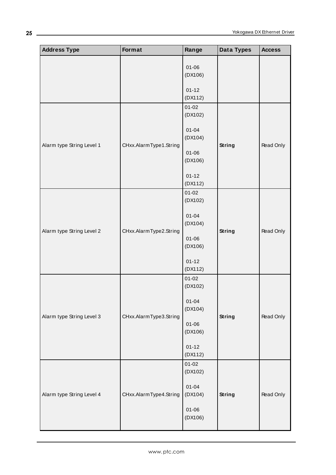| <b>Address Type</b>       | Format                 | Range                | Data Types    | <b>Access</b> |
|---------------------------|------------------------|----------------------|---------------|---------------|
|                           |                        | $01 - 06$<br>(DX106) |               |               |
|                           |                        | $01 - 12$<br>(DX112) |               |               |
|                           |                        | $01 - 02$<br>(DX102) |               |               |
| Alarm type String Level 1 | CHxx.AlarmType1.String | $01 - 04$<br>(DX104) | <b>String</b> | Read Only     |
|                           |                        | $01 - 06$<br>(DX106) |               |               |
|                           |                        | $01 - 12$<br>(DX112) |               |               |
|                           | CHxx.AlarmType2.String | $01 - 02$<br>(DX102) |               |               |
|                           |                        | $01 - 04$<br>(DX104) | <b>String</b> |               |
| Alarm type String Level 2 |                        | $01 - 06$<br>(DX106) |               | Read Only     |
|                           |                        | $01 - 12$<br>(DX112) |               |               |
|                           |                        | $01 - 02$<br>(DX102) |               |               |
| Alarm type String Level 3 | CHxx.AlarmType3.String | $01 - 04$<br>(DX104) | <b>String</b> | Read Only     |
|                           |                        | $01 - 06$<br>(DX106) |               |               |
|                           |                        | $01 - 12$<br>(DX112) |               |               |
| Alarm type String Level 4 |                        | $01 - 02$<br>(DX102) |               |               |
|                           | CHxx.AlarmType4.String | $01 - 04$<br>(DX104) | <b>String</b> | Read Only     |
|                           |                        | $01 - 06$<br>(DX106) |               |               |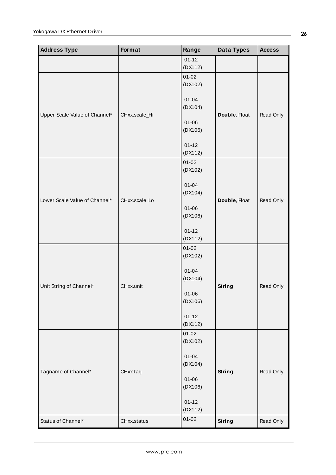| <b>Address Type</b>           | Format        | Range                | Data Types    | <b>Access</b> |
|-------------------------------|---------------|----------------------|---------------|---------------|
|                               |               | $01 - 12$            |               |               |
|                               |               | (DX112)              |               |               |
|                               |               | $01 - 02$            |               |               |
|                               |               | (DX102)              |               |               |
|                               |               |                      |               |               |
|                               |               | $01 - 04$            |               |               |
| Upper Scale Value of Channel* | CHxx.scale_Hi | (DX104)              | Double, Float | Read Only     |
|                               |               | $01 - 06$            |               |               |
|                               |               | (DX106)              |               |               |
|                               |               |                      |               |               |
|                               |               | $01 - 12$            |               |               |
|                               |               | (DX112)              |               |               |
|                               |               | $01 - 02$            |               |               |
|                               |               | (DX102)              |               |               |
|                               |               | $01 - 04$            |               |               |
|                               |               | (DX104)              |               |               |
| Lower Scale Value of Channel* | CHxx.scale_Lo |                      | Double, Float | Read Only     |
|                               |               | $01 - 06$            |               |               |
|                               |               | (DX106)              |               |               |
|                               |               |                      |               |               |
|                               |               | $01 - 12$            |               |               |
|                               |               | (DX112)              |               |               |
|                               |               | $01 - 02$<br>(DX102) |               |               |
|                               |               |                      |               |               |
|                               |               | $01 - 04$            |               |               |
|                               |               | (DX104)              | <b>String</b> |               |
| Unit String of Channel*       | CHxx.unit     |                      |               | Read Only     |
|                               |               | $01 - 06$            |               |               |
|                               |               | (DX106)              |               |               |
|                               |               | $01 - 12$            |               |               |
|                               |               | (DX112)              |               |               |
|                               |               | $01 - 02$            |               |               |
|                               |               | (DX102)              |               |               |
|                               |               |                      |               |               |
|                               |               | $01 - 04$            |               |               |
|                               |               | (DX104)              |               |               |
| Tagname of Channel*           | CHxx.tag      | $01 - 06$            | <b>String</b> | Read Only     |
|                               |               | (DX106)              |               |               |
|                               |               |                      |               |               |
|                               |               | $01 - 12$            |               |               |
|                               |               | (DX112)              |               |               |
| Status of Channel*            | CHxx.status   | $01 - 02$            | <b>String</b> | Read Only     |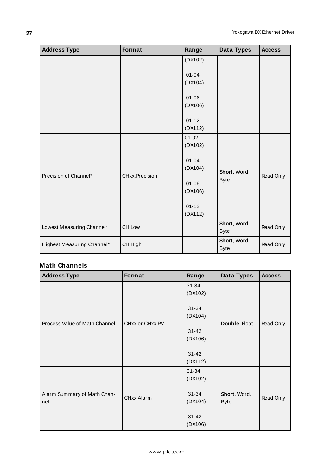| <b>Address Type</b>        | Format         | Range                | Data Types                  | <b>Access</b> |
|----------------------------|----------------|----------------------|-----------------------------|---------------|
|                            |                | (DX102)              |                             |               |
|                            |                | $01 - 04$<br>(DX104) |                             |               |
|                            |                | $01 - 06$<br>(DX106) |                             |               |
|                            |                | $01 - 12$<br>(DX112) |                             |               |
| Precision of Channel*      | CHxx.Precision | $01 - 02$<br>(DX102) |                             |               |
|                            |                | $01 - 04$<br>(DX104) | Short, Word,                | Read Only     |
|                            |                | $01 - 06$<br>(DX106) | <b>Byte</b>                 |               |
|                            |                | $01 - 12$<br>(DX112) |                             |               |
| Lowest Measuring Channel*  | CH.Low         |                      | Short, Word,<br><b>Byte</b> | Read Only     |
| Highest Measuring Channel* | CH.High        |                      | Short, Word,<br><b>Byte</b> | Read Only     |

## **Math Channels**

| <b>Address Type</b>                | Format          | Range                | Data Types                  | <b>Access</b> |
|------------------------------------|-----------------|----------------------|-----------------------------|---------------|
|                                    | CHxx or CHxx.PV | $31 - 34$<br>(DX102) |                             |               |
| Process Value of Math Channel      |                 | $31 - 34$<br>(DX104) | Double, Float               | Read Only     |
|                                    |                 | $31 - 42$<br>(DX106) |                             |               |
|                                    |                 | $31 - 42$<br>(DX112) |                             |               |
|                                    |                 | $31 - 34$<br>(DX102) |                             |               |
| Alarm Summary of Math Chan-<br>nel | CHxx.Alarm      | $31 - 34$<br>(DX104) | Short, Word,<br><b>Byte</b> | Read Only     |
|                                    |                 | $31 - 42$<br>(DX106) |                             |               |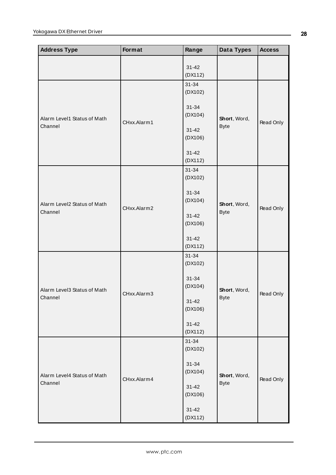| I<br><b>Address Type</b>               | Format      | Range                | <b>Data Types</b>           | <b>Access</b> |
|----------------------------------------|-------------|----------------------|-----------------------------|---------------|
|                                        |             | $31 - 42$<br>(DX112) |                             |               |
|                                        | CHxx.Alarm1 | $31 - 34$<br>(DX102) |                             |               |
| Alarm Level1 Status of Math            |             | $31 - 34$<br>(DX104) | Short, Word,                | Read Only     |
| Channel                                |             | $31 - 42$<br>(DX106) | <b>Byte</b>                 |               |
|                                        |             | $31 - 42$<br>(DX112) |                             |               |
|                                        |             | $31 - 34$<br>(DX102) |                             |               |
| Alarm Level2 Status of Math            | CHxx.Alarm2 | $31 - 34$<br>(DX104) | Short, Word,                | Read Only     |
| Channel                                |             | $31 - 42$<br>(DX106) | <b>Byte</b>                 |               |
|                                        |             | $31 - 42$<br>(DX112) |                             |               |
|                                        |             | $31 - 34$<br>(DX102) |                             |               |
| Alarm Level3 Status of Math            | CHxx.Alarm3 | $31 - 34$<br>(DX104) | Short, Word,                |               |
| Channel                                |             | $31 - 42$<br>(DX106) | Byte                        | Read Only     |
|                                        |             | $31 - 42$<br>(DX112) |                             |               |
|                                        |             | $31 - 34$<br>(DX102) |                             |               |
| Alarm Level4 Status of Math<br>Channel | CHxx.Alarm4 | $31 - 34$<br>(DX104) | Short, Word,<br><b>Byte</b> | Read Only     |
|                                        |             | $31 - 42$<br>(DX106) |                             |               |
|                                        |             | $31 - 42$<br>(DX112) |                             |               |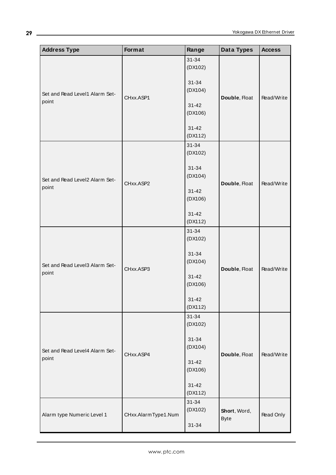| <b>Address Type</b>                     | Format              | Range                | Data Types    | <b>Access</b> |
|-----------------------------------------|---------------------|----------------------|---------------|---------------|
|                                         |                     | $31 - 34$<br>(DX102) |               |               |
| Set and Read Level1 Alarm Set-          |                     | $31 - 34$<br>(DX104) |               |               |
| point                                   | CHxx.ASP1           | $31 - 42$<br>(DX106) | Double, Float | Read/Write    |
|                                         |                     | $31 - 42$            |               |               |
|                                         |                     | (DX112)<br>$31 - 34$ |               |               |
|                                         |                     | (DX102)              |               |               |
| Set and Read Level2 Alarm Set-          |                     | 31-34<br>(DX104)     |               |               |
| point                                   | CHxx.ASP2           | $31 - 42$            | Double, Float | Read/Write    |
|                                         |                     | (DX106)              |               |               |
|                                         |                     | $31 - 42$<br>(DX112) |               |               |
|                                         |                     | $31 - 34$            |               |               |
|                                         |                     | (DX102)              |               |               |
|                                         |                     | $31 - 34$            |               |               |
| Set and Read Level3 Alarm Set-          | CHxx.ASP3           | (DX104)              | Double, Float | Read/Write    |
| point                                   |                     | $31 - 42$<br>(DX106) |               |               |
|                                         |                     | $31 - 42$            |               |               |
|                                         |                     | (DX112)              |               |               |
|                                         |                     | $31 - 34$<br>(DX102) |               |               |
|                                         |                     | $31 - 34$<br>(DX104) |               |               |
| Set and Read Level4 Alarm Set-<br>point | CHxx.ASP4           |                      | Double, Float | Read/Write    |
|                                         |                     | $31 - 42$<br>(DX106) |               |               |
|                                         |                     | $31 - 42$<br>(DX112) |               |               |
|                                         |                     | $31 - 34$            |               |               |
| Alarm type Numeric Level 1              | CHxx.AlarmType1.Num | (DX102)              | Short, Word,  | Read Only     |
|                                         |                     | $31 - 34$            | <b>Byte</b>   |               |

**29**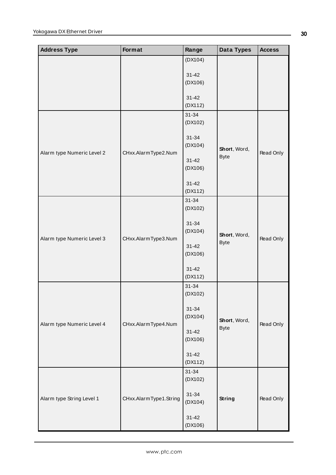| <b>Address Type</b>        | Format                 | Range                | Data Types                  | <b>Access</b> |
|----------------------------|------------------------|----------------------|-----------------------------|---------------|
|                            |                        | (DX104)              |                             |               |
|                            |                        | $31 - 42$            |                             |               |
|                            |                        | (DX106)              |                             |               |
|                            |                        |                      |                             |               |
|                            |                        | $31 - 42$<br>(DX112) |                             |               |
|                            |                        | $31 - 34$            |                             |               |
|                            |                        | (DX102)              |                             |               |
|                            |                        | $31 - 34$            |                             |               |
|                            |                        | (DX104)              |                             |               |
| Alarm type Numeric Level 2 | CHxx.AlarmType2.Num    |                      | Short, Word,<br><b>Byte</b> | Read Only     |
|                            |                        | $31 - 42$            |                             |               |
|                            |                        | (DX106)              |                             |               |
|                            |                        | $31 - 42$            |                             |               |
|                            |                        | (DX112)              |                             |               |
|                            |                        | $31 - 34$            |                             |               |
|                            |                        | (DX102)              | Short, Word,<br><b>Byte</b> |               |
|                            |                        | $31 - 34$            |                             |               |
|                            |                        | (DX104)              |                             |               |
| Alarm type Numeric Level 3 | CHxx.AlarmType3.Num    | $31 - 42$            |                             | Read Only     |
|                            |                        | (DX106)              |                             |               |
|                            |                        |                      |                             |               |
|                            |                        | $31 - 42$<br>(DX112) |                             |               |
|                            |                        | $31 - 34$            |                             |               |
|                            |                        | (DX102)              |                             |               |
|                            |                        |                      |                             |               |
|                            |                        | $31 - 34$<br>(DX104) |                             |               |
| Alarm type Numeric Level 4 | CHxx.AlarmType4.Num    |                      | Short, Word,<br><b>Byte</b> | Read Only     |
|                            |                        | $31 - 42$            |                             |               |
|                            |                        | (DX106)              |                             |               |
|                            |                        | $31 - 42$            |                             |               |
|                            |                        | (DX112)              |                             |               |
|                            |                        | $31 - 34$            |                             |               |
|                            |                        | (DX102)              | <b>String</b>               |               |
| Alarm type String Level 1  | CHxx.AlarmType1.String | $31 - 34$            |                             | Read Only     |
|                            |                        | (DX104)              |                             |               |
|                            |                        | $31 - 42$            |                             |               |
|                            |                        | (DX106)              |                             |               |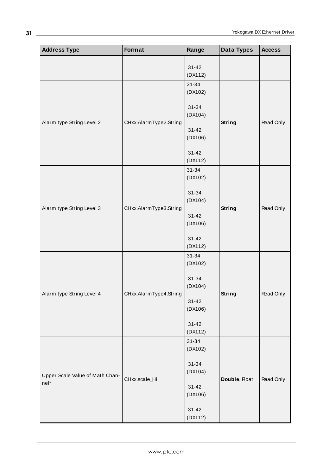| <b>Address Type</b>                     | <b>Format</b>          | Range                | Data Types    | <b>Access</b> |
|-----------------------------------------|------------------------|----------------------|---------------|---------------|
|                                         |                        | $31 - 42$<br>(DX112) |               |               |
|                                         |                        | $31 - 34$<br>(DX102) |               |               |
| Alarm type String Level 2               | CHxx.AlarmType2.String | 31-34<br>(DX104)     | <b>String</b> | Read Only     |
|                                         |                        | $31 - 42$<br>(DX106) |               |               |
|                                         |                        | $31 - 42$<br>(DX112) |               |               |
|                                         |                        | $31 - 34$<br>(DX102) |               |               |
|                                         | CHxx.AlarmType3.String | 31-34<br>(DX104)     | <b>String</b> | Read Only     |
| Alarm type String Level 3               |                        | $31 - 42$<br>(DX106) |               |               |
|                                         |                        | $31 - 42$<br>(DX112) |               |               |
|                                         |                        | 31-34<br>(DX102)     | <b>String</b> |               |
| Alarm type String Level 4               | CHxx.AlarmType4.String | $31 - 34$<br>(DX104) |               | Read Only     |
|                                         |                        | $31 - 42$<br>(DX106) |               |               |
|                                         |                        | $31 - 42$<br>(DX112) |               |               |
|                                         |                        | $31 - 34$<br>(DX102) |               |               |
| Upper Scale Value of Math Chan-<br>nel* |                        | $31 - 34$<br>(DX104) | Double, Float | Read Only     |
|                                         | CHxx.scale_Hi          | $31 - 42$<br>(DX106) |               |               |
|                                         |                        | $31 - 42$<br>(DX112) |               |               |

**31**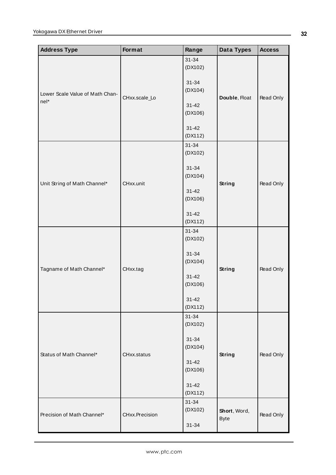| <b>Address Type</b>             | Format         | Range                | Data Types                  | <b>Access</b> |
|---------------------------------|----------------|----------------------|-----------------------------|---------------|
|                                 |                | $31 - 34$<br>(DX102) |                             |               |
| Lower Scale Value of Math Chan- |                | $31 - 34$<br>(DX104) |                             | Read Only     |
| nel*                            | CHxx.scale_Lo  | $31 - 42$<br>(DX106) | Double, Float               |               |
|                                 |                | $31 - 42$<br>(DX112) |                             |               |
|                                 |                | $31 - 34$<br>(DX102) |                             |               |
| Unit String of Math Channel*    | CHxx.unit      | $31 - 34$<br>(DX104) |                             | Read Only     |
|                                 |                | $31 - 42$<br>(DX106) | <b>String</b>               |               |
|                                 |                | $31 - 42$<br>(DX112) |                             |               |
|                                 | CHxx.tag       | $31 - 34$<br>(DX102) | <b>String</b>               |               |
| Tagname of Math Channel*        |                | $31 - 34$<br>(DX104) |                             | Read Only     |
|                                 |                | $31 - 42$<br>(DX106) |                             |               |
|                                 |                | $31 - 42$<br>(DX112) |                             |               |
|                                 |                | $31 - 34$<br>(DX102) |                             |               |
| Status of Math Channel*         | CHxx.status    | $31 - 34$<br>(DX104) | <b>String</b>               | Read Only     |
|                                 |                | $31 - 42$<br>(DX106) |                             |               |
|                                 |                | $31 - 42$<br>(DX112) |                             |               |
| Precision of Math Channel*      | CHxx.Precision | $31 - 34$<br>(DX102) | Short, Word,<br><b>Byte</b> | Read Only     |
|                                 |                | $31 - 34$            |                             |               |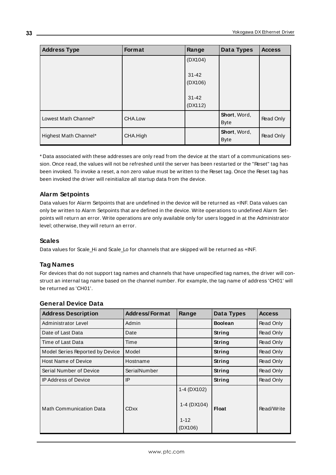| <b>Address Type</b>   | Format   | Range                | Data Types                  | <b>Access</b> |
|-----------------------|----------|----------------------|-----------------------------|---------------|
|                       |          | (DX104)              |                             |               |
|                       |          | $31 - 42$<br>(DX106) |                             |               |
|                       |          | $31 - 42$<br>(DX112) |                             |               |
| Lowest Math Channel*  | CHA.Low  |                      | Short, Word,<br><b>Byte</b> | Read Only     |
| Highest Math Channel* | CHA.High |                      | Short, Word,<br><b>Byte</b> | Read Only     |

\* Data associated with these addresses are only read from the device at the start of a communications session. Once read, the values will not be refreshed until the server has been restarted or the "Reset" tag has been invoked. To invoke a reset, a non zero value must be written to the Reset tag. Once the Reset tag has been invoked the driver will reinitialize all startup data from the device.

## **Alarm Setpoints**

Data values for Alarm Setpoints that are undefined in the device will be returned as +INF. Data values can only be written to Alarm Setpoints that are defined in the device. Write operations to undefined Alarm Setpoints will return an error. Write operations are only available only for users logged in at the Administrator level; otherwise, they will return an error.

## **Scales**

Data values for Scale\_Hi and Scale\_Lo for channels that are skipped will be returned as +INF.

## **Tag Names**

For devices that do not support tag names and channels that have unspecified tag names, the driver will construct an internal tag name based on the channel number. For example, the tag name of address 'CH01' will be returned as 'CH01'.

| <b>Address Description</b>      | <b>Address/Format</b> | Range                                             | Data Types     | <b>Access</b> |
|---------------------------------|-----------------------|---------------------------------------------------|----------------|---------------|
| Administrator Level             | Admin                 |                                                   | <b>Boolean</b> | Read Only     |
| Date of Last Data               | Date                  |                                                   | String         | Read Only     |
| Time of Last Data               | Time                  |                                                   | String         | Read Only     |
| Model Series Reported by Device | Model                 |                                                   | String         | Read Only     |
| <b>Host Name of Device</b>      | Hostname              |                                                   | String         | Read Only     |
| Serial Number of Device         | SerialNumber          |                                                   | String         | Read Only     |
| <b>IP Address of Device</b>     | IP                    |                                                   | String         | Read Only     |
| <b>Math Communication Data</b>  | <b>CDxx</b>           | 1-4 (DX102)<br>1-4 (DX104)<br>$1 - 12$<br>(DX106) | <b>Float</b>   | Read/Write    |

## **General Device Data**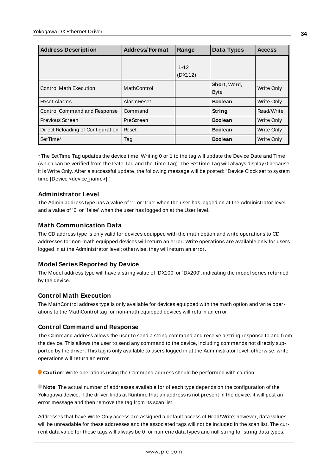| <b>Address Description</b>        | <b>Address/Format</b> | Range               | Data Types                  | <b>Access</b> |
|-----------------------------------|-----------------------|---------------------|-----------------------------|---------------|
|                                   |                       | $1 - 12$<br>(DX112) |                             |               |
| <b>Control Math Execution</b>     | MathControl           |                     | Short, Word,<br><b>Byte</b> | Write Only    |
| <b>Reset Alarms</b>               | <b>Alarm Reset</b>    |                     | <b>Boolean</b>              | Write Only    |
| Control Command and Response      | Command               |                     | String                      | Read/Write    |
| Previous Screen                   | PreScreen             |                     | <b>Boolean</b>              | Write Only    |
| Direct Reloading of Configuration | Reset                 |                     | <b>Boolean</b>              | Write Only    |
| SetTime*                          | Tag                   |                     | <b>Boolean</b>              | Write Only    |

\* The SetTime Tag updates the device time. Writing 0 or 1 to the tag will update the Device Date and Time (which can be verified from the Date Tag and the Time Tag). The SetTime Tag will always display 0 because it is Write Only. After a successful update, the following message will be posted: "Device Clock set to system time [Device <device\_name>]."

## **Administrator Level**

The Admin address type has a value of '1' or 'true' when the user has logged on at the Administrator level and a value of '0' or 'false' when the user has logged on at the User level.

## **Math Communication Data**

The CD address type is only valid for devices equipped with the math option and write operations to CD addresses for non-math equipped devices will return an error. Write operations are available only for users logged in at the Administrator level; otherwise, they will return an error.

## **Model Series Reported by Device**

The Model address type will have a string value of 'DX100' or 'DX200', indicating the model series returned by the device.

## **Control Math Execution**

The MathControl address type is only available for devices equipped with the math option and write operations to the MathControl tag for non-math equipped devices will return an error.

## **Control Command and Response**

The Command address allows the user to send a string command and receive a string response to and from the device. This allows the user to send any command to the device, including commands not directly supported by the driver. This tag is only available to users logged in at the Administrator level; otherwise, write operations will return an error.

**Caution**: Write operations using the Command address should be performed with caution.

**Note**: The actual number of addresses available for of each type depends on the configuration of the Yokogawa device. If the driver finds at Runtime that an address is not present in the device, it will post an error message and then remove the tag from its scan list.

Addresses that have Write Only access are assigned a default access of Read/Write; however, data values will be unreadable for these addresses and the associated tags will not be included in the scan list. The current data value for these tags will always be 0 for numeric data types and null string for string data types.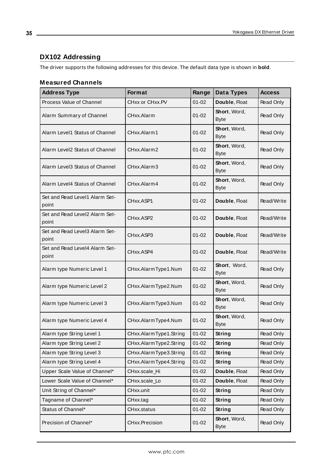## <span id="page-34-0"></span>**DX102 Addressing**

The driver supports the following addresses for this device. The default data type is shown in **bold**.

## **Measured Channels**

| <b>Address Type</b>                     | Format                 | Range     | Data Types                  | <b>Access</b>    |
|-----------------------------------------|------------------------|-----------|-----------------------------|------------------|
| Process Value of Channel                | CHxx or CHxx.PV        | $01 - 02$ | Double, Float               | Read Only        |
| Alarm Summary of Channel                | CHxx.Alarm             | $01 - 02$ | Short, Word,<br><b>Byte</b> | Read Only        |
| Alarm Level1 Status of Channel          | CHxx.Alarm1            | $01 - 02$ | Short, Word,<br><b>Byte</b> | Read Only        |
| Alarm Level2 Status of Channel          | CHxx.Alarm2            | $01 - 02$ | Short, Word,<br><b>Byte</b> | Read Only        |
| Alarm Level3 Status of Channel          | CHxx.Alarm3            | $01 - 02$ | Short, Word,<br><b>Byte</b> | <b>Read Only</b> |
| Alarm Level4 Status of Channel          | CHxx.Alarm4            | $01 - 02$ | Short, Word,<br><b>Byte</b> | Read Only        |
| Set and Read Level1 Alarm Set-<br>point | CHxx.ASP1              | $01 - 02$ | Double, Float               | Read/Write       |
| Set and Read Level2 Alarm Set-<br>point | CHxx.ASP2              | $01 - 02$ | Double, Float               | Read/Write       |
| Set and Read Level3 Alarm Set-<br>point | CHxx.ASP3              | $01 - 02$ | Double, Float               | Read/Write       |
| Set and Read Level4 Alarm Set-<br>point | CHxx.ASP4              | $01 - 02$ | Double, Float               | Read/Write       |
| Alarm type Numeric Level 1              | CHxx.AlarmType1.Num    | $01 - 02$ | Short, Word,<br><b>Byte</b> | Read Only        |
| Alarm type Numeric Level 2              | CHxx.AlarmType2.Num    | $01 - 02$ | Short, Word,<br><b>Byte</b> | Read Only        |
| Alarm type Numeric Level 3              | CHxx.AlarmType3.Num    | $01 - 02$ | Short, Word,<br><b>Byte</b> | Read Only        |
| Alarm type Numeric Level 4              | CHxx.AlarmType4.Num    | $01 - 02$ | Short, Word,<br><b>Byte</b> | Read Only        |
| Alarm type String Level 1               | CHxx.AlarmType1.String | $01 - 02$ | String                      | Read Only        |
| Alarm type String Level 2               | CHxx.AlarmType2.String | $01 - 02$ | <b>String</b>               | Read Only        |
| Alarm type String Level 3               | CHxx.AlarmType3.String | $01 - 02$ | <b>String</b>               | Read Only        |
| Alarm type String Level 4               | CHxx.AlarmType4.String | $01 - 02$ | String                      | Read Only        |
| Upper Scale Value of Channel*           | CHxx.scale_Hi          | $01 - 02$ | Double, Float               | Read Only        |
| Lower Scale Value of Channel*           | CHxx.scale_Lo          | $01 - 02$ | Double, Float               | Read Only        |
| Unit String of Channel*                 | CHxx.unit              | $01 - 02$ | <b>String</b>               | Read Only        |
| Tagname of Channel*                     | CHxx.tag               | $01 - 02$ | <b>String</b>               | Read Only        |
| Status of Channel*                      | CHxx.status            | $01 - 02$ | String                      | Read Only        |
| Precision of Channel*                   | CHxx.Precision         | $01 - 02$ | Short, Word,<br><b>Byte</b> | Read Only        |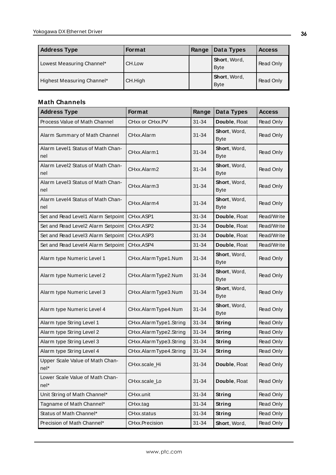| <b>Address Type</b>        | <b>Format</b> | Range | Data Types                          | <b>Access</b> |
|----------------------------|---------------|-------|-------------------------------------|---------------|
| Lowest Measuring Channel*  | CH.Low        |       | <b>Short</b> , Word,<br><b>Byte</b> | Read Only     |
| Highest Measuring Channel* | CH.High       |       | Short, Word,<br><b>Byte</b>         | Read Only     |

## **Math Channels**

| <b>Address Type</b>                      | Format                 | Range     | Data Types                  | <b>Access</b>    |
|------------------------------------------|------------------------|-----------|-----------------------------|------------------|
| Process Value of Math Channel            | CHxx or CHxx.PV        | $31 - 34$ | Double, Float               | Read Only        |
| Alarm Summary of Math Channel            | CHxx.Alarm             | $31 - 34$ | Short, Word,<br><b>Byte</b> | Read Only        |
| Alarm Level1 Status of Math Chan-<br>nel | CHxx.Alarm1            | $31 - 34$ | Short, Word,<br><b>Byte</b> | Read Only        |
| Alarm Level2 Status of Math Chan-<br>nel | CHxx.Alarm2            | 31-34     | Short, Word,<br><b>Byte</b> | Read Only        |
| Alarm Level3 Status of Math Chan-<br>nel | CHxx.Alarm3            | 31-34     | Short, Word,<br><b>Byte</b> | Read Only        |
| Alarm Level4 Status of Math Chan-<br>nel | CHxx.Alarm4            | 31-34     | Short, Word,<br><b>Byte</b> | Read Only        |
| Set and Read Level1 Alarm Setpoint       | CHxx.ASP1              | $31 - 34$ | Double, Float               | Read/Write       |
| Set and Read Level2 Alarm Setpoint       | CHxx.ASP2              | 31-34     | Double, Float               | Read/Write       |
| Set and Read Level3 Alarm Setpoint       | CHxx.ASP3              | $31 - 34$ | Double, Float               | Read/Write       |
| Set and Read Level4 Alarm Setpoint       | CHxx.ASP4              | $31 - 34$ | Double, Float               | Read/Write       |
| Alarm type Numeric Level 1               | CHxx.AlarmType1.Num    | $31 - 34$ | Short, Word,<br><b>Byte</b> | Read Only        |
| Alarm type Numeric Level 2               | CHxx.AlarmType2.Num    | 31-34     | Short, Word,<br><b>Byte</b> | <b>Read Only</b> |
| Alarm type Numeric Level 3               | CHxx.AlarmType3.Num    | $31 - 34$ | Short, Word,<br><b>Byte</b> | Read Only        |
| Alarm type Numeric Level 4               | CHxx.AlarmType4.Num    | $31 - 34$ | Short, Word,<br><b>Byte</b> | Read Only        |
| Alarm type String Level 1                | CHxx.AlarmType1.String | $31 - 34$ | <b>String</b>               | <b>Read Only</b> |
| Alarm type String Level 2                | CHxx.AlarmType2.String | $31 - 34$ | <b>String</b>               | Read Only        |
| Alarm type String Level 3                | CHxx.AlarmType3.String | $31 - 34$ | <b>String</b>               | Read Only        |
| Alarm type String Level 4                | CHxx.AlarmType4.String | 31-34     | <b>String</b>               | Read Only        |
| Upper Scale Value of Math Chan-<br>nel*  | CHxx.scale_Hi          | $31 - 34$ | Double, Float               | Read Only        |
| Lower Scale Value of Math Chan-<br>nel*  | CHxx.scale_Lo          | 31-34     | Double, Float               | Read Only        |
| Unit String of Math Channel*             | CHxx.unit              | $31 - 34$ | String                      | Read Only        |
| Tagname of Math Channel*                 | CHxx.tag               | $31 - 34$ | String                      | Read Only        |
| Status of Math Channel*                  | CHxx.status            | $31 - 34$ | <b>String</b>               | Read Only        |
| Precision of Math Channel*               | CHxx.Precision         | $31 - 34$ | Short, Word,                | Read Only        |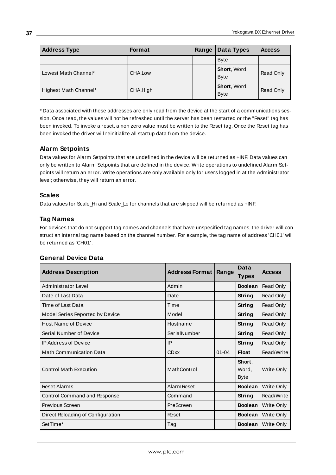| <b>Address Type</b>   | <b>Format</b> | Range | Data Types                  | <b>Access</b> |
|-----------------------|---------------|-------|-----------------------------|---------------|
|                       |               |       | <b>Byte</b>                 |               |
| Lowest Math Channel*  | CHA.Low       |       | Short, Word,<br><b>Byte</b> | Read Only     |
| Highest Math Channel* | CHA.High      |       | Short, Word,<br><b>Byte</b> | Read Only     |

\* Data associated with these addresses are only read from the device at the start of a communications session. Once read, the values will not be refreshed until the server has been restarted or the "Reset" tag has been invoked. To invoke a reset, a non zero value must be written to the Reset tag. Once the Reset tag has been invoked the driver will reinitialize all startup data from the device.

# **Alarm Setpoints**

Data values for Alarm Setpoints that are undefined in the device will be returned as +INF. Data values can only be written to Alarm Setpoints that are defined in the device. Write operations to undefined Alarm Setpoints will return an error. Write operations are only available only for users logged in at the Administrator level; otherwise, they will return an error.

# **Scales**

Data values for Scale\_Hi and Scale\_Lo for channels that are skipped will be returned as +INF.

# **Tag Names**

For devices that do not support tag names and channels that have unspecified tag names, the driver will construct an internal tag name based on the channel number. For example, the tag name of address 'CH01' will be returned as 'CH01'.

| <b>Address Description</b><br><b>Address/Format</b> |                    | Range     | Data                           | <b>Access</b> |
|-----------------------------------------------------|--------------------|-----------|--------------------------------|---------------|
|                                                     |                    |           | <b>Types</b>                   |               |
| Administrator Level                                 | Admin              |           | <b>Boolean</b>                 | Read Only     |
| Date of Last Data                                   | Date               |           | String                         | Read Only     |
| Time of Last Data                                   | Time               |           | String                         | Read Only     |
| Model Series Reported by Device                     | Model              |           | <b>String</b>                  | Read Only     |
| <b>Host Name of Device</b>                          | Hostname           |           | <b>String</b>                  | Read Only     |
| Serial Number of Device                             | SerialNumber       |           | String                         | Read Only     |
| <b>IP Address of Device</b>                         | IP                 |           | String                         | Read Only     |
| <b>Math Communication Data</b>                      | <b>CDxx</b>        | $01 - 04$ | <b>Float</b>                   | Read/Write    |
| <b>Control Math Execution</b>                       | MathControl        |           | Short,<br>Word,<br><b>Byte</b> | Write Only    |
| <b>Reset Alarms</b>                                 | <b>Alarm Reset</b> |           | <b>Boolean</b>                 | Write Only    |
| Control Command and Response                        | Command            |           | String                         | Read/Write    |
| Previous Screen                                     | PreScreen          |           | <b>Boolean</b>                 | Write Only    |
| Direct Reloading of Configuration                   | Reset              |           | <b>Boolean</b>                 | Write Only    |
| SetTime*                                            | Tag                |           | <b>Boolean</b>                 | Write Only    |

# **General Device Data**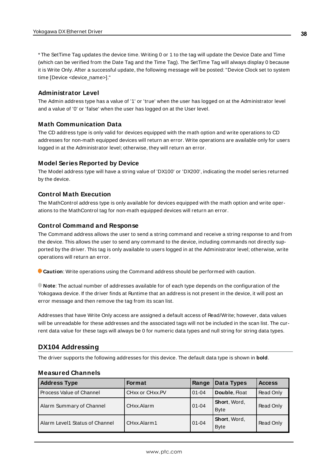\* The SetTime Tag updates the device time. Writing 0 or 1 to the tag will update the Device Date and Time (which can be verified from the Date Tag and the Time Tag). The SetTime Tag will always display 0 because it is Write Only. After a successful update, the following message will be posted: "Device Clock set to system time [Device <device\_name>]."

# **Administrator Level**

The Admin address type has a value of '1' or 'true' when the user has logged on at the Administrator level and a value of '0' or 'false' when the user has logged on at the User level.

# **Math Communication Data**

The CD address type is only valid for devices equipped with the math option and write operations to CD addresses for non-math equipped devices will return an error. Write operations are available only for users logged in at the Administrator level; otherwise, they will return an error.

# **Model Series Reported by Device**

The Model address type will have a string value of 'DX100' or 'DX200', indicating the model series returned by the device.

#### **Control Math Execution**

The MathControl address type is only available for devices equipped with the math option and write operations to the MathControl tag for non-math equipped devices will return an error.

#### **Control Command and Response**

The Command address allows the user to send a string command and receive a string response to and from the device. This allows the user to send any command to the device, including commands not directly supported by the driver. This tag is only available to users logged in at the Administrator level; otherwise, write operations will return an error.

**Caution**: Write operations using the Command address should be performed with caution.

**Note**: The actual number of addresses available for of each type depends on the configuration of the Yokogawa device. If the driver finds at Runtime that an address is not present in the device, it will post an error message and then remove the tag from its scan list.

Addresses that have Write Only access are assigned a default access of Read/Write; however, data values will be unreadable for these addresses and the associated tags will not be included in the scan list. The current data value for these tags will always be 0 for numeric data types and null string for string data types.

# **DX104 Addressing**

The driver supports the following addresses for this device. The default data type is shown in **bold**.

| <b>Address Type</b>            | <b>Format</b>   | Range     | Data Types                  | <b>Access</b> |
|--------------------------------|-----------------|-----------|-----------------------------|---------------|
| Process Value of Channel       | CHxx or CHxx.PV | $01 - 04$ | Double, Float               | Read Only     |
| Alarm Summary of Channel       | CHxx.Alarm      | $01 - 04$ | Short, Word,<br><b>Byte</b> | Read Only     |
| Alarm Level1 Status of Channel | CHxx.Alarm1     | $01 - 04$ | Short, Word,<br><b>Byte</b> | Read Only     |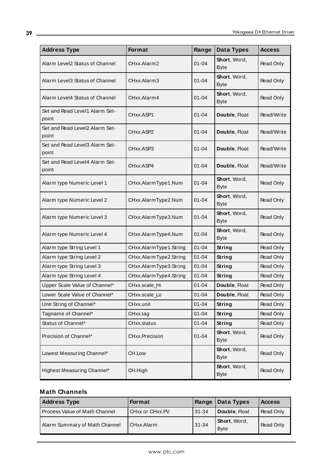| <b>Address Type</b>                     | Format                 | Range     | Data Types                  | <b>Access</b>    |
|-----------------------------------------|------------------------|-----------|-----------------------------|------------------|
| Alarm Level2 Status of Channel          | CHxx.Alarm2            | 01-04     | Short, Word,<br><b>Byte</b> | <b>Read Only</b> |
| Alarm Level3 Status of Channel          | CHxx.Alarm3            | $01 - 04$ | Short, Word,<br><b>Byte</b> | <b>Read Only</b> |
| Alarm Level4 Status of Channel          | CHxx.Alarm4            | $01 - 04$ | Short, Word,<br><b>Byte</b> | Read Only        |
| Set and Read Level1 Alarm Set-<br>point | CHxx.ASP1              | $01 - 04$ | Double, Float               | Read/Write       |
| Set and Read Level2 Alarm Set-<br>point | CHxx.ASP2              | $01 - 04$ | Double, Float               | Read/Write       |
| Set and Read Level3 Alarm Set-<br>point | CHxx.ASP3              | 01-04     | Double, Float               | Read/Write       |
| Set and Read Level4 Alarm Set-<br>point | CHxx.ASP4              | $01 - 04$ | Double, Float               | Read/Write       |
| Alarm type Numeric Level 1              | CHxx.AlarmType1.Num    | $01 - 04$ | Short, Word,<br><b>Byte</b> | Read Only        |
| Alarm type Numeric Level 2              | CHxx.AlarmType2.Num    | $01 - 04$ | Short, Word,<br><b>Byte</b> | Read Only        |
| Alarm type Numeric Level 3              | CHxx.AlarmType3.Num    | $01 - 04$ | Short, Word,<br><b>Byte</b> | Read Only        |
| Alarm type Numeric Level 4              | CHxx.AlarmType4.Num    | $01 - 04$ | Short, Word,<br><b>Byte</b> | <b>Read Only</b> |
| Alarm type String Level 1               | CHxx.AlarmType1.String | $01 - 04$ | String                      | Read Only        |
| Alarm type String Level 2               | CHxx.AlarmType2.String | $01 - 04$ | String                      | Read Only        |
| Alarm type String Level 3               | CHxx.AlarmType3.String | $01 - 04$ | String                      | Read Only        |
| Alarm type String Level 4               | CHxx.AlarmType4.String | $01 - 04$ | <b>String</b>               | Read Only        |
| Upper Scale Value of Channel*           | CHxx.scale_Hi          | $01 - 04$ | Double, Float               | Read Only        |
| Lower Scale Value of Channel*           | CHxx.scale_Lo          | $01 - 04$ | Double, Float               | Read Only        |
| Unit String of Channel*                 | CHxx.unit              | $01 - 04$ | String                      | Read Only        |
| Tagname of Channel*                     | CHxx.tag               | $01 - 04$ | String                      | Read Only        |
| Status of Channel*                      | CHxx.status            | $01 - 04$ | String                      | Read Only        |
| Precision of Channel*                   | CHxx.Precision         | $01 - 04$ | Short, Word,<br><b>Byte</b> | Read Only        |
| Lowest Measuring Channel*               | CH.Low                 |           | Short, Word,<br>Byte        | Read Only        |
| Highest Measuring Channel*              | CH.High                |           | Short, Word,<br><b>Byte</b> | Read Only        |

| <b>Address Type</b>           | Format          | Range     | Data Types                   | <b>Access</b> |
|-------------------------------|-----------------|-----------|------------------------------|---------------|
| Process Value of Math Channel | CHxx or CHxx.PV | 31-34     | Double, Float                | Read Only     |
| Alarm Summary of Math Channel | CHxx.Alarm      | $31 - 34$ | Short, Word,<br><b>B</b> vte | Read Only     |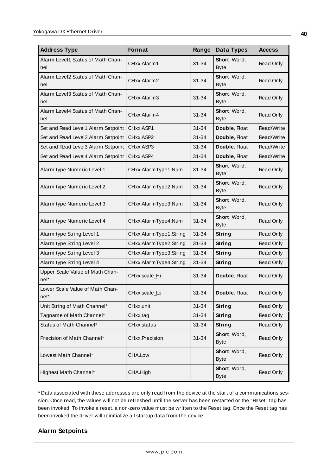| <b>Address Type</b>                      | Format                 | Range     | Data Types                  | <b>Access</b> |
|------------------------------------------|------------------------|-----------|-----------------------------|---------------|
| Alarm Level1 Status of Math Chan-<br>nel | CHxx.Alarm1            | $31 - 34$ | Short, Word,<br><b>Byte</b> | Read Only     |
| Alarm Level2 Status of Math Chan-<br>nel | CHxx.Alarm2            | $31 - 34$ | Short, Word,<br><b>Byte</b> | Read Only     |
| Alarm Level3 Status of Math Chan-<br>nel | CHxx.Alarm3            | $31 - 34$ | Short, Word,<br><b>Byte</b> | Read Only     |
| Alarm Level4 Status of Math Chan-<br>nel | CHxx.Alarm4            | $31 - 34$ | Short, Word,<br><b>Byte</b> | Read Only     |
| Set and Read Level1 Alarm Setpoint       | CHxx.ASP1              | $31 - 34$ | Double, Float               | Read/Write    |
| Set and Read Level2 Alarm Setpoint       | CHxx.ASP2              | $31 - 34$ | Double, Float               | Read/Write    |
| Set and Read Level3 Alarm Setpoint       | CHxx.ASP3              | $31 - 34$ | Double, Float               | Read/Write    |
| Set and Read Level4 Alarm Setpoint       | CHxx.ASP4              | $31 - 34$ | Double, Float               | Read/Write    |
| Alarm type Numeric Level 1               | CHxx.AlarmType1.Num    | 31-34     | Short, Word,<br><b>Byte</b> | Read Only     |
| Alarm type Numeric Level 2               | CHxx.AlarmType2.Num    | 31-34     | Short, Word,<br><b>Byte</b> | Read Only     |
| Alarm type Numeric Level 3               | CHxx.AlarmType3.Num    | $31 - 34$ | Short, Word,<br><b>Byte</b> | Read Only     |
| Alarm type Numeric Level 4               | CHxx.AlarmType4.Num    | $31 - 34$ | Short, Word,<br><b>Byte</b> | Read Only     |
| Alarm type String Level 1                | CHxx.AlarmType1.String | $31 - 34$ | String                      | Read Only     |
| Alarm type String Level 2                | CHxx.AlarmType2.String | $31 - 34$ | String                      | Read Only     |
| Alarm type String Level 3                | CHxx.AlarmType3.String | $31 - 34$ | <b>String</b>               | Read Only     |
| Alarm type String Level 4                | CHxx.AlarmType4.String | $31 - 34$ | String                      | Read Only     |
| Upper Scale Value of Math Chan-<br>nel*  | CHxx.scale_Hi          | $31 - 34$ | Double, Float               | Read Only     |
| Lower Scale Value of Math Chan-<br>nel*  | CHxx.scale Lo          | $31 - 34$ | Double, Float               | Read Only     |
| Unit String of Math Channel*             | CHxx.unit              | $31 - 34$ | <b>String</b>               | Read Only     |
| Tagname of Math Channel*                 | CHxx.tag               | $31 - 34$ | <b>String</b>               | Read Only     |
| Status of Math Channel*                  | CHxx.status            | $31 - 34$ | String                      | Read Only     |
| Precision of Math Channel*               | CHxx.Precision         | $31 - 34$ | Short, Word,<br><b>Byte</b> | Read Only     |
| Lowest Math Channel*                     | CHA.Low                |           | Short, Word,<br><b>Byte</b> | Read Only     |
| Highest Math Channel*                    | CHA.High               |           | Short, Word,<br><b>Byte</b> | Read Only     |

\* Data associated with these addresses are only read from the device at the start of a communications session. Once read, the values will not be refreshed until the server has been restarted or the "Reset" tag has been invoked. To invoke a reset, a non-zero value must be written to the Reset tag. Once the Reset tag has been invoked the driver will reinitialize all startup data from the device.

# **Alarm Setpoints**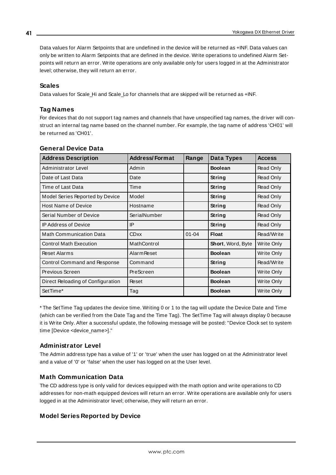Data values for Alarm Setpoints that are undefined in the device will be returned as +INF. Data values can only be written to Alarm Setpoints that are defined in the device. Write operations to undefined Alarm Setpoints will return an error. Write operations are only available only for users logged in at the Administrator level; otherwise, they will return an error.

### **Scales**

Data values for Scale\_Hi and Scale\_Lo for channels that are skipped will be returned as +INF.

# **Tag Names**

For devices that do not support tag names and channels that have unspecified tag names, the driver will construct an internal tag name based on the channel number. For example, the tag name of address 'CH01' will be returned as 'CH01'.

| <b>Address Description</b>        | <b>Address/Format</b> | Range     | Data Types               | <b>Access</b> |
|-----------------------------------|-----------------------|-----------|--------------------------|---------------|
| Administrator Level               | Admin                 |           | <b>Boolean</b>           | Read Only     |
| Date of Last Data                 | Date                  |           | <b>String</b>            | Read Only     |
| Time of Last Data                 | Time                  |           | String                   | Read Only     |
| Model Series Reported by Device   | Model                 |           | String                   | Read Only     |
| <b>Host Name of Device</b>        | Hostname              |           | String                   | Read Only     |
| Serial Number of Device           | SerialNumber          |           | String                   | Read Only     |
| <b>IP Address of Device</b>       | IP                    |           | String                   | Read Only     |
| <b>Math Communication Data</b>    | <b>CDxx</b>           | $01 - 04$ | <b>Float</b>             | Read/Write    |
| <b>Control Math Execution</b>     | MathControl           |           | <b>Short, Word, Byte</b> | Write Only    |
| <b>Reset Alarms</b>               | <b>Alarm Reset</b>    |           | <b>Boolean</b>           | Write Only    |
| Control Command and Response      | Command               |           | String                   | Read/Write    |
| Previous Screen                   | PreScreen             |           | <b>Boolean</b>           | Write Only    |
| Direct Reloading of Configuration | Reset                 |           | <b>Boolean</b>           | Write Only    |
| SetTime*                          | Tag                   |           | <b>Boolean</b>           | Write Only    |

#### **General Device Data**

\* The SetTime Tag updates the device time. Writing 0 or 1 to the tag will update the Device Date and Time (which can be verified from the Date Tag and the Time Tag). The SetTime Tag will always display 0 because it is Write Only. After a successful update, the following message will be posted: "Device Clock set to system time [Device <device\_name>]."

# **Administrator Level**

The Admin address type has a value of '1' or 'true' when the user has logged on at the Administrator level and a value of '0' or 'false' when the user has logged on at the User level.

# **Math Communication Data**

The CD address type is only valid for devices equipped with the math option and write operations to CD addresses for non-math equipped devices will return an error. Write operations are available only for users logged in at the Administrator level; otherwise, they will return an error.

# **Model Series Reported by Device**

**41**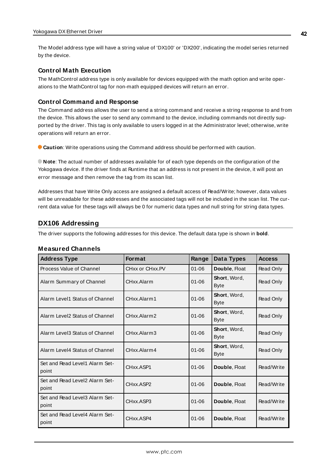The Model address type will have a string value of 'DX100' or 'DX200', indicating the model series returned by the device.

### **Control Math Execution**

The MathControl address type is only available for devices equipped with the math option and write operations to the MathControl tag for non-math equipped devices will return an error.

#### **Control Command and Response**

The Command address allows the user to send a string command and receive a string response to and from the device. This allows the user to send any command to the device, including commands not directly supported by the driver. This tag is only available to users logged in at the Administrator level; otherwise, write operations will return an error.

**Caution**: Write operations using the Command address should be performed with caution.

**Note**: The actual number of addresses available for of each type depends on the configuration of the Yokogawa device. If the driver finds at Runtime that an address is not present in the device, it will post an error message and then remove the tag from its scan list.

Addresses that have Write Only access are assigned a default access of Read/Write; however, data values will be unreadable for these addresses and the associated tags will not be included in the scan list. The current data value for these tags will always be 0 for numeric data types and null string for string data types.

# **DX106 Addressing**

The driver supports the following addresses for this device. The default data type is shown in **bold**.

| <b>Address Type</b>                     | <b>Format</b>   | Range     | Data Types                          | <b>Access</b> |
|-----------------------------------------|-----------------|-----------|-------------------------------------|---------------|
| Process Value of Channel                | CHxx or CHxx.PV | $01 - 06$ | Double, Float                       | Read Only     |
| Alarm Summary of Channel                | CHxx.Alarm      | $01 - 06$ | <b>Short</b> , Word,<br><b>Byte</b> | Read Only     |
| Alarm Level1 Status of Channel          | CHxx.Alarm1     | $01 - 06$ | Short, Word,<br><b>Byte</b>         | Read Only     |
| Alarm Level2 Status of Channel          | CHxx.Alarm2     | $01 - 06$ | Short, Word,<br><b>Byte</b>         | Read Only     |
| Alarm Level3 Status of Channel          | CHxx.Alarm3     | $01 - 06$ | Short, Word,<br><b>Byte</b>         | Read Only     |
| Alarm Level4 Status of Channel          | CHxx.Alarm4     | $01 - 06$ | Short, Word,<br><b>Byte</b>         | Read Only     |
| Set and Read Level1 Alarm Set-<br>point | CHxx.ASP1       | $01 - 06$ | Double, Float                       | Read/Write    |
| Set and Read Level2 Alarm Set-<br>point | CHxx.ASP2       | $01 - 06$ | Double, Float                       | Read/Write    |
| Set and Read Level3 Alarm Set-<br>point | CHxx.ASP3       | $01 - 06$ | Double, Float                       | Read/Write    |
| Set and Read Level4 Alarm Set-<br>point | CHxx.ASP4       | $01 - 06$ | Double, Float                       | Read/Write    |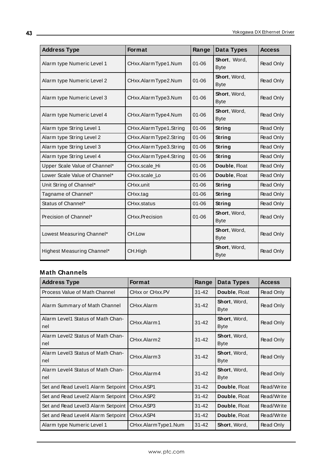| <b>Address Type</b>           | Format                 | Range     | Data Types                  | <b>Access</b> |
|-------------------------------|------------------------|-----------|-----------------------------|---------------|
| Alarm type Numeric Level 1    | CHxx.AlarmType1.Num    | $01 - 06$ | Short, Word,<br><b>Byte</b> | Read Only     |
| Alarm type Numeric Level 2    | CHxx.AlarmType2.Num    | $01 - 06$ | Short, Word,<br><b>Byte</b> | Read Only     |
| Alarm type Numeric Level 3    | CHxx.AlarmType3.Num    | $01 - 06$ | Short, Word,<br><b>Byte</b> | Read Only     |
| Alarm type Numeric Level 4    | CHxx.AlarmType4.Num    | $01 - 06$ | Short, Word,<br><b>Byte</b> | Read Only     |
| Alarm type String Level 1     | CHxx.AlarmType1.String | $01 - 06$ | String                      | Read Only     |
| Alarm type String Level 2     | CHxx.AlarmType2.String | $01 - 06$ | String                      | Read Only     |
| Alarm type String Level 3     | CHxx.AlarmType3.String | $01 - 06$ | String                      | Read Only     |
| Alarm type String Level 4     | CHxx.AlarmType4.String | $01 - 06$ | String                      | Read Only     |
| Upper Scale Value of Channel* | CHxx.scale_Hi          | $01 - 06$ | Double, Float               | Read Only     |
| Lower Scale Value of Channel* | CHxx.scale_Lo          | $01 - 06$ | Double, Float               | Read Only     |
| Unit String of Channel*       | CHxx.unit              | $01 - 06$ | String                      | Read Only     |
| Tagname of Channel*           | CHxx.tag               | $01 - 06$ | String                      | Read Only     |
| Status of Channel*            | CHxx.status            | $01 - 06$ | String                      | Read Only     |
| Precision of Channel*         | CHxx.Precision         | $01 - 06$ | Short, Word,<br><b>Byte</b> | Read Only     |
| Lowest Measuring Channel*     | CH.Low                 |           | Short, Word,<br><b>Byte</b> | Read Only     |
| Highest Measuring Channel*    | CH.High                |           | Short, Word,<br><b>Byte</b> | Read Only     |

| <b>Address Type</b>                      | <b>Format</b>       | Range     | Data Types                  | <b>Access</b> |
|------------------------------------------|---------------------|-----------|-----------------------------|---------------|
| Process Value of Math Channel            | CHxx or CHxx.PV     | $31 - 42$ | Double, Float               | Read Only     |
| Alarm Summary of Math Channel            | CHxx.Alarm          | $31 - 42$ | Short, Word,<br><b>Byte</b> | Read Only     |
| Alarm Level1 Status of Math Chan-<br>nel | CHxx.Alarm1         | $31 - 42$ | Short, Word,<br><b>Byte</b> | Read Only     |
| Alarm Level2 Status of Math Chan-<br>nel | CHxx.Alarm2         | $31 - 42$ | Short, Word,<br><b>Byte</b> | Read Only     |
| Alarm Level3 Status of Math Chan-<br>nel | CHxx.Alarm3         | $31 - 42$ | Short, Word,<br><b>Byte</b> | Read Only     |
| Alarm Level4 Status of Math Chan-<br>nel | CHxx.Alarm4         | $31 - 42$ | Short, Word,<br><b>Byte</b> | Read Only     |
| Set and Read Level1 Alarm Setpoint       | CHxx.ASP1           | $31 - 42$ | Double, Float               | Read/Write    |
| Set and Read Level2 Alarm Setpoint       | CHxx.ASP2           | $31 - 42$ | Double, Float               | Read/Write    |
| Set and Read Level3 Alarm Setpoint       | CHxx.ASP3           | $31 - 42$ | Double, Float               | Read/Write    |
| Set and Read Level4 Alarm Setpoint       | CHxx.ASP4           | $31 - 42$ | Double, Float               | Read/Write    |
| Alarm type Numeric Level 1               | CHxx.AlarmType1.Num | $31 - 42$ | Short, Word,                | Read Only     |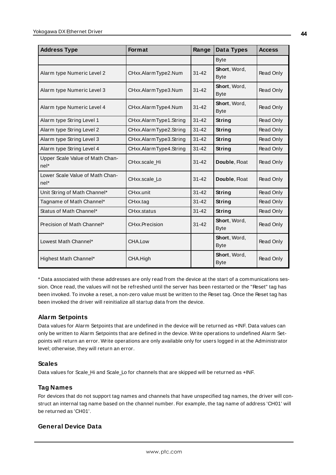| <b>Address Type</b>                     | <b>Format</b>          | Range     | Data Types                          | <b>Access</b> |
|-----------------------------------------|------------------------|-----------|-------------------------------------|---------------|
|                                         |                        |           | <b>Byte</b>                         |               |
| Alarm type Numeric Level 2              | CHxx.AlarmType2.Num    | $31 - 42$ | Short, Word,<br><b>Byte</b>         | Read Only     |
| Alarm type Numeric Level 3              | CHxx.AlarmType3.Num    | $31 - 42$ | Short, Word,<br><b>Byte</b>         | Read Only     |
| Alarm type Numeric Level 4              | CHxx.AlarmType4.Num    | $31 - 42$ | Short, Word,<br><b>Byte</b>         | Read Only     |
| Alarm type String Level 1               | CHxx.AlarmType1.String | $31 - 42$ | <b>String</b>                       | Read Only     |
| Alarm type String Level 2               | CHxx.AlarmType2.String | $31 - 42$ | String                              | Read Only     |
| Alarm type String Level 3               | CHxx.AlarmType3.String | $31 - 42$ | String                              | Read Only     |
| Alarm type String Level 4               | CHxx.AlarmType4.String | $31 - 42$ | <b>String</b>                       | Read Only     |
| Upper Scale Value of Math Chan-<br>nel* | CHxx.scale_Hi          | $31 - 42$ | Double, Float                       | Read Only     |
| Lower Scale Value of Math Chan-<br>nel* | CHxx.scale Lo          | $31 - 42$ | Double, Float                       | Read Only     |
| Unit String of Math Channel*            | CHxx.unit              | $31 - 42$ | String                              | Read Only     |
| Tagname of Math Channel*                | CHxx.tag               | $31 - 42$ | String                              | Read Only     |
| Status of Math Channel*                 | CHxx.status            | $31 - 42$ | String                              | Read Only     |
| Precision of Math Channel*              | CHxx.Precision         | $31 - 42$ | Short, Word,<br><b>Byte</b>         | Read Only     |
| Lowest Math Channel*                    | CHA.Low                |           | Short, Word,<br><b>Byte</b>         | Read Only     |
| Highest Math Channel*                   | CHA.High               |           | <b>Short</b> , Word,<br><b>Byte</b> | Read Only     |

\* Data associated with these addresses are only read from the device at the start of a communications session. Once read, the values will not be refreshed until the server has been restarted or the "Reset" tag has been invoked. To invoke a reset, a non-zero value must be written to the Reset tag. Once the Reset tag has been invoked the driver will reinitialize all startup data from the device.

# **Alarm Setpoints**

Data values for Alarm Setpoints that are undefined in the device will be returned as +INF. Data values can only be written to Alarm Setpoints that are defined in the device. Write operations to undefined Alarm Setpoints will return an error. Write operations are only available only for users logged in at the Administrator level; otherwise, they will return an error.

# **Scales**

Data values for Scale\_Hi and Scale\_Lo for channels that are skipped will be returned as +INF.

# **Tag Names**

For devices that do not support tag names and channels that have unspecified tag names, the driver will construct an internal tag name based on the channel number. For example, the tag name of address 'CH01' will be returned as 'CH01'.

# **General Device Data**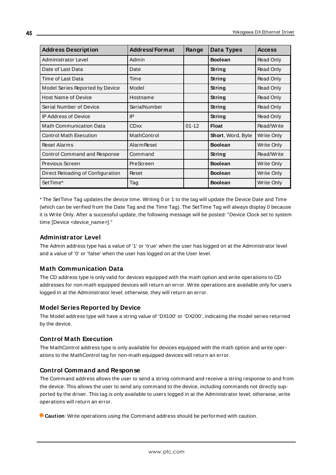| <b>Address Description</b>        | <b>Address/Format</b> | Range     | Data Types        | <b>Access</b> |
|-----------------------------------|-----------------------|-----------|-------------------|---------------|
| Administrator Level               | Admin                 |           | <b>Boolean</b>    | Read Only     |
| Date of Last Data                 | Date                  |           | String            | Read Only     |
| Time of Last Data                 | Time                  |           | String            | Read Only     |
| Model Series Reported by Device   | Model                 |           | String            | Read Only     |
| <b>Host Name of Device</b>        | Hostname              |           | String            | Read Only     |
| Serial Number of Device           | SerialNumber          |           | <b>String</b>     | Read Only     |
| <b>IP Address of Device</b>       | IP                    |           | String            | Read Only     |
| <b>Math Communication Data</b>    | <b>CDxx</b>           | $01 - 12$ | <b>Float</b>      | Read/Write    |
| <b>Control Math Execution</b>     | MathControl           |           | Short, Word, Byte | Write Only    |
| <b>Reset Alarms</b>               | <b>Alarm Reset</b>    |           | <b>Boolean</b>    | Write Only    |
| Control Command and Response      | Command               |           | String            | Read/Write    |
| Previous Screen                   | PreScreen             |           | <b>Boolean</b>    | Write Only    |
| Direct Reloading of Configuration | Reset                 |           | <b>Boolean</b>    | Write Only    |
| SetTime*                          | Tag                   |           | <b>Boolean</b>    | Write Only    |

\* The SetTime Tag updates the device time. Writing 0 or 1 to the tag will update the Device Date and Time (which can be verified from the Date Tag and the Time Tag). The SetTime Tag will always display 0 because it is Write Only. After a successful update, the following message will be posted: "Device Clock set to system time [Device <device\_name>]."

# **Administrator Level**

The Admin address type has a value of '1' or 'true' when the user has logged on at the Administrator level and a value of '0' or 'false' when the user has logged on at the User level.

# **Math Communication Data**

The CD address type is only valid for devices equipped with the math option and write operations to CD addresses for non-math equipped devices will return an error. Write operations are available only for users logged in at the Administrator level; otherwise, they will return an error.

# **Model Series Reported by Device**

The Model address type will have a string value of 'DX100' or 'DX200', indicating the model series returned by the device.

# **Control Math Execution**

The MathControl address type is only available for devices equipped with the math option and write operations to the MathControl tag for non-math equipped devices will return an error.

# **Control Command and Response**

The Command address allows the user to send a string command and receive a string response to and from the device. This allows the user to send any command to the device, including commands not directly supported by the driver. This tag is only available to users logged in at the Administrator level; otherwise, write operations will return an error.

**Caution**: Write operations using the Command address should be performed with caution.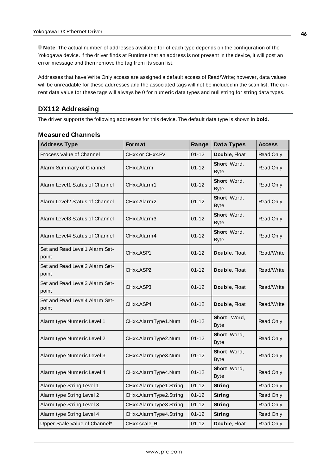**Note**: The actual number of addresses available for of each type depends on the configuration of the Yokogawa device. If the driver finds at Runtime that an address is not present in the device, it will post an error message and then remove the tag from its scan list.

Addresses that have Write Only access are assigned a default access of Read/Write; however, data values will be unreadable for these addresses and the associated tags will not be included in the scan list. The current data value for these tags will always be 0 for numeric data types and null string for string data types.

# **DX112 Addressing**

The driver supports the following addresses for this device. The default data type is shown in **bold**.

| <b>Address Type</b>                     | Format                 | Range     | Data Types                  | <b>Access</b> |
|-----------------------------------------|------------------------|-----------|-----------------------------|---------------|
| Process Value of Channel                | CHxx or CHxx.PV        | $01 - 12$ | Double, Float               | Read Only     |
| Alarm Summary of Channel                | CHxx.Alarm             | $01 - 12$ | Short, Word,<br><b>Byte</b> | Read Only     |
| Alarm Level1 Status of Channel          | CHxx.Alarm1            | $01 - 12$ | Short, Word,<br><b>Byte</b> | Read Only     |
| Alarm Level2 Status of Channel          | CHxx.Alarm2            | $01 - 12$ | Short, Word,<br><b>Byte</b> | Read Only     |
| Alarm Level3 Status of Channel          | CHxx.Alarm3            | $01 - 12$ | Short, Word,<br>Byte        | Read Only     |
| Alarm Level4 Status of Channel          | CHxx.Alarm4            | $01 - 12$ | Short, Word,<br><b>Byte</b> | Read Only     |
| Set and Read Level1 Alarm Set-<br>point | CHxx.ASP1              | $01 - 12$ | Double, Float               | Read/Write    |
| Set and Read Level2 Alarm Set-<br>point | CHxx.ASP2              | $01 - 12$ | Double, Float               | Read/Write    |
| Set and Read Level3 Alarm Set-<br>point | CHxx.ASP3              | $01 - 12$ | Double, Float               | Read/Write    |
| Set and Read Level4 Alarm Set-<br>point | CHxx.ASP4              | $01 - 12$ | Double, Float               | Read/Write    |
| Alarm type Numeric Level 1              | CHxx.AlarmType1.Num    | $01 - 12$ | Short, Word,<br><b>Byte</b> | Read Only     |
| Alarm type Numeric Level 2              | CHxx.AlarmType2.Num    | $01 - 12$ | Short, Word,<br><b>Byte</b> | Read Only     |
| Alarm type Numeric Level 3              | CHxx.AlarmType3.Num    | $01 - 12$ | Short, Word,<br>Byte        | Read Only     |
| Alarm type Numeric Level 4              | CHxx.AlarmType4.Num    | $01 - 12$ | Short, Word,<br>Byte        | Read Only     |
| Alarm type String Level 1               | CHxx.AlarmType1.String | $01 - 12$ | String                      | Read Only     |
| Alarm type String Level 2               | CHxx.AlarmType2.String | $01 - 12$ | String                      | Read Only     |
| Alarm type String Level 3               | CHxx.AlarmType3.String | $01 - 12$ | String                      | Read Only     |
| Alarm type String Level 4               | CHxx.AlarmType4.String | $01 - 12$ | String                      | Read Only     |
| Upper Scale Value of Channel*           | CHxx.scale_Hi          | $01 - 12$ | Double, Float               | Read Only     |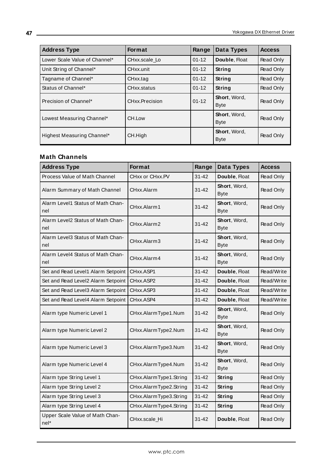| <b>Address Type</b>           | <b>Format</b>  | Range     | Data Types                  | <b>Access</b> |
|-------------------------------|----------------|-----------|-----------------------------|---------------|
| Lower Scale Value of Channel* | CHxx.scale Lo  | $01 - 12$ | Double, Float               | Read Only     |
| Unit String of Channel*       | CHxx.unit      | $01 - 12$ | String                      | Read Only     |
| Tagname of Channel*           | CHxx.tag       | $01 - 12$ | String                      | Read Only     |
| Status of Channel*            | CHxx.status    | $01 - 12$ | String                      | Read Only     |
| Precision of Channel*         | CHxx.Precision | $01 - 12$ | Short, Word,<br><b>Byte</b> | Read Only     |
| Lowest Measuring Channel*     | CH.Low         |           | Short, Word,<br><b>Byte</b> | Read Only     |
| Highest Measuring Channel*    | CH.High        |           | Short, Word,<br><b>Byte</b> | Read Only     |

| <b>Address Type</b>                      | Format                 | Range     | Data Types                  | <b>Access</b> |
|------------------------------------------|------------------------|-----------|-----------------------------|---------------|
| Process Value of Math Channel            | CHxx or CHxx.PV        | $31 - 42$ | Double, Float               | Read Only     |
| Alarm Summary of Math Channel            | CHxx.Alarm             | $31 - 42$ | Short, Word,<br><b>Byte</b> | Read Only     |
| Alarm Level1 Status of Math Chan-<br>nel | CHxx.Alarm1            | $31 - 42$ | Short, Word,<br><b>Byte</b> | Read Only     |
| Alarm Level2 Status of Math Chan-<br>nel | CHxx.Alarm2            | $31 - 42$ | Short, Word,<br><b>Byte</b> | Read Only     |
| Alarm Level3 Status of Math Chan-<br>nel | CHxx.Alarm3            | $31 - 42$ | Short, Word,<br><b>Byte</b> | Read Only     |
| Alarm Level4 Status of Math Chan-<br>nel | CHxx.Alarm4            | $31 - 42$ | Short, Word,<br><b>Byte</b> | Read Only     |
| Set and Read Level1 Alarm Setpoint       | CHxx.ASP1              | $31 - 42$ | Double, Float               | Read/Write    |
| Set and Read Level2 Alarm Setpoint       | CHxx.ASP2              | $31 - 42$ | Double, Float               | Read/Write    |
| Set and Read Level3 Alarm Setpoint       | CHxx.ASP3              | $31 - 42$ | Double, Float               | Read/Write    |
| Set and Read Level4 Alarm Setpoint       | CHxx.ASP4              | $31 - 42$ | Double, Float               | Read/Write    |
| Alarm type Numeric Level 1               | CHxx.AlarmType1.Num    | $31 - 42$ | Short, Word,<br><b>Byte</b> | Read Only     |
| Alarm type Numeric Level 2               | CHxx.AlarmType2.Num    | $31 - 42$ | Short, Word,<br><b>Byte</b> | Read Only     |
| Alarm type Numeric Level 3               | CHxx.AlarmType3.Num    | $31 - 42$ | Short, Word,<br><b>Byte</b> | Read Only     |
| Alarm type Numeric Level 4               | CHxx.AlarmType4.Num    | $31 - 42$ | Short, Word,<br><b>Byte</b> | Read Only     |
| Alarm type String Level 1                | CHxx.AlarmType1.String | $31 - 42$ | String                      | Read Only     |
| Alarm type String Level 2                | CHxx.AlarmType2.String | $31 - 42$ | String                      | Read Only     |
| Alarm type String Level 3                | CHxx.AlarmType3.String | $31 - 42$ | String                      | Read Only     |
| Alarm type String Level 4                | CHxx.AlarmType4.String | $31 - 42$ | String                      | Read Only     |
| Upper Scale Value of Math Chan-<br>nel*  | CHxx.scale_Hi          | $31 - 42$ | Double, Float               | Read Only     |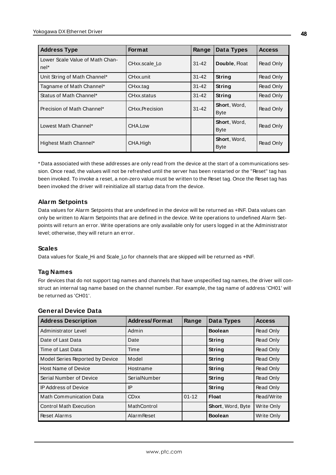| <b>Address Type</b>                     | <b>Format</b>  | Range     | Data Types                  | <b>Access</b> |
|-----------------------------------------|----------------|-----------|-----------------------------|---------------|
| Lower Scale Value of Math Chan-<br>nel* | CHxx.scale Lo  | $31 - 42$ | Double, Float               | Read Only     |
| Unit String of Math Channel*            | CHxx.unit      | $31 - 42$ | String                      | Read Only     |
| Tagname of Math Channel*                | CHxx.tag       | $31 - 42$ | String                      | Read Only     |
| Status of Math Channel*                 | CHxx.status    | $31 - 42$ | String                      | Read Only     |
| Precision of Math Channel*              | CHxx.Precision | $31 - 42$ | Short, Word,<br><b>Byte</b> | Read Only     |
| Lowest Math Channel*                    | CHA.Low        |           | Short, Word,<br><b>Byte</b> | Read Only     |
| Highest Math Channel*                   | CHA.High       |           | Short, Word,<br><b>Byte</b> | Read Only     |

\* Data associated with these addresses are only read from the device at the start of a communications session. Once read, the values will not be refreshed until the server has been restarted or the "Reset" tag has been invoked. To invoke a reset, a non-zero value must be written to the Reset tag. Once the Reset tag has been invoked the driver will reinitialize all startup data from the device.

# **Alarm Setpoints**

Data values for Alarm Setpoints that are undefined in the device will be returned as +INF. Data values can only be written to Alarm Setpoints that are defined in the device. Write operations to undefined Alarm Setpoints will return an error. Write operations are only available only for users logged in at the Administrator level; otherwise, they will return an error.

#### **Scales**

Data values for Scale Hi and Scale Lo for channels that are skipped will be returned as +INF.

# **Tag Names**

For devices that do not support tag names and channels that have unspecified tag names, the driver will construct an internal tag name based on the channel number. For example, the tag name of address 'CH01' will be returned as 'CH01'.

# **General Device Data**

| <b>Address Description</b>      | <b>Address/Format</b> | Range     | Data Types               | <b>Access</b> |
|---------------------------------|-----------------------|-----------|--------------------------|---------------|
| Administrator Level             | Admin                 |           | <b>Boolean</b>           | Read Only     |
| Date of Last Data               | Date                  |           | String                   | Read Only     |
| Time of Last Data               | Time                  |           | String                   | Read Only     |
| Model Series Reported by Device | Model                 |           | String                   | Read Only     |
| Host Name of Device             | Hostname              |           | String                   | Read Only     |
| Serial Number of Device         | SerialNumber          |           | <b>String</b>            | Read Only     |
| <b>IP Address of Device</b>     | IP                    |           | String                   | Read Only     |
| <b>Math Communication Data</b>  | <b>CDxx</b>           | $01 - 12$ | <b>Float</b>             | Read/Write    |
| <b>Control Math Execution</b>   | MathControl           |           | <b>Short, Word, Byte</b> | Write Only    |
| Reset Alarms                    | Alarm Reset           |           | <b>Boolean</b>           | Write Only    |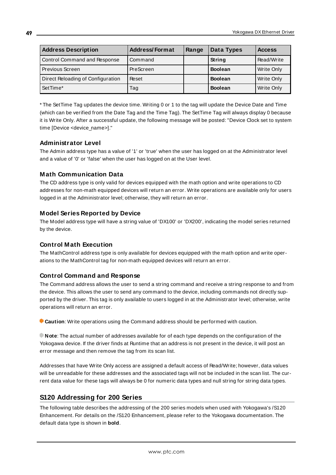| <b>Address Description</b>        | <b>Address/Format</b> | Range | Data Types     | <b>Access</b> |
|-----------------------------------|-----------------------|-------|----------------|---------------|
| Control Command and Response      | Command               |       | <b>String</b>  | Read/Write    |
| Previous Screen                   | PreScreen             |       | <b>Boolean</b> | Write Only    |
| Direct Reloading of Configuration | Reset                 |       | <b>Boolean</b> | Write Only    |
| SetTime*                          | Tag                   |       | <b>Boolean</b> | Write Only    |

\* The SetTime Tag updates the device time. Writing 0 or 1 to the tag will update the Device Date and Time (which can be verified from the Date Tag and the Time Tag). The SetTime Tag will always display 0 because it is Write Only. After a successful update, the following message will be posted: "Device Clock set to system time [Device <device\_name>]."

# **Administrator Level**

The Admin address type has a value of '1' or 'true' when the user has logged on at the Administrator level and a value of '0' or 'false' when the user has logged on at the User level.

# **Math Communication Data**

The CD address type is only valid for devices equipped with the math option and write operations to CD addresses for non-math equipped devices will return an error. Write operations are available only for users logged in at the Administrator level; otherwise, they will return an error.

# **Model Series Reported by Device**

The Model address type will have a string value of 'DX100' or 'DX200', indicating the model series returned by the device.

# **Control Math Execution**

The MathControl address type is only available for devices equipped with the math option and write operations to the MathControl tag for non-math equipped devices will return an error.

# **Control Command and Response**

The Command address allows the user to send a string command and receive a string response to and from the device. This allows the user to send any command to the device, including commands not directly supported by the driver. This tag is only available to users logged in at the Administrator level; otherwise, write operations will return an error.

**Caution**: Write operations using the Command address should be performed with caution.

**Note**: The actual number of addresses available for of each type depends on the configuration of the Yokogawa device. If the driver finds at Runtime that an address is not present in the device, it will post an error message and then remove the tag from its scan list.

Addresses that have Write Only access are assigned a default access of Read/Write; however, data values will be unreadable for these addresses and the associated tags will not be included in the scan list. The current data value for these tags will always be 0 for numeric data types and null string for string data types.

# **S120 Addressing for 200 Series**

The following table describes the addressing of the 200 series models when used with Yokogawa's /S120 Enhancement. For details on the /S120 Enhancement, please refer to the Yokogawa documentation. The default data type is shown in **bold**.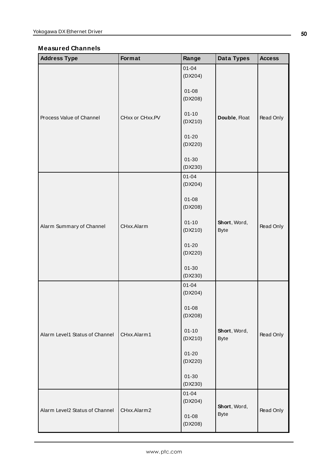| <b>Address Type</b>            | Format          | Range                | Data Types                  | <b>Access</b>                       |
|--------------------------------|-----------------|----------------------|-----------------------------|-------------------------------------|
|                                |                 | $01 - 04$<br>(DX204) |                             |                                     |
|                                |                 | $01 - 08$<br>(DX208) |                             | Read Only<br>Read Only<br>Read Only |
| Process Value of Channel       | CHxx or CHxx.PV | $01 - 10$<br>(DX210) | Double, Float               |                                     |
|                                |                 | $01 - 20$<br>(DX220) |                             |                                     |
|                                |                 | $01 - 30$<br>(DX230) |                             |                                     |
|                                |                 | $01 - 04$<br>(DX204) |                             |                                     |
|                                |                 | $01 - 08$<br>(DX208) |                             |                                     |
| Alarm Summary of Channel       | CHxx.Alarm      | $01 - 10$<br>(DX210) | Short, Word,<br><b>Byte</b> |                                     |
|                                |                 | $01 - 20$<br>(DX220) |                             |                                     |
|                                |                 | $01 - 30$<br>(DX230) |                             |                                     |
|                                |                 | $01 - 04$<br>(DX204) |                             |                                     |
|                                |                 | $01 - 08$<br>(DX208) |                             |                                     |
| Alarm Level1 Status of Channel | CHxx.Alarm1     | $01 - 10$<br>(DX210) | Short, Word,<br><b>Byte</b> |                                     |
|                                |                 | $01 - 20$<br>(DX220) |                             |                                     |
|                                |                 | $01 - 30$<br>(DX230) |                             |                                     |
|                                |                 | $01 - 04$<br>(DX204) |                             |                                     |
| Alarm Level2 Status of Channel | CHxx.Alarm2     | $01 - 08$<br>(DX208) | Short, Word,<br><b>Byte</b> | Read Only                           |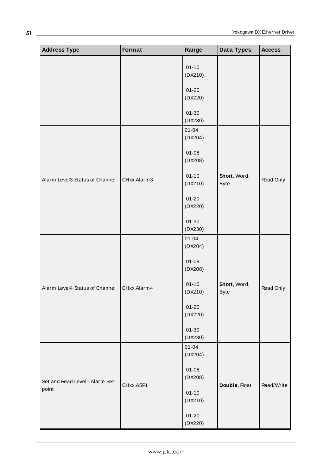| <b>Address Type</b>                     | Format      | Range                | Data Types                  | <b>Access</b> |
|-----------------------------------------|-------------|----------------------|-----------------------------|---------------|
|                                         |             | $01 - 10$            |                             |               |
|                                         |             | (DX210)              |                             |               |
|                                         |             | $01 - 20$            |                             |               |
|                                         |             | (DX220)              |                             |               |
|                                         |             | $01 - 30$<br>(DX230) |                             |               |
|                                         |             | $01 - 04$<br>(DX204) |                             |               |
|                                         | CHxx.Alarm3 | $01 - 08$<br>(DX208) |                             |               |
| Alarm Level3 Status of Channel          |             | $01 - 10$<br>(DX210) | Short, Word,<br><b>Byte</b> | Read Only     |
|                                         |             | $01 - 20$<br>(DX220) |                             |               |
|                                         |             | $01 - 30$<br>(DX230) |                             |               |
|                                         |             | $01 - 04$<br>(DX204) |                             |               |
|                                         |             | $01 - 08$<br>(DX208) |                             |               |
| Alarm Level4 Status of Channel          | CHxx.Alarm4 | $01 - 10$<br>(DX210) | Short, Word,<br><b>Byte</b> | Read Only     |
|                                         |             | $01 - 20$<br>(DX220) |                             |               |
|                                         |             | $01 - 30$<br>(DX230) |                             |               |
|                                         |             | $01 - 04$<br>(DX204) |                             |               |
| Set and Read Level1 Alarm Set-<br>point | CHxx.ASP1   | $01 - 08$<br>(DX208) | Double, Float               | Read/Write    |
|                                         |             | $01 - 10$<br>(DX210) |                             |               |
|                                         |             | $01 - 20$<br>(DX220) |                             |               |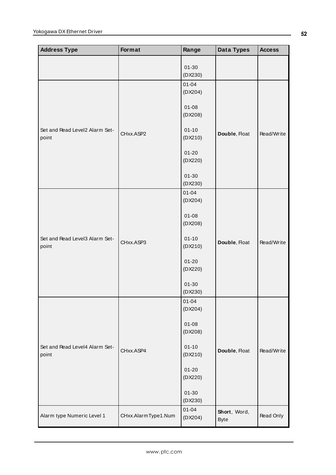| <b>Address Type</b>                     | Format              | Range                | Data Types                  | <b>Access</b> |
|-----------------------------------------|---------------------|----------------------|-----------------------------|---------------|
|                                         |                     | $01 - 30$<br>(DX230) |                             |               |
|                                         |                     | $01 - 04$<br>(DX204) |                             |               |
|                                         |                     | $01 - 08$<br>(DX208) |                             |               |
| Set and Read Level2 Alarm Set-<br>point | CHxx.ASP2           | $01 - 10$<br>(DX210) | Double, Float               | Read/Write    |
|                                         |                     | $01 - 20$<br>(DX220) |                             |               |
|                                         |                     | $01 - 30$<br>(DX230) |                             |               |
|                                         |                     | $01 - 04$<br>(DX204) |                             |               |
|                                         |                     | $01 - 08$<br>(DX208) |                             |               |
| Set and Read Level3 Alarm Set-<br>point | CHxx.ASP3           | $01 - 10$<br>(DX210) | Double, Float               | Read/Write    |
|                                         |                     | $01 - 20$<br>(DX220) |                             |               |
|                                         |                     | $01 - 30$<br>(DX230) |                             |               |
|                                         |                     | $01 - 04$<br>(DX204) |                             |               |
|                                         |                     | $01 - 08$<br>(DX208) |                             |               |
| Set and Read Level4 Alarm Set-<br>point | CHxx.ASP4           | $01 - 10$<br>(DX210) | Double, Float               | Read/Write    |
|                                         |                     | $01 - 20$<br>(DX220) |                             |               |
|                                         |                     | $01 - 30$<br>(DX230) |                             |               |
| Alarm type Numeric Level 1              | CHxx.AlarmType1.Num | $01 - 04$<br>(DX204) | Short, Word,<br><b>Byte</b> | Read Only     |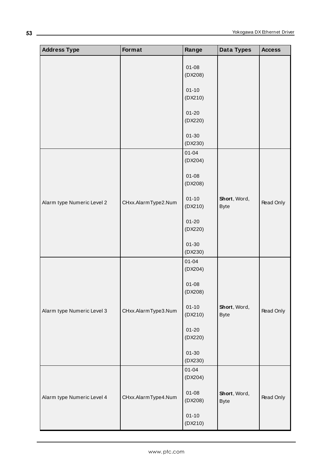| <b>Address Type</b>        | Format              | Range                | <b>Data Types</b>           | <b>Access</b> |
|----------------------------|---------------------|----------------------|-----------------------------|---------------|
|                            |                     | $01 - 08$<br>(DX208) |                             |               |
|                            |                     | $01 - 10$<br>(DX210) |                             |               |
|                            |                     | $01 - 20$<br>(DX220) |                             |               |
|                            |                     | $01 - 30$<br>(DX230) |                             |               |
|                            |                     | $01 - 04$<br>(DX204) |                             |               |
|                            |                     | $01 - 08$<br>(DX208) |                             |               |
| Alarm type Numeric Level 2 | CHxx.AlarmType2.Num | $01 - 10$<br>(DX210) | Short, Word,<br><b>Byte</b> | Read Only     |
|                            |                     | $01 - 20$<br>(DX220) |                             |               |
|                            |                     | $01 - 30$<br>(DX230) |                             |               |
|                            |                     | $01 - 04$<br>(DX204) |                             |               |
|                            |                     | $01 - 08$<br>(DX208) |                             |               |
| Alarm type Numeric Level 3 | CHxx.AlarmType3.Num | $01 - 10$<br>(DX210) | Short, Word,<br><b>Byte</b> | Read Only     |
|                            |                     | $01 - 20$<br>(DX220) |                             |               |
|                            |                     | $01 - 30$<br>(DX230) |                             |               |
|                            |                     | $01 - 04$<br>(DX204) |                             |               |
| Alarm type Numeric Level 4 | CHxx.AlarmType4.Num | $01 - 08$<br>(DX208) | Short, Word,<br><b>Byte</b> | Read Only     |
|                            |                     | $01 - 10$<br>(DX210) |                             |               |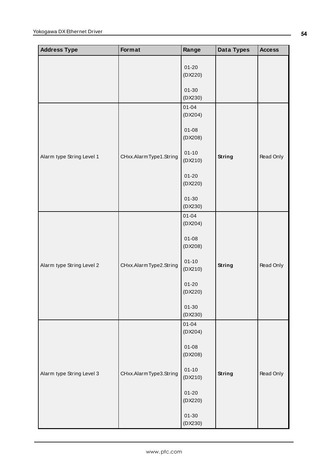| <b>Address Type</b>       | Format                 | Range                                                                | Data Types    | <b>Access</b> |
|---------------------------|------------------------|----------------------------------------------------------------------|---------------|---------------|
|                           |                        | $01 - 20$<br>(DX220)                                                 |               |               |
|                           |                        | $01 - 30$<br>(DX230)                                                 |               |               |
|                           |                        | $01 - 04$<br>(DX204)                                                 |               |               |
|                           |                        | $01 - 08$<br>(DX208)                                                 |               |               |
| Alarm type String Level 1 | CHxx.AlarmType1.String | $01 - 10$<br>(DX210)                                                 | <b>String</b> | Read Only     |
|                           |                        | $01 - 20$<br>(DX220)<br>$01 - 30$<br>(DX230)<br>$01 - 04$<br>(DX204) |               |               |
|                           |                        |                                                                      |               |               |
|                           | CHxx.AlarmType2.String |                                                                      |               |               |
|                           |                        | $01 - 08$<br>(DX208)                                                 |               |               |
| Alarm type String Level 2 |                        | $01 - 10$<br>(DX210)                                                 | <b>String</b> | Read Only     |
|                           |                        | $01 - 20$<br>(DX220)                                                 |               |               |
|                           |                        | $01 - 30$<br>(DX230)                                                 |               |               |
|                           |                        | $01 - 04$<br>(DX204)                                                 |               |               |
|                           |                        | $01 - 08$<br>(DX208)                                                 |               |               |
| Alarm type String Level 3 | CHxx.AlarmType3.String | $01 - 10$<br>(DX210)                                                 | <b>String</b> | Read Only     |
|                           |                        | $01 - 20$<br>(DX220)                                                 |               |               |
|                           |                        | $01 - 30$<br>(DX230)                                                 |               |               |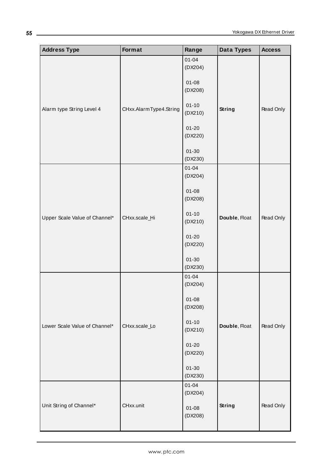| <b>Address Type</b>           | Format                 | Range                | Data Types    | <b>Access</b> |
|-------------------------------|------------------------|----------------------|---------------|---------------|
|                               |                        | $01 - 04$<br>(DX204) |               |               |
|                               |                        | $01 - 08$<br>(DX208) |               |               |
| Alarm type String Level 4     | CHxx.AlarmType4.String | $01 - 10$<br>(DX210) | <b>String</b> | Read Only     |
|                               |                        | $01 - 20$<br>(DX220) |               |               |
|                               |                        | $01 - 30$<br>(DX230) |               |               |
|                               |                        | $01 - 04$<br>(DX204) |               |               |
|                               |                        | $01 - 08$<br>(DX208) |               |               |
| Upper Scale Value of Channel* | CHxx.scale_Hi          | $01 - 10$<br>(DX210) | Double, Float | Read Only     |
|                               |                        | $01 - 20$<br>(DX220) |               |               |
|                               |                        | $01 - 30$<br>(DX230) |               |               |
|                               |                        | $01 - 04$<br>(DX204) |               |               |
|                               |                        | $01 - 08$<br>(DX208) |               |               |
| Lower Scale Value of Channel* | CHxx.scale_Lo          | $01 - 10$<br>(DX210) | Double, Float | Read Only     |
|                               |                        | $01 - 20$<br>(DX220) |               |               |
|                               |                        | $01 - 30$<br>(DX230) |               |               |
|                               |                        | $01 - 04$<br>(DX204) |               |               |
| Unit String of Channel*       | CHxx.unit              | $01 - 08$<br>(DX208) | <b>String</b> | Read Only     |

**55**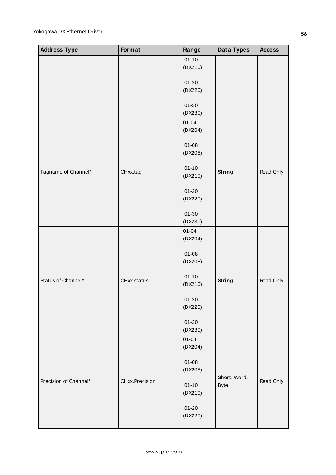| <b>Address Type</b>   | Format         | Range                | Data Types    | <b>Access</b> |
|-----------------------|----------------|----------------------|---------------|---------------|
|                       |                | $01 - 10$            |               |               |
|                       |                | (DX210)              |               |               |
|                       |                | $01 - 20$            |               |               |
|                       |                | (DX220)              |               |               |
|                       |                |                      |               |               |
|                       |                | $01 - 30$            |               |               |
|                       |                | (DX230)              |               |               |
|                       |                | $01 - 04$<br>(DX204) |               |               |
|                       |                |                      |               |               |
|                       |                | $01 - 08$            |               |               |
|                       |                | (DX208)              |               |               |
|                       |                |                      |               |               |
| Tagname of Channel*   | CHxx.tag       | $01 - 10$<br>(DX210) | <b>String</b> | Read Only     |
|                       |                |                      |               |               |
|                       |                | $01 - 20$            |               |               |
|                       |                | (DX220)              |               |               |
|                       |                | $01 - 30$            |               |               |
|                       |                | (DX230)              |               |               |
|                       |                | $01 - 04$            |               |               |
|                       |                | (DX204)              |               |               |
|                       |                |                      |               |               |
|                       |                | $01 - 08$            |               |               |
|                       |                | (DX208)              |               |               |
|                       |                | $01 - 10$            |               |               |
| Status of Channel*    | CHxx.status    | (DX210)              | <b>String</b> | Read Only     |
|                       |                |                      |               |               |
|                       |                | $01 - 20$<br>(DX220) |               |               |
|                       |                |                      |               |               |
|                       |                | $01 - 30$            |               |               |
|                       |                | (DX230)              |               |               |
|                       |                | $01 - 04$            |               |               |
|                       |                | (DX204)              |               |               |
|                       |                | $01 - 08$            |               |               |
| Precision of Channel* |                | (DX208)              |               |               |
|                       | CHxx.Precision |                      | Short, Word,  | Read Only     |
|                       |                | $01 - 10$<br>(DX210) | <b>Byte</b>   |               |
|                       |                |                      |               |               |
|                       |                | $01 - 20$            |               |               |
|                       |                | (DX220)              |               |               |
|                       |                |                      |               |               |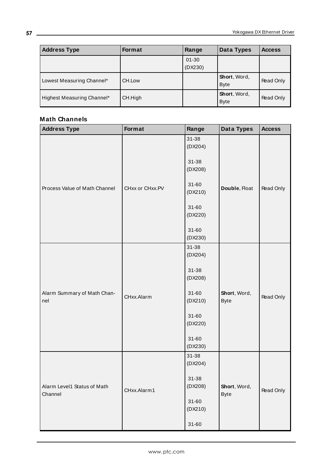| <b>Address Type</b>        | <b>Format</b> | Range     | Data Types                         | <b>Access</b> |
|----------------------------|---------------|-----------|------------------------------------|---------------|
|                            |               | $01 - 30$ |                                    |               |
|                            |               | (DX230)   |                                    |               |
| Lowest Measuring Channel*  | CH.Low        |           | Short, Word,<br><b>Byte</b>        | Read Only     |
| Highest Measuring Channel* | CH.High       |           | <b>Short, Word,</b><br><b>Byte</b> | Read Only     |

| <b>Address Type</b>                    | Format          | Range                | Data Types                  | <b>Access</b> |
|----------------------------------------|-----------------|----------------------|-----------------------------|---------------|
|                                        |                 | $31 - 38$<br>(DX204) |                             |               |
| Process Value of Math Channel          |                 | 31-38<br>(DX208)     |                             |               |
|                                        | CHxx or CHxx.PV | $31 - 60$<br>(DX210) | Double, Float               | Read Only     |
|                                        |                 | $31 - 60$<br>(DX220) |                             |               |
|                                        |                 | $31 - 60$<br>(DX230) |                             |               |
| Alarm Summary of Math Chan-<br>nel     | CHxx.Alarm      | 31-38<br>(DX204)     |                             |               |
|                                        |                 | 31-38<br>(DX208)     |                             |               |
|                                        |                 | $31 - 60$<br>(DX210) | Short, Word,<br><b>Byte</b> | Read Only     |
|                                        |                 | $31 - 60$<br>(DX220) |                             |               |
|                                        |                 | $31 - 60$<br>(DX230) |                             |               |
| Alarm Level1 Status of Math<br>Channel |                 | 31-38<br>(DX204)     |                             |               |
|                                        | CHxx.Alarm1     | $31 - 38$<br>(DX208) | Short, Word,                | Read Only     |
|                                        |                 | $31 - 60$<br>(DX210) | <b>Byte</b>                 |               |
|                                        |                 | $31 - 60$            |                             |               |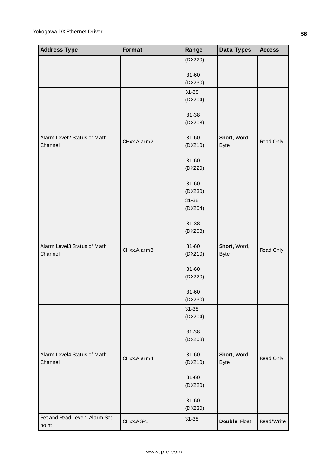| <b>Address Type</b>                    | Format      | Range            | <b>Data Types</b> | <b>Access</b> |
|----------------------------------------|-------------|------------------|-------------------|---------------|
|                                        |             | (DX220)          |                   |               |
|                                        |             | $31 - 60$        |                   |               |
|                                        |             | (DX230)          |                   |               |
|                                        |             | 31-38<br>(DX204) |                   |               |
|                                        |             |                  |                   |               |
|                                        |             | 31-38<br>(DX208) |                   |               |
|                                        |             |                  |                   |               |
| Alarm Level2 Status of Math<br>Channel | CHxx.Alarm2 | $31 - 60$        | Short, Word,      | Read Only     |
|                                        |             | (DX210)          | <b>Byte</b>       |               |
|                                        |             | $31 - 60$        |                   |               |
|                                        |             | (DX220)          |                   |               |
|                                        |             | $31 - 60$        |                   |               |
|                                        |             | (DX230)<br>31-38 |                   |               |
|                                        |             | (DX204)          |                   |               |
|                                        |             | 31-38            |                   |               |
|                                        |             | (DX208)          |                   |               |
| Alarm Level3 Status of Math            |             | $31 - 60$        | Short, Word,      |               |
| Channel                                | CHxx.Alarm3 | (DX210)          | <b>Byte</b>       | Read Only     |
|                                        |             | $31 - 60$        |                   |               |
|                                        |             | (DX220)          |                   |               |
|                                        |             | $31 - 60$        |                   |               |
|                                        |             | (DX230)          |                   |               |
|                                        |             | 31-38<br>(DX204) |                   |               |
|                                        |             |                  |                   |               |
|                                        |             | 31-38<br>(DX208) |                   |               |
|                                        |             |                  |                   |               |
| Alarm Level4 Status of Math<br>Channel | CHxx.Alarm4 | $31 - 60$        | Short, Word,      | Read Only     |
|                                        |             | (DX210)          | <b>Byte</b>       |               |
|                                        |             | $31 - 60$        |                   |               |
|                                        |             | (DX220)          |                   |               |
|                                        |             | $31 - 60$        |                   |               |
| Set and Read Level1 Alarm Set-         |             | (DX230)<br>31-38 |                   |               |
| point                                  | CHxx.ASP1   |                  | Double, Float     | Read/Write    |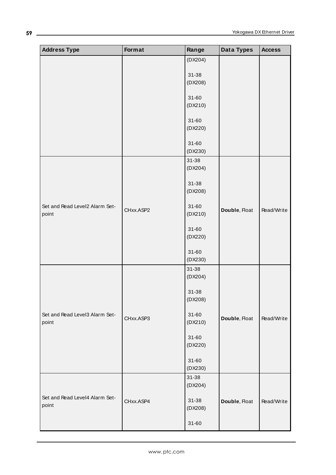| <b>Address Type</b>            | Format    | Range                | Data Types    | <b>Access</b> |
|--------------------------------|-----------|----------------------|---------------|---------------|
|                                |           | (DX204)              |               |               |
|                                |           | 31-38                |               |               |
|                                |           | (DX208)              |               |               |
|                                |           |                      |               |               |
|                                |           | $31 - 60$            |               |               |
|                                |           | (DX210)              |               |               |
|                                |           | $31 - 60$            |               |               |
|                                |           | (DX220)              |               |               |
|                                |           |                      |               |               |
|                                |           | $31 - 60$            |               |               |
|                                |           | (DX230)              |               |               |
|                                |           | 31-38<br>(DX204)     |               |               |
|                                |           |                      |               |               |
|                                |           | $31 - 38$            |               |               |
|                                |           | (DX208)              |               |               |
| Set and Read Level2 Alarm Set- |           | $31 - 60$            |               |               |
| point                          | CHxx.ASP2 | (DX210)              | Double, Float | Read/Write    |
|                                |           |                      |               |               |
|                                |           | $31 - 60$            |               |               |
|                                |           | (DX220)              |               |               |
|                                |           | $31 - 60$            |               |               |
|                                |           | (DX230)              |               |               |
|                                |           | 31-38                |               |               |
|                                |           | (DX204)              |               |               |
|                                |           | $31 - 38$            |               |               |
|                                |           | (DX208)              |               |               |
|                                |           |                      |               |               |
| Set and Read Level3 Alarm Set- | CHxx.ASP3 | $31 - 60$            | Double, Float | Read/Write    |
| point                          |           | (DX210)              |               |               |
|                                |           | $31 - 60$            |               |               |
|                                |           | (DX220)              |               |               |
|                                |           |                      |               |               |
|                                |           | $31 - 60$<br>(DX230) |               |               |
|                                |           | 31-38                |               |               |
|                                |           | (DX204)              |               |               |
| Set and Read Level4 Alarm Set- |           |                      |               |               |
| point                          | CHxx.ASP4 | 31-38                | Double, Float | Read/Write    |
|                                |           | (DX208)              |               |               |
|                                |           | $31 - 60$            |               |               |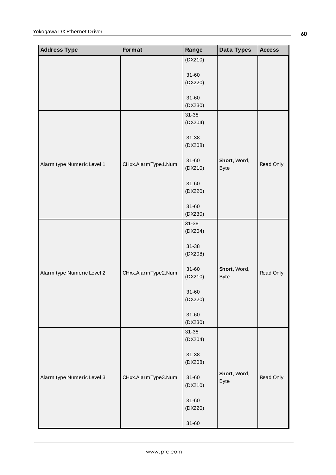| <b>Address Type</b>        | Format              | Range                | Data Types                  | <b>Access</b> |
|----------------------------|---------------------|----------------------|-----------------------------|---------------|
|                            |                     | (DX210)              |                             |               |
|                            |                     | $31 - 60$            |                             |               |
|                            |                     | (DX220)              |                             |               |
|                            |                     |                      |                             |               |
|                            |                     | $31 - 60$<br>(DX230) |                             |               |
|                            |                     | 31-38                |                             |               |
|                            |                     | (DX204)              |                             |               |
|                            |                     |                      |                             |               |
|                            |                     | $31 - 38$<br>(DX208) |                             |               |
|                            |                     |                      |                             |               |
| Alarm type Numeric Level 1 | CHxx.AlarmType1.Num | $31 - 60$            | Short, Word,                | Read Only     |
|                            |                     | (DX210)              | <b>Byte</b>                 |               |
|                            |                     | $31 - 60$            |                             |               |
|                            |                     | (DX220)              |                             |               |
|                            |                     | $31 - 60$            |                             |               |
|                            |                     | (DX230)              |                             |               |
|                            |                     | $31 - 38$            |                             |               |
|                            |                     | (DX204)              |                             |               |
|                            |                     | $31 - 38$            |                             |               |
|                            |                     | (DX208)              |                             |               |
|                            |                     |                      |                             |               |
| Alarm type Numeric Level 2 | CHxx.AlarmType2.Num | $31 - 60$<br>(DX210) | Short, Word,<br><b>Byte</b> | Read Only     |
|                            |                     |                      |                             |               |
|                            |                     | $31 - 60$            |                             |               |
|                            |                     | (DX220)              |                             |               |
|                            |                     | $31 - 60$            |                             |               |
|                            |                     | (DX230)              |                             |               |
|                            |                     | 31-38                |                             |               |
|                            |                     | (DX204)              |                             |               |
|                            |                     | 31-38                |                             |               |
|                            |                     | (DX208)              |                             |               |
| Alarm type Numeric Level 3 | CHxx.AlarmType3.Num | $31 - 60$            | Short, Word,                | Read Only     |
|                            |                     | (DX210)              | <b>Byte</b>                 |               |
|                            |                     |                      |                             |               |
|                            |                     | $31 - 60$<br>(DX220) |                             |               |
|                            |                     |                      |                             |               |
|                            |                     | $31 - 60$            |                             |               |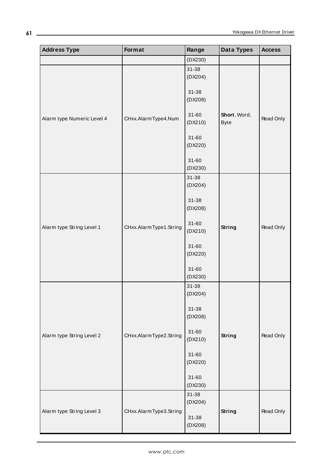| <b>Address Type</b>        | Format                 | Range                | Data Types                  | <b>Access</b> |
|----------------------------|------------------------|----------------------|-----------------------------|---------------|
|                            |                        | (DX230)              |                             |               |
|                            |                        | $31 - 38$<br>(DX204) |                             |               |
|                            |                        | 31-38<br>(DX208)     |                             |               |
| Alarm type Numeric Level 4 | CHxx.AlarmType4.Num    | $31 - 60$<br>(DX210) | Short, Word,<br><b>Byte</b> | Read Only     |
|                            |                        | $31 - 60$<br>(DX220) |                             |               |
|                            |                        | $31 - 60$<br>(DX230) |                             |               |
|                            |                        | 31-38<br>(DX204)     |                             |               |
|                            |                        | $31 - 38$<br>(DX208) |                             |               |
| Alarm type String Level 1  | CHxx.AlarmType1.String | $31 - 60$<br>(DX210) | <b>String</b>               | Read Only     |
|                            |                        | $31 - 60$<br>(DX220) |                             |               |
|                            |                        | $31 - 60$<br>(DX230) |                             |               |
|                            |                        | 31-38<br>(DX204)     |                             |               |
|                            |                        | $31 - 38$<br>(DX208) |                             |               |
| Alarm type String Level 2  | CHxx.AlarmType2.String | $31 - 60$<br>(DX210) | <b>String</b>               | Read Only     |
|                            |                        | $31 - 60$<br>(DX220) |                             |               |
|                            |                        | $31 - 60$<br>(DX230) |                             |               |
|                            |                        | 31-38<br>(DX204)     |                             |               |
| Alarm type String Level 3  | CHxx.AlarmType3.String | $31 - 38$<br>(DX208) | <b>String</b>               | Read Only     |

**61**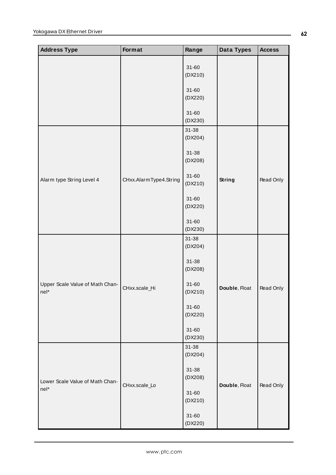| <b>Address Type</b>                     | Format                 | Range                | Data Types    | <b>Access</b> |
|-----------------------------------------|------------------------|----------------------|---------------|---------------|
|                                         |                        | $31 - 60$<br>(DX210) |               |               |
|                                         |                        | $31 - 60$<br>(DX220) |               |               |
|                                         |                        | $31 - 60$<br>(DX230) |               |               |
|                                         |                        | 31-38<br>(DX204)     |               |               |
|                                         | CHxx.AlarmType4.String | 31-38<br>(DX208)     |               |               |
| Alarm type String Level 4               |                        | $31 - 60$<br>(DX210) | <b>String</b> | Read Only     |
|                                         |                        | $31 - 60$<br>(DX220) |               |               |
|                                         |                        | $31 - 60$<br>(DX230) |               |               |
|                                         | CHxx.scale_Hi          | 31-38<br>(DX204)     |               |               |
|                                         |                        | 31-38<br>(DX208)     |               |               |
| Upper Scale Value of Math Chan-<br>nel* |                        | $31 - 60$<br>(DX210) | Double, Float | Read Only     |
|                                         |                        | $31 - 60$<br>(DX220) |               |               |
|                                         |                        | $31 - 60$<br>(DX230) |               |               |
|                                         |                        | 31-38<br>(DX204)     |               |               |
| Lower Scale Value of Math Chan-<br>nel* |                        | $31 - 38$<br>(DX208) |               |               |
|                                         | CHxx.scale_Lo          | $31 - 60$<br>(DX210) | Double, Float | Read Only     |
|                                         |                        | $31 - 60$<br>(DX220) |               |               |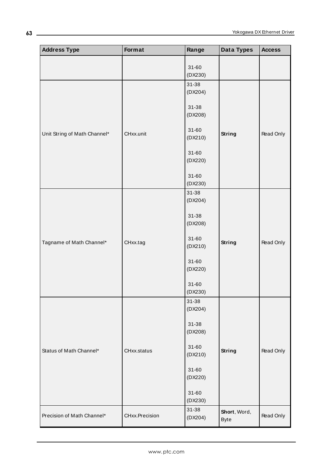| <b>Address Type</b>          | Format         | Range                | Data Types                  | <b>Access</b> |
|------------------------------|----------------|----------------------|-----------------------------|---------------|
|                              |                | $31 - 60$<br>(DX230) |                             |               |
|                              |                | 31-38<br>(DX204)     |                             |               |
|                              |                | 31-38<br>(DX208)     |                             |               |
| Unit String of Math Channel* | CHxx.unit      | $31 - 60$<br>(DX210) | <b>String</b>               | Read Only     |
|                              |                | $31 - 60$<br>(DX220) |                             |               |
|                              |                | $31 - 60$<br>(DX230) |                             |               |
|                              |                | 31-38<br>(DX204)     |                             |               |
|                              |                | 31-38<br>(DX208)     |                             |               |
| Tagname of Math Channel*     | CHxx.tag       | $31 - 60$<br>(DX210) | <b>String</b>               | Read Only     |
|                              |                | $31 - 60$<br>(DX220) |                             |               |
|                              |                | $31 - 60$<br>(DX230) |                             |               |
|                              |                | 31-38<br>(DX204)     |                             |               |
|                              |                | 31-38<br>(DX208)     |                             |               |
| Status of Math Channel*      | CHxx.status    | $31 - 60$<br>(DX210) | <b>String</b>               | Read Only     |
|                              |                | $31 - 60$<br>(DX220) |                             |               |
|                              |                | $31 - 60$<br>(DX230) |                             |               |
| Precision of Math Channel*   | CHxx.Precision | 31-38<br>(DX204)     | Short, Word,<br><b>Byte</b> | Read Only     |

**63**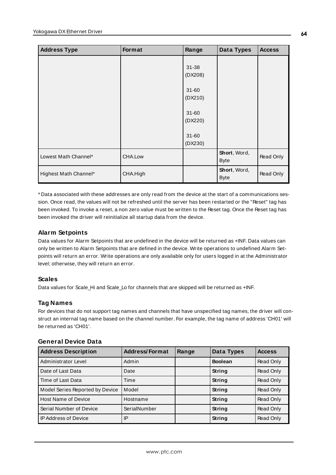| <b>Address Type</b>   | Format   | Range                | <b>Data Types</b>           | <b>Access</b> |
|-----------------------|----------|----------------------|-----------------------------|---------------|
|                       |          | $31 - 38$<br>(DX208) |                             |               |
|                       |          | $31 - 60$<br>(DX210) |                             |               |
|                       |          | $31 - 60$<br>(DX220) |                             |               |
|                       |          | $31 - 60$<br>(DX230) |                             |               |
| Lowest Math Channel*  | CHA.Low  |                      | Short, Word,<br><b>Byte</b> | Read Only     |
| Highest Math Channel* | CHA.High |                      | Short, Word,<br><b>Byte</b> | Read Only     |

\* Data associated with these addresses are only read from the device at the start of a communications session. Once read, the values will not be refreshed until the server has been restarted or the "Reset" tag has been invoked. To invoke a reset, a non zero value must be written to the Reset tag. Once the Reset tag has been invoked the driver will reinitialize all startup data from the device.

# **Alarm Setpoints**

Data values for Alarm Setpoints that are undefined in the device will be returned as +INF. Data values can only be written to Alarm Setpoints that are defined in the device. Write operations to undefined Alarm Setpoints will return an error. Write operations are only available only for users logged in at the Administrator level; otherwise, they will return an error.

# **Scales**

Data values for Scale\_Hi and Scale\_Lo for channels that are skipped will be returned as +INF.

# **Tag Names**

For devices that do not support tag names and channels that have unspecified tag names, the driver will construct an internal tag name based on the channel number. For example, the tag name of address 'CH01' will be returned as 'CH01'.

| <b>General Device Data</b> |  |  |
|----------------------------|--|--|
|----------------------------|--|--|

| <b>Address Description</b>      | <b>Address/Format</b> | Range | Data Types     | <b>Access</b> |
|---------------------------------|-----------------------|-------|----------------|---------------|
| Administrator Level             | Admin                 |       | <b>Boolean</b> | Read Only     |
| Date of Last Data               | Date                  |       | String         | Read Only     |
| Time of Last Data               | Time                  |       | String         | Read Only     |
| Model Series Reported by Device | Model                 |       | String         | Read Only     |
| <b>Host Name of Device</b>      | Hostname              |       | String         | Read Only     |
| Serial Number of Device         | SerialNumber          |       | String         | Read Only     |
| <b>IP Address of Device</b>     | IP                    |       | <b>String</b>  | Read Only     |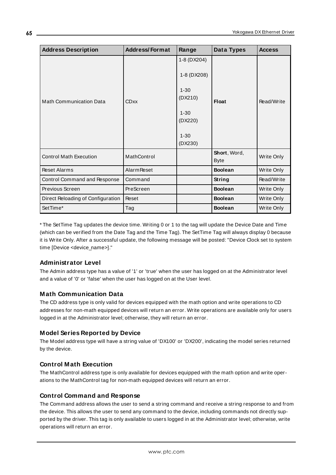| <b>Address Description</b>        | <b>Address/Format</b> | Range                                                                                           | Data Types                  | <b>Access</b> |
|-----------------------------------|-----------------------|-------------------------------------------------------------------------------------------------|-----------------------------|---------------|
| <b>Math Communication Data</b>    | <b>CDxx</b>           | 1-8 (DX204)<br>1-8 (DX208)<br>$1 - 30$<br>(DX210)<br>$1 - 30$<br>(DX220)<br>$1 - 30$<br>(DX230) | <b>Float</b>                | Read/Write    |
| <b>Control Math Execution</b>     | MathControl           |                                                                                                 | Short, Word,<br><b>Byte</b> | Write Only    |
| <b>Reset Alarms</b>               | <b>Alarm Reset</b>    |                                                                                                 | <b>Boolean</b>              | Write Only    |
| Control Command and Response      | Command               |                                                                                                 | String                      | Read/Write    |
| Previous Screen                   | PreScreen             |                                                                                                 | <b>Boolean</b>              | Write Only    |
| Direct Reloading of Configuration | Reset                 |                                                                                                 | <b>Boolean</b>              | Write Only    |
| SetTime*                          | Tag                   |                                                                                                 | <b>Boolean</b>              | Write Only    |

\* The SetTime Tag updates the device time. Writing 0 or 1 to the tag will update the Device Date and Time (which can be verified from the Date Tag and the Time Tag). The SetTime Tag will always display 0 because it is Write Only. After a successful update, the following message will be posted: "Device Clock set to system time [Device <device\_name>]."

# **Administrator Level**

The Admin address type has a value of '1' or 'true' when the user has logged on at the Administrator level and a value of '0' or 'false' when the user has logged on at the User level.

# **Math Communication Data**

The CD address type is only valid for devices equipped with the math option and write operations to CD addresses for non-math equipped devices will return an error. Write operations are available only for users logged in at the Administrator level; otherwise, they will return an error.

# **Model Series Reported by Device**

The Model address type will have a string value of 'DX100' or 'DX200', indicating the model series returned by the device.

# **Control Math Execution**

The MathControl address type is only available for devices equipped with the math option and write operations to the MathControl tag for non-math equipped devices will return an error.

# **Control Command and Response**

The Command address allows the user to send a string command and receive a string response to and from the device. This allows the user to send any command to the device, including commands not directly supported by the driver. This tag is only available to users logged in at the Administrator level; otherwise, write operations will return an error.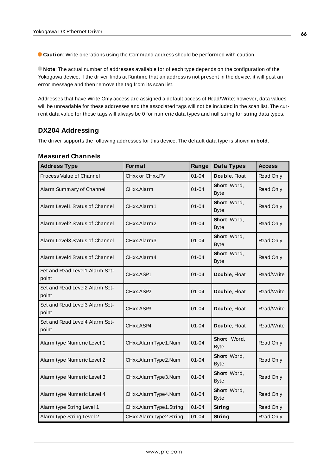**Caution**: Write operations using the Command address should be performed with caution.

**Note**: The actual number of addresses available for of each type depends on the configuration of the Yokogawa device. If the driver finds at Runtime that an address is not present in the device, it will post an error message and then remove the tag from its scan list.

Addresses that have Write Only access are assigned a default access of Read/Write; however, data values will be unreadable for these addresses and the associated tags will not be included in the scan list. The current data value for these tags will always be 0 for numeric data types and null string for string data types.

# **DX204 Addressing**

The driver supports the following addresses for this device. The default data type is shown in **bold**.

| <b>Address Type</b>                     | Format                 | Range     | Data Types                  | <b>Access</b> |
|-----------------------------------------|------------------------|-----------|-----------------------------|---------------|
| Process Value of Channel                | CHxx or CHxx.PV        | $01 - 04$ | Double, Float               | Read Only     |
| Alarm Summary of Channel                | CHxx.Alarm             | 01-04     | Short, Word,<br><b>Byte</b> | Read Only     |
| Alarm Level1 Status of Channel          | CHxx.Alarm1            | $01 - 04$ | Short, Word,<br><b>Byte</b> | Read Only     |
| Alarm Level2 Status of Channel          | CHxx.Alarm2            | $01 - 04$ | Short, Word,<br><b>Byte</b> | Read Only     |
| Alarm Level3 Status of Channel          | CHxx.Alarm3            | $01 - 04$ | Short, Word,<br><b>Byte</b> | Read Only     |
| Alarm Level4 Status of Channel          | CHxx.Alarm4            | $01 - 04$ | Short, Word,<br><b>Byte</b> | Read Only     |
| Set and Read Level1 Alarm Set-<br>point | CHxx.ASP1              | $01 - 04$ | Double, Float               | Read/Write    |
| Set and Read Level2 Alarm Set-<br>point | CHxx.ASP2              | $01 - 04$ | Double, Float               | Read/Write    |
| Set and Read Level3 Alarm Set-<br>point | CHxx.ASP3              | $01 - 04$ | Double, Float               | Read/Write    |
| Set and Read Level4 Alarm Set-<br>point | CHxx.ASP4              | $01 - 04$ | Double, Float               | Read/Write    |
| Alarm type Numeric Level 1              | CHxx.AlarmType1.Num    | $01 - 04$ | Short, Word,<br><b>Byte</b> | Read Only     |
| Alarm type Numeric Level 2              | CHxx.AlarmType2.Num    | $01 - 04$ | Short, Word,<br><b>Byte</b> | Read Only     |
| Alarm type Numeric Level 3              | CHxx.AlarmType3.Num    | $01 - 04$ | Short, Word,<br><b>Byte</b> | Read Only     |
| Alarm type Numeric Level 4              | CHxx.AlarmType4.Num    | $01 - 04$ | Short, Word,<br><b>Byte</b> | Read Only     |
| Alarm type String Level 1               | CHxx.AlarmType1.String | $01 - 04$ | <b>String</b>               | Read Only     |
| Alarm type String Level 2               | CHxx.AlarmType2.String | $01 - 04$ | String                      | Read Only     |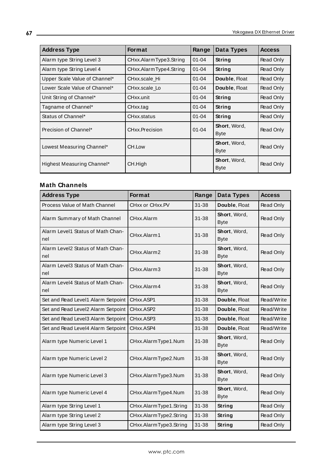| <b>Address Type</b>           | <b>Format</b>          | Range     | Data Types           | <b>Access</b> |
|-------------------------------|------------------------|-----------|----------------------|---------------|
| Alarm type String Level 3     | CHxx.AlarmType3.String | $01 - 04$ | String               | Read Only     |
| Alarm type String Level 4     | CHxx.AlarmType4.String | $01 - 04$ | String               | Read Only     |
| Upper Scale Value of Channel* | CHxx.scale Hi          | $01 - 04$ | Double, Float        | Read Only     |
| Lower Scale Value of Channel* | CHxx.scale Lo          | $01 - 04$ | Double, Float        | Read Only     |
| Unit String of Channel*       | CHxx.unit              | $01 - 04$ | String               | Read Only     |
| Tagname of Channel*           | CHxx.tag               | $01 - 04$ | String               | Read Only     |
| Status of Channel*            | CHxx.status            | $01 - 04$ | String               | Read Only     |
| Precision of Channel*         | CHxx.Precision         | $01 - 04$ | Short, Word,<br>Byte | Read Only     |
| Lowest Measuring Channel*     | CH.Low                 |           | Short, Word,<br>Byte | Read Only     |
| Highest Measuring Channel*    | CH.High                |           | Short, Word,<br>Byte | Read Only     |

| <b>Address Type</b>                      | <b>Format</b>          | Range     | Data Types                  | <b>Access</b> |
|------------------------------------------|------------------------|-----------|-----------------------------|---------------|
| Process Value of Math Channel            | CHxx or CHxx.PV        | $31 - 38$ | Double, Float               | Read Only     |
| Alarm Summary of Math Channel            | CHxx.Alarm             | $31 - 38$ | Short, Word,<br><b>Byte</b> | Read Only     |
| Alarm Level1 Status of Math Chan-<br>nel | CHxx.Alarm1            | $31 - 38$ | Short, Word,<br><b>Byte</b> | Read Only     |
| Alarm Level2 Status of Math Chan-<br>nel | CHxx.Alarm2            | $31 - 38$ | Short, Word,<br><b>Byte</b> | Read Only     |
| Alarm Level3 Status of Math Chan-<br>nel | CHxx.Alarm3            | $31 - 38$ | Short, Word,<br><b>Byte</b> | Read Only     |
| Alarm Level4 Status of Math Chan-<br>nel | CHxx.Alarm4            | $31 - 38$ | Short, Word,<br><b>Byte</b> | Read Only     |
| Set and Read Level1 Alarm Setpoint       | CHxx.ASP1              | $31 - 38$ | Double, Float               | Read/Write    |
| Set and Read Level2 Alarm Setpoint       | CHxx.ASP2              | $31 - 38$ | Double, Float               | Read/Write    |
| Set and Read Level3 Alarm Setpoint       | CHxx.ASP3              | $31 - 38$ | Double, Float               | Read/Write    |
| Set and Read Level4 Alarm Setpoint       | CHxx.ASP4              | $31 - 38$ | Double, Float               | Read/Write    |
| Alarm type Numeric Level 1               | CHxx.AlarmType1.Num    | $31 - 38$ | Short, Word,<br><b>Byte</b> | Read Only     |
| Alarm type Numeric Level 2               | CHxx.AlarmType2.Num    | $31 - 38$ | Short, Word,<br><b>Byte</b> | Read Only     |
| Alarm type Numeric Level 3               | CHxx.AlarmType3.Num    | $31 - 38$ | Short, Word,<br><b>Byte</b> | Read Only     |
| Alarm type Numeric Level 4               | CHxx.AlarmType4.Num    | $31 - 38$ | Short, Word,<br><b>Byte</b> | Read Only     |
| Alarm type String Level 1                | CHxx.AlarmType1.String | $31 - 38$ | String                      | Read Only     |
| Alarm type String Level 2                | CHxx.AlarmType2.String | $31 - 38$ | String                      | Read Only     |
| Alarm type String Level 3                | CHxx.AlarmType3.String | $31 - 38$ | String                      | Read Only     |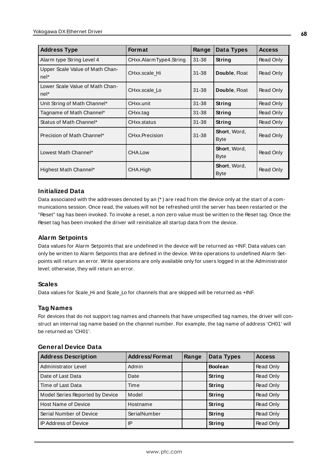| <b>Address Type</b>                     | <b>Format</b>          | Range     | Data Types                  | <b>Access</b> |
|-----------------------------------------|------------------------|-----------|-----------------------------|---------------|
| Alarm type String Level 4               | CHxx.AlarmType4.String | $31 - 38$ | String                      | Read Only     |
| Upper Scale Value of Math Chan-<br>nel* | CHxx.scale Hi          | $31 - 38$ | Double, Float               | Read Only     |
| Lower Scale Value of Math Chan-<br>nel* | CHxx.scale Lo          | $31 - 38$ | Double, Float               | Read Only     |
| Unit String of Math Channel*            | CHxx.unit              | $31 - 38$ | <b>String</b>               | Read Only     |
| Tagname of Math Channel*                | CHxx.tag               | $31 - 38$ | <b>String</b>               | Read Only     |
| Status of Math Channel*                 | CHxx.status            | $31 - 38$ | <b>String</b>               | Read Only     |
| Precision of Math Channel*              | CHxx.Precision         | $31 - 38$ | Short, Word,<br><b>Byte</b> | Read Only     |
| Lowest Math Channel*                    | CHA.Low                |           | Short, Word,<br><b>Byte</b> | Read Only     |
| Highest Math Channel*                   | CHA.High               |           | Short, Word,<br><b>Byte</b> | Read Only     |

#### **Initialized Data**

Data associated with the addresses denoted by an (\* ) are read from the device only at the start of a communications session. Once read, the values will not be refreshed until the server has been restarted or the "Reset" tag has been invoked. To invoke a reset, a non zero value must be written to the Reset tag. Once the Reset tag has been invoked the driver will reinitialize all startup data from the device.

#### **Alarm Setpoints**

Data values for Alarm Setpoints that are undefined in the device will be returned as +INF. Data values can only be written to Alarm Setpoints that are defined in the device. Write operations to undefined Alarm Setpoints will return an error. Write operations are only available only for users logged in at the Administrator level; otherwise, they will return an error.

#### **Scales**

Data values for Scale\_Hi and Scale\_Lo for channels that are skipped will be returned as +INF.

#### **Tag Names**

For devices that do not support tag names and channels that have unspecified tag names, the driver will construct an internal tag name based on the channel number. For example, the tag name of address 'CH01' will be returned as 'CH01'.

#### **General Device Data**

| <b>Address Description</b>      | <b>Address/Format</b> | Range | Data Types     | <b>Access</b> |
|---------------------------------|-----------------------|-------|----------------|---------------|
| Administrator Level             | Admin                 |       | <b>Boolean</b> | Read Only     |
| Date of Last Data               | Date                  |       | String         | Read Only     |
| Time of Last Data               | Time                  |       | String         | Read Only     |
| Model Series Reported by Device | Model                 |       | <b>String</b>  | Read Only     |
| <b>Host Name of Device</b>      | Hostname              |       | String         | Read Only     |
| Serial Number of Device         | SerialNumber          |       | String         | Read Only     |
| <b>IP Address of Device</b>     | IP                    |       | String         | Read Only     |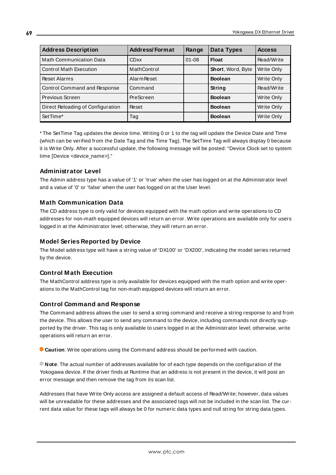| <b>Address Description</b>        | <b>Address/Format</b> | Range     | Data Types        | <b>Access</b> |
|-----------------------------------|-----------------------|-----------|-------------------|---------------|
| <b>Math Communication Data</b>    | <b>CDxx</b>           | $01 - 08$ | <b>Float</b>      | Read/Write    |
| <b>Control Math Execution</b>     | MathControl           |           | Short, Word, Byte | Write Only    |
| <b>Reset Alarms</b>               | <b>Alarm Reset</b>    |           | <b>Boolean</b>    | Write Only    |
| Control Command and Response      | Command               |           | String            | Read/Write    |
| Previous Screen                   | PreScreen             |           | <b>Boolean</b>    | Write Only    |
| Direct Reloading of Configuration | Reset                 |           | <b>Boolean</b>    | Write Only    |
| SetTime*                          | Tag                   |           | <b>Boolean</b>    | Write Only    |

\* The SetTime Tag updates the device time. Writing 0 or 1 to the tag will update the Device Date and Time (which can be verified from the Date Tag and the Time Tag). The SetTime Tag will always display 0 because it is Write Only. After a successful update, the following message will be posted: "Device Clock set to system time [Device <device\_name>]."

# **Administrator Level**

The Admin address type has a value of '1' or 'true' when the user has logged on at the Administrator level and a value of '0' or 'false' when the user has logged on at the User level.

# **Math Communication Data**

The CD address type is only valid for devices equipped with the math option and write operations to CD addresses for non-math equipped devices will return an error. Write operations are available only for users logged in at the Administrator level; otherwise, they will return an error.

#### **Model Series Reported by Device**

The Model address type will have a string value of 'DX100' or 'DX200', indicating the model series returned by the device.

# **Control Math Execution**

The MathControl address type is only available for devices equipped with the math option and write operations to the MathControl tag for non-math equipped devices will return an error.

#### **Control Command and Response**

The Command address allows the user to send a string command and receive a string response to and from the device. This allows the user to send any command to the device, including commands not directly supported by the driver. This tag is only available to users logged in at the Administrator level; otherwise, write operations will return an error.

**Caution**: Write operations using the Command address should be performed with caution.

**Note**: The actual number of addresses available for of each type depends on the configuration of the Yokogawa device. If the driver finds at Runtime that an address is not present in the device, it will post an error message and then remove the tag from its scan list.

Addresses that have Write Only access are assigned a default access of Read/Write; however, data values will be unreadable for these addresses and the associated tags will not be included in the scan list. The current data value for these tags will always be 0 for numeric data types and null string for string data types.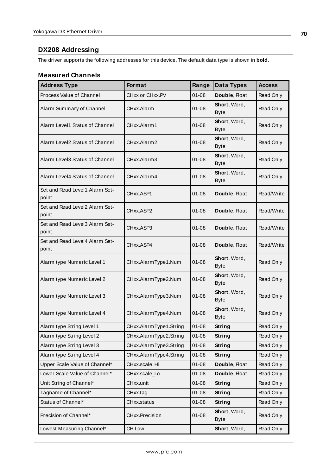# **DX208 Addressing**

The driver supports the following addresses for this device. The default data type is shown in **bold**.

| <b>Address Type</b>                     | <b>Format</b>          | Range     | Data Types                  | <b>Access</b>    |
|-----------------------------------------|------------------------|-----------|-----------------------------|------------------|
| Process Value of Channel                | CHxx or CHxx.PV        | $01 - 08$ | Double, Float               | Read Only        |
| Alarm Summary of Channel                | CHxx.Alarm             | $01 - 08$ | Short, Word,<br><b>Byte</b> | Read Only        |
| Alarm Level1 Status of Channel          | CHxx.Alarm1            | $01 - 08$ | Short, Word,<br><b>Byte</b> | Read Only        |
| Alarm Level2 Status of Channel          | CHxx.Alarm2            | $01 - 08$ | Short, Word,<br><b>Byte</b> | Read Only        |
| Alarm Level3 Status of Channel          | CHxx.Alarm3            | $01 - 08$ | Short, Word,<br><b>Byte</b> | Read Only        |
| Alarm Level4 Status of Channel          | CHxx.Alarm4            | $01 - 08$ | Short, Word,<br><b>Byte</b> | Read Only        |
| Set and Read Level1 Alarm Set-<br>point | CHxx.ASP1              | $01 - 08$ | Double, Float               | Read/Write       |
| Set and Read Level2 Alarm Set-<br>point | CHxx.ASP2              | $01 - 08$ | Double, Float               | Read/Write       |
| Set and Read Level3 Alarm Set-<br>point | CHxx.ASP3              | $01 - 08$ | Double, Float               | Read/Write       |
| Set and Read Level4 Alarm Set-<br>point | CHxx.ASP4              | 01-08     | Double, Float               | Read/Write       |
| Alarm type Numeric Level 1              | CHxx.AlarmType1.Num    | $01 - 08$ | Short, Word,<br><b>Byte</b> | Read Only        |
| Alarm type Numeric Level 2              | CHxx.AlarmType2.Num    | $01 - 08$ | Short, Word,<br><b>Byte</b> | Read Only        |
| Alarm type Numeric Level 3              | CHxx.AlarmType3.Num    | $01 - 08$ | Short, Word,<br><b>Byte</b> | Read Only        |
| Alarm type Numeric Level 4              | CHxx.AlarmType4.Num    | $01 - 08$ | Short, Word,<br><b>Byte</b> | <b>Read Only</b> |
| Alarm type String Level 1               | CHxx.AlarmType1.String | $01 - 08$ | <b>String</b>               | <b>Read Only</b> |
| Alarm type String Level 2               | CHxx.AlarmType2.String | $01 - 08$ | String                      | Read Only        |
| Alarm type String Level 3               | CHxx.AlarmType3.String | $01 - 08$ | String                      | Read Only        |
| Alarm type String Level 4               | CHxx.AlarmType4.String | $01 - 08$ | String                      | Read Only        |
| Upper Scale Value of Channel*           | CHxx.scale_Hi          | $01 - 08$ | Double, Float               | Read Only        |
| Lower Scale Value of Channel*           | CHxx.scale_Lo          | $01 - 08$ | Double, Float               | Read Only        |
| Unit String of Channel*                 | CHxx.unit              | $01 - 08$ | <b>String</b>               | Read Only        |
| Tagname of Channel*                     | CHxx.tag               | $01 - 08$ | String                      | Read Only        |
| Status of Channel*                      | CHxx.status            | $01 - 08$ | String                      | Read Only        |
| Precision of Channel*                   | CHxx.Precision         | $01 - 08$ | Short, Word,<br><b>Byte</b> | Read Only        |
| Lowest Measuring Channel*               | CH.Low                 |           | Short, Word,                | Read Only        |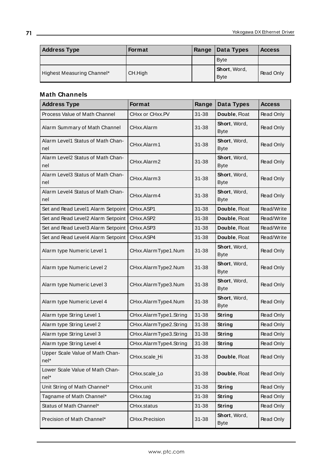| <b>Address Type</b>        | <b>Format</b> | Range | Data Types                          | <b>Access</b> |
|----------------------------|---------------|-------|-------------------------------------|---------------|
|                            |               |       | <b>Byte</b>                         |               |
| Highest Measuring Channel* | CH.High       |       | <b>Short</b> , Word,<br><b>Byte</b> | Read Only     |

| <b>Address Type</b>                      | <b>Format</b>          | Range     | Data Types                  | <b>Access</b> |
|------------------------------------------|------------------------|-----------|-----------------------------|---------------|
| Process Value of Math Channel            | CHxx or CHxx.PV        | 31-38     | Double, Float               | Read Only     |
| Alarm Summary of Math Channel            | CHxx.Alarm             | $31 - 38$ | Short, Word,<br><b>Byte</b> | Read Only     |
| Alarm Level1 Status of Math Chan-<br>nel | CHxx.Alarm1            | $31 - 38$ | Short, Word,<br><b>Byte</b> | Read Only     |
| Alarm Level2 Status of Math Chan-<br>nel | CHxx.Alarm2            | 31-38     | Short, Word,<br><b>Byte</b> | Read Only     |
| Alarm Level3 Status of Math Chan-<br>nel | CHxx.Alarm3            | 31-38     | Short, Word,<br><b>Byte</b> | Read Only     |
| Alarm Level4 Status of Math Chan-<br>nel | CHxx.Alarm4            | $31 - 38$ | Short, Word,<br><b>Byte</b> | Read Only     |
| Set and Read Level1 Alarm Setpoint       | CHxx.ASP1              | 31-38     | Double, Float               | Read/Write    |
| Set and Read Level2 Alarm Setpoint       | CHxx.ASP2              | $31 - 38$ | Double, Float               | Read/Write    |
| Set and Read Level3 Alarm Setpoint       | CHxx.ASP3              | $31 - 38$ | Double, Float               | Read/Write    |
| Set and Read Level4 Alarm Setpoint       | CHxx.ASP4              | $31 - 38$ | Double, Float               | Read/Write    |
| Alarm type Numeric Level 1               | CHxx.AlarmType1.Num    | 31-38     | Short, Word,<br><b>Byte</b> | Read Only     |
| Alarm type Numeric Level 2               | CHxx.AlarmType2.Num    | $31 - 38$ | Short, Word,<br><b>Byte</b> | Read Only     |
| Alarm type Numeric Level 3               | CHxx.AlarmType3.Num    | 31-38     | Short, Word,<br><b>Byte</b> | Read Only     |
| Alarm type Numeric Level 4               | CHxx.AlarmType4.Num    | 31-38     | Short, Word,<br><b>Byte</b> | Read Only     |
| Alarm type String Level 1                | CHxx.AlarmType1.String | $31 - 38$ | String                      | Read Only     |
| Alarm type String Level 2                | CHxx.AlarmType2.String | $31 - 38$ | String                      | Read Only     |
| Alarm type String Level 3                | CHxx.AlarmType3.String | $31 - 38$ | <b>String</b>               | Read Only     |
| Alarm type String Level 4                | CHxx.AlarmType4.String | $31 - 38$ | <b>String</b>               | Read Only     |
| Upper Scale Value of Math Chan-<br>nel*  | CHxx.scale_Hi          | 31-38     | Double, Float               | Read Only     |
| Lower Scale Value of Math Chan-<br>nel*  | CHxx.scale_Lo          | 31-38     | Double, Float               | Read Only     |
| Unit String of Math Channel*             | CHxx.unit              | $31 - 38$ | String                      | Read Only     |
| Tagname of Math Channel*                 | CHxx.tag               | $31 - 38$ | String                      | Read Only     |
| Status of Math Channel*                  | CHxx.status            | $31 - 38$ | <b>String</b>               | Read Only     |
| Precision of Math Channel*               | CHxx.Precision         | 31-38     | Short, Word,<br><b>Byte</b> | Read Only     |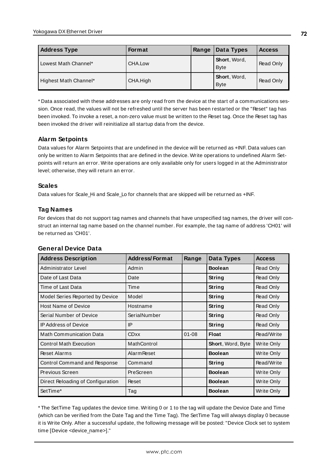| <b>Address Type</b>   | Format   | Range | Data Types                          | <b>Access</b> |
|-----------------------|----------|-------|-------------------------------------|---------------|
| Lowest Math Channel*  | CHA.Low  |       | <b>Short</b> , Word,<br><b>Byte</b> | Read Only     |
| Highest Math Channel* | CHA.High |       | <b>Short</b> , Word,<br><b>Byte</b> | Read Only     |

\* Data associated with these addresses are only read from the device at the start of a communications session. Once read, the values will not be refreshed until the server has been restarted or the "Reset" tag has been invoked. To invoke a reset, a non-zero value must be written to the Reset tag. Once the Reset tag has been invoked the driver will reinitialize all startup data from the device.

# **Alarm Setpoints**

Data values for Alarm Setpoints that are undefined in the device will be returned as +INF. Data values can only be written to Alarm Setpoints that are defined in the device. Write operations to undefined Alarm Setpoints will return an error. Write operations are only available only for users logged in at the Administrator level; otherwise, they will return an error.

# **Scales**

Data values for Scale\_Hi and Scale\_Lo for channels that are skipped will be returned as +INF.

# **Tag Names**

For devices that do not support tag names and channels that have unspecified tag names, the driver will construct an internal tag name based on the channel number. For example, the tag name of address 'CH01' will be returned as 'CH01'.

#### **General Device Data**

| <b>Address Description</b>        | <b>Address/Format</b> | Range     | Data Types        | <b>Access</b> |
|-----------------------------------|-----------------------|-----------|-------------------|---------------|
| Administrator Level               | Admin                 |           | <b>Boolean</b>    | Read Only     |
| Date of Last Data                 | Date                  |           | String            | Read Only     |
| Time of Last Data                 | Time                  |           | String            | Read Only     |
| Model Series Reported by Device   | Model                 |           | String            | Read Only     |
| <b>Host Name of Device</b>        | Hostname              |           | String            | Read Only     |
| Serial Number of Device           | SerialNumber          |           | String            | Read Only     |
| <b>IP Address of Device</b>       | IP                    |           | String            | Read Only     |
| <b>Math Communication Data</b>    | <b>CDxx</b>           | $01 - 08$ | Float             | Read/Write    |
| <b>Control Math Execution</b>     | MathControl           |           | Short, Word, Byte | Write Only    |
| <b>Reset Alarms</b>               | <b>Alarm Reset</b>    |           | <b>Boolean</b>    | Write Only    |
| Control Command and Response      | Command               |           | String            | Read/Write    |
| Previous Screen                   | PreScreen             |           | <b>Boolean</b>    | Write Only    |
| Direct Reloading of Configuration | Reset                 |           | <b>Boolean</b>    | Write Only    |
| SetTime*                          | Tag                   |           | <b>Boolean</b>    | Write Only    |

\* The SetTime Tag updates the device time. Writing 0 or 1 to the tag will update the Device Date and Time (which can be verified from the Date Tag and the Time Tag). The SetTime Tag will always display 0 because it is Write Only. After a successful update, the following message will be posted: "Device Clock set to system time [Device <device\_name>]."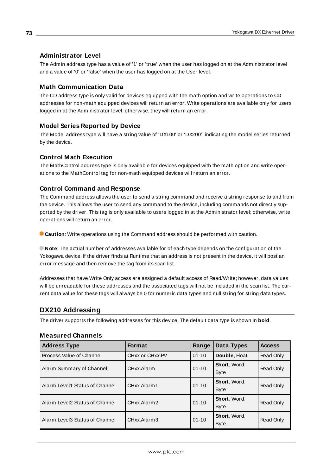### **Administrator Level**

The Admin address type has a value of '1' or 'true' when the user has logged on at the Administrator level and a value of '0' or 'false' when the user has logged on at the User level.

#### **Math Communication Data**

The CD address type is only valid for devices equipped with the math option and write operations to CD addresses for non-math equipped devices will return an error. Write operations are available only for users logged in at the Administrator level; otherwise, they will return an error.

#### **Model Series Reported by Device**

The Model address type will have a string value of 'DX100' or 'DX200', indicating the model series returned by the device.

#### **Control Math Execution**

The MathControl address type is only available for devices equipped with the math option and write operations to the MathControl tag for non-math equipped devices will return an error.

#### **Control Command and Response**

The Command address allows the user to send a string command and receive a string response to and from the device. This allows the user to send any command to the device, including commands not directly supported by the driver. This tag is only available to users logged in at the Administrator level; otherwise, write operations will return an error.

**Caution**: Write operations using the Command address should be performed with caution.

**Note**: The actual number of addresses available for of each type depends on the configuration of the Yokogawa device. If the driver finds at Runtime that an address is not present in the device, it will post an error message and then remove the tag from its scan list.

Addresses that have Write Only access are assigned a default access of Read/Write; however, data values will be unreadable for these addresses and the associated tags will not be included in the scan list. The current data value for these tags will always be 0 for numeric data types and null string for string data types.

### **DX210 Addressing**

The driver supports the following addresses for this device. The default data type is shown in **bold**.

| <b>Address Type</b>            | <b>Format</b>                            | Range     | Data Types                  | <b>Access</b> |
|--------------------------------|------------------------------------------|-----------|-----------------------------|---------------|
| Process Value of Channel       | CH <sub>xx</sub> or CH <sub>xx</sub> .PV | $01 - 10$ | Double, Float               | Read Only     |
| Alarm Summary of Channel       | CHxx.Alarm                               | $01 - 10$ | Short, Word,<br><b>Byte</b> | Read Only     |
| Alarm Level1 Status of Channel | CHxx.Alarm1                              | $01 - 10$ | Short, Word,<br><b>Byte</b> | Read Only     |
| Alarm Level2 Status of Channel | CHxx Alarm2                              | $01 - 10$ | Short, Word,<br><b>Byte</b> | Read Only     |
| Alarm Level3 Status of Channel | CHxx.Alarm3                              | $01 - 10$ | Short, Word,<br><b>Byte</b> | Read Only     |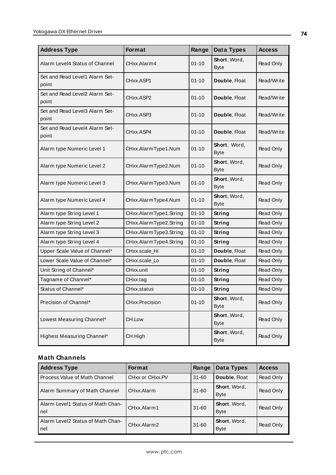| <b>Address Type</b>                     | Format                 | Range     | Data Types                  | <b>Access</b> |
|-----------------------------------------|------------------------|-----------|-----------------------------|---------------|
| Alarm Level4 Status of Channel          | CHxx.Alarm4            | $01 - 10$ | Short, Word,<br><b>Byte</b> | Read Only     |
| Set and Read Level1 Alarm Set-<br>point | CHxx.ASP1              | $01 - 10$ | Double, Float               | Read/Write    |
| Set and Read Level2 Alarm Set-<br>point | CHxx.ASP2              | $01 - 10$ | Double, Float               | Read/Write    |
| Set and Read Level3 Alarm Set-<br>point | CHxx ASP3              | $01 - 10$ | Double, Float               | Read/Write    |
| Set and Read Level4 Alarm Set-<br>point | CHxx.ASP4              | $01 - 10$ | Double, Float               | Read/Write    |
| Alarm type Numeric Level 1              | CHxx.AlarmType1.Num    | $01 - 10$ | Short, Word,<br><b>Byte</b> | Read Only     |
| Alarm type Numeric Level 2              | CHxx.AlarmType2.Num    | $01 - 10$ | Short, Word,<br><b>Byte</b> | Read Only     |
| Alarm type Numeric Level 3              | CHxx.AlarmType3.Num    | $01 - 10$ | Short, Word,<br><b>Byte</b> | Read Only     |
| Alarm type Numeric Level 4              | CHxx.AlarmType4.Num    | $01 - 10$ | Short, Word,<br><b>Byte</b> | Read Only     |
| Alarm type String Level 1               | CHxx.AlarmType1.String | $01 - 10$ | String                      | Read Only     |
| Alarm type String Level 2               | CHxx.AlarmType2.String | $01 - 10$ | String                      | Read Only     |
| Alarm type String Level 3               | CHxx.AlarmType3.String | $01 - 10$ | String                      | Read Only     |
| Alarm type String Level 4               | CHxx.AlarmType4.String | $01 - 10$ | <b>String</b>               | Read Only     |
| Upper Scale Value of Channel*           | CHxx.scale_Hi          | $01 - 10$ | Double, Float               | Read Only     |
| Lower Scale Value of Channel*           | CHxx.scale_Lo          | $01 - 10$ | Double, Float               | Read Only     |
| Unit String of Channel*                 | CHxx.unit              | $01 - 10$ | String                      | Read Only     |
| Tagname of Channel*                     | CHxx.tag               | $01 - 10$ | String                      | Read Only     |
| Status of Channel*                      | CHxx.status            | $01 - 10$ | <b>String</b>               | Read Only     |
| Precision of Channel*                   | CHxx.Precision         | $01 - 10$ | Short, Word,<br><b>Byte</b> | Read Only     |
| Lowest Measuring Channel*               | CH.Low                 |           | Short, Word,<br><b>Byte</b> | Read Only     |
| Highest Measuring Channel*              | CH.High                |           | Short, Word,<br><b>Byte</b> | Read Only     |

| <b>Address Type</b>                          | <b>Format</b>                            | Range     | Data Types                  | <b>Access</b> |
|----------------------------------------------|------------------------------------------|-----------|-----------------------------|---------------|
| l Process Value of Math Channel              | CH <sub>xx</sub> or CH <sub>xx</sub> .PV | $31 - 60$ | Double, Float               | Read Only     |
| Alarm Summary of Math Channel                | CHxx.Alarm                               | $31 - 60$ | Short, Word,<br><b>Byte</b> | Read Only     |
| l Alarm Level1 Status of Math Chan-<br>l nel | CHxx.Alarm1                              | $31 - 60$ | Short, Word,<br><b>Byte</b> | Read Only     |
| l Alarm Level2 Status of Math Chan-<br>l nel | CHxx.Alarm2                              | $31 - 60$ | Short, Word,<br><b>Byte</b> | Read Only     |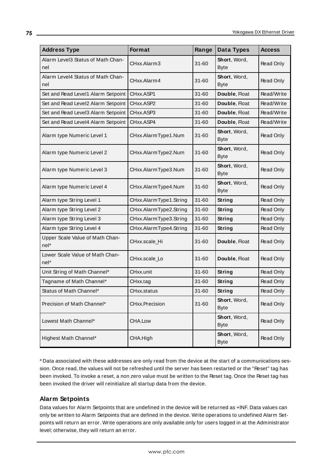| <b>Address Type</b>                       | Format                 | Range     | <b>Data Types</b>           | <b>Access</b> |
|-------------------------------------------|------------------------|-----------|-----------------------------|---------------|
| Alarm Level3 Status of Math Chan-<br>nel  | CHxx.Alarm3            | 31-60     | Short, Word,<br><b>Byte</b> | Read Only     |
| Alarm Level4 Status of Math Chan-<br>nel  | CHxx.Alarm4            | $31 - 60$ | Short, Word,<br><b>Byte</b> | Read Only     |
| Set and Read Level1 Alarm Setpoint        | CHxx.ASP1              | $31 - 60$ | Double, Float               | Read/Write    |
| Set and Read Level2 Alarm Setpoint        | CHxx.ASP2              | $31 - 60$ | Double, Float               | Read/Write    |
| Set and Read Level3 Alarm Setpoint        | CHxx.ASP3              | $31 - 60$ | Double, Float               | Read/Write    |
| Set and Read Level4 Alarm Setpoint        | CHxx.ASP4              | $31 - 60$ | Double, Float               | Read/Write    |
| Alarm type Numeric Level 1                | CHxx.AlarmType1.Num    | $31 - 60$ | Short, Word,<br><b>Byte</b> | Read Only     |
| Alarm type Numeric Level 2                | CHxx.AlarmType2.Num    | 31-60     | Short, Word,<br><b>Byte</b> | Read Only     |
| Alarm type Numeric Level 3                | CHxx.AlarmType3.Num    | $31 - 60$ | Short, Word,<br><b>Byte</b> | Read Only     |
| Alarm type Numeric Level 4                | CHxx.AlarmType4.Num    | 31-60     | Short, Word,<br><b>Byte</b> | Read Only     |
| Alarm type String Level 1                 | CHxx.AlarmType1.String | $31 - 60$ | String                      | Read Only     |
| Alarm type String Level 2                 | CHxx.AlarmType2.String | $31 - 60$ | String                      | Read Only     |
| Alarm type String Level 3                 | CHxx.AlarmType3.String | $31 - 60$ | String                      | Read Only     |
| Alarm type String Level 4                 | CHxx.AlarmType4.String | $31 - 60$ | <b>String</b>               | Read Only     |
| Upper Scale Value of Math Chan-<br>nel*   | CHxx.scale_Hi          | 31-60     | Double, Float               | Read Only     |
| Lower Scale Value of Math Chan-<br>$nel*$ | CHxx.scale_Lo          | 31-60     | Double, Float               | Read Only     |
| Unit String of Math Channel*              | CHxx.unit              | $31 - 60$ | String                      | Read Only     |
| Tagname of Math Channel*                  | CHxx.tag               | $31 - 60$ | String                      | Read Only     |
| Status of Math Channel*                   | CHxx.status            | $31 - 60$ | <b>String</b>               | Read Only     |
| Precision of Math Channel*                | CHxx.Precision         | $31 - 60$ | Short, Word,<br><b>Byte</b> | Read Only     |
| Lowest Math Channel*                      | CHA.Low                |           | Short, Word,<br><b>Byte</b> | Read Only     |
| Highest Math Channel*                     | CHA.High               |           | Short, Word,<br><b>Byte</b> | Read Only     |

\* Data associated with these addresses are only read from the device at the start of a communications session. Once read, the values will not be refreshed until the server has been restarted or the "Reset" tag has been invoked. To invoke a reset, a non zero value must be written to the Reset tag. Once the Reset tag has been invoked the driver will reinitialize all startup data from the device.

# **Alarm Setpoints**

Data values for Alarm Setpoints that are undefined in the device will be returned as +INF. Data values can only be written to Alarm Setpoints that are defined in the device. Write operations to undefined Alarm Setpoints will return an error. Write operations are only available only for users logged in at the Administrator level; otherwise, they will return an error.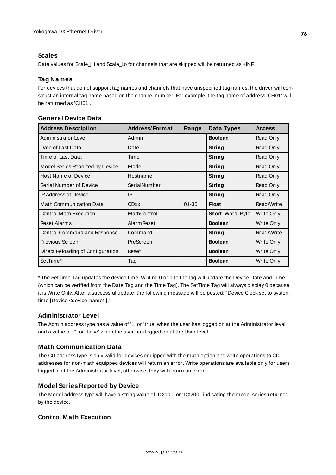## **Scales**

Data values for Scale\_Hi and Scale\_Lo for channels that are skipped will be returned as +INF.

## **Tag Names**

For devices that do not support tag names and channels that have unspecified tag names, the driver will construct an internal tag name based on the channel number. For example, the tag name of address 'CH01' will be returned as 'CH01'.

| <b>Address Description</b>        | <b>Address/Format</b> | Range     | Data Types        | <b>Access</b> |
|-----------------------------------|-----------------------|-----------|-------------------|---------------|
| Administrator Level               | Admin                 |           | <b>Boolean</b>    | Read Only     |
| Date of Last Data                 | Date                  |           | String            | Read Only     |
| Time of Last Data                 | Time                  |           | String            | Read Only     |
| Model Series Reported by Device   | Model                 |           | String            | Read Only     |
| <b>Host Name of Device</b>        | Hostname              |           | String            | Read Only     |
| Serial Number of Device           | SerialNumber          |           | String            | Read Only     |
| <b>IP Address of Device</b>       | IP                    |           | String            | Read Only     |
| <b>Math Communication Data</b>    | <b>CDxx</b>           | $01 - 30$ | <b>Float</b>      | Read/Write    |
| <b>Control Math Execution</b>     | MathControl           |           | Short, Word, Byte | Write Only    |
| <b>Reset Alarms</b>               | <b>Alarm Reset</b>    |           | <b>Boolean</b>    | Write Only    |
| Control Command and Response      | Command               |           | String            | Read/Write    |
| Previous Screen                   | PreScreen             |           | <b>Boolean</b>    | Write Only    |
| Direct Reloading of Configuration | Reset                 |           | <b>Boolean</b>    | Write Only    |
| SetTime*                          | Tag                   |           | <b>Boolean</b>    | Write Only    |

#### **General Device Data**

\* The SetTime Tag updates the device time. Writing 0 or 1 to the tag will update the Device Date and Time (which can be verified from the Date Tag and the Time Tag). The SetTime Tag will always display 0 because it is Write Only. After a successful update, the following message will be posted: "Device Clock set to system time [Device <device\_name>]."

### **Administrator Level**

The Admin address type has a value of '1' or 'true' when the user has logged on at the Administrator level and a value of '0' or 'false' when the user has logged on at the User level.

### **Math Communication Data**

The CD address type is only valid for devices equipped with the math option and write operations to CD addresses for non-math equipped devices will return an error. Write operations are available only for users logged in at the Administrator level; otherwise, they will return an error.

### **Model Series Reported by Device**

The Model address type will have a string value of 'DX100' or 'DX200', indicating the model series returned by the device.

## **Control Math Execution**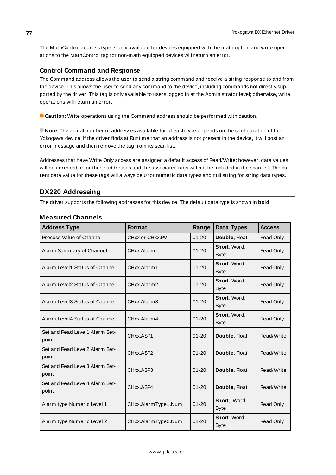The MathControl address type is only available for devices equipped with the math option and write operations to the MathControl tag for non-math equipped devices will return an error.

#### **Control Command and Response**

The Command address allows the user to send a string command and receive a string response to and from the device. This allows the user to send any command to the device, including commands not directly supported by the driver. This tag is only available to users logged in at the Administrator level; otherwise, write operations will return an error.

**Caution**: Write operations using the Command address should be performed with caution.

**Note**: The actual number of addresses available for of each type depends on the configuration of the Yokogawa device. If the driver finds at Runtime that an address is not present in the device, it will post an error message and then remove the tag from its scan list.

Addresses that have Write Only access are assigned a default access of Read/Write; however, data values will be unreadable for these addresses and the associated tags will not be included in the scan list. The current data value for these tags will always be 0 for numeric data types and null string for string data types.

#### **DX220 Addressing**

The driver supports the following addresses for this device. The default data type is shown in **bold**.

| <b>Address Type</b>                     | <b>Format</b>       | Range     | Data Types                  | <b>Access</b>    |
|-----------------------------------------|---------------------|-----------|-----------------------------|------------------|
| Process Value of Channel                | CHxx or CHxx.PV     | $01 - 20$ | Double, Float               | Read Only        |
| Alarm Summary of Channel                | CHxx.Alarm          | $01 - 20$ | Short, Word,<br><b>Byte</b> | Read Only        |
| Alarm Level1 Status of Channel          | CHxx.Alarm1         | $01 - 20$ | Short, Word,<br><b>Byte</b> | Read Only        |
| Alarm Level2 Status of Channel          | CHxx.Alarm2         | $01 - 20$ | Short, Word,<br><b>Byte</b> | Read Only        |
| Alarm Level3 Status of Channel          | CHxx.Alarm3         | $01 - 20$ | Short, Word,<br><b>Byte</b> | Read Only        |
| Alarm Level4 Status of Channel          | CHxx Alarm4         | $01 - 20$ | Short, Word,<br><b>Byte</b> | Read Only        |
| Set and Read Level1 Alarm Set-<br>point | CHxx.ASP1           | $01 - 20$ | Double, Float               | Read/Write       |
| Set and Read Level2 Alarm Set-<br>point | CHxx.ASP2           | $01 - 20$ | Double, Float               | Read/Write       |
| Set and Read Level3 Alarm Set-<br>point | CHxx.ASP3           | $01 - 20$ | Double, Float               | Read/Write       |
| Set and Read Level4 Alarm Set-<br>point | CHxx.ASP4           | $01 - 20$ | Double, Float               | Read/Write       |
| Alarm type Numeric Level 1              | CHxx.AlarmType1.Num | $01 - 20$ | Short, Word,<br><b>Byte</b> | Read Only        |
| Alarm type Numeric Level 2              | CHxx.AlarmType2.Num | $01 - 20$ | Short, Word,<br><b>Byte</b> | <b>Read Only</b> |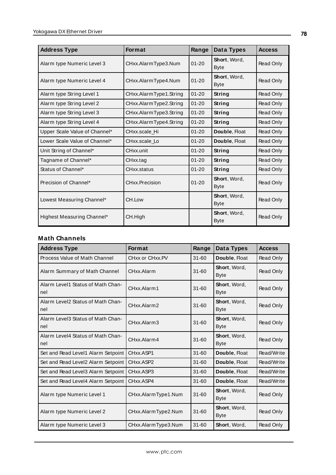| <b>Address Type</b>           | <b>Format</b>          | Range     | Data Types                  | <b>Access</b>    |
|-------------------------------|------------------------|-----------|-----------------------------|------------------|
| Alarm type Numeric Level 3    | CHxx.AlarmType3.Num    | $01 - 20$ | Short, Word,<br><b>Byte</b> | Read Only        |
| Alarm type Numeric Level 4    | CHxx.AlarmType4.Num    | $01 - 20$ | Short, Word,<br><b>Byte</b> | Read Only        |
| Alarm type String Level 1     | CHxx.AlarmType1.String | $01 - 20$ | String                      | Read Only        |
| Alarm type String Level 2     | CHxx.AlarmType2.String | $01 - 20$ | String                      | Read Only        |
| Alarm type String Level 3     | CHxx.AlarmType3.String | $01 - 20$ | String                      | Read Only        |
| Alarm type String Level 4     | CHxx.AlarmType4.String | $01 - 20$ | String                      | Read Only        |
| Upper Scale Value of Channel* | CHxx.scale Hi          | $01 - 20$ | Double, Float               | Read Only        |
| Lower Scale Value of Channel* | CHxx.scale_Lo          | $01 - 20$ | Double, Float               | Read Only        |
| Unit String of Channel*       | CHxx.unit              | $01 - 20$ | <b>String</b>               | Read Only        |
| Tagname of Channel*           | CHxx.tag               | $01 - 20$ | String                      | Read Only        |
| Status of Channel*            | CHxx.status            | $01 - 20$ | <b>String</b>               | Read Only        |
| Precision of Channel*         | CHxx.Precision         | $01 - 20$ | Short, Word,<br><b>Byte</b> | <b>Read Only</b> |
| Lowest Measuring Channel*     | CH.Low                 |           | Short, Word,<br><b>Byte</b> | Read Only        |
| Highest Measuring Channel*    | CH.High                |           | Short, Word,<br><b>Byte</b> | Read Only        |

| <b>Address Type</b>                      | <b>Format</b>       | Range     | Data Types                  | <b>Access</b>    |
|------------------------------------------|---------------------|-----------|-----------------------------|------------------|
| Process Value of Math Channel            | CHxx or CHxx.PV     | $31 - 60$ | Double, Float               | <b>Read Only</b> |
| Alarm Summary of Math Channel            | CHxx.Alarm          | $31 - 60$ | Short, Word,<br><b>Byte</b> | Read Only        |
| Alarm Level1 Status of Math Chan-<br>nel | CHxx.Alarm1         | $31 - 60$ | Short, Word,<br><b>Byte</b> | Read Only        |
| Alarm Level2 Status of Math Chan-<br>nel | CHxx.Alarm2         | $31 - 60$ | Short, Word,<br><b>Byte</b> | Read Only        |
| Alarm Level3 Status of Math Chan-<br>nel | CHxx.Alarm3         | $31 - 60$ | Short, Word,<br><b>Byte</b> | Read Only        |
| Alarm Level4 Status of Math Chan-<br>nel | CHxx.Alarm4         | $31 - 60$ | Short, Word,<br><b>Byte</b> | Read Only        |
| Set and Read Level1 Alarm Setpoint       | CHxx.ASP1           | $31 - 60$ | Double, Float               | Read/Write       |
| Set and Read Level2 Alarm Setpoint       | CHxx.ASP2           | $31 - 60$ | Double, Float               | Read/Write       |
| Set and Read Level3 Alarm Setpoint       | CHxx.ASP3           | $31 - 60$ | Double, Float               | Read/Write       |
| Set and Read Level4 Alarm Setpoint       | CHxx.ASP4           | $31 - 60$ | Double, Float               | Read/Write       |
| Alarm type Numeric Level 1               | CHxx.AlarmType1.Num | $31 - 60$ | Short, Word,<br><b>Byte</b> | Read Only        |
| Alarm type Numeric Level 2               | CHxx.AlarmType2.Num | $31 - 60$ | Short, Word,<br><b>Byte</b> | Read Only        |
| Alarm type Numeric Level 3               | CHxx.AlarmType3.Num | $31 - 60$ | Short, Word,                | <b>Read Only</b> |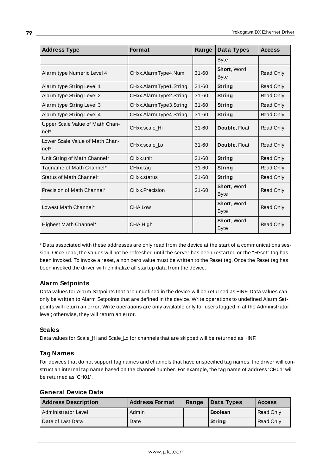| <b>Address Type</b>                       | <b>Format</b>          | Range     | Data Types                  | <b>Access</b>    |
|-------------------------------------------|------------------------|-----------|-----------------------------|------------------|
|                                           |                        |           | <b>Byte</b>                 |                  |
| Alarm type Numeric Level 4                | CHxx.AlarmType4.Num    | $31 - 60$ | Short, Word,<br><b>Byte</b> | Read Only        |
| Alarm type String Level 1                 | CHxx.AlarmType1.String | $31 - 60$ | String                      | Read Only        |
| Alarm type String Level 2                 | CHxx.AlarmType2.String | $31 - 60$ | String                      | Read Only        |
| Alarm type String Level 3                 | CHxx.AlarmType3.String | $31 - 60$ | <b>String</b>               | Read Only        |
| Alarm type String Level 4                 | CHxx.AlarmType4.String | $31 - 60$ | String                      | Read Only        |
| Upper Scale Value of Math Chan-<br>nel*   | CHxx.scale Hi          | $31 - 60$ | Double, Float               | Read Only        |
| Lower Scale Value of Math Chan-<br>$nel*$ | CHxx.scale Lo          | $31 - 60$ | Double, Float               | Read Only        |
| Unit String of Math Channel*              | CHxx.unit              | $31 - 60$ | String                      | Read Only        |
| Tagname of Math Channel*                  | CHxx.tag               | $31 - 60$ | String                      | <b>Read Only</b> |
| Status of Math Channel*                   | CHxx.status            | $31 - 60$ | <b>String</b>               | Read Only        |
| Precision of Math Channel*                | CHxx.Precision         | $31 - 60$ | Short, Word,<br><b>Byte</b> | Read Only        |
| Lowest Math Channel*                      | CHA.Low                |           | Short, Word,<br><b>Byte</b> | Read Only        |
| Highest Math Channel*                     | CHA.High               |           | Short, Word,<br><b>Byte</b> | Read Only        |

\* Data associated with these addresses are only read from the device at the start of a communications session. Once read, the values will not be refreshed until the server has been restarted or the "Reset" tag has been invoked. To invoke a reset, a non zero value must be written to the Reset tag. Once the Reset tag has been invoked the driver will reinitialize all startup data from the device.

# **Alarm Setpoints**

Data values for Alarm Setpoints that are undefined in the device will be returned as +INF. Data values can only be written to Alarm Setpoints that are defined in the device. Write operations to undefined Alarm Setpoints will return an error. Write operations are only available only for users logged in at the Administrator level; otherwise, they will return an error.

# **Scales**

Data values for Scale\_Hi and Scale\_Lo for channels that are skipped will be returned as +INF.

# **Tag Names**

For devices that do not support tag names and channels that have unspecified tag names, the driver will construct an internal tag name based on the channel number. For example, the tag name of address 'CH01' will be returned as 'CH01'.

### **General Device Data**

| <b>Address Description</b> | <b>Address/Format</b> | Range | <b>Data Types</b> | <b>Access</b>    |
|----------------------------|-----------------------|-------|-------------------|------------------|
| Administrator Level        | Admin                 |       | <b>Boolean</b>    | Read Only        |
| Date of Last Data          | Date                  |       | String            | <b>Read Only</b> |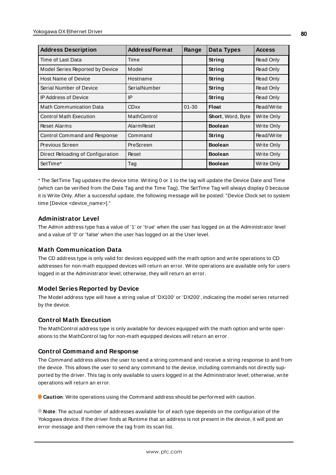| <b>Address Description</b>        | <b>Address/Format</b> | Range     | Data Types               | <b>Access</b> |
|-----------------------------------|-----------------------|-----------|--------------------------|---------------|
| Time of Last Data                 | Time                  |           | String                   | Read Only     |
| Model Series Reported by Device   | Model                 |           | String                   | Read Only     |
| <b>Host Name of Device</b>        | Hostname              |           | String                   | Read Only     |
| Serial Number of Device           | SerialNumber          |           | String                   | Read Only     |
| <b>IP Address of Device</b>       | IP                    |           | String                   | Read Only     |
| <b>Math Communication Data</b>    | <b>CDxx</b>           | $01 - 30$ | <b>Float</b>             | Read/Write    |
| <b>Control Math Execution</b>     | MathControl           |           | <b>Short, Word, Byte</b> | Write Only    |
| <b>Reset Alarms</b>               | <b>Alarm Reset</b>    |           | <b>Boolean</b>           | Write Only    |
| Control Command and Response      | Command               |           | String                   | Read/Write    |
| Previous Screen                   | PreScreen             |           | <b>Boolean</b>           | Write Only    |
| Direct Reloading of Configuration | Reset                 |           | <b>Boolean</b>           | Write Only    |
| SetTime*                          | Tag                   |           | <b>Boolean</b>           | Write Only    |

\* The SetTime Tag updates the device time. Writing 0 or 1 to the tag will update the Device Date and Time (which can be verified from the Date Tag and the Time Tag). The SetTime Tag will always display 0 because it is Write Only. After a successful update, the following message will be posted: "Device Clock set to system time [Device <device\_name>]."

### **Administrator Level**

The Admin address type has a value of '1' or 'true' when the user has logged on at the Administrator level and a value of '0' or 'false' when the user has logged on at the User level.

### **Math Communication Data**

The CD address type is only valid for devices equipped with the math option and write operations to CD addresses for non-math equipped devices will return an error. Write operations are available only for users logged in at the Administrator level; otherwise, they will return an error.

### **Model Series Reported by Device**

The Model address type will have a string value of 'DX100' or 'DX200', indicating the model series returned by the device.

### **Control Math Execution**

The MathControl address type is only available for devices equipped with the math option and write operations to the MathControl tag for non-math equipped devices will return an error.

# **Control Command and Response**

The Command address allows the user to send a string command and receive a string response to and from the device. This allows the user to send any command to the device, including commands not directly supported by the driver. This tag is only available to users logged in at the Administrator level; otherwise, write operations will return an error.

**Caution**: Write operations using the Command address should be performed with caution.

**Note**: The actual number of addresses available for of each type depends on the configuration of the Yokogawa device. If the driver finds at Runtime that an address is not present in the device, it will post an error message and then remove the tag from its scan list.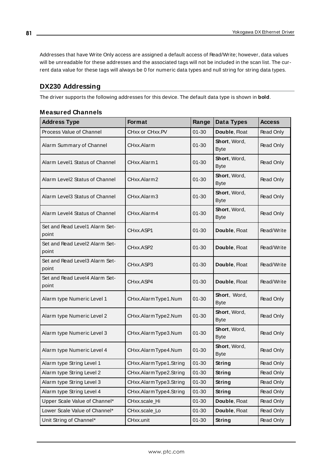Addresses that have Write Only access are assigned a default access of Read/Write; however, data values will be unreadable for these addresses and the associated tags will not be included in the scan list. The current data value for these tags will always be 0 for numeric data types and null string for string data types.

# **DX230 Addressing**

The driver supports the following addresses for this device. The default data type is shown in **bold**.

| <b>Address Type</b>                     | Format                 | Range     | Data Types                  | <b>Access</b> |
|-----------------------------------------|------------------------|-----------|-----------------------------|---------------|
| Process Value of Channel                | CHxx or CHxx.PV        | $01 - 30$ | Double, Float               | Read Only     |
| Alarm Summary of Channel                | CHxx.Alarm             | $01 - 30$ | Short, Word,<br><b>Byte</b> | Read Only     |
| Alarm Level1 Status of Channel          | CHxx.Alarm1            | $01 - 30$ | Short, Word,<br><b>Byte</b> | Read Only     |
| Alarm Level2 Status of Channel          | CHxx.Alarm2            | 01-30     | Short, Word,<br><b>Byte</b> | Read Only     |
| Alarm Level3 Status of Channel          | CHxx.Alarm3            | $01 - 30$ | Short, Word,<br><b>Byte</b> | Read Only     |
| Alarm Level4 Status of Channel          | CHxx.Alarm4            | $01 - 30$ | Short, Word,<br><b>Byte</b> | Read Only     |
| Set and Read Level1 Alarm Set-<br>point | CHxx.ASP1              | 01-30     | Double, Float               | Read/Write    |
| Set and Read Level2 Alarm Set-<br>point | CHxx.ASP2              | 01-30     | Double, Float               | Read/Write    |
| Set and Read Level3 Alarm Set-<br>point | CHxx.ASP3              | 01-30     | Double, Float               | Read/Write    |
| Set and Read Level4 Alarm Set-<br>point | CHxx.ASP4              | 01-30     | Double, Float               | Read/Write    |
| Alarm type Numeric Level 1              | CHxx.AlarmType1.Num    | $01 - 30$ | Short, Word,<br><b>Byte</b> | Read Only     |
| Alarm type Numeric Level 2              | CHxx.AlarmType2.Num    | $01 - 30$ | Short, Word,<br><b>Byte</b> | Read Only     |
| Alarm type Numeric Level 3              | CHxx.AlarmType3.Num    | $01 - 30$ | Short, Word,<br><b>Byte</b> | Read Only     |
| Alarm type Numeric Level 4              | CHxx.AlarmType4.Num    | $01 - 30$ | Short, Word,<br><b>Byte</b> | Read Only     |
| Alarm type String Level 1               | CHxx.AlarmType1.String | $01 - 30$ | String                      | Read Only     |
| Alarm type String Level 2               | CHxx.AlarmType2.String | $01 - 30$ | String                      | Read Only     |
| Alarm type String Level 3               | CHxx.AlarmType3.String | $01 - 30$ | <b>String</b>               | Read Only     |
| Alarm type String Level 4               | CHxx.AlarmType4.String | $01 - 30$ | String                      | Read Only     |
| Upper Scale Value of Channel*           | CHxx.scale_Hi          | $01 - 30$ | Double, Float               | Read Only     |
| Lower Scale Value of Channel*           | CHxx.scale_Lo          | $01 - 30$ | Double, Float               | Read Only     |
| Unit String of Channel*                 | CHxx.unit              | $01 - 30$ | <b>String</b>               | Read Only     |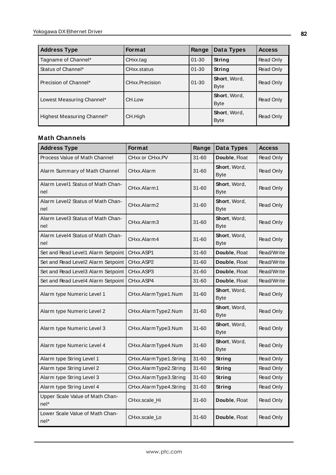| <b>Address Type</b>        | <b>Format</b>  | Range     | Data Types                  | <b>Access</b> |
|----------------------------|----------------|-----------|-----------------------------|---------------|
| Tagname of Channel*        | CHxx.tag       | $01 - 30$ | String                      | Read Only     |
| Status of Channel*         | CHxx.status    | $01 - 30$ | <b>String</b>               | Read Only     |
| Precision of Channel*      | CHxx.Precision | $01 - 30$ | Short, Word,<br><b>Byte</b> | Read Only     |
| Lowest Measuring Channel*  | CH.Low         |           | Short, Word,<br><b>Byte</b> | Read Only     |
| Highest Measuring Channel* | CH.High        |           | Short, Word,<br><b>Byte</b> | Read Only     |

| <b>Address Type</b>                      | Format                 | Range     | Data Types                  | <b>Access</b> |
|------------------------------------------|------------------------|-----------|-----------------------------|---------------|
| Process Value of Math Channel            | CHxx or CHxx.PV        | $31 - 60$ | Double, Float               | Read Only     |
| Alarm Summary of Math Channel            | CHxx.Alarm             | $31 - 60$ | Short, Word,<br><b>Byte</b> | Read Only     |
| Alarm Level1 Status of Math Chan-<br>nel | CHxx.Alarm1            | $31 - 60$ | Short, Word,<br><b>Byte</b> | Read Only     |
| Alarm Level2 Status of Math Chan-<br>nel | CHxx.Alarm2            | $31 - 60$ | Short, Word,<br><b>Byte</b> | Read Only     |
| Alarm Level3 Status of Math Chan-<br>nel | CHxx.Alarm3            | 31-60     | Short, Word,<br><b>Byte</b> | Read Only     |
| Alarm Level4 Status of Math Chan-<br>nel | CHxx.Alarm4            | $31 - 60$ | Short, Word,<br><b>Byte</b> | Read Only     |
| Set and Read Level1 Alarm Setpoint       | CHxx.ASP1              | $31 - 60$ | Double, Float               | Read/Write    |
| Set and Read Level2 Alarm Setpoint       | CHxx.ASP2              | $31 - 60$ | Double, Float               | Read/Write    |
| Set and Read Level3 Alarm Setpoint       | CHxx.ASP3              | $31 - 60$ | Double, Float               | Read/Write    |
| Set and Read Level4 Alarm Setpoint       | CHxx.ASP4              | $31 - 60$ | Double, Float               | Read/Write    |
| Alarm type Numeric Level 1               | CHxx.AlarmType1.Num    | 31-60     | Short, Word,<br><b>Byte</b> | Read Only     |
| Alarm type Numeric Level 2               | CHxx.AlarmType2.Num    | $31 - 60$ | Short, Word,<br><b>Byte</b> | Read Only     |
| Alarm type Numeric Level 3               | CHxx.AlarmType3.Num    | $31 - 60$ | Short, Word,<br><b>Byte</b> | Read Only     |
| Alarm type Numeric Level 4               | CHxx.AlarmType4.Num    | $31 - 60$ | Short, Word,<br><b>Byte</b> | Read Only     |
| Alarm type String Level 1                | CHxx.AlarmType1.String | $31 - 60$ | <b>String</b>               | Read Only     |
| Alarm type String Level 2                | CHxx.AlarmType2.String | $31 - 60$ | String                      | Read Only     |
| Alarm type String Level 3                | CHxx.AlarmType3.String | $31 - 60$ | <b>String</b>               | Read Only     |
| Alarm type String Level 4                | CHxx.AlarmType4.String | $31 - 60$ | String                      | Read Only     |
| Upper Scale Value of Math Chan-<br>nel*  | CHxx.scale_Hi          | 31-60     | Double, Float               | Read Only     |
| Lower Scale Value of Math Chan-<br>nel*  | CHxx.scale_Lo          | $31 - 60$ | Double, Float               | Read Only     |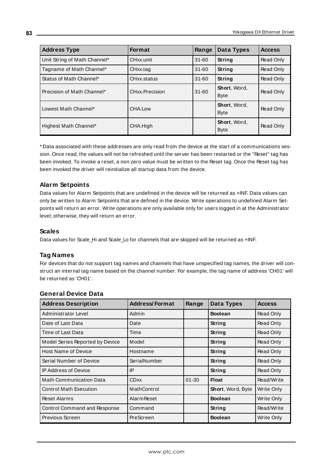| <b>Address Type</b>          | <b>Format</b>  | Range     | Data Types                  | <b>Access</b> |
|------------------------------|----------------|-----------|-----------------------------|---------------|
| Unit String of Math Channel* | CHxx.unit      | $31 - 60$ | <b>String</b>               | Read Only     |
| Tagname of Math Channel*     | CHxx.tag       | $31 - 60$ | String                      | Read Only     |
| Status of Math Channel*      | CHxx.status    | $31 - 60$ | <b>String</b>               | Read Only     |
| Precision of Math Channel*   | CHxx.Precision | $31 - 60$ | Short, Word,<br><b>Byte</b> | Read Only     |
| Lowest Math Channel*         | CHA.Low        |           | Short, Word,<br><b>Byte</b> | Read Only     |
| Highest Math Channel*        | CHA.High       |           | Short, Word,<br><b>Byte</b> | Read Only     |

\* Data associated with these addresses are only read from the device at the start of a communications session. Once read, the values will not be refreshed until the server has been restarted or the "Reset" tag has been invoked. To invoke a reset, a non zero value must be written to the Reset tag. Once the Reset tag has been invoked the driver will reinitialize all startup data from the device.

# **Alarm Setpoints**

Data values for Alarm Setpoints that are undefined in the device will be returned as +INF. Data values can only be written to Alarm Setpoints that are defined in the device. Write operations to undefined Alarm Setpoints will return an error. Write operations are only available only for users logged in at the Administrator level; otherwise, they will return an error.

### **Scales**

Data values for Scale\_Hi and Scale\_Lo for channels that are skipped will be returned as +INF.

### **Tag Names**

For devices that do not support tag names and channels that have unspecified tag names, the driver will construct an internal tag name based on the channel number. For example, the tag name of address 'CH01' will be returned as 'CH01'.

| <b>Address Description</b>      | <b>Address/Format</b> | Range     | Data Types        | <b>Access</b> |
|---------------------------------|-----------------------|-----------|-------------------|---------------|
| Administrator Level             | Admin                 |           | <b>Boolean</b>    | Read Only     |
| Date of Last Data               | Date                  |           | String            | Read Only     |
| Time of Last Data               | Time                  |           | String            | Read Only     |
| Model Series Reported by Device | Model                 |           | <b>String</b>     | Read Only     |
| <b>Host Name of Device</b>      | Hostname              |           | <b>String</b>     | Read Only     |
| Serial Number of Device         | SerialNumber          |           | String            | Read Only     |
| <b>IP Address of Device</b>     | IP                    |           | <b>String</b>     | Read Only     |
| <b>Math Communication Data</b>  | <b>CDxx</b>           | $01 - 30$ | <b>Float</b>      | Read/Write    |
| <b>Control Math Execution</b>   | MathControl           |           | Short, Word, Byte | Write Only    |
| <b>Reset Alarms</b>             | <b>Alarm Reset</b>    |           | <b>Boolean</b>    | Write Only    |
| Control Command and Response    | Command               |           | <b>String</b>     | Read/Write    |
| Previous Screen                 | PreScreen             |           | <b>Boolean</b>    | Write Only    |

### **General Device Data**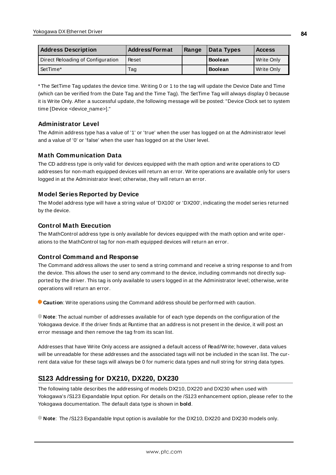| <b>Address Description</b>        | <b>Address/Format</b> | Range | Data Types     | <b>Access</b> |
|-----------------------------------|-----------------------|-------|----------------|---------------|
| Direct Reloading of Configuration | Reset                 |       | <b>Boolean</b> | Write Only    |
| l SetTime*                        | Tag                   |       | <b>Boolean</b> | Write Only    |

\* The SetTime Tag updates the device time. Writing 0 or 1 to the tag will update the Device Date and Time (which can be verified from the Date Tag and the Time Tag). The SetTime Tag will always display 0 because it is Write Only. After a successful update, the following message will be posted: "Device Clock set to system time [Device <device\_name>]."

## **Administrator Level**

The Admin address type has a value of '1' or 'true' when the user has logged on at the Administrator level and a value of '0' or 'false' when the user has logged on at the User level.

## **Math Communication Data**

The CD address type is only valid for devices equipped with the math option and write operations to CD addresses for non-math equipped devices will return an error. Write operations are available only for users logged in at the Administrator level; otherwise, they will return an error.

### **Model Series Reported by Device**

The Model address type will have a string value of 'DX100' or 'DX200', indicating the model series returned by the device.

### **Control Math Execution**

The MathControl address type is only available for devices equipped with the math option and write operations to the MathControl tag for non-math equipped devices will return an error.

#### **Control Command and Response**

The Command address allows the user to send a string command and receive a string response to and from the device. This allows the user to send any command to the device, including commands not directly supported by the driver. This tag is only available to users logged in at the Administrator level; otherwise, write operations will return an error.

**Caution**: Write operations using the Command address should be performed with caution.

**Note**: The actual number of addresses available for of each type depends on the configuration of the Yokogawa device. If the driver finds at Runtime that an address is not present in the device, it will post an error message and then remove the tag from its scan list.

Addresses that have Write Only access are assigned a default access of Read/Write; however, data values will be unreadable for these addresses and the associated tags will not be included in the scan list. The current data value for these tags will always be 0 for numeric data types and null string for string data types.

# **S123 Addressing for DX210, DX220, DX230**

The following table describes the addressing of models DX210, DX220 and DX230 when used with Yokogawa's /S123 Expandable Input option. For details on the /S123 enhancement option, please refer to the Yokogawa documentation. The default data type is shown in **bold**.

**Note**: The /S123 Expandable Input option is available for the DX210, DX220 and DX230 models only.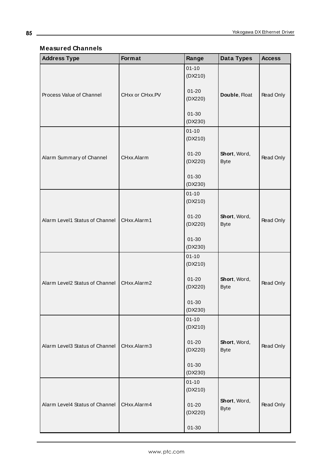# **Measured Channels**

<u> 1989 - Johann Barbara, martxa a</u>

| <b>Address Type</b>            | Format          | Range                | Data Types                  | <b>Access</b> |
|--------------------------------|-----------------|----------------------|-----------------------------|---------------|
|                                |                 | $01 - 10$<br>(DX210) |                             |               |
| Process Value of Channel       | CHxx or CHxx.PV | $01 - 20$<br>(DX220) | Double, Float               | Read Only     |
|                                |                 | $01 - 30$<br>(DX230) |                             |               |
|                                |                 | $01 - 10$<br>(DX210) |                             |               |
| Alarm Summary of Channel       | CHxx.Alarm      | $01 - 20$<br>(DX220) | Short, Word,<br><b>Byte</b> | Read Only     |
|                                |                 | $01 - 30$<br>(DX230) |                             |               |
|                                |                 | $01 - 10$<br>(DX210) |                             |               |
| Alarm Level1 Status of Channel | CHxx.Alarm1     | $01 - 20$<br>(DX220) | Short, Word,<br><b>Byte</b> | Read Only     |
|                                |                 | $01 - 30$<br>(DX230) |                             |               |
|                                |                 | $01 - 10$<br>(DX210) |                             |               |
| Alarm Level2 Status of Channel | CHxx.Alarm2     | $01 - 20$<br>(DX220) | Short, Word,<br><b>Byte</b> | Read Only     |
|                                |                 | $01 - 30$<br>(DX230) |                             |               |
|                                |                 | $01 - 10$<br>(DX210) |                             |               |
| Alarm Level3 Status of Channel | CHxx.Alarm3     | $01 - 20$<br>(DX220) | Short, Word,<br><b>Byte</b> | Read Only     |
|                                |                 | $01 - 30$<br>(DX230) |                             |               |
|                                |                 | $01 - 10$<br>(DX210) |                             |               |
| Alarm Level4 Status of Channel | CHxx.Alarm4     | $01 - 20$<br>(DX220) | Short, Word,<br><b>Byte</b> | Read Only     |
|                                |                 | $01 - 30$            |                             |               |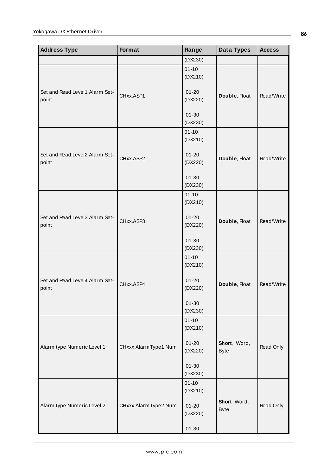| <b>Address Type</b>                     | <b>Format</b>        | Range                | Data Types                  | <b>Access</b> |
|-----------------------------------------|----------------------|----------------------|-----------------------------|---------------|
|                                         |                      | (DX230)              |                             |               |
|                                         |                      | $01 - 10$<br>(DX210) |                             |               |
| Set and Read Level1 Alarm Set-<br>point | CHxx.ASP1            | $01 - 20$<br>(DX220) | Double, Float               | Read/Write    |
|                                         |                      | $01 - 30$<br>(DX230) |                             |               |
|                                         |                      | $01 - 10$<br>(DX210) |                             |               |
| Set and Read Level2 Alarm Set-<br>point | CHxx.ASP2            | $01 - 20$<br>(DX220) | Double, Float               | Read/Write    |
|                                         |                      | $01 - 30$<br>(DX230) |                             |               |
|                                         |                      | $01 - 10$<br>(DX210) |                             |               |
| Set and Read Level3 Alarm Set-<br>point | CHxx.ASP3            | $01 - 20$<br>(DX220) | Double, Float               | Read/Write    |
|                                         |                      | $01 - 30$<br>(DX230) |                             |               |
|                                         |                      | $01 - 10$<br>(DX210) |                             |               |
| Set and Read Level4 Alarm Set-<br>point | CHxx.ASP4            | $01 - 20$<br>(DX220) | Double, Float               | Read/Write    |
|                                         |                      | $01 - 30$<br>(DX230) |                             |               |
|                                         |                      | $01 - 10$<br>(DX210) |                             |               |
| Alarm type Numeric Level 1              | CHxxx.AlarmType1.Num | $01 - 20$<br>(DX220) | Short, Word,<br><b>Byte</b> | Read Only     |
|                                         |                      | $01 - 30$<br>(DX230) |                             |               |
|                                         |                      | $01 - 10$<br>(DX210) |                             |               |
| Alarm type Numeric Level 2              | CHxxx.AlarmType2.Num | $01 - 20$<br>(DX220) | Short, Word,<br><b>Byte</b> | Read Only     |
|                                         |                      | $01 - 30$            |                             |               |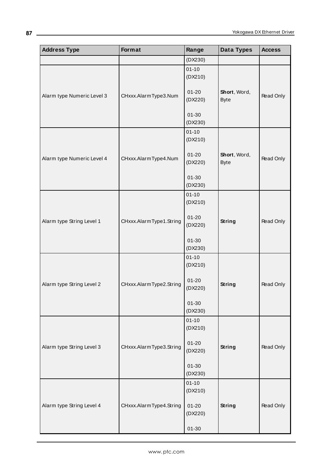| <b>Address Type</b>        | Format                  | Range                | Data Types                  | <b>Access</b> |
|----------------------------|-------------------------|----------------------|-----------------------------|---------------|
|                            |                         | (DX230)              |                             |               |
|                            |                         | $01 - 10$<br>(DX210) |                             |               |
| Alarm type Numeric Level 3 | CHxxx.AlarmType3.Num    | $01 - 20$<br>(DX220) | Short, Word,<br><b>Byte</b> | Read Only     |
|                            |                         | $01 - 30$<br>(DX230) |                             |               |
|                            |                         | $01 - 10$<br>(DX210) |                             |               |
| Alarm type Numeric Level 4 | CHxxx.AlarmType4.Num    | $01 - 20$<br>(DX220) | Short, Word,<br><b>Byte</b> | Read Only     |
|                            |                         | $01 - 30$<br>(DX230) |                             |               |
|                            |                         | $01 - 10$<br>(DX210) |                             |               |
| Alarm type String Level 1  | CHxxx.AlarmType1.String | $01 - 20$<br>(DX220) | <b>String</b>               | Read Only     |
|                            |                         | $01 - 30$<br>(DX230) |                             |               |
|                            |                         | $01 - 10$<br>(DX210) |                             |               |
| Alarm type String Level 2  | CHxxx.AlarmType2.String | $01 - 20$<br>(DX220) | <b>String</b>               | Read Only     |
|                            |                         | $01 - 30$<br>(DX230) |                             |               |
|                            |                         | $01 - 10$<br>(DX210) |                             |               |
| Alarm type String Level 3  | CHxxx.AlarmType3.String | $01 - 20$<br>(DX220) | <b>String</b>               | Read Only     |
|                            |                         | $01 - 30$<br>(DX230) |                             |               |
|                            |                         | $01 - 10$<br>(DX210) |                             |               |
| Alarm type String Level 4  | CHxxx.AlarmType4.String | $01 - 20$<br>(DX220) | <b>String</b>               | Read Only     |
|                            |                         | $01 - 30$            |                             |               |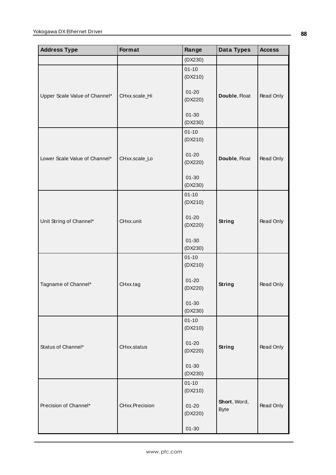| <b>Address Type</b>           | <b>Format</b>  | Range                | Data Types                  | <b>Access</b> |
|-------------------------------|----------------|----------------------|-----------------------------|---------------|
|                               |                | (DX230)              |                             |               |
|                               |                | $01 - 10$<br>(DX210) |                             |               |
| Upper Scale Value of Channel* | CHxx.scale_Hi  | $01 - 20$<br>(DX220) | Double, Float               | Read Only     |
|                               |                | $01 - 30$<br>(DX230) |                             |               |
|                               |                | $01 - 10$<br>(DX210) |                             |               |
| Lower Scale Value of Channel* | CHxx.scale_Lo  | $01 - 20$<br>(DX220) | Double, Float               | Read Only     |
|                               |                | $01 - 30$<br>(DX230) |                             |               |
|                               |                | $01 - 10$<br>(DX210) |                             |               |
| Unit String of Channel*       | CHxx.unit      | $01 - 20$<br>(DX220) | <b>String</b>               | Read Only     |
|                               |                | $01 - 30$<br>(DX230) |                             |               |
|                               |                | $01 - 10$<br>(DX210) |                             |               |
| Tagname of Channel*           | CHxx.tag       | $01 - 20$<br>(DX220) | <b>String</b>               | Read Only     |
|                               |                | $01 - 30$<br>(DX230) |                             |               |
|                               |                | $01 - 10$<br>(DX210) |                             |               |
| Status of Channel*            | CHxx.status    | $01 - 20$<br>(DX220) | <b>String</b>               | Read Only     |
|                               |                | $01 - 30$<br>(DX230) |                             |               |
|                               |                | $01 - 10$<br>(DX210) |                             |               |
| Precision of Channel*         | CHxx.Precision | $01 - 20$<br>(DX220) | Short, Word,<br><b>Byte</b> | Read Only     |
|                               |                | $01 - 30$            |                             |               |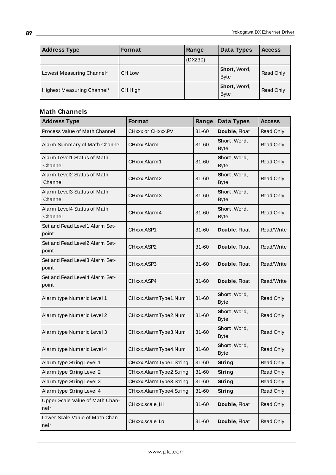| <b>Address Type</b>        | <b>Format</b> | Range   | Data Types                         | <b>Access</b> |
|----------------------------|---------------|---------|------------------------------------|---------------|
|                            |               | (DX230) |                                    |               |
| Lowest Measuring Channel*  | CH.Low        |         | <b>Short, Word,</b><br><b>Byte</b> | Read Only     |
| Highest Measuring Channel* | CH.High       |         | Short, Word,<br><b>Byte</b>        | Read Only     |

| <b>Address Type</b>                     | <b>Format</b>           | Range     | Data Types                  | <b>Access</b>    |
|-----------------------------------------|-------------------------|-----------|-----------------------------|------------------|
| Process Value of Math Channel           | CHxxx or CHxxx.PV       | $31 - 60$ | Double, Float               | Read Only        |
| Alarm Summary of Math Channel           | CHxxx.Alarm             | $31 - 60$ | Short, Word,<br><b>Byte</b> | Read Only        |
| Alarm Level1 Status of Math<br>Channel  | CHxxx.Alarm1            | $31 - 60$ | Short, Word,<br><b>Byte</b> | Read Only        |
| Alarm Level2 Status of Math<br>Channel  | CHxxx.Alarm2            | $31 - 60$ | Short, Word,<br><b>Byte</b> | Read Only        |
| Alarm Level3 Status of Math<br>Channel  | CHxxx.Alarm3            | $31 - 60$ | Short, Word,<br><b>Byte</b> | Read Only        |
| Alarm Level4 Status of Math<br>Channel  | CHxxx.Alarm4            | $31 - 60$ | Short, Word,<br><b>Byte</b> | Read Only        |
| Set and Read Level1 Alarm Set-<br>point | CHxxx ASP1              | $31 - 60$ | Double, Float               | Read/Write       |
| Set and Read Level2 Alarm Set-<br>point | CHxxx.ASP2              | $31 - 60$ | Double, Float               | Read/Write       |
| Set and Read Level3 Alarm Set-<br>point | CHxxx.ASP3              | $31 - 60$ | Double, Float               | Read/Write       |
| Set and Read Level4 Alarm Set-<br>point | CHxxx.ASP4              | $31 - 60$ | Double, Float               | Read/Write       |
| Alarm type Numeric Level 1              | CHxxx.AlarmType1.Num    | $31 - 60$ | Short, Word,<br><b>Byte</b> | <b>Read Only</b> |
| Alarm type Numeric Level 2              | CHxxx.AlarmType2.Num    | $31 - 60$ | Short, Word,<br><b>Byte</b> | Read Only        |
| Alarm type Numeric Level 3              | CHxxx.AlarmType3.Num    | $31 - 60$ | Short, Word,<br><b>Byte</b> | Read Only        |
| Alarm type Numeric Level 4              | CHxxx.AlarmType4.Num    | $31 - 60$ | Short, Word,<br><b>Byte</b> | Read Only        |
| Alarm type String Level 1               | CHxxx.AlarmType1.String | $31 - 60$ | String                      | Read Only        |
| Alarm type String Level 2               | CHxxx.AlarmType2.String | $31 - 60$ | String                      | Read Only        |
| Alarm type String Level 3               | CHxxx.AlarmType3.String | $31 - 60$ | <b>String</b>               | Read Only        |
| Alarm type String Level 4               | CHxxx.AlarmType4.String | $31 - 60$ | String                      | Read Only        |
| Upper Scale Value of Math Chan-<br>nel* | CHxxx.scale_Hi          | $31 - 60$ | Double, Float               | Read Only        |
| Lower Scale Value of Math Chan-<br>nel* | CHxxx.scale_Lo          | $31 - 60$ | Double, Float               | Read Only        |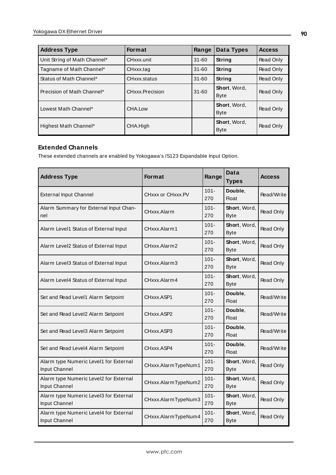| <b>Address Type</b>          | <b>Format</b>   | Range     | Data Types                  | <b>Access</b> |
|------------------------------|-----------------|-----------|-----------------------------|---------------|
| Unit String of Math Channel* | CHxxx.unit      | $31 - 60$ | String                      | Read Only     |
| Tagname of Math Channel*     | CHxxx.tag       | $31 - 60$ | String                      | Read Only     |
| Status of Math Channel*      | CHxxx.status    | $31 - 60$ | String                      | Read Only     |
| Precision of Math Channel*   | CHxxx.Precision | $31 - 60$ | Short, Word,<br><b>Byte</b> | Read Only     |
| Lowest Math Channel*         | CHA.Low         |           | Short, Word,<br><b>Byte</b> | Read Only     |
| Highest Math Channel*        | CHA.High        |           | Short, Word,<br><b>Byte</b> | Read Only     |

# **Extended Channels**

These extended channels are enabled by Yokogawa's /S123 Expandable Input Option.

| <b>Address Type</b>                                     | <b>Format</b>       | Range          | Data<br><b>Types</b>        | <b>Access</b>    |
|---------------------------------------------------------|---------------------|----------------|-----------------------------|------------------|
| <b>External Input Channel</b>                           | CHxxx or CHxxx.PV   | $101 -$<br>270 | Double,<br>Float            | Read/Write       |
| Alarm Summary for External Input Chan-<br>nel           | CHxxx.Alarm         | $101 -$<br>270 | Short, Word,<br><b>Byte</b> | Read Only        |
| Alarm Level1 Status of External Input                   | CHxxx.Alarm1        | $101 -$<br>270 | Short, Word,<br><b>Byte</b> | Read Only        |
| Alarm Level2 Status of External Input                   | CHxxx.Alarm2        | $101 -$<br>270 | Short, Word,<br><b>Byte</b> | Read Only        |
| Alarm Level3 Status of External Input                   | CHxxx.Alarm3        | $101 -$<br>270 | Short, Word,<br><b>Byte</b> | <b>Read Only</b> |
| Alarm Level4 Status of External Input                   | CHxxx.Alarm4        | $101 -$<br>270 | Short, Word,<br><b>Byte</b> | Read Only        |
| Set and Read Level1 Alarm Setpoint                      | CHxxx.ASP1          | $101 -$<br>270 | Double,<br><b>Float</b>     | Read/Write       |
| Set and Read Level2 Alarm Setpoint                      | CHxxx.ASP2          | $101 -$<br>270 | Double,<br><b>Float</b>     | Read/Write       |
| Set and Read Level3 Alarm Setpoint                      | CHxxx.ASP3          | $101 -$<br>270 | Double,<br><b>Float</b>     | Read/Write       |
| Set and Read Level4 Alarm Setpoint                      | CHxxx.ASP4          | $101 -$<br>270 | Double,<br><b>Float</b>     | Read/Write       |
| Alarm type Numeric Level1 for External<br>Input Channel | CHxxx.AlarmTypeNum1 | $101 -$<br>270 | Short, Word,<br><b>Byte</b> | Read Only        |
| Alarm type Numeric Level2 for External<br>Input Channel | CHxxx.AlarmTypeNum2 | $101 -$<br>270 | Short, Word,<br><b>Byte</b> | Read Only        |
| Alarm type Numeric Level3 for External<br>Input Channel | CHxxx.AlarmTypeNum3 | $101 -$<br>270 | Short, Word,<br><b>Byte</b> | Read Only        |
| Alarm type Numeric Level4 for External<br>Input Channel | CHxxx.AlarmTypeNum4 | $101 -$<br>270 | Short, Word,<br><b>Byte</b> | Read Only        |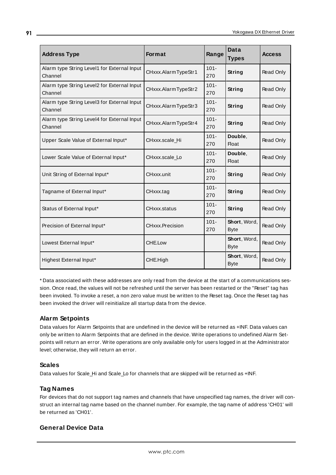| <b>Address Type</b>                                    | <b>Format</b>       | Range          | Data<br><b>Types</b>        | <b>Access</b> |
|--------------------------------------------------------|---------------------|----------------|-----------------------------|---------------|
| Alarm type String Level1 for External Input<br>Channel | CHxxx.AlarmTypeStr1 | $101 -$<br>270 | String                      | Read Only     |
| Alarm type String Level2 for External Input<br>Channel | CHxxx.AlarmTypeStr2 | $101 -$<br>270 | String                      | Read Only     |
| Alarm type String Level3 for External Input<br>Channel | CHxxx.AlarmTypeStr3 | $101 -$<br>270 | <b>String</b>               | Read Only     |
| Alarm type String Level4 for External Input<br>Channel | CHxxx.AlarmTypeStr4 | $101 -$<br>270 | String                      | Read Only     |
| Upper Scale Value of External Input*                   | CHxxx.scale_Hi      | $101 -$<br>270 | Double,<br><b>Float</b>     | Read Only     |
| Lower Scale Value of External Input*                   | CHxxx.scale_Lo      | $101 -$<br>270 | Double.<br><b>Float</b>     | Read Only     |
| Unit String of External Input*                         | CHxxx.unit          | $101 -$<br>270 | String                      | Read Only     |
| Tagname of External Input*                             | CHxxx.tag           | $101 -$<br>270 | String                      | Read Only     |
| Status of External Input*                              | CHxxx.status        | $101 -$<br>270 | <b>String</b>               | Read Only     |
| Precision of External Input*                           | CHxxx.Precision     | $101 -$<br>270 | Short, Word,<br><b>Byte</b> | Read Only     |
| Lowest External Input*                                 | CHE.Low             |                | Short, Word,<br><b>Byte</b> | Read Only     |
| Highest External Input*                                | CHE.High            |                | Short, Word,<br><b>Byte</b> | Read Only     |

\* Data associated with these addresses are only read from the device at the start of a communications session. Once read, the values will not be refreshed until the server has been restarted or the "Reset" tag has been invoked. To invoke a reset, a non zero value must be written to the Reset tag. Once the Reset tag has been invoked the driver will reinitialize all startup data from the device.

# **Alarm Setpoints**

Data values for Alarm Setpoints that are undefined in the device will be returned as +INF. Data values can only be written to Alarm Setpoints that are defined in the device. Write operations to undefined Alarm Setpoints will return an error. Write operations are only available only for users logged in at the Administrator level; otherwise, they will return an error.

# **Scales**

Data values for Scale\_Hi and Scale\_Lo for channels that are skipped will be returned as +INF.

### **Tag Names**

For devices that do not support tag names and channels that have unspecified tag names, the driver will construct an internal tag name based on the channel number. For example, the tag name of address 'CH01' will be returned as 'CH01'.

# **General Device Data**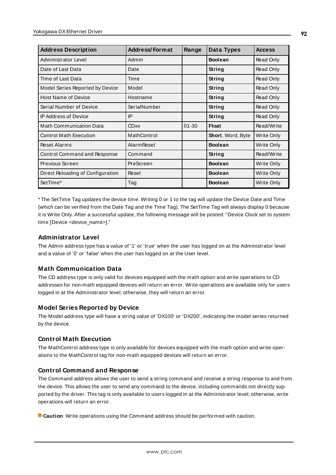| <b>Address Description</b>        | <b>Address/Format</b> | Range     | Data Types        | <b>Access</b> |
|-----------------------------------|-----------------------|-----------|-------------------|---------------|
| Administrator Level               | Admin                 |           | <b>Boolean</b>    | Read Only     |
| Date of Last Data                 | Date                  |           | String            | Read Only     |
| Time of Last Data                 | Time                  |           | String            | Read Only     |
| Model Series Reported by Device   | Model                 |           | String            | Read Only     |
| <b>Host Name of Device</b>        | Hostname              |           | String            | Read Only     |
| Serial Number of Device           | SerialNumber          |           | <b>String</b>     | Read Only     |
| <b>IP Address of Device</b>       | IP                    |           | String            | Read Only     |
| <b>Math Communication Data</b>    | <b>CDxx</b>           | $01 - 30$ | <b>Float</b>      | Read/Write    |
| <b>Control Math Execution</b>     | MathControl           |           | Short, Word, Byte | Write Only    |
| <b>Reset Alarms</b>               | <b>Alarm Reset</b>    |           | <b>Boolean</b>    | Write Only    |
| Control Command and Response      | Command               |           | String            | Read/Write    |
| Previous Screen                   | PreScreen             |           | <b>Boolean</b>    | Write Only    |
| Direct Reloading of Configuration | Reset                 |           | <b>Boolean</b>    | Write Only    |
| SetTime*                          | Tag                   |           | <b>Boolean</b>    | Write Only    |

\* The SetTime Tag updates the device time. Writing 0 or 1 to the tag will update the Device Date and Time (which can be verified from the Date Tag and the Time Tag). The SetTime Tag will always display 0 because it is Write Only. After a successful update, the following message will be posted: "Device Clock set to system time [Device <device\_name>]."

### **Administrator Level**

The Admin address type has a value of '1' or 'true' when the user has logged on at the Administrator level and a value of '0' or 'false' when the user has logged on at the User level.

### **Math Communication Data**

The CD address type is only valid for devices equipped with the math option and write operations to CD addresses for non-math equipped devices will return an error. Write operations are available only for users logged in at the Administrator level; otherwise, they will return an error.

#### **Model Series Reported by Device**

The Model address type will have a string value of 'DX100' or 'DX200', indicating the model series returned by the device.

#### **Control Math Execution**

The MathControl address type is only available for devices equipped with the math option and write operations to the MathControl tag for non-math equipped devices will return an error.

### **Control Command and Response**

The Command address allows the user to send a string command and receive a string response to and from the device. This allows the user to send any command to the device, including commands not directly supported by the driver. This tag is only available to users logged in at the Administrator level; otherwise, write operations will return an error.

**Caution**: Write operations using the Command address should be performed with caution.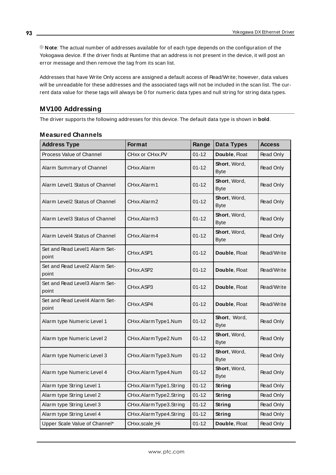**Note**: The actual number of addresses available for of each type depends on the configuration of the Yokogawa device. If the driver finds at Runtime that an address is not present in the device, it will post an error message and then remove the tag from its scan list.

Addresses that have Write Only access are assigned a default access of Read/Write; however, data values will be unreadable for these addresses and the associated tags will not be included in the scan list. The current data value for these tags will always be 0 for numeric data types and null string for string data types.

# **MV100 Addressing**

The driver supports the following addresses for this device. The default data type is shown in **bold**.

| <b>Address Type</b>                     | Format                 | Range     | Data Types                  | <b>Access</b> |
|-----------------------------------------|------------------------|-----------|-----------------------------|---------------|
| Process Value of Channel                | CHxx or CHxx.PV        | $01 - 12$ | Double, Float               | Read Only     |
| Alarm Summary of Channel                | CHxx.Alarm             | $01 - 12$ | Short, Word,<br><b>Byte</b> | Read Only     |
| Alarm Level1 Status of Channel          | CHxx.Alarm1            | $01 - 12$ | Short, Word,<br><b>Byte</b> | Read Only     |
| Alarm Level2 Status of Channel          | CHxx.Alarm2            | $01 - 12$ | Short, Word,<br><b>Byte</b> | Read Only     |
| Alarm Level3 Status of Channel          | CHxx.Alarm3            | $01 - 12$ | Short, Word,<br><b>Byte</b> | Read Only     |
| Alarm Level4 Status of Channel          | CHxx.Alarm4            | $01 - 12$ | Short, Word,<br><b>Byte</b> | Read Only     |
| Set and Read Level1 Alarm Set-<br>point | CHxx.ASP1              | $01 - 12$ | Double, Float               | Read/Write    |
| Set and Read Level2 Alarm Set-<br>point | CHxx.ASP2              | $01 - 12$ | Double, Float               | Read/Write    |
| Set and Read Level3 Alarm Set-<br>point | CHxx.ASP3              | $01 - 12$ | Double, Float               | Read/Write    |
| Set and Read Level4 Alarm Set-<br>point | CHxx.ASP4              | $01 - 12$ | Double, Float               | Read/Write    |
| Alarm type Numeric Level 1              | CHxx.AlarmType1.Num    | $01 - 12$ | Short, Word,<br>Byte        | Read Only     |
| Alarm type Numeric Level 2              | CHxx.AlarmType2.Num    | $01 - 12$ | Short, Word,<br><b>Byte</b> | Read Only     |
| Alarm type Numeric Level 3              | CHxx.AlarmType3.Num    | $01 - 12$ | Short, Word,<br><b>Byte</b> | Read Only     |
| Alarm type Numeric Level 4              | CHxx.AlarmType4.Num    | $01 - 12$ | Short, Word,<br><b>Byte</b> | Read Only     |
| Alarm type String Level 1               | CHxx.AlarmType1.String | $01 - 12$ | String                      | Read Only     |
| Alarm type String Level 2               | CHxx.AlarmType2.String | $01 - 12$ | String                      | Read Only     |
| Alarm type String Level 3               | CHxx.AlarmType3.String | $01 - 12$ | String                      | Read Only     |
| Alarm type String Level 4               | CHxx.AlarmType4.String | $01 - 12$ | String                      | Read Only     |
| Upper Scale Value of Channel*           | CHxx.scale_Hi          | $01 - 12$ | Double, Float               | Read Only     |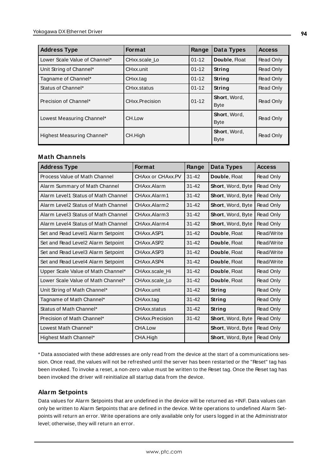| <b>Address Type</b>           | <b>Format</b>  | Range     | Data Types                  | <b>Access</b> |
|-------------------------------|----------------|-----------|-----------------------------|---------------|
| Lower Scale Value of Channel* | CHxx.scale_Lo  | $01 - 12$ | Double, Float               | Read Only     |
| Unit String of Channel*       | CHxx.unit      | $01 - 12$ | String                      | Read Only     |
| Tagname of Channel*           | CHxx.tag       | $01 - 12$ | String                      | Read Only     |
| Status of Channel*            | CHxx.status    | $01 - 12$ | String                      | Read Only     |
| Precision of Channel*         | CHxx.Precision | $01 - 12$ | Short, Word,<br><b>Byte</b> | Read Only     |
| Lowest Measuring Channel*     | CH.Low         |           | Short, Word,<br><b>Byte</b> | Read Only     |
| Highest Measuring Channel*    | CH.High        |           | Short, Word,<br><b>Byte</b> | Read Only     |

#### **Math Channels**

| <b>Address Type</b>                 | <b>Format</b>     | Range     | Data Types               | <b>Access</b> |
|-------------------------------------|-------------------|-----------|--------------------------|---------------|
| Process Value of Math Channel       | CHAxx or CHAxx.PV | $31 - 42$ | Double, Float            | Read Only     |
| Alarm Summary of Math Channel       | CHAxx.Alarm       | $31 - 42$ | <b>Short, Word, Byte</b> | Read Only     |
| Alarm Level1 Status of Math Channel | CHAxx Alarm1      | $31 - 42$ | <b>Short, Word, Byte</b> | Read Only     |
| Alarm Level2 Status of Math Channel | CHAxx Alarm2      | $31 - 42$ | <b>Short, Word, Byte</b> | Read Only     |
| Alarm Level3 Status of Math Channel | CHAxx.Alarm3      | $31 - 42$ | Short, Word, Byte        | Read Only     |
| Alarm Level4 Status of Math Channel | CHAxx.Alarm4      | $31 - 42$ | Short, Word, Byte        | Read Only     |
| Set and Read Level1 Alarm Setpoint  | CHAxx ASP1        | $31 - 42$ | Double, Float            | Read/Write    |
| Set and Read Level2 Alarm Setpoint  | CHAxx ASP2        | $31 - 42$ | Double, Float            | Read/Write    |
| Set and Read Level3 Alarm Setpoint  | CHAxx.ASP3        | $31 - 42$ | Double, Float            | Read/Write    |
| Set and Read Level4 Alarm Setpoint  | CHAxx.ASP4        | $31 - 42$ | Double, Float            | Read/Write    |
| Upper Scale Value of Math Channel*  | CHAxx.scale Hi    | $31 - 42$ | Double, Float            | Read Only     |
| Lower Scale Value of Math Channel*  | CHAxx.scale Lo    | $31 - 42$ | Double, Float            | Read Only     |
| Unit String of Math Channel*        | CHAxx.unit        | $31 - 42$ | String                   | Read Only     |
| Tagname of Math Channel*            | CHAxx.tag         | $31 - 42$ | String                   | Read Only     |
| Status of Math Channel*             | CHAxx.status      | $31 - 42$ | <b>String</b>            | Read Only     |
| Precision of Math Channel*          | CHAxx.Precision   | $31 - 42$ | Short, Word, Byte        | Read Only     |
| Lowest Math Channel*                | CHA.Low           |           | Short, Word, Byte        | Read Only     |
| Highest Math Channel*               | CHA.High          |           | Short, Word, Byte        | Read Only     |

\* Data associated with these addresses are only read from the device at the start of a communications session. Once read, the values will not be refreshed until the server has been restarted or the "Reset" tag has been invoked. To invoke a reset, a non-zero value must be written to the Reset tag. Once the Reset tag has been invoked the driver will reinitialize all startup data from the device.

### **Alarm Setpoints**

Data values for Alarm Setpoints that are undefined in the device will be returned as +INF. Data values can only be written to Alarm Setpoints that are defined in the device. Write operations to undefined Alarm Setpoints will return an error. Write operations are only available only for users logged in at the Administrator level; otherwise, they will return an error.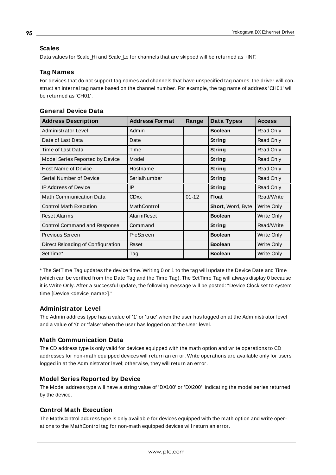### **Scales**

Data values for Scale\_Hi and Scale\_Lo for channels that are skipped will be returned as +INF.

## **Tag Names**

For devices that do not support tag names and channels that have unspecified tag names, the driver will construct an internal tag name based on the channel number. For example, the tag name of address 'CH01' will be returned as 'CH01'.

| <b>Address Description</b>        | <b>Address/Format</b> | Range     | Data Types        | <b>Access</b> |
|-----------------------------------|-----------------------|-----------|-------------------|---------------|
| Administrator Level               | Admin                 |           | <b>Boolean</b>    | Read Only     |
| Date of Last Data                 | Date                  |           | String            | Read Only     |
| Time of Last Data                 | Time                  |           | String            | Read Only     |
| Model Series Reported by Device   | Model                 |           | String            | Read Only     |
| <b>Host Name of Device</b>        | Hostname              |           | String            | Read Only     |
| Serial Number of Device           | SerialNumber          |           | String            | Read Only     |
| <b>IP Address of Device</b>       | IP                    |           | String            | Read Only     |
| <b>Math Communication Data</b>    | <b>CDxx</b>           | $01 - 12$ | <b>Float</b>      | Read/Write    |
| <b>Control Math Execution</b>     | MathControl           |           | Short, Word, Byte | Write Only    |
| <b>Reset Alarms</b>               | <b>Alarm Reset</b>    |           | <b>Boolean</b>    | Write Only    |
| Control Command and Response      | Command               |           | String            | Read/Write    |
| Previous Screen                   | PreScreen             |           | <b>Boolean</b>    | Write Only    |
| Direct Reloading of Configuration | Reset                 |           | <b>Boolean</b>    | Write Only    |
| SetTime*                          | Tag                   |           | <b>Boolean</b>    | Write Only    |

## **General Device Data**

\* The SetTime Tag updates the device time. Writing 0 or 1 to the tag will update the Device Date and Time (which can be verified from the Date Tag and the Time Tag). The SetTime Tag will always display 0 because it is Write Only. After a successful update, the following message will be posted: "Device Clock set to system time [Device <device\_name>]."

### **Administrator Level**

The Admin address type has a value of '1' or 'true' when the user has logged on at the Administrator level and a value of '0' or 'false' when the user has logged on at the User level.

### **Math Communication Data**

The CD address type is only valid for devices equipped with the math option and write operations to CD addresses for non-math equipped devices will return an error. Write operations are available only for users logged in at the Administrator level; otherwise, they will return an error.

### **Model Series Reported by Device**

The Model address type will have a string value of 'DX100' or 'DX200', indicating the model series returned by the device.

# **Control Math Execution**

The MathControl address type is only available for devices equipped with the math option and write operations to the MathControl tag for non-math equipped devices will return an error.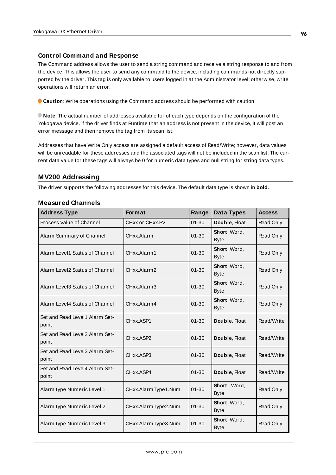#### **Control Command and Response**

The Command address allows the user to send a string command and receive a string response to and from the device. This allows the user to send any command to the device, including commands not directly supported by the driver. This tag is only available to users logged in at the Administrator level; otherwise, write operations will return an error.

**Caution**: Write operations using the Command address should be performed with caution.

**Note**: The actual number of addresses available for of each type depends on the configuration of the Yokogawa device. If the driver finds at Runtime that an address is not present in the device, it will post an error message and then remove the tag from its scan list.

Addresses that have Write Only access are assigned a default access of Read/Write; however, data values will be unreadable for these addresses and the associated tags will not be included in the scan list. The current data value for these tags will always be 0 for numeric data types and null string for string data types.

## **MV200 Addressing**

The driver supports the following addresses for this device. The default data type is shown in **bold**.

| <b>Address Type</b>                     | <b>Format</b>       | Range     | Data Types                  | <b>Access</b> |
|-----------------------------------------|---------------------|-----------|-----------------------------|---------------|
| Process Value of Channel                | CHxx or CHxx.PV     | $01 - 30$ | Double, Float               | Read Only     |
| Alarm Summary of Channel                | CHxx.Alarm          | $01 - 30$ | Short, Word,<br><b>Byte</b> | Read Only     |
| Alarm Level1 Status of Channel          | CHxx.Alarm1         | $01 - 30$ | Short, Word,<br><b>Byte</b> | Read Only     |
| Alarm Level2 Status of Channel          | CHxx.Alarm2         | $01 - 30$ | Short, Word,<br><b>Byte</b> | Read Only     |
| Alarm Level3 Status of Channel          | CHxx.Alarm3         | $01 - 30$ | Short, Word,<br><b>Byte</b> | Read Only     |
| Alarm Level4 Status of Channel          | CHxx Alarm4         | $01 - 30$ | Short, Word,<br><b>Byte</b> | Read Only     |
| Set and Read Level1 Alarm Set-<br>point | CHxx.ASP1           | $01 - 30$ | Double, Float               | Read/Write    |
| Set and Read Level2 Alarm Set-<br>point | CHxx.ASP2           | $01 - 30$ | Double, Float               | Read/Write    |
| Set and Read Level3 Alarm Set-<br>point | CHxx.ASP3           | $01 - 30$ | Double, Float               | Read/Write    |
| Set and Read Level4 Alarm Set-<br>point | CHxx.ASP4           | $01 - 30$ | Double, Float               | Read/Write    |
| Alarm type Numeric Level 1              | CHxx.AlarmType1.Num | $01 - 30$ | Short, Word,<br><b>Byte</b> | Read Only     |
| Alarm type Numeric Level 2              | CHxx.AlarmType2.Num | $01 - 30$ | Short, Word,<br><b>Byte</b> | Read Only     |
| Alarm type Numeric Level 3              | CHxx.AlarmType3.Num | $01 - 30$ | Short, Word,<br><b>Byte</b> | Read Only     |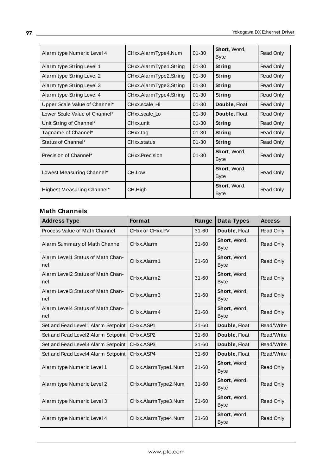| Alarm type Numeric Level 4    | CHxx.AlarmType4.Num    | $01 - 30$ | Short, Word,<br><b>Byte</b>        | Read Only |
|-------------------------------|------------------------|-----------|------------------------------------|-----------|
| Alarm type String Level 1     | CHxx.AlarmType1.String | $01 - 30$ | String                             | Read Only |
| Alarm type String Level 2     | CHxx.AlarmType2.String | $01 - 30$ | String                             | Read Only |
| Alarm type String Level 3     | CHxx.AlarmType3.String | $01 - 30$ | String                             | Read Only |
| Alarm type String Level 4     | CHxx.AlarmType4.String | $01 - 30$ | String                             | Read Only |
| Upper Scale Value of Channel* | CHxx.scale Hi          | $01 - 30$ | Double, Float                      | Read Only |
| Lower Scale Value of Channel* | CHxx.scale Lo          | $01 - 30$ | Double, Float                      | Read Only |
| Unit String of Channel*       | CHxx.unit              | $01 - 30$ | String                             | Read Only |
| Tagname of Channel*           | CHxx.tag               | $01 - 30$ | String                             | Read Only |
| Status of Channel*            | CHxx status            | $01 - 30$ | String                             | Read Only |
| Precision of Channel*         | CHxx.Precision         | $01 - 30$ | Short, Word,<br><b>Byte</b>        | Read Only |
| Lowest Measuring Channel*     | CH.Low                 |           | Short, Word,<br><b>Byte</b>        | Read Only |
| Highest Measuring Channel*    | CH.High                |           | <b>Short, Word,</b><br><b>Byte</b> | Read Only |

| <b>Address Type</b>                      | <b>Format</b>       | Range     | Data Types                  | <b>Access</b> |
|------------------------------------------|---------------------|-----------|-----------------------------|---------------|
| Process Value of Math Channel            | CHxx or CHxx.PV     | $31 - 60$ | Double, Float               | Read Only     |
| Alarm Summary of Math Channel            | CHxx.Alarm          | $31 - 60$ | Short, Word,<br><b>Byte</b> | Read Only     |
| Alarm Level1 Status of Math Chan-<br>nel | CHxx Alarm1         | $31 - 60$ | Short, Word,<br><b>Byte</b> | Read Only     |
| Alarm Level2 Status of Math Chan-<br>nel | CHxx.Alarm2         | $31 - 60$ | Short, Word,<br><b>Byte</b> | Read Only     |
| Alarm Level3 Status of Math Chan-<br>nel | CHxx.Alarm3         | $31 - 60$ | Short, Word,<br><b>Byte</b> | Read Only     |
| Alarm Level4 Status of Math Chan-<br>nel | CHxx.Alarm4         | $31 - 60$ | Short, Word,<br><b>Byte</b> | Read Only     |
| Set and Read Level1 Alarm Setpoint       | CHxx.ASP1           | $31 - 60$ | Double, Float               | Read/Write    |
| Set and Read Level2 Alarm Setpoint       | CHxx.ASP2           | $31 - 60$ | Double, Float               | Read/Write    |
| Set and Read Level3 Alarm Setpoint       | CHxx.ASP3           | $31 - 60$ | Double, Float               | Read/Write    |
| Set and Read Level4 Alarm Setpoint       | CHxx.ASP4           | $31 - 60$ | Double, Float               | Read/Write    |
| Alarm type Numeric Level 1               | CHxx.AlarmType1.Num | $31 - 60$ | Short, Word,<br><b>Byte</b> | Read Only     |
| Alarm type Numeric Level 2               | CHxx.AlarmType2.Num | 31-60     | Short, Word,<br><b>Byte</b> | Read Only     |
| Alarm type Numeric Level 3               | CHxx.AlarmType3.Num | $31 - 60$ | Short, Word,<br><b>Byte</b> | Read Only     |
| Alarm type Numeric Level 4               | CHxx.AlarmType4.Num | $31 - 60$ | Short, Word,<br><b>Byte</b> | Read Only     |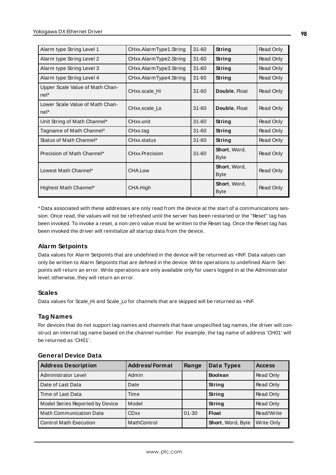| Alarm type String Level 1                 | CHxx.AlarmType1.String | $31 - 60$ | String                      | Read Only |
|-------------------------------------------|------------------------|-----------|-----------------------------|-----------|
| Alarm type String Level 2                 | CHxx.AlarmType2.String | $31 - 60$ | String                      | Read Only |
| Alarm type String Level 3                 | CHxx.AlarmType3.String | $31 - 60$ | String                      | Read Only |
| Alarm type String Level 4                 | CHxx.AlarmType4.String | $31 - 60$ | String                      | Read Only |
| Upper Scale Value of Math Chan-<br>$nel*$ | CHxx.scale Hi          | $31 - 60$ | Double, Float               | Read Only |
| Lower Scale Value of Math Chan-<br>nel*   | CHxx.scale Lo          | $31 - 60$ | Double, Float               | Read Only |
| Unit String of Math Channel*              | CHxx.unit              | $31 - 60$ | String                      | Read Only |
| Tagname of Math Channel*                  | CHxx.tag               | $31 - 60$ | String                      | Read Only |
| Status of Math Channel*                   | CHxx.status            | $31 - 60$ | String                      | Read Only |
| Precision of Math Channel*                | CHxx.Precision         | $31 - 60$ | Short, Word,<br><b>Byte</b> | Read Only |
| Lowest Math Channel*                      | CHA.Low                |           | Short, Word,<br><b>Byte</b> | Read Only |
| Highest Math Channel*                     | CHA.High               |           | Short, Word,<br><b>Byte</b> | Read Only |

\* Data associated with these addresses are only read from the device at the start of a communications session. Once read, the values will not be refreshed until the server has been restarted or the "Reset" tag has been invoked. To invoke a reset, a non-zero value must be written to the Reset tag. Once the Reset tag has been invoked the driver will reinitialize all startup data from the device.

### **Alarm Setpoints**

Data values for Alarm Setpoints that are undefined in the device will be returned as +INF. Data values can only be written to Alarm Setpoints that are defined in the device. Write operations to undefined Alarm Setpoints will return an error. Write operations are only available only for users logged in at the Administrator level; otherwise, they will return an error.

### **Scales**

Data values for Scale\_Hi and Scale\_Lo for channels that are skipped will be returned as +INF.

### **Tag Names**

For devices that do not support tag names and channels that have unspecified tag names, the driver will construct an internal tag name based on the channel number. For example, the tag name of address 'CH01' will be returned as 'CH01'.

| <b>Address Description</b>      | <b>Address/Format</b> | Range     | Data Types        | <b>Access</b> |
|---------------------------------|-----------------------|-----------|-------------------|---------------|
| Administrator Level             | Admin                 |           | <b>Boolean</b>    | Read Only     |
| Date of Last Data               | Date                  |           | String            | Read Only     |
| Time of Last Data               | Time                  |           | String            | Read Only     |
| Model Series Reported by Device | Model                 |           | String            | Read Only     |
| <b>Math Communication Data</b>  | <b>CDxx</b>           | $01 - 30$ | <b>Float</b>      | Read/Write    |
| <b>Control Math Execution</b>   | MathControl           |           | Short, Word, Byte | Write Only    |

#### **General Device Data**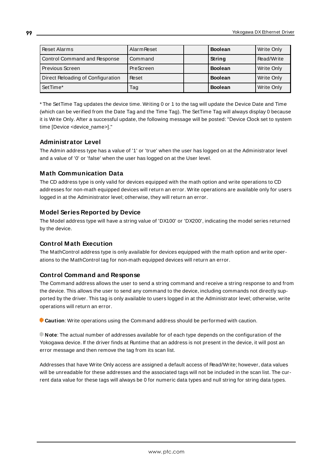| Reset Alarms                      | <b>Alarm Reset</b> | <b>Boolean</b> | Write Only |
|-----------------------------------|--------------------|----------------|------------|
| Control Command and Response      | Command            | String         | Read/Write |
| l Previous Screen                 | PreScreen          | <b>Boolean</b> | Write Only |
| Direct Reloading of Configuration | Reset              | <b>Boolean</b> | Write Only |
| SetTime*                          | Tag                | <b>Boolean</b> | Write Only |

\* The SetTime Tag updates the device time. Writing 0 or 1 to the tag will update the Device Date and Time (which can be verified from the Date Tag and the Time Tag). The SetTime Tag will always display 0 because it is Write Only. After a successful update, the following message will be posted: "Device Clock set to system time [Device <device\_name>]."

### **Administrator Level**

The Admin address type has a value of '1' or 'true' when the user has logged on at the Administrator level and a value of '0' or 'false' when the user has logged on at the User level.

## **Math Communication Data**

The CD address type is only valid for devices equipped with the math option and write operations to CD addresses for non-math equipped devices will return an error. Write operations are available only for users logged in at the Administrator level; otherwise, they will return an error.

## **Model Series Reported by Device**

The Model address type will have a string value of 'DX100' or 'DX200', indicating the model series returned by the device.

### **Control Math Execution**

The MathControl address type is only available for devices equipped with the math option and write operations to the MathControl tag for non-math equipped devices will return an error.

### **Control Command and Response**

The Command address allows the user to send a string command and receive a string response to and from the device. This allows the user to send any command to the device, including commands not directly supported by the driver. This tag is only available to users logged in at the Administrator level; otherwise, write operations will return an error.

**Caution**: Write operations using the Command address should be performed with caution.

**Note**: The actual number of addresses available for of each type depends on the configuration of the Yokogawa device. If the driver finds at Runtime that an address is not present in the device, it will post an error message and then remove the tag from its scan list.

Addresses that have Write Only access are assigned a default access of Read/Write; however, data values will be unreadable for these addresses and the associated tags will not be included in the scan list. The current data value for these tags will always be 0 for numeric data types and null string for string data types.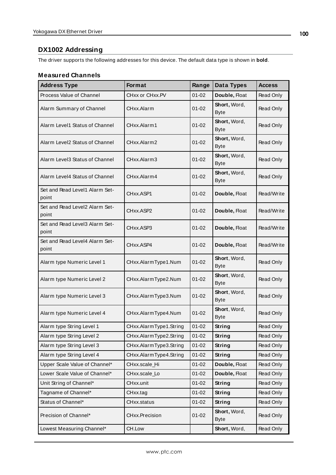# **DX1002 Addressing**

The driver supports the following addresses for this device. The default data type is shown in **bold**.

| <b>Address Type</b>                     | Format                 | Range     | Data Types                  | <b>Access</b> |
|-----------------------------------------|------------------------|-----------|-----------------------------|---------------|
| Process Value of Channel                | CHxx or CHxx.PV        | $01 - 02$ | Double, Float               | Read Only     |
| Alarm Summary of Channel                | CHxx.Alarm             | $01 - 02$ | Short, Word,<br><b>Byte</b> | Read Only     |
| Alarm Level1 Status of Channel          | CHxx.Alarm1            | $01 - 02$ | Short, Word,<br><b>Byte</b> | Read Only     |
| Alarm Level2 Status of Channel          | CHxx.Alarm2            | $01 - 02$ | Short, Word,<br><b>Byte</b> | Read Only     |
| Alarm Level3 Status of Channel          | CHxx.Alarm3            | $01 - 02$ | Short, Word,<br><b>Byte</b> | Read Only     |
| Alarm Level4 Status of Channel          | CHxx.Alarm4            | $01 - 02$ | Short, Word,<br><b>Byte</b> | Read Only     |
| Set and Read Level1 Alarm Set-<br>point | CHxx.ASP1              | $01 - 02$ | Double, Float               | Read/Write    |
| Set and Read Level2 Alarm Set-<br>point | CHxx.ASP2              | $01 - 02$ | Double, Float               | Read/Write    |
| Set and Read Level3 Alarm Set-<br>point | CHxx.ASP3              | $01 - 02$ | Double, Float               | Read/Write    |
| Set and Read Level4 Alarm Set-<br>point | CHxx.ASP4              | $01 - 02$ | Double, Float               | Read/Write    |
| Alarm type Numeric Level 1              | CHxx.AlarmType1.Num    | $01 - 02$ | Short, Word,<br><b>Byte</b> | Read Only     |
| Alarm type Numeric Level 2              | CHxx.AlarmType2.Num    | $01 - 02$ | Short, Word,<br><b>Byte</b> | Read Only     |
| Alarm type Numeric Level 3              | CHxx.AlarmType3.Num    | $01 - 02$ | Short, Word,<br><b>Byte</b> | Read Only     |
| Alarm type Numeric Level 4              | CHxx.AlarmType4.Num    | $01 - 02$ | Short, Word,<br><b>Byte</b> | Read Only     |
| Alarm type String Level 1               | CHxx.AlarmType1.String | $01 - 02$ | <b>String</b>               | Read Only     |
| Alarm type String Level 2               | CHxx.AlarmType2.String | $01 - 02$ | String                      | Read Only     |
| Alarm type String Level 3               | CHxx.AlarmType3.String | $01 - 02$ | String                      | Read Only     |
| Alarm type String Level 4               | CHxx.AlarmType4.String | $01 - 02$ | String                      | Read Only     |
| Upper Scale Value of Channel*           | CHxx.scale_Hi          | $01 - 02$ | Double, Float               | Read Only     |
| Lower Scale Value of Channel*           | CHxx.scale_Lo          | $01 - 02$ | Double, Float               | Read Only     |
| Unit String of Channel*                 | CHxx.unit              | $01 - 02$ | <b>String</b>               | Read Only     |
| Tagname of Channel*                     | CHxx.tag               | $01 - 02$ | String                      | Read Only     |
| Status of Channel*                      | CHxx.status            | $01 - 02$ | String                      | Read Only     |
| Precision of Channel*                   | CHxx.Precision         | $01 - 02$ | Short, Word,<br><b>Byte</b> | Read Only     |
| Lowest Measuring Channel*               | CH.Low                 |           | Short, Word,                | Read Only     |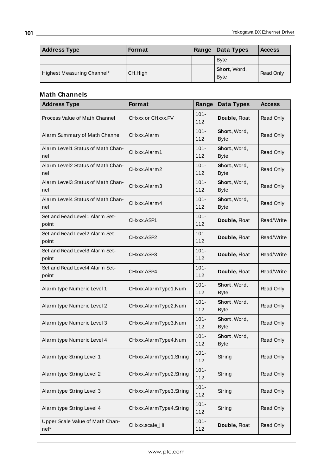| <b>Address Type</b>        | <b>Format</b> | Range | Data Types                  | <b>Access</b> |
|----------------------------|---------------|-------|-----------------------------|---------------|
|                            |               |       | <b>Byte</b>                 |               |
| Highest Measuring Channel* | CH.High       |       | Short, Word,<br><b>Byte</b> | Read Only     |

| <b>Address Type</b>                      | Format                  | Range          | Data Types                  | <b>Access</b>    |
|------------------------------------------|-------------------------|----------------|-----------------------------|------------------|
| Process Value of Math Channel            | CHxxx or CHxxx.PV       | $101 -$<br>112 | Double, Float               | Read Only        |
| Alarm Summary of Math Channel            | CHxxx.Alarm             | $101 -$<br>112 | Short, Word,<br><b>Byte</b> | Read Only        |
| Alarm Level1 Status of Math Chan-<br>nel | CHxxx.Alarm1            | $101 -$<br>112 | Short, Word,<br><b>Byte</b> | Read Only        |
| Alarm Level2 Status of Math Chan-<br>nel | CHxxx.Alarm2            | $101 -$<br>112 | Short, Word,<br><b>Byte</b> | Read Only        |
| Alarm Level3 Status of Math Chan-<br>nel | CHxxx.Alarm3            | $101 -$<br>112 | Short, Word,<br><b>Byte</b> | Read Only        |
| Alarm Level4 Status of Math Chan-<br>nel | CHxxx.Alarm4            | $101 -$<br>112 | Short, Word,<br><b>Byte</b> | Read Only        |
| Set and Read Level1 Alarm Set-<br>point  | CHxxx.ASP1              | $101 -$<br>112 | Double, Float               | Read/Write       |
| Set and Read Level2 Alarm Set-<br>point  | CHxxx.ASP2              | $101 -$<br>112 | Double, Float               | Read/Write       |
| Set and Read Level3 Alarm Set-<br>point  | CHxxx.ASP3              | $101 -$<br>112 | Double, Float               | Read/Write       |
| Set and Read Level4 Alarm Set-<br>point  | CHxxx.ASP4              | $101 -$<br>112 | Double, Float               | Read/Write       |
| Alarm type Numeric Level 1               | CHxxx.AlarmType1.Num    | $101 -$<br>112 | Short, Word,<br><b>Byte</b> | Read Only        |
| Alarm type Numeric Level 2               | CHxxx.AlarmType2.Num    | $101 -$<br>112 | Short, Word,<br><b>Byte</b> | <b>Read Only</b> |
| Alarm type Numeric Level 3               | CHxxx.AlarmType3.Num    | $101 -$<br>112 | Short, Word,<br><b>Byte</b> | Read Only        |
| Alarm type Numeric Level 4               | CHxxx.AlarmType4.Num    | $101 -$<br>112 | Short, Word,<br><b>Byte</b> | Read Only        |
| Alarm type String Level 1                | CHxxx.AlarmType1.String | $101 -$<br>112 | String                      | <b>Read Only</b> |
| Alarm type String Level 2                | CHxxx.AlarmType2.String | $101 -$<br>112 | String                      | Read Only        |
| Alarm type String Level 3                | CHxxx.AlarmType3.String | $101 -$<br>112 | String                      | <b>Read Only</b> |
| Alarm type String Level 4                | CHxxx.AlarmType4.String | $101 -$<br>112 | String                      | Read Only        |
| Upper Scale Value of Math Chan-<br>nel*  | CHxxx.scale_Hi          | $101 -$<br>112 | Double, Float               | Read Only        |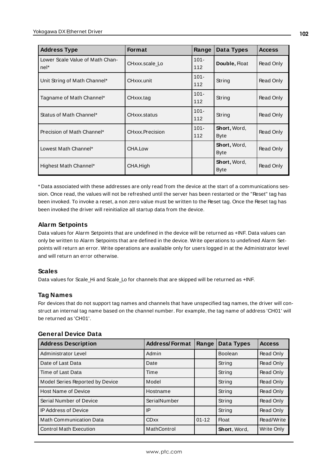| <b>Address Type</b>                     | <b>Format</b>   | Range          | Data Types                  | <b>Access</b> |
|-----------------------------------------|-----------------|----------------|-----------------------------|---------------|
| Lower Scale Value of Math Chan-<br>nel* | CHxxx.scale Lo  | $101 -$<br>112 | Double, Float               | Read Only     |
| Unit String of Math Channel*            | CHxxx.unit      | $101 -$<br>112 | String                      | Read Only     |
| Tagname of Math Channel*                | CHxxx.tag       | $101 -$<br>112 | String                      | Read Only     |
| Status of Math Channel*                 | CHxxx.status    | $101 -$<br>112 | String                      | Read Only     |
| Precision of Math Channel*              | CHxxx.Precision | $101 -$<br>112 | Short, Word,<br><b>Byte</b> | Read Only     |
| Lowest Math Channel*                    | CHA.Low         |                | Short, Word,<br><b>Byte</b> | Read Only     |
| Highest Math Channel*                   | CHA.High        |                | Short, Word,<br><b>Byte</b> | Read Only     |

\* Data associated with these addresses are only read from the device at the start of a communications session. Once read, the values will not be refreshed until the server has been restarted or the "Reset" tag has been invoked. To invoke a reset, a non zero value must be written to the Reset tag. Once the Reset tag has been invoked the driver will reinitialize all startup data from the device.

# **Alarm Setpoints**

Data values for Alarm Setpoints that are undefined in the device will be returned as +INF. Data values can only be written to Alarm Setpoints that are defined in the device. Write operations to undefined Alarm Setpoints will return an error. Write operations are available only for users logged in at the Administrator level and will return an error otherwise.

### **Scales**

Data values for Scale\_Hi and Scale\_Lo for channels that are skipped will be returned as +INF.

# **Tag Names**

For devices that do not support tag names and channels that have unspecified tag names, the driver will construct an internal tag name based on the channel number. For example, the tag name of address 'CH01' will be returned as 'CH01'.

### **General Device Data**

| <b>Address Description</b>      | <b>Address/Format</b> | Range     | Data Types     | <b>Access</b> |
|---------------------------------|-----------------------|-----------|----------------|---------------|
| Administrator Level             | Admin                 |           | <b>Boolean</b> | Read Only     |
| Date of Last Data               | Date                  |           | String         | Read Only     |
| Time of Last Data               | Time                  |           | String         | Read Only     |
| Model Series Reported by Device | Model                 |           | String         | Read Only     |
| Host Name of Device             | Hostname              |           | String         | Read Only     |
| Serial Number of Device         | SerialNumber          |           | String         | Read Only     |
| <b>IP Address of Device</b>     | IP                    |           | String         | Read Only     |
| <b>Math Communication Data</b>  | <b>CDxx</b>           | $01 - 12$ | <b>Float</b>   | Read/Write    |
| <b>Control Math Execution</b>   | MathControl           |           | Short, Word,   | Write Only    |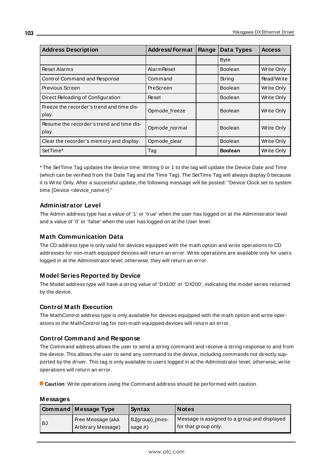| <b>Address Description</b>                         | <b>Address/Format</b> | Range | Data Types     | <b>Access</b>     |
|----------------------------------------------------|-----------------------|-------|----------------|-------------------|
|                                                    |                       |       | <b>Byte</b>    |                   |
| <b>Reset Alarms</b>                                | <b>Alarm Reset</b>    |       | <b>Boolean</b> | Write Only        |
| <b>Control Command and Response</b>                | Command               |       | String         | Read/Write        |
| Previous Screen                                    | PreScreen             |       | <b>Boolean</b> | <b>Write Only</b> |
| Direct Reloading of Configuration                  | Reset                 |       | <b>Boolean</b> | Write Only        |
| Freeze the recorder's trend and time dis-<br>play. | Opmode_freeze         |       | <b>Boolean</b> | Write Only        |
| Resume the recorder's trend and time dis-<br>play. | Opmode_normal         |       | <b>Boolean</b> | Write Only        |
| Clear the recorder's memory and display.           | Opmode_clear          |       | <b>Boolean</b> | Write Only        |
| SetTime*                                           | Tag                   |       | <b>Boolean</b> | Write Only        |

\* The SetTime Tag updates the device time. Writing 0 or 1 to the tag will update the Device Date and Time (which can be verified from the Date Tag and the Time Tag). The SetTime Tag will always display 0 because it is Write Only. After a successful update, the following message will be posted: "Device Clock set to system time [Device <device\_name>]."

## **Administrator Level**

The Admin address type has a value of '1' or 'true' when the user has logged on at the Administrator level and a value of '0' or 'false' when the user has logged on at the User level.

## **Math Communication Data**

The CD address type is only valid for devices equipped with the math option and write operations to CD addresses for non-math equipped devices will return an error. Write operations are available only for users logged in at the Administrator level; otherwise, they will return an error.

### **Model Series Reported by Device**

The Model address type will have a string value of 'DX100' or 'DX200', indicating the model series returned by the device.

### **Control Math Execution**

The MathControl address type is only available for devices equipped with the math option and write operations to the MathControl tag for non-math equipped devices will return an error.

### **Control Command and Response**

The Command address allows the user to send a string command and receive a string response to and from the device. This allows the user to send any command to the device, including commands not directly supported by the driver. This tag is only available to users logged in at the Administrator level; otherwise, write operations will return an error.

**Caution**: Write operations using the Command address should be performed with caution.

#### **Messages**

|      | <b>Command Message Type</b> | Syntax         | <b>Notes</b>                                 |
|------|-----------------------------|----------------|----------------------------------------------|
| l BJ | Free Message (aka           | BJgroup)_(mes- | Message is assigned to a group and displayed |
|      | Arbitrary Message)          | sage $#$ )     | for that group only.                         |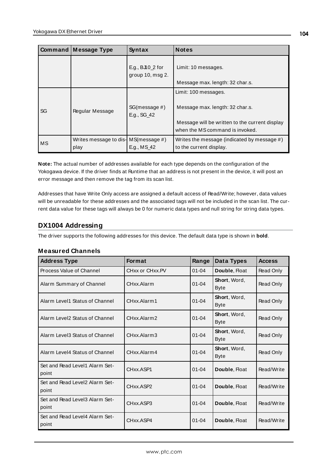|    | Command Message Type                                        | Syntax                                       | <b>Notes</b>                                                                                                                                 |
|----|-------------------------------------------------------------|----------------------------------------------|----------------------------------------------------------------------------------------------------------------------------------------------|
|    |                                                             | E.g., $BJ10_2$ for<br>group $10$ , msg $2$ . | Limit: 10 messages.<br>Message max. length: 32 char.s.                                                                                       |
| SG | Regular Message                                             | SG(message #)<br>E.g., SG_42                 | Limit: 100 messages.<br>Message max. length: 32 char.s.<br>Message will be written to the current display<br>when the MS command is invoked. |
| MS | Writes message to dis- $MS(m \, e \, s \, a \, \#)$<br>play | E.g., MS_42                                  | Writes the message (indicated by message #)<br>to the current display.                                                                       |

**Note:** The actual number of addresses available for each type depends on the configuration of the Yokogawa device. If the driver finds at Runtime that an address is not present in the device, it will post an error message and then remove the tag from its scan list.

Addresses that have Write Only access are assigned a default access of Read/Write; however, data values will be unreadable for these addresses and the associated tags will not be included in the scan list. The current data value for these tags will always be 0 for numeric data types and null string for string data types.

# **DX1004 Addressing**

The driver supports the following addresses for this device. The default data type is shown in **bold**.

| <b>Address Type</b>                     | <b>Format</b>   | Range     | Data Types                  | <b>Access</b> |
|-----------------------------------------|-----------------|-----------|-----------------------------|---------------|
| Process Value of Channel                | CHxx or CHxx.PV | $01 - 04$ | Double, Float               | Read Only     |
| Alarm Summary of Channel                | CHxx Alarm      | $01 - 04$ | Short, Word,<br><b>Byte</b> | Read Only     |
| Alarm Level1 Status of Channel          | CHxx Alarm1     | $01 - 04$ | Short, Word,<br><b>Byte</b> | Read Only     |
| Alarm Level2 Status of Channel          | CHxx.Alarm2     | $01 - 04$ | Short, Word,<br><b>Byte</b> | Read Only     |
| Alarm Level3 Status of Channel          | CHxx.Alarm3     | $01 - 04$ | Short, Word,<br><b>Byte</b> | Read Only     |
| Alarm Level4 Status of Channel          | CHxx.Alarm4     | $01 - 04$ | Short, Word,<br><b>Byte</b> | Read Only     |
| Set and Read Level1 Alarm Set-<br>point | CHxx.ASP1       | $01 - 04$ | Double, Float               | Read/Write    |
| Set and Read Level2 Alarm Set-<br>point | CHxx.ASP2       | $01 - 04$ | Double, Float               | Read/Write    |
| Set and Read Level3 Alarm Set-<br>point | CHxx.ASP3       | $01 - 04$ | Double, Float               | Read/Write    |
| Set and Read Level4 Alarm Set-<br>point | CHxx.ASP4       | $01 - 04$ | Double, Float               | Read/Write    |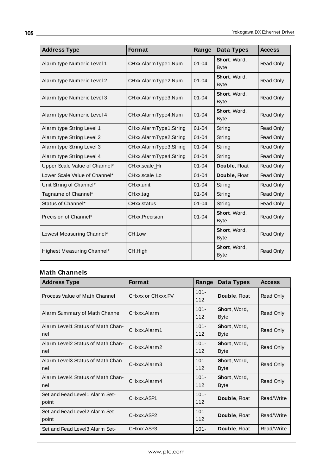| <b>Address Type</b>           | <b>Format</b>          | Range     | Data Types                  | <b>Access</b> |
|-------------------------------|------------------------|-----------|-----------------------------|---------------|
| Alarm type Numeric Level 1    | CHxx.AlarmType1.Num    | $01 - 04$ | Short, Word,<br><b>Byte</b> | Read Only     |
| Alarm type Numeric Level 2    | CHxx.AlarmType2.Num    | $01 - 04$ | Short, Word,<br><b>Byte</b> | Read Only     |
| Alarm type Numeric Level 3    | CHxx.AlarmType3.Num    | $01 - 04$ | Short, Word,<br><b>Byte</b> | Read Only     |
| Alarm type Numeric Level 4    | CHxx.AlarmType4.Num    | $01 - 04$ | Short, Word,<br><b>Byte</b> | Read Only     |
| Alarm type String Level 1     | CHxx.AlarmType1.String | $01 - 04$ | String                      | Read Only     |
| Alarm type String Level 2     | CHxx.AlarmType2.String | $01 - 04$ | String                      | Read Only     |
| Alarm type String Level 3     | CHxx.AlarmType3.String | $01 - 04$ | String                      | Read Only     |
| Alarm type String Level 4     | CHxx.AlarmType4.String | $01 - 04$ | String                      | Read Only     |
| Upper Scale Value of Channel* | CHxx.scale Hi          | $01 - 04$ | Double, Float               | Read Only     |
| Lower Scale Value of Channel* | CHxx.scale_Lo          | $01 - 04$ | Double, Float               | Read Only     |
| Unit String of Channel*       | CHxx.unit              | $01 - 04$ | String                      | Read Only     |
| Tagname of Channel*           | CHxx.tag               | $01 - 04$ | String                      | Read Only     |
| Status of Channel*            | CHxx.status            | $01 - 04$ | String                      | Read Only     |
| Precision of Channel*         | CHxx.Precision         | $01 - 04$ | Short, Word,<br><b>Byte</b> | Read Only     |
| Lowest Measuring Channel*     | CH.Low                 |           | Short, Word,<br><b>Byte</b> | Read Only     |
| Highest Measuring Channel*    | CH.High                |           | Short, Word,<br><b>Byte</b> | Read Only     |

| <b>Address Type</b>                      | Format            | Range          | Data Types                  | <b>Access</b> |
|------------------------------------------|-------------------|----------------|-----------------------------|---------------|
| Process Value of Math Channel            | CHxxx or CHxxx.PV | $101 -$<br>112 | Double, Float               | Read Only     |
| Alarm Summary of Math Channel            | CHxxx.Alarm       | $101 -$<br>112 | Short, Word,<br><b>Byte</b> | Read Only     |
| Alarm Level1 Status of Math Chan-<br>nel | CHxxx.Alarm1      | $101 -$<br>112 | Short, Word,<br><b>Byte</b> | Read Only     |
| Alarm Level2 Status of Math Chan-<br>nel | CHxxx.Alarm2      | $101 -$<br>112 | Short, Word,<br><b>Byte</b> | Read Only     |
| Alarm Level3 Status of Math Chan-<br>nel | CHxxx.Alarm3      | $101 -$<br>112 | Short, Word,<br><b>Byte</b> | Read Only     |
| Alarm Level4 Status of Math Chan-<br>nel | CHxxx.Alarm4      | $101 -$<br>112 | Short, Word,<br><b>Byte</b> | Read Only     |
| Set and Read Level1 Alarm Set-<br>point  | CHxxx.ASP1        | $101 -$<br>112 | Double, Float               | Read/Write    |
| Set and Read Level2 Alarm Set-<br>point  | CHxxx.ASP2        | $101 -$<br>112 | Double, Float               | Read/Write    |
| Set and Read Level3 Alarm Set-           | CHxxx.ASP3        | $101 -$        | Double, Float               | Read/Write    |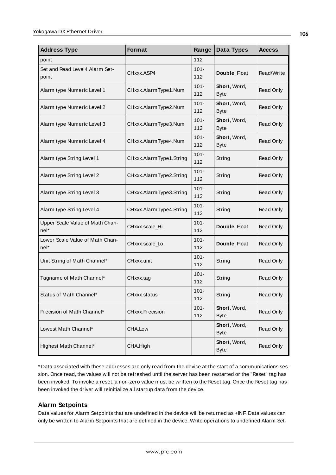| <b>Address Type</b>                       | Format                  | Range          | Data Types                          | <b>Access</b> |
|-------------------------------------------|-------------------------|----------------|-------------------------------------|---------------|
| point                                     |                         | 112            |                                     |               |
| Set and Read Level4 Alarm Set-<br>point   | CHxxx.ASP4              | $101 -$<br>112 | Double, Float                       | Read/Write    |
| Alarm type Numeric Level 1                | CHxxx.AlarmType1.Num    | $101 -$<br>112 | <b>Short</b> , Word,<br><b>Byte</b> | Read Only     |
| Alarm type Numeric Level 2                | CHxxx.AlarmType2.Num    | $101 -$<br>112 | Short, Word,<br><b>Byte</b>         | Read Only     |
| Alarm type Numeric Level 3                | CHxxx.AlarmType3.Num    | $101 -$<br>112 | Short, Word,<br><b>Byte</b>         | Read Only     |
| Alarm type Numeric Level 4                | CHxxx.AlarmType4.Num    | $101 -$<br>112 | Short, Word,<br><b>Byte</b>         | Read Only     |
| Alarm type String Level 1                 | CHxxx.AlarmType1.String | $101 -$<br>112 | String                              | Read Only     |
| Alarm type String Level 2                 | CHxxx.AlarmType2.String | $101 -$<br>112 | String                              | Read Only     |
| Alarm type String Level 3                 | CHxxx.AlarmType3.String | $101 -$<br>112 | String                              | Read Only     |
| Alarm type String Level 4                 | CHxxx.AlarmType4.String | $101 -$<br>112 | String                              | Read Only     |
| Upper Scale Value of Math Chan-<br>$nel*$ | CHxxx.scale_Hi          | $101 -$<br>112 | Double, Float                       | Read Only     |
| Lower Scale Value of Math Chan-<br>nel*   | CHxxx.scale_Lo          | $101 -$<br>112 | Double, Float                       | Read Only     |
| Unit String of Math Channel*              | CHxxx.unit              | $101 -$<br>112 | String                              | Read Only     |
| Tagname of Math Channel*                  | CHxxx.tag               | $101 -$<br>112 | String                              | Read Only     |
| Status of Math Channel*                   | CHxxx.status            | $101 -$<br>112 | String                              | Read Only     |
| Precision of Math Channel*                | <b>CHxxx.Precision</b>  | $101 -$<br>112 | Short, Word,<br><b>Byte</b>         | Read Only     |
| Lowest Math Channel*                      | CHA.Low                 |                | Short, Word,<br><b>Byte</b>         | Read Only     |
| Highest Math Channel*                     | CHA.High                |                | Short, Word,<br><b>Byte</b>         | Read Only     |

\* Data associated with these addresses are only read from the device at the start of a communications session. Once read, the values will not be refreshed until the server has been restarted or the "Reset" tag has been invoked. To invoke a reset, a non-zero value must be written to the Reset tag. Once the Reset tag has been invoked the driver will reinitialize all startup data from the device.

### **Alarm Setpoints**

Data values for Alarm Setpoints that are undefined in the device will be returned as +INF. Data values can only be written to Alarm Setpoints that are defined in the device. Write operations to undefined Alarm Set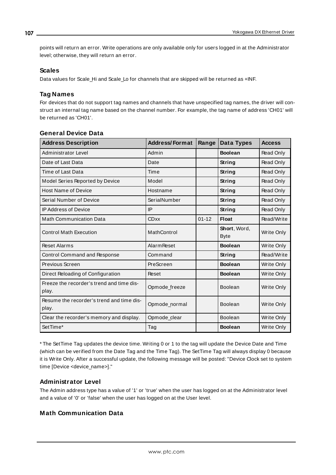points will return an error. Write operations are only available only for users logged in at the Administrator level; otherwise, they will return an error.

#### **Scales**

Data values for Scale Hi and Scale Lo for channels that are skipped will be returned as +INF.

## **Tag Names**

For devices that do not support tag names and channels that have unspecified tag names, the driver will construct an internal tag name based on the channel number. For example, the tag name of address 'CH01' will be returned as 'CH01'.

| <b>Address Description</b>                         | <b>Address/Format</b> | Range     | <b>Data Types</b>           | <b>Access</b>     |
|----------------------------------------------------|-----------------------|-----------|-----------------------------|-------------------|
| Administrator Level                                | Admin                 |           | <b>Boolean</b>              | Read Only         |
| Date of Last Data                                  | Date                  |           | String                      | Read Only         |
| Time of Last Data                                  | Time                  |           | String                      | Read Only         |
| Model Series Reported by Device                    | Model                 |           | String                      | Read Only         |
| <b>Host Name of Device</b>                         | Hostname              |           | String                      | Read Only         |
| Serial Number of Device                            | SerialNumber          |           | String                      | Read Only         |
| <b>IP Address of Device</b>                        | IP                    |           | String                      | Read Only         |
| <b>Math Communication Data</b>                     | <b>CDxx</b>           | $01 - 12$ | <b>Float</b>                | Read/Write        |
| <b>Control Math Execution</b>                      | MathControl           |           | Short, Word,<br><b>Byte</b> | <b>Write Only</b> |
| <b>Reset Alarms</b>                                | <b>Alarm Reset</b>    |           | <b>Boolean</b>              | Write Only        |
| Control Command and Response                       | Command               |           | String                      | Read/Write        |
| Previous Screen                                    | PreScreen             |           | <b>Boolean</b>              | Write Only        |
| Direct Reloading of Configuration                  | Reset                 |           | <b>Boolean</b>              | Write Only        |
| Freeze the recorder's trend and time dis-<br>play. | Opmode_freeze         |           | Boolean                     | Write Only        |
| Resume the recorder's trend and time dis-<br>play. | Opmode_normal         |           | Boolean                     | <b>Write Only</b> |
| Clear the recorder's memory and display.           | Opmode_clear          |           | <b>Boolean</b>              | Write Only        |
| SetTime*                                           | Tag                   |           | <b>Boolean</b>              | Write Only        |

## **General Device Data**

\* The SetTime Tag updates the device time. Writing 0 or 1 to the tag will update the Device Date and Time (which can be verified from the Date Tag and the Time Tag). The SetTime Tag will always display 0 because it is Write Only. After a successful update, the following message will be posted: "Device Clock set to system time [Device <device\_name>]."

### **Administrator Level**

The Admin address type has a value of '1' or 'true' when the user has logged on at the Administrator level and a value of '0' or 'false' when the user has logged on at the User level.

### **Math Communication Data**

**107**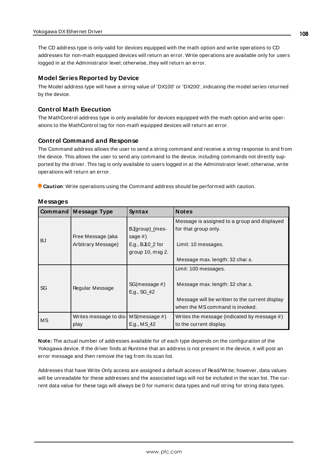The CD address type is only valid for devices equipped with the math option and write operations to CD addresses for non-math equipped devices will return an error. Write operations are available only for users logged in at the Administrator level; otherwise, they will return an error.

#### **Model Series Reported by Device**

The Model address type will have a string value of 'DX100' or 'DX200', indicating the model series returned by the device.

#### **Control Math Execution**

The MathControl address type is only available for devices equipped with the math option and write operations to the MathControl tag for non-math equipped devices will return an error.

#### **Control Command and Response**

The Command address allows the user to send a string command and receive a string response to and from the device. This allows the user to send any command to the device, including commands not directly supported by the driver. This tag is only available to users logged in at the Administrator level; otherwise, write operations will return an error.

**Caution**: Write operations using the Command address should be performed with caution.

|           | <b>Command Message Type</b>             | Syntax                       | <b>Notes</b>                                                                      |
|-----------|-----------------------------------------|------------------------------|-----------------------------------------------------------------------------------|
| <b>BJ</b> |                                         |                              | Message is assigned to a group and displayed                                      |
|           |                                         | BJgroup)_(mes-               | for that group only.                                                              |
|           | Free Message (aka                       | sage $#$ )                   |                                                                                   |
|           | Arbitrary Message)                      | E.g., $BJ10_2$ for           | Limit: 10 messages.                                                               |
|           |                                         | group 10, msg 2.             |                                                                                   |
|           |                                         |                              | Message max. length: 32 char.s.                                                   |
| SG        | Regular Message                         |                              | Limit: 100 messages.                                                              |
|           |                                         | SG(message #)<br>E.g., SG_42 | Message max. length: 32 char.s.                                                   |
|           |                                         |                              | Message will be written to the current display<br>when the MS command is invoked. |
| МS        | Writes message to dis- $MS(message \#)$ |                              | Writes the message (indicated by message #)                                       |
|           | play                                    | E.g., MS 42                  | to the current display.                                                           |

#### **Messages**

**Note:** The actual number of addresses available for of each type depends on the configuration of the Yokogawa device. If the driver finds at Runtime that an address is not present in the device, it will post an error message and then remove the tag from its scan list.

Addresses that have Write Only access are assigned a default access of Read/Write; however, data values will be unreadable for these addresses and the associated tags will not be included in the scan list. The current data value for these tags will always be 0 for numeric data types and null string for string data types.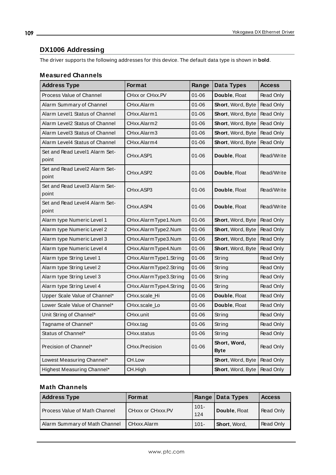# **DX1006 Addressing**

The driver supports the following addresses for this device. The default data type is shown in **bold**.

<u> 1989 - Johann Barbara, martxa a</u>

#### **Measured Channels**

| <b>Address Type</b>                     | <b>Format</b>          | Range     | Data Types                  | Access           |
|-----------------------------------------|------------------------|-----------|-----------------------------|------------------|
| Process Value of Channel                | CHxx or CHxx.PV        | $01 - 06$ | Double, Float               | Read Only        |
| Alarm Summary of Channel                | CHxx.Alarm             | $01 - 06$ | Short, Word, Byte           | Read Only        |
| Alarm Level1 Status of Channel          | CHxx.Alarm1            | 01-06     | <b>Short, Word, Byte</b>    | Read Only        |
| Alarm Level2 Status of Channel          | CHxx.Alarm2            | $01 - 06$ | Short, Word, Byte           | Read Only        |
| Alarm Level3 Status of Channel          | CHxx.Alarm3            | $01 - 06$ | Short, Word, Byte           | Read Only        |
| Alarm Level4 Status of Channel          | CHxx.Alarm4            | $01 - 06$ | <b>Short</b> , Word, Byte   | Read Only        |
| Set and Read Level1 Alarm Set-<br>point | CHxx.ASP1              | $01 - 06$ | Double, Float               | Read/Write       |
| Set and Read Level2 Alarm Set-<br>point | CHxx.ASP2              | 01-06     | Double, Float               | Read/Write       |
| Set and Read Level3 Alarm Set-<br>point | CHxx.ASP3              | $01 - 06$ | Double, Float               | Read/Write       |
| Set and Read Level4 Alarm Set-<br>point | CHxx.ASP4              | 01-06     | Double, Float               | Read/Write       |
| Alarm type Numeric Level 1              | CHxx.AlarmType1.Num    | $01 - 06$ | Short, Word, Byte           | Read Only        |
| Alarm type Numeric Level 2              | CHxx.AlarmType2.Num    | 01-06     | Short, Word, Byte           | Read Only        |
| Alarm type Numeric Level 3              | CHxx.AlarmType3.Num    | 01-06     | Short, Word, Byte           | Read Only        |
| Alarm type Numeric Level 4              | CHxx.AlarmType4.Num    | $01 - 06$ | Short, Word, Byte           | Read Only        |
| Alarm type String Level 1               | CHxx.AlarmType1.String | $01 - 06$ | String                      | Read Only        |
| Alarm type String Level 2               | CHxx.AlarmType2.String | $01 - 06$ | String                      | Read Only        |
| Alarm type String Level 3               | CHxx.AlarmType3.String | $01 - 06$ | String                      | Read Only        |
| Alarm type String Level 4               | CHxx.AlarmType4.String | $01 - 06$ | String                      | Read Only        |
| Upper Scale Value of Channel*           | CHxx.scale Hi          | $01 - 06$ | Double, Float               | Read Only        |
| Lower Scale Value of Channel*           | CHxx.scale_Lo          | $01 - 06$ | Double, Float               | Read Only        |
| Unit String of Channel*                 | CHxx.unit              | $01 - 06$ | String                      | Read Only        |
| Tagname of Channel*                     | CHxx.tag               | 01-06     | String                      | Read Only        |
| Status of Channel*                      | CHxx.status            | 01-06     | String                      | Read Only        |
| Precision of Channel*                   | <b>CHxx.Precision</b>  | 01-06     | Short, Word,<br><b>Byte</b> | Read Only        |
| Lowest Measuring Channel*               | CH.Low                 |           | <b>Short, Word, Byte</b>    | Read Only        |
| Highest Measuring Channel*              | CH.High                |           | <b>Short</b> , Word, Byte   | <b>Read Only</b> |

| <b>Address Type</b>           | <b>Format</b>     |                | Range   Data Types | <b>Access</b>    |
|-------------------------------|-------------------|----------------|--------------------|------------------|
| Process Value of Math Channel | CHXXX or CHXXX.PV | $101 -$<br>124 | Double, Float      | <b>Read Only</b> |
| Alarm Summary of Math Channel | CHxxx.Alarm       | $101 -$        | Short, Word.       | <b>Read Only</b> |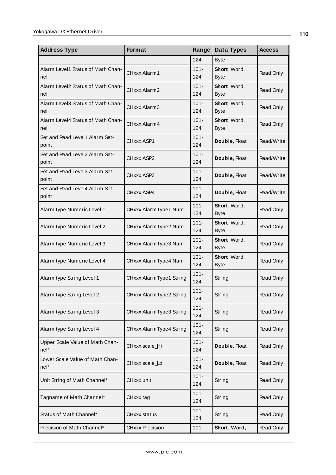| <b>Address Type</b>                      | Format                  | Range          | Data Types                  | <b>Access</b> |
|------------------------------------------|-------------------------|----------------|-----------------------------|---------------|
|                                          |                         | 124            | <b>Byte</b>                 |               |
| Alarm Level1 Status of Math Chan-<br>nel | CHxxx.Alarm1            | $101 -$<br>124 | Short, Word,<br><b>Byte</b> | Read Only     |
| Alarm Level2 Status of Math Chan-<br>nel | CHxxx.Alarm2            | $101 -$<br>124 | Short, Word,<br><b>Byte</b> | Read Only     |
| Alarm Level3 Status of Math Chan-<br>nel | CHxxx.Alarm3            | $101 -$<br>124 | Short, Word,<br><b>Byte</b> | Read Only     |
| Alarm Level4 Status of Math Chan-<br>nel | CHxxx.Alarm4            | $101 -$<br>124 | Short, Word,<br><b>Byte</b> | Read Only     |
| Set and Read Level1 Alarm Set-<br>point  | CHxxx.ASP1              | $101 -$<br>124 | Double, Float               | Read/Write    |
| Set and Read Level2 Alarm Set-<br>point  | CHxxx.ASP2              | $101 -$<br>124 | Double, Float               | Read/Write    |
| Set and Read Level3 Alarm Set-<br>point  | CHxxx.ASP3              | $101 -$<br>124 | Double, Float               | Read/Write    |
| Set and Read Level4 Alarm Set-<br>point  | CHxxx.ASP4              | $101 -$<br>124 | Double, Float               | Read/Write    |
| Alarm type Numeric Level 1               | CHxxx.AlarmType1.Num    | $101 -$<br>124 | Short, Word,<br><b>Byte</b> | Read Only     |
| Alarm type Numeric Level 2               | CHxxx.AlarmType2.Num    | $101 -$<br>124 | Short, Word,<br><b>Byte</b> | Read Only     |
| Alarm type Numeric Level 3               | CHxxx.AlarmType3.Num    | $101 -$<br>124 | Short, Word,<br><b>Byte</b> | Read Only     |
| Alarm type Numeric Level 4               | CHxxx.AlarmType4.Num    | $101 -$<br>124 | Short, Word,<br><b>Byte</b> | Read Only     |
| Alarm type String Level 1                | CHxxx.AlarmType1.String | $101 -$<br>124 | String                      | Read Only     |
| Alarm type String Level 2                | CHxxx.AlarmType2.String | $101 -$<br>124 | String                      | Read Only     |
| Alarm type String Level 3                | CHxxx.AlarmType3.String | $101 -$<br>124 | String                      | Read Only     |
| Alarm type String Level 4                | CHxxx.AlarmType4.String | $101 -$<br>124 | String                      | Read Only     |
| Upper Scale Value of Math Chan-<br>nel*  | CHxxx.scale_Hi          | $101 -$<br>124 | Double, Float               | Read Only     |
| Lower Scale Value of Math Chan-<br>nel*  | CHxxx.scale_Lo          | $101 -$<br>124 | Double, Float               | Read Only     |
| Unit String of Math Channel*             | CHxxx.unit              | $101 -$<br>124 | String                      | Read Only     |
| Tagname of Math Channel*                 | CHxxx.tag               | $101 -$<br>124 | String                      | Read Only     |
| Status of Math Channel*                  | CHxxx.status            | $101 -$<br>124 | String                      | Read Only     |
| Precision of Math Channel*               | CHxxx.Precision         | $101 -$        | Short, Word,                | Read Only     |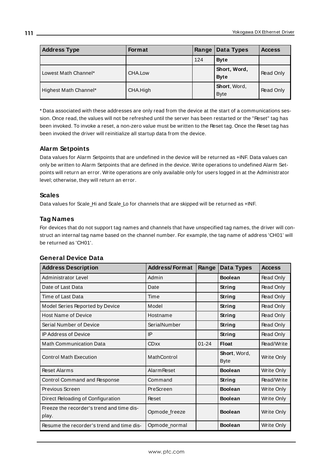| <b>Address Type</b>   | <b>Format</b> | Range $ $ | Data Types                  | <b>Access</b> |
|-----------------------|---------------|-----------|-----------------------------|---------------|
|                       |               | 124       | <b>Byte</b>                 |               |
| Lowest Math Channel*  | CHA.Low       |           | Short, Word,<br><b>Byte</b> | Read Only     |
| Highest Math Channel* | CHA.High      |           | Short, Word,<br><b>Byte</b> | Read Only     |

\* Data associated with these addresses are only read from the device at the start of a communications session. Once read, the values will not be refreshed until the server has been restarted or the "Reset" tag has been invoked. To invoke a reset, a non-zero value must be written to the Reset tag. Once the Reset tag has been invoked the driver will reinitialize all startup data from the device.

#### **Alarm Setpoints**

Data values for Alarm Setpoints that are undefined in the device will be returned as +INF. Data values can only be written to Alarm Setpoints that are defined in the device. Write operations to undefined Alarm Setpoints will return an error. Write operations are only available only for users logged in at the Administrator level; otherwise, they will return an error.

#### **Scales**

Data values for Scale\_Hi and Scale\_Lo for channels that are skipped will be returned as +INF.

## **Tag Names**

For devices that do not support tag names and channels that have unspecified tag names, the driver will construct an internal tag name based on the channel number. For example, the tag name of address 'CH01' will be returned as 'CH01'.

| <b>Address Description</b>                         | <b>Address/Format</b> | Range     | Data Types                  | <b>Access</b> |
|----------------------------------------------------|-----------------------|-----------|-----------------------------|---------------|
| <b>Administrator Level</b>                         | Admin                 |           | <b>Boolean</b>              | Read Only     |
| Date of Last Data                                  | Date                  |           | String                      | Read Only     |
| Time of Last Data                                  | Time                  |           | String                      | Read Only     |
| Model Series Reported by Device                    | Model                 |           | <b>String</b>               | Read Only     |
| <b>Host Name of Device</b>                         | Hostname              |           | String                      | Read Only     |
| Serial Number of Device                            | SerialNumber          |           | <b>String</b>               | Read Only     |
| <b>IP Address of Device</b>                        | IP                    |           | String                      | Read Only     |
| <b>Math Communication Data</b>                     | <b>CDxx</b>           | $01 - 24$ | <b>Float</b>                | Read/Write    |
| <b>Control Math Execution</b>                      | MathControl           |           | Short, Word,<br><b>Byte</b> | Write Only    |
| <b>Reset Alarms</b>                                | <b>Alarm Reset</b>    |           | <b>Boolean</b>              | Write Only    |
| Control Command and Response                       | Command               |           | <b>String</b>               | Read/Write    |
| Previous Screen                                    | PreScreen             |           | <b>Boolean</b>              | Write Only    |
| Direct Reloading of Configuration                  | Reset                 |           | <b>Boolean</b>              | Write Only    |
| Freeze the recorder's trend and time dis-<br>play. | Opmode_freeze         |           | <b>Boolean</b>              | Write Only    |
| Resume the recorder's trend and time dis-          | Opmode normal         |           | <b>Boolean</b>              | Write Only    |

#### **General Device Data**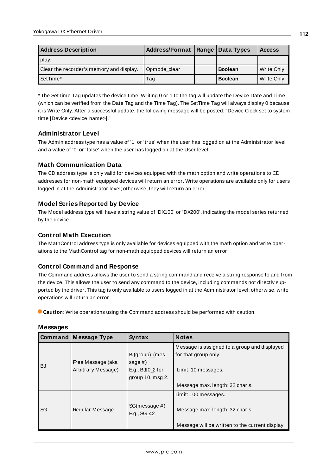| <b>Address Description</b>               | Address/Format   Range   Data Types |                | <b>Access</b> |
|------------------------------------------|-------------------------------------|----------------|---------------|
| play.                                    |                                     |                |               |
| Clear the recorder's memory and display. | Opmode clear                        | <b>Boolean</b> | Write Only    |
| SetTime*                                 | Tag                                 | <b>Boolean</b> | Write Only    |

\* The SetTime Tag updates the device time. Writing 0 or 1 to the tag will update the Device Date and Time (which can be verified from the Date Tag and the Time Tag). The SetTime Tag will always display 0 because it is Write Only. After a successful update, the following message will be posted: "Device Clock set to system time [Device <device\_name>]."

#### **Administrator Level**

The Admin address type has a value of '1' or 'true' when the user has logged on at the Administrator level and a value of '0' or 'false' when the user has logged on at the User level.

## **Math Communication Data**

The CD address type is only valid for devices equipped with the math option and write operations to CD addresses for non-math equipped devices will return an error. Write operations are available only for users logged in at the Administrator level; otherwise, they will return an error.

## **Model Series Reported by Device**

The Model address type will have a string value of 'DX100' or 'DX200', indicating the model series returned by the device.

## **Control Math Execution**

The MathControl address type is only available for devices equipped with the math option and write operations to the MathControl tag for non-math equipped devices will return an error.

#### **Control Command and Response**

The Command address allows the user to send a string command and receive a string response to and from the device. This allows the user to send any command to the device, including commands not directly supported by the driver. This tag is only available to users logged in at the Administrator level; otherwise, write operations will return an error.

**Caution**: Write operations using the Command address should be performed with caution.

|           | <b>Command   Message Type</b>           | Syntax                                                                 | <b>Notes</b>                                                                                |
|-----------|-----------------------------------------|------------------------------------------------------------------------|---------------------------------------------------------------------------------------------|
| <b>BJ</b> | Free Message (aka<br>Arbitrary Message) | BJgroup)_(mes-<br>sage $#$ )<br>E.g., $BJ10_2$ for<br>group 10, msg 2. | Message is assigned to a group and displayed<br>for that group only.<br>Limit: 10 messages. |
|           |                                         |                                                                        | Message max. length: 32 char.s.                                                             |
| SG        | Regular Message                         | SG(message #)<br>E.g., SG_42                                           | Limit: 100 messages.<br>Message max. length: 32 char.s.                                     |
|           |                                         |                                                                        | Message will be written to the current display                                              |

#### **Messages**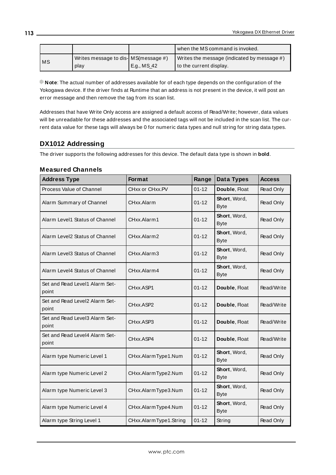|           |                                       |               | when the MS command is invoked.             |
|-----------|---------------------------------------|---------------|---------------------------------------------|
| <b>MS</b> | Writes message to dis- MS (message #) |               | Writes the message (indicated by message #) |
|           | play                                  | ! E.g., MS_42 | to the current display.                     |

**Note**: The actual number of addresses available for of each type depends on the configuration of the Yokogawa device. If the driver finds at Runtime that an address is not present in the device, it will post an error message and then remove the tag from its scan list.

Addresses that have Write Only access are assigned a default access of Read/Write; however, data values will be unreadable for these addresses and the associated tags will not be included in the scan list. The current data value for these tags will always be 0 for numeric data types and null string for string data types.

# **DX1012 Addressing**

The driver supports the following addresses for this device. The default data type is shown in **bold**.

#### **Measured Channels**

| <b>Address Type</b>                     | Format                 | Range     | Data Types                  | <b>Access</b>    |
|-----------------------------------------|------------------------|-----------|-----------------------------|------------------|
| Process Value of Channel                | CHxx or CHxx.PV        | $01 - 12$ | Double, Float               | Read Only        |
| Alarm Summary of Channel                | CHxx.Alarm             | $01 - 12$ | Short, Word,<br><b>Byte</b> | Read Only        |
| Alarm Level1 Status of Channel          | CHxx.Alarm1            | $01 - 12$ | Short, Word,<br><b>Byte</b> | <b>Read Only</b> |
| Alarm Level2 Status of Channel          | CHxx.Alarm2            | $01 - 12$ | Short, Word,<br><b>Byte</b> | Read Only        |
| Alarm Level3 Status of Channel          | CHxx.Alarm3            | $01 - 12$ | Short, Word,<br><b>Byte</b> | Read Only        |
| Alarm Level4 Status of Channel          | CHxx.Alarm4            | 01-12     | Short, Word,<br><b>Byte</b> | Read Only        |
| Set and Read Level1 Alarm Set-<br>point | CHxx.ASP1              | $01 - 12$ | Double, Float               | Read/Write       |
| Set and Read Level2 Alarm Set-<br>point | CHxx.ASP2              | $01 - 12$ | Double, Float               | Read/Write       |
| Set and Read Level3 Alarm Set-<br>point | CHxx.ASP3              | $01 - 12$ | Double, Float               | Read/Write       |
| Set and Read Level4 Alarm Set-<br>point | CHxx.ASP4              | $01 - 12$ | Double, Float               | Read/Write       |
| Alarm type Numeric Level 1              | CHxx.AlarmType1.Num    | $01 - 12$ | Short, Word,<br><b>Byte</b> | Read Only        |
| Alarm type Numeric Level 2              | CHxx.AlarmType2.Num    | $01 - 12$ | Short, Word,<br><b>Byte</b> | Read Only        |
| Alarm type Numeric Level 3              | CHxx.AlarmType3.Num    | $01 - 12$ | Short, Word,<br><b>Byte</b> | Read Only        |
| Alarm type Numeric Level 4              | CHxx.AlarmType4.Num    | $01 - 12$ | Short, Word,<br><b>Byte</b> | Read Only        |
| Alarm type String Level 1               | CHxx.AlarmType1.String | $01 - 12$ | String                      | Read Only        |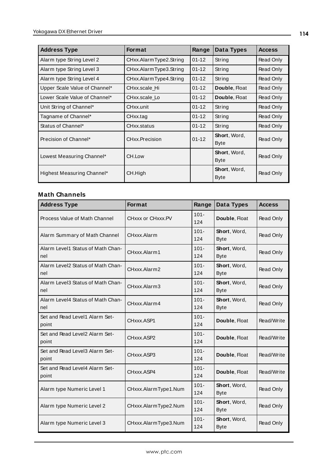| <b>Address Type</b>           | <b>Format</b>          | Range     | Data Types                  | <b>Access</b> |
|-------------------------------|------------------------|-----------|-----------------------------|---------------|
| Alarm type String Level 2     | CHxx.AlarmType2.String | $01 - 12$ | String                      | Read Only     |
| Alarm type String Level 3     | CHxx.AlarmType3.String | $01 - 12$ | String                      | Read Only     |
| Alarm type String Level 4     | CHxx.AlarmType4.String | $01 - 12$ | String                      | Read Only     |
| Upper Scale Value of Channel* | CHxx.scale Hi          | $01 - 12$ | Double, Float               | Read Only     |
| Lower Scale Value of Channel* | CHxx.scale Lo          | $01 - 12$ | Double, Float               | Read Only     |
| Unit String of Channel*       | CHxx.unit              | $01 - 12$ | String                      | Read Only     |
| Tagname of Channel*           | CHxx.tag               | $01 - 12$ | String                      | Read Only     |
| Status of Channel*            | CHxx.status            | $01 - 12$ | String                      | Read Only     |
| Precision of Channel*         | CHxx.Precision         | $01 - 12$ | Short, Word,<br>Byte        | Read Only     |
| Lowest Measuring Channel*     | CH.Low                 |           | Short, Word,<br><b>Byte</b> | Read Only     |
| Highest Measuring Channel*    | CH.High                |           | Short, Word,<br><b>Byte</b> | Read Only     |

| <b>Address Type</b>                      | Format               | Range          | Data Types                  | <b>Access</b> |
|------------------------------------------|----------------------|----------------|-----------------------------|---------------|
| Process Value of Math Channel            | CHxxx or CHxxx.PV    | $101 -$<br>124 | Double, Float               | Read Only     |
| Alarm Summary of Math Channel            | CHxxx.Alarm          | $101 -$<br>124 | Short, Word,<br><b>Byte</b> | Read Only     |
| Alarm Level1 Status of Math Chan-<br>nel | CHxxx.Alarm1         | $101 -$<br>124 | Short, Word,<br><b>Byte</b> | Read Only     |
| Alarm Level2 Status of Math Chan-<br>nel | CHxxx.Alarm2         | $101 -$<br>124 | Short, Word,<br><b>Byte</b> | Read Only     |
| Alarm Level3 Status of Math Chan-<br>nel | CHxxx.Alarm3         | $101 -$<br>124 | Short, Word,<br><b>Byte</b> | Read Only     |
| Alarm Level4 Status of Math Chan-<br>nel | CHxxx.Alarm4         | $101 -$<br>124 | Short, Word,<br><b>Byte</b> | Read Only     |
| Set and Read Level1 Alarm Set-<br>point  | CHxxx.ASP1           | $101 -$<br>124 | Double, Float               | Read/Write    |
| Set and Read Level2 Alarm Set-<br>point  | CHxxx.ASP2           | $101 -$<br>124 | Double, Float               | Read/Write    |
| Set and Read Level3 Alarm Set-<br>point  | CHxxx.ASP3           | $101 -$<br>124 | Double, Float               | Read/Write    |
| Set and Read Level4 Alarm Set-<br>point  | CHxxx.ASP4           | $101 -$<br>124 | Double, Float               | Read/Write    |
| Alarm type Numeric Level 1               | CHxxx.AlarmType1.Num | $101 -$<br>124 | Short, Word,<br><b>Byte</b> | Read Only     |
| Alarm type Numeric Level 2               | CHxxx.AlarmType2.Num | $101 -$<br>124 | Short, Word,<br><b>Byte</b> | Read Only     |
| Alarm type Numeric Level 3               | CHxxx.AlarmType3.Num | $101 -$<br>124 | Short, Word,<br><b>Byte</b> | Read Only     |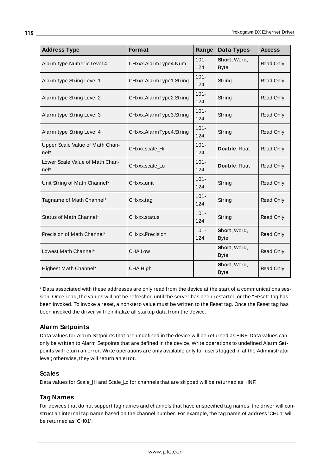| <b>Address Type</b>                       | Format                  | Range          | Data Types                  | <b>Access</b>    |
|-------------------------------------------|-------------------------|----------------|-----------------------------|------------------|
| Alarm type Numeric Level 4                | CHxxx.AlarmType4.Num    | $101 -$<br>124 | Short, Word,<br><b>Byte</b> | Read Only        |
| Alarm type String Level 1                 | CHxxx.AlarmType1.String | $101 -$<br>124 | String                      | Read Only        |
| Alarm type String Level 2                 | CHxxx.AlarmType2.String | $101 -$<br>124 | String                      | Read Only        |
| Alarm type String Level 3                 | CHxxx.AlarmType3.String | $101 -$<br>124 | String                      | Read Only        |
| Alarm type String Level 4                 | CHxxx.AlarmType4.String | $101 -$<br>124 | String                      | Read Only        |
| Upper Scale Value of Math Chan-<br>nel*   | CHxxx.scale_Hi          | $101 -$<br>124 | Double, Float               | Read Only        |
| Lower Scale Value of Math Chan-<br>$nel*$ | CHxxx.scale_Lo          | $101 -$<br>124 | Double, Float               | <b>Read Only</b> |
| Unit String of Math Channel*              | CHxxx.unit              | $101 -$<br>124 | String                      | Read Only        |
| Tagname of Math Channel*                  | CHxxx.tag               | $101 -$<br>124 | String                      | Read Only        |
| Status of Math Channel*                   | CHxxx.status            | $101 -$<br>124 | String                      | <b>Read Only</b> |
| Precision of Math Channel*                | CHxxx.Precision         | $101 -$<br>124 | Short, Word,<br><b>Byte</b> | Read Only        |
| Lowest Math Channel*                      | CHA.Low                 |                | Short, Word,<br><b>Byte</b> | Read Only        |
| Highest Math Channel*                     | CHA.High                |                | Short, Word,<br><b>Byte</b> | Read Only        |

\* Data associated with these addresses are only read from the device at the start of a communications session. Once read, the values will not be refreshed until the server has been restarted or the "Reset" tag has been invoked. To invoke a reset, a non-zero value must be written to the Reset tag. Once the Reset tag has been invoked the driver will reinitialize all startup data from the device.

## **Alarm Setpoints**

Data values for Alarm Setpoints that are undefined in the device will be returned as +INF. Data values can only be written to Alarm Setpoints that are defined in the device. Write operations to undefined Alarm Setpoints will return an error. Write operations are only available only for users logged in at the Administrator level; otherwise, they will return an error.

#### **Scales**

Data values for Scale\_Hi and Scale\_Lo for channels that are skipped will be returned as +INF.

#### **Tag Names**

For devices that do not support tag names and channels that have unspecified tag names, the driver will construct an internal tag name based on the channel number. For example, the tag name of address 'CH01' will be returned as 'CH01'.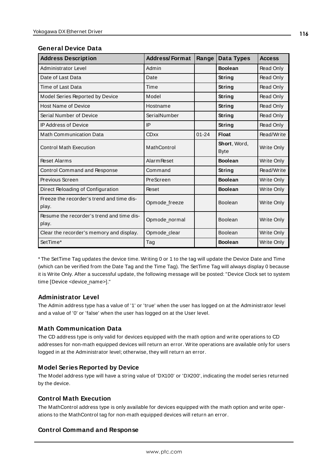| <b>General Device Data</b> |  |  |
|----------------------------|--|--|
|----------------------------|--|--|

| <b>Address Description</b>                         | <b>Address/Format</b> | Range     | Data Types                  | <b>Access</b>     |
|----------------------------------------------------|-----------------------|-----------|-----------------------------|-------------------|
| Administrator Level                                | Admin                 |           | <b>Boolean</b>              | Read Only         |
| Date of Last Data                                  | Date                  |           | String                      | Read Only         |
| Time of Last Data                                  | Time                  |           | String                      | Read Only         |
| Model Series Reported by Device                    | Model                 |           | String                      | Read Only         |
| <b>Host Name of Device</b>                         | Hostname              |           | String                      | Read Only         |
| Serial Number of Device                            | SerialNumber          |           | String                      | <b>Read Only</b>  |
| <b>IP Address of Device</b>                        | IP                    |           | String                      | Read Only         |
| <b>Math Communication Data</b>                     | <b>CDxx</b>           | $01 - 24$ | <b>Float</b>                | Read/Write        |
| <b>Control Math Execution</b>                      | MathControl           |           | Short, Word,<br><b>Byte</b> | Write Only        |
| <b>Reset Alarms</b>                                | <b>Alarm Reset</b>    |           | <b>Boolean</b>              | Write Only        |
| Control Command and Response                       | Command               |           | String                      | Read/Write        |
| Previous Screen                                    | PreScreen             |           | <b>Boolean</b>              | Write Only        |
| Direct Reloading of Configuration                  | Reset                 |           | <b>Boolean</b>              | Write Only        |
| Freeze the recorder's trend and time dis-<br>play. | Opmode_freeze         |           | <b>Boolean</b>              | Write Only        |
| Resume the recorder's trend and time dis-<br>play. | Opmode_normal         |           | <b>Boolean</b>              | <b>Write Only</b> |
| Clear the recorder's memory and display.           | Opmode_clear          |           | <b>Boolean</b>              | Write Only        |
| SetTime*                                           | Tag                   |           | <b>Boolean</b>              | <b>Write Only</b> |

\* The SetTime Tag updates the device time. Writing 0 or 1 to the tag will update the Device Date and Time (which can be verified from the Date Tag and the Time Tag). The SetTime Tag will always display 0 because it is Write Only. After a successful update, the following message will be posted: "Device Clock set to system time [Device <device\_name>]."

#### **Administrator Level**

The Admin address type has a value of '1' or 'true' when the user has logged on at the Administrator level and a value of '0' or 'false' when the user has logged on at the User level.

#### **Math Communication Data**

The CD address type is only valid for devices equipped with the math option and write operations to CD addresses for non-math equipped devices will return an error. Write operations are available only for users logged in at the Administrator level; otherwise, they will return an error.

#### **Model Series Reported by Device**

The Model address type will have a string value of 'DX100' or 'DX200', indicating the model series returned by the device.

#### **Control Math Execution**

The MathControl address type is only available for devices equipped with the math option and write operations to the MathControl tag for non-math equipped devices will return an error.

#### **Control Command and Response**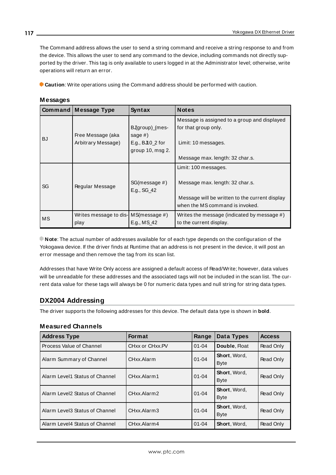The Command address allows the user to send a string command and receive a string response to and from the device. This allows the user to send any command to the device, including commands not directly supported by the driver. This tag is only available to users logged in at the Administrator level; otherwise, write operations will return an error.

**Caution**: Write operations using the Command address should be performed with caution.

| Command $ $ | <b>Message Type</b>                             | Syntax                                                                       | <b>Notes</b>                                                                                                                                 |
|-------------|-------------------------------------------------|------------------------------------------------------------------------------|----------------------------------------------------------------------------------------------------------------------------------------------|
| <b>BJ</b>   | Free Message (aka<br>Arbitrary Message)         | BJgroup)_(mes-<br>sage $#$ )<br>E.g., $BJ10_2$ for<br>group $10$ , msg $2$ . | Message is assigned to a group and displayed<br>for that group only.<br>Limit: 10 messages.<br>Message max. length: 32 char.s.               |
| SG          | Regular Message                                 | SG(message #)<br>E.g., SG_42                                                 | Limit: 100 messages.<br>Message max. length: 32 char.s.<br>Message will be written to the current display<br>when the MS command is invoked. |
| MS          | Writes message to dis- $MS(message \#)$<br>play | E.g., MS_42                                                                  | Writes the message (indicated by message $#$ )<br>to the current display.                                                                    |

**Messages**

**Note**: The actual number of addresses available for of each type depends on the configuration of the Yokogawa device. If the driver finds at Runtime that an address is not present in the device, it will post an error message and then remove the tag from its scan list.

Addresses that have Write Only access are assigned a default access of Read/Write; however, data values will be unreadable for these addresses and the associated tags will not be included in the scan list. The current data value for these tags will always be 0 for numeric data types and null string for string data types.

## **DX2004 Addressing**

The driver supports the following addresses for this device. The default data type is shown in **bold**.

#### **Measured Channels**

| <b>Address Type</b>            | <b>Format</b>   | Range     | Data Types                  | <b>Access</b> |
|--------------------------------|-----------------|-----------|-----------------------------|---------------|
| Process Value of Channel       | CHxx or CHxx.PV | $01 - 04$ | Double, Float               | Read Only     |
| Alarm Summary of Channel       | CHxx.Alarm      | $01 - 04$ | Short, Word,<br><b>Byte</b> | Read Only     |
| Alarm Level1 Status of Channel | CHxx.Alarm1     | $01 - 04$ | Short, Word,<br><b>Byte</b> | Read Only     |
| Alarm Level2 Status of Channel | CHxx.Alarm2     | $01 - 04$ | Short, Word,<br><b>Byte</b> | Read Only     |
| Alarm Level3 Status of Channel | CHxx.Alarm3     | $01 - 04$ | Short, Word,<br><b>Byte</b> | Read Only     |
| Alarm Level4 Status of Channel | CHxx.Alarm4     | $01 - 04$ | Short, Word,                | Read Only     |

**117**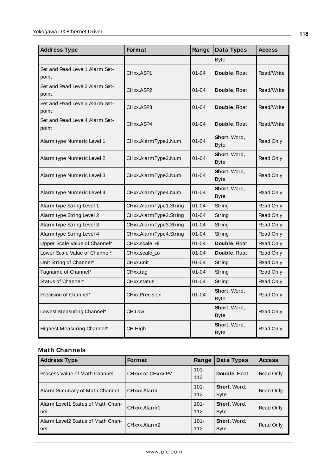| <b>Address Type</b>                     | <b>Format</b>          | Range     | <b>Data Types</b>            | <b>Access</b>    |
|-----------------------------------------|------------------------|-----------|------------------------------|------------------|
|                                         |                        |           | <b>Byte</b>                  |                  |
| Set and Read Level1 Alarm Set-<br>point | CHxx.ASP1              | $01 - 04$ | Double, Float                | Read/Write       |
| Set and Read Level2 Alarm Set-<br>point | CHxx.ASP2              | $01 - 04$ | Double, Float                | Read/Write       |
| Set and Read Level3 Alarm Set-<br>point | CHxx.ASP3              | $01 - 04$ | Double, Float                | Read/Write       |
| Set and Read Level4 Alarm Set-<br>point | CHxx.ASP4              | $01 - 04$ | Double, Float                | Read/Write       |
| Alarm type Numeric Level 1              | CHxx.AlarmType1.Num    | $01 - 04$ | <b>Short</b> , Word,<br>Byte | Read Only        |
| Alarm type Numeric Level 2              | CHxx.AlarmType2.Num    | $01 - 04$ | Short, Word,<br><b>Byte</b>  | Read Only        |
| Alarm type Numeric Level 3              | CHxx.AlarmType3.Num    | $01 - 04$ | Short, Word,<br>Byte         | <b>Read Only</b> |
| Alarm type Numeric Level 4              | CHxx.AlarmType4.Num    | $01 - 04$ | Short, Word,<br>Byte         | <b>Read Only</b> |
| Alarm type String Level 1               | CHxx.AlarmType1.String | $01 - 04$ | String                       | Read Only        |
| Alarm type String Level 2               | CHxx.AlarmType2.String | $01 - 04$ | String                       | Read Only        |
| Alarm type String Level 3               | CHxx.AlarmType3.String | $01 - 04$ | String                       | Read Only        |
| Alarm type String Level 4               | CHxx.AlarmType4.String | $01 - 04$ | String                       | Read Only        |
| Upper Scale Value of Channel*           | CHxx.scale Hi          | $01 - 04$ | Double, Float                | <b>Read Only</b> |
| Lower Scale Value of Channel*           | CHxx.scale_Lo          | $01 - 04$ | Double, Float                | Read Only        |
| Unit String of Channel*                 | CHxx.unit              | $01 - 04$ | String                       | <b>Read Only</b> |
| Tagname of Channel*                     | CHxx.tag               | $01 - 04$ | String                       | Read Only        |
| Status of Channel*                      | CHxx.status            | $01 - 04$ | String                       | Read Only        |
| Precision of Channel*                   | <b>CHxx.Precision</b>  | $01 - 04$ | Short, Word,<br><b>Byte</b>  | <b>Read Only</b> |
| Lowest Measuring Channel*               | CH.Low                 |           | Short, Word,<br>Byte         | Read Only        |
| Highest Measuring Channel*              | CH.High                |           | Short, Word,<br><b>Byte</b>  | Read Only        |

| <b>Address Type</b>                          | <b>Format</b>     | Range          | Data Types                  | <b>Access</b> |
|----------------------------------------------|-------------------|----------------|-----------------------------|---------------|
| l Process Value of Math Channel              | CHXXX or CHXXX.PV | $101 -$<br>112 | Double, Float               | Read Only     |
| Alarm Summary of Math Channel                | CHxxx.Alarm       | $101 -$<br>112 | Short, Word,<br><b>Byte</b> | Read Only     |
| Alarm Level1 Status of Math Chan-<br>l nel   | CHxxx.Alarm1      | $101 -$<br>112 | Short, Word,<br><b>Byte</b> | Read Only     |
| l Alarm Level2 Status of Math Chan-<br>l nel | CHxxx.Alarm2      | $101 -$<br>112 | Short, Word,<br><b>Byte</b> | Read Only     |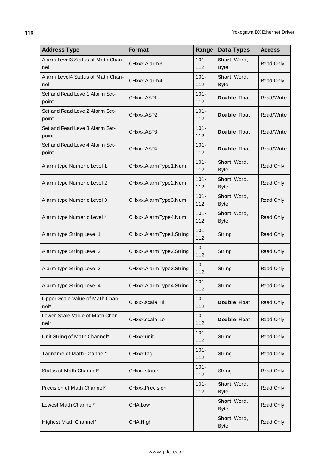| <b>Address Type</b>                       | Format                  | Range          | Data Types                  | <b>Access</b> |
|-------------------------------------------|-------------------------|----------------|-----------------------------|---------------|
| Alarm Level3 Status of Math Chan-<br>nel  | CHxxx.Alarm3            | $101 -$<br>112 | Short, Word,<br><b>Byte</b> | Read Only     |
| Alarm Level4 Status of Math Chan-<br>nel  | CHxxx.Alarm4            | $101 -$<br>112 | Short, Word,<br><b>Byte</b> | Read Only     |
| Set and Read Level1 Alarm Set-<br>point   | CHxxx.ASP1              | $101 -$<br>112 | Double, Float               | Read/Write    |
| Set and Read Level2 Alarm Set-<br>point   | CHxxx.ASP2              | $101 -$<br>112 | Double, Float               | Read/Write    |
| Set and Read Level3 Alarm Set-<br>point   | CHxxx.ASP3              | $101 -$<br>112 | Double, Float               | Read/Write    |
| Set and Read Level4 Alarm Set-<br>point   | CHxxx.ASP4              | $101 -$<br>112 | Double, Float               | Read/Write    |
| Alarm type Numeric Level 1                | CHxxx.AlarmType1.Num    | $101 -$<br>112 | Short, Word,<br><b>Byte</b> | Read Only     |
| Alarm type Numeric Level 2                | CHxxx.AlarmType2.Num    | $101 -$<br>112 | Short, Word,<br><b>Byte</b> | Read Only     |
| Alarm type Numeric Level 3                | CHxxx.AlarmType3.Num    | $101 -$<br>112 | Short, Word,<br><b>Byte</b> | Read Only     |
| Alarm type Numeric Level 4                | CHxxx.AlarmType4.Num    | $101 -$<br>112 | Short, Word,<br><b>Byte</b> | Read Only     |
| Alarm type String Level 1                 | CHxxx.AlarmType1.String | $101 -$<br>112 | String                      | Read Only     |
| Alarm type String Level 2                 | CHxxx.AlarmType2.String | $101 -$<br>112 | String                      | Read Only     |
| Alarm type String Level 3                 | CHxxx.AlarmType3.String | $101 -$<br>112 | String                      | Read Only     |
| Alarm type String Level 4                 | CHxxx.AlarmType4.String | $101 -$<br>112 | String                      | Read Only     |
| Upper Scale Value of Math Chan-<br>$nel*$ | CHxxx.scale_Hi          | $101 -$<br>112 | Double, Float               | Read Only     |
| Lower Scale Value of Math Chan-<br>nel*   | CHxxx.scale_Lo          | $101 -$<br>112 | Double, Float               | Read Only     |
| Unit String of Math Channel*              | CHxxx.unit              | $101 -$<br>112 | String                      | Read Only     |
| Tagname of Math Channel*                  | CHxxx.tag               | $101 -$<br>112 | String                      | Read Only     |
| Status of Math Channel*                   | CHxxx.status            | $101 -$<br>112 | String                      | Read Only     |
| Precision of Math Channel*                | <b>CHxxx.Precision</b>  | $101 -$<br>112 | Short, Word,<br><b>Byte</b> | Read Only     |
| Lowest Math Channel*                      | CHA.Low                 |                | Short, Word,<br><b>Byte</b> | Read Only     |
| Highest Math Channel*                     | CHA.High                |                | Short, Word,<br><b>Byte</b> | Read Only     |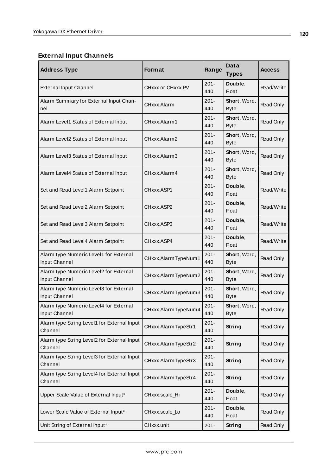# **External Input Channels**

| <b>Address Type</b>                                     | <b>Format</b>       | Range          | Data<br><b>Types</b>        | <b>Access</b> |
|---------------------------------------------------------|---------------------|----------------|-----------------------------|---------------|
| <b>External Input Channel</b>                           | CHxxx or CHxxx.PV   | $201 -$<br>440 | Double,<br><b>Float</b>     | Read/Write    |
| Alarm Summary for External Input Chan-<br>nel           | CHxxx.Alarm         | $201 -$<br>440 | Short, Word,<br><b>Byte</b> | Read Only     |
| Alarm Level1 Status of External Input                   | CHxxx.Alarm1        | $201 -$<br>440 | Short, Word,<br><b>Byte</b> | Read Only     |
| Alarm Level2 Status of External Input                   | CHxxx.Alarm2        | $201 -$<br>440 | Short, Word,<br><b>Byte</b> | Read Only     |
| Alarm Level3 Status of External Input                   | CHxxx.Alarm3        | $201 -$<br>440 | Short, Word,<br><b>Byte</b> | Read Only     |
| Alarm Level4 Status of External Input                   | CHxxx.Alarm4        | $201 -$<br>440 | Short, Word,<br><b>Byte</b> | Read Only     |
| Set and Read Level1 Alarm Setpoint                      | CHxxx.ASP1          | $201 -$<br>440 | Double,<br><b>Float</b>     | Read/Write    |
| Set and Read Level2 Alarm Setpoint                      | CHxxx.ASP2          | $201 -$<br>440 | Double,<br><b>Float</b>     | Read/Write    |
| Set and Read Level3 Alarm Setpoint                      | CHxxx.ASP3          | $201 -$<br>440 | Double,<br><b>Float</b>     | Read/Write    |
| Set and Read Level4 Alarm Setpoint                      | CHxxx.ASP4          | $201 -$<br>440 | Double,<br><b>Float</b>     | Read/Write    |
| Alarm type Numeric Level1 for External<br>Input Channel | CHxxx.AlarmTypeNum1 | $201 -$<br>440 | Short, Word,<br><b>Byte</b> | Read Only     |
| Alarm type Numeric Level2 for External<br>Input Channel | CHxxx.AlarmTypeNum2 | $201 -$<br>440 | Short, Word,<br><b>Byte</b> | Read Only     |
| Alarm type Numeric Level3 for External<br>Input Channel | CHxxx.AlarmTypeNum3 | $201 -$<br>440 | Short, Word,<br><b>Byte</b> | Read Only     |
| Alarm type Numeric Level4 for External<br>Input Channel | CHxxx.AlarmTypeNum4 | $201 -$<br>440 | Short, Word,<br><b>Byte</b> | Read Only     |
| Alarm type String Level1 for External Input<br>Channel  | CHxxx.AlarmTypeStr1 | $201 -$<br>440 | String                      | Read Only     |
| Alarm type String Level2 for External Input<br>Channel  | CHxxx.AlarmTypeStr2 | $201 -$<br>440 | <b>String</b>               | Read Only     |
| Alarm type String Level3 for External Input<br>Channel  | CHxxx.AlarmTypeStr3 | $201 -$<br>440 | <b>String</b>               | Read Only     |
| Alarm type String Level4 for External Input<br>Channel  | CHxxx.AlarmTypeStr4 | $201 -$<br>440 | <b>String</b>               | Read Only     |
| Upper Scale Value of External Input*                    | CHxxx.scale_Hi      | $201 -$<br>440 | Double,<br><b>Float</b>     | Read Only     |
| Lower Scale Value of External Input*                    | CHxxx.scale_Lo      | $201 -$<br>440 | Double,<br>Float            | Read Only     |
| Unit String of External Input*                          | CHxxx.unit          | $201 -$        | <b>String</b>               | Read Only     |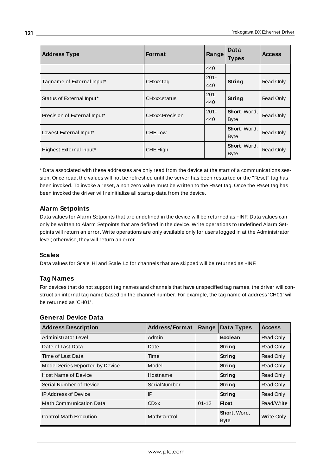| <b>Address Type</b>          | <b>Format</b>   | Range          | Data<br><b>Types</b>        | <b>Access</b>    |
|------------------------------|-----------------|----------------|-----------------------------|------------------|
|                              |                 | 440            |                             |                  |
| Tagname of External Input*   | CHxxx.tag       | $201 -$<br>440 | String                      | Read Only        |
| Status of External Input*    | CHxxx.status    | $201 -$<br>440 | <b>String</b>               | Read Only        |
| Precision of External Input* | CHxxx.Precision | $201 -$<br>440 | Short, Word,<br><b>Byte</b> | Read Only        |
| Lowest External Input*       | CHE.Low         |                | Short, Word,<br><b>Byte</b> | Read Only        |
| Highest External Input*      | CHE.High        |                | Short, Word,<br><b>Byte</b> | <b>Read Only</b> |

\* Data associated with these addresses are only read from the device at the start of a communications session. Once read, the values will not be refreshed until the server has been restarted or the "Reset" tag has been invoked. To invoke a reset, a non zero value must be written to the Reset tag. Once the Reset tag has been invoked the driver will reinitialize all startup data from the device.

#### **Alarm Setpoints**

Data values for Alarm Setpoints that are undefined in the device will be returned as +INF. Data values can only be written to Alarm Setpoints that are defined in the device. Write operations to undefined Alarm Setpoints will return an error. Write operations are only available only for users logged in at the Administrator level; otherwise, they will return an error.

#### **Scales**

Data values for Scale\_Hi and Scale\_Lo for channels that are skipped will be returned as +INF.

#### **Tag Names**

For devices that do not support tag names and channels that have unspecified tag names, the driver will construct an internal tag name based on the channel number. For example, the tag name of address 'CH01' will be returned as 'CH01'.

#### **General Device Data**

| <b>Address Description</b>      | <b>Address/Format</b> | Range     | Data Types                  | <b>Access</b> |
|---------------------------------|-----------------------|-----------|-----------------------------|---------------|
| Administrator Level             | Admin                 |           | <b>Boolean</b>              | Read Only     |
| Date of Last Data               | Date                  |           | String                      | Read Only     |
| Time of Last Data               | Time                  |           | String                      | Read Only     |
| Model Series Reported by Device | Model                 |           | String                      | Read Only     |
| <b>Host Name of Device</b>      | Hostname              |           | String                      | Read Only     |
| Serial Number of Device         | SerialNumber          |           | String                      | Read Only     |
| <b>IP Address of Device</b>     | IP                    |           | String                      | Read Only     |
| <b>Math Communication Data</b>  | <b>CDxx</b>           | $01 - 12$ | <b>Float</b>                | Read/Write    |
| <b>Control Math Execution</b>   | MathControl           |           | Short, Word,<br><b>Byte</b> | Write Only    |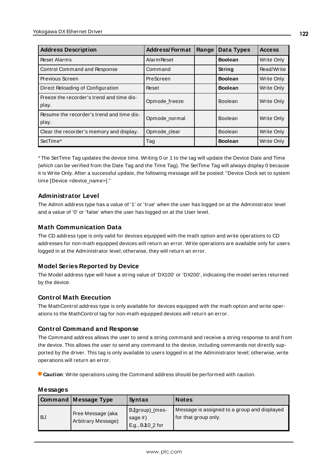| <b>Address Description</b>                         | <b>Address/Format</b> | Range | Data Types     | <b>Access</b>     |
|----------------------------------------------------|-----------------------|-------|----------------|-------------------|
| <b>Reset Alarms</b>                                | <b>Alarm Reset</b>    |       | <b>Boolean</b> | Write Only        |
| <b>Control Command and Response</b>                | Command               |       | String         | Read/Write        |
| Previous Screen                                    | PreScreen             |       | <b>Boolean</b> | Write Only        |
| Direct Reloading of Configuration                  | Reset                 |       | <b>Boolean</b> | Write Only        |
| Freeze the recorder's trend and time dis-<br>play. | Opmode freeze         |       | Boolean        | Write Only        |
| Resume the recorder's trend and time dis-<br>play. | Opmode_normal         |       | <b>Boolean</b> | Write Only        |
| Clear the recorder's memory and display.           | Opmode clear          |       | <b>Boolean</b> | <b>Write Only</b> |
| SetTime*                                           | Tag                   |       | <b>Boolean</b> | Write Only        |

\* The SetTime Tag updates the device time. Writing 0 or 1 to the tag will update the Device Date and Time (which can be verified from the Date Tag and the Time Tag). The SetTime Tag will always display 0 because it is Write Only. After a successful update, the following message will be posted: "Device Clock set to system time [Device <device\_name>]."

#### **Administrator Level**

The Admin address type has a value of '1' or 'true' when the user has logged on at the Administrator level and a value of '0' or 'false' when the user has logged on at the User level.

#### **Math Communication Data**

The CD address type is only valid for devices equipped with the math option and write operations to CD addresses for non-math equipped devices will return an error. Write operations are available only for users logged in at the Administrator level; otherwise, they will return an error.

#### **Model Series Reported by Device**

The Model address type will have a string value of 'DX100' or 'DX200', indicating the model series returned by the device.

#### **Control Math Execution**

The MathControl address type is only available for devices equipped with the math option and write operations to the MathControl tag for non-math equipped devices will return an error.

#### **Control Command and Response**

The Command address allows the user to send a string command and receive a string response to and from the device. This allows the user to send any command to the device, including commands not directly supported by the driver. This tag is only available to users logged in at the Administrator level; otherwise, write operations will return an error.

**Caution**: Write operations using the Command address should be performed with caution.

| Messages |
|----------|
|----------|

|      | <b>Command Message Type</b>             | Syntax                                           | <b>Notes</b>                                                         |
|------|-----------------------------------------|--------------------------------------------------|----------------------------------------------------------------------|
| l BJ | Free Message (aka<br>Arbitrary Message) | BJgroup)_(mes-<br>sage $#$ )<br>E.g., BJI0_2 for | Message is assigned to a group and displayed<br>for that group only. |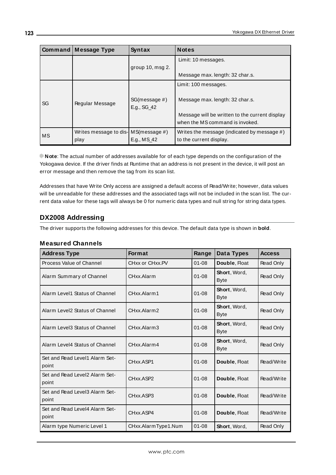|    | <b>Command Message Type</b>             | Syntax                       | <b>Notes</b>                                                                      |
|----|-----------------------------------------|------------------------------|-----------------------------------------------------------------------------------|
|    |                                         |                              | Limit: 10 messages.                                                               |
|    |                                         | group $10$ , msg $2$ .       |                                                                                   |
|    |                                         |                              | Message max. length: 32 char.s.                                                   |
|    |                                         |                              | Limit: 100 messages.                                                              |
| SG | Regular Message                         | SG(message #)<br>E.g., SG_42 | Message max. length: 32 char.s.                                                   |
|    |                                         |                              | Message will be written to the current display<br>when the MS command is invoked. |
| MS | Writes message to dis- $MS(message \#)$ |                              | Writes the message (indicated by message $#$ )                                    |
|    | play                                    | E.g., MS_42                  | to the current display.                                                           |

**Note**: The actual number of addresses available for of each type depends on the configuration of the Yokogawa device. If the driver finds at Runtime that an address is not present in the device, it will post an error message and then remove the tag from its scan list.

Addresses that have Write Only access are assigned a default access of Read/Write; however, data values will be unreadable for these addresses and the associated tags will not be included in the scan list. The current data value for these tags will always be 0 for numeric data types and null string for string data types.

# **DX2008 Addressing**

The driver supports the following addresses for this device. The default data type is shown in **bold**.

#### **Measured Channels**

| <b>Address Type</b>                     | <b>Format</b>       | Range     | Data Types                  | <b>Access</b>    |
|-----------------------------------------|---------------------|-----------|-----------------------------|------------------|
| Process Value of Channel                | CHxx or CHxx.PV     | $01 - 08$ | Double, Float               | <b>Read Only</b> |
| Alarm Summary of Channel                | CHxx.Alarm          | $01 - 08$ | Short, Word,<br><b>Byte</b> | Read Only        |
| Alarm Level1 Status of Channel          | CHxx Alarm1         | $01 - 08$ | Short, Word,<br><b>Byte</b> | Read Only        |
| Alarm Level2 Status of Channel          | CHxx.Alarm2         | $01 - 08$ | Short, Word,<br><b>Byte</b> | Read Only        |
| Alarm Level3 Status of Channel          | CHxx.Alarm3         | $01 - 08$ | Short, Word,<br><b>Byte</b> | Read Only        |
| Alarm Level4 Status of Channel          | CHxx.Alarm4         | $01 - 08$ | Short, Word,<br><b>Byte</b> | Read Only        |
| Set and Read Level1 Alarm Set-<br>point | CHxx.ASP1           | $01 - 08$ | Double, Float               | Read/Write       |
| Set and Read Level2 Alarm Set-<br>point | CHxx.ASP2           | $01 - 08$ | Double, Float               | Read/Write       |
| Set and Read Level3 Alarm Set-<br>point | CHxx.ASP3           | $01 - 08$ | Double, Float               | Read/Write       |
| Set and Read Level4 Alarm Set-<br>point | CHxx.ASP4           | $01 - 08$ | Double, Float               | Read/Write       |
| Alarm type Numeric Level 1              | CHxx.AlarmType1.Num | $01 - 08$ | Short, Word,                | Read Only        |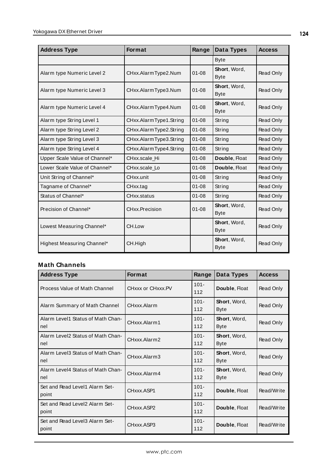| <b>Address Type</b>           | <b>Format</b>          | Range     | Data Types                  | <b>Access</b> |
|-------------------------------|------------------------|-----------|-----------------------------|---------------|
|                               |                        |           | <b>Byte</b>                 |               |
| Alarm type Numeric Level 2    | CHxx.AlarmType2.Num    | $01 - 08$ | Short, Word,<br><b>Byte</b> | Read Only     |
| Alarm type Numeric Level 3    | CHxx.AlarmType3.Num    | $01 - 08$ | Short, Word,<br><b>Byte</b> | Read Only     |
| Alarm type Numeric Level 4    | CHxx.AlarmType4.Num    | $01 - 08$ | Short, Word,<br><b>Byte</b> | Read Only     |
| Alarm type String Level 1     | CHxx.AlarmType1.String | $01 - 08$ | String                      | Read Only     |
| Alarm type String Level 2     | CHxx.AlarmType2.String | $01 - 08$ | String                      | Read Only     |
| Alarm type String Level 3     | CHxx.AlarmType3.String | $01 - 08$ | String                      | Read Only     |
| Alarm type String Level 4     | CHxx.AlarmType4.String | $01 - 08$ | String                      | Read Only     |
| Upper Scale Value of Channel* | CHxx.scale Hi          | $01 - 08$ | Double, Float               | Read Only     |
| Lower Scale Value of Channel* | CHxx.scale_Lo          | $01 - 08$ | Double, Float               | Read Only     |
| Unit String of Channel*       | CHxx.unit              | $01 - 08$ | String                      | Read Only     |
| Tagname of Channel*           | CHxx.tag               | $01 - 08$ | String                      | Read Only     |
| Status of Channel*            | CHxx.status            | $01 - 08$ | String                      | Read Only     |
| Precision of Channel*         | CHxx.Precision         | $01 - 08$ | Short, Word,<br><b>Byte</b> | Read Only     |
| Lowest Measuring Channel*     | CH.Low                 |           | Short, Word,<br><b>Byte</b> | Read Only     |
| Highest Measuring Channel*    | CH.High                |           | Short, Word,<br><b>Byte</b> | Read Only     |

| <b>Address Type</b>                      | <b>Format</b>     | Range          | Data Types                  | <b>Access</b>    |
|------------------------------------------|-------------------|----------------|-----------------------------|------------------|
| Process Value of Math Channel            | CHxxx or CHxxx.PV | $101 -$<br>112 | Double, Float               | Read Only        |
| Alarm Summary of Math Channel            | CHxxx.Alarm       | $101 -$<br>112 | Short, Word,<br><b>Byte</b> | Read Only        |
| Alarm Level1 Status of Math Chan-<br>nel | CHxxx.Alarm1      | $101 -$<br>112 | Short, Word,<br><b>Byte</b> | Read Only        |
| Alarm Level2 Status of Math Chan-<br>nel | CHxxx.Alarm2      | $101 -$<br>112 | Short, Word,<br><b>Byte</b> | <b>Read Only</b> |
| Alarm Level3 Status of Math Chan-<br>nel | CHxxx.Alarm3      | $101 -$<br>112 | Short, Word,<br><b>Byte</b> | <b>Read Only</b> |
| Alarm Level4 Status of Math Chan-<br>nel | CHxxx.Alarm4      | $101 -$<br>112 | Short, Word,<br><b>Byte</b> | Read Only        |
| Set and Read Level1 Alarm Set-<br>point  | CHxxx.ASP1        | $101 -$<br>112 | Double, Float               | Read/Write       |
| Set and Read Level2 Alarm Set-<br>point  | CHxxx.ASP2        | $101 -$<br>112 | Double, Float               | Read/Write       |
| Set and Read Level3 Alarm Set-<br>point  | CHxxx.ASP3        | $101 -$<br>112 | Double, Float               | Read/Write       |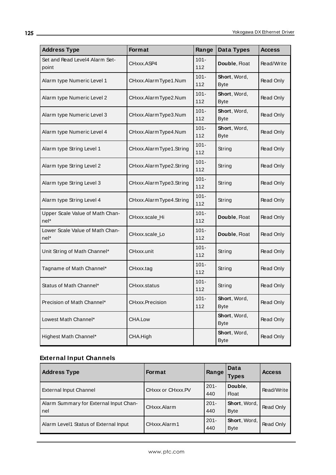| <b>Address Type</b>                       | Format                  | Range          | Data Types                  | <b>Access</b> |
|-------------------------------------------|-------------------------|----------------|-----------------------------|---------------|
| Set and Read Level4 Alarm Set-<br>point   | CHxxx.ASP4              | $101 -$<br>112 | Double, Float               | Read/Write    |
| Alarm type Numeric Level 1                | CHxxx.AlarmType1.Num    | $101 -$<br>112 | Short, Word,<br><b>Byte</b> | Read Only     |
| Alarm type Numeric Level 2                | CHxxx.AlarmType2.Num    | $101 -$<br>112 | Short, Word,<br><b>Byte</b> | Read Only     |
| Alarm type Numeric Level 3                | CHxxx.AlarmType3.Num    | $101 -$<br>112 | Short, Word,<br><b>Byte</b> | Read Only     |
| Alarm type Numeric Level 4                | CHxxx.AlarmType4.Num    | $101 -$<br>112 | Short, Word,<br><b>Byte</b> | Read Only     |
| Alarm type String Level 1                 | CHxxx.AlarmType1.String | $101 -$<br>112 | String                      | Read Only     |
| Alarm type String Level 2                 | CHxxx.AlarmType2.String | $101 -$<br>112 | String                      | Read Only     |
| Alarm type String Level 3                 | CHxxx.AlarmType3.String | $101 -$<br>112 | String                      | Read Only     |
| Alarm type String Level 4                 | CHxxx.AlarmType4.String | $101 -$<br>112 | String                      | Read Only     |
| Upper Scale Value of Math Chan-<br>$nel*$ | CHxxx.scale_Hi          | $101 -$<br>112 | Double, Float               | Read Only     |
| Lower Scale Value of Math Chan-<br>nel*   | CHxxx.scale_Lo          | $101 -$<br>112 | Double, Float               | Read Only     |
| Unit String of Math Channel*              | CHxxx.unit              | $101 -$<br>112 | String                      | Read Only     |
| Tagname of Math Channel*                  | CHxxx.tag               | $101 -$<br>112 | String                      | Read Only     |
| Status of Math Channel*                   | CHxxx.status            | $101 -$<br>112 | String                      | Read Only     |
| Precision of Math Channel*                | CHxxx.Precision         | $101 -$<br>112 | Short, Word,<br><b>Byte</b> | Read Only     |
| Lowest Math Channel*                      | CHA.Low                 |                | Short, Word,<br><b>Byte</b> | Read Only     |
| Highest Math Channel*                     | CHA.High                |                | Short, Word,<br><b>Byte</b> | Read Only     |

# **External Input Channels**

| <b>Address Type</b>                             | <b>Format</b>     | Range          | Data<br>Types               | <b>Access</b> |
|-------------------------------------------------|-------------------|----------------|-----------------------------|---------------|
| <b>External Input Channel</b>                   | CHxxx or CHxxx.PV | $201 -$<br>440 | Double.<br><b>Float</b>     | Read/Write    |
| Alarm Summary for External Input Chan-<br>l nel | CHxxx.Alarm       | $201 -$<br>440 | Short, Word,<br><b>Byte</b> | Read Only     |
| Alarm Level1 Status of External Input           | CHxxx.Alarm1      | $201 -$<br>440 | Short, Word,<br><b>Byte</b> | Read Only     |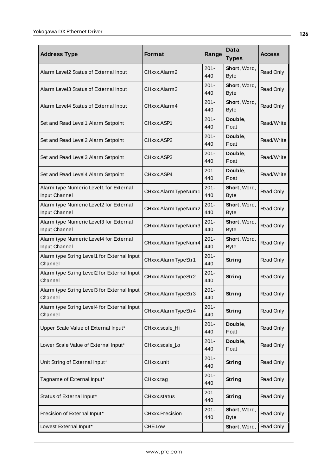| <b>Address Type</b>                                     | <b>Format</b>       | Range          | Data<br><b>Types</b>        | <b>Access</b>    |
|---------------------------------------------------------|---------------------|----------------|-----------------------------|------------------|
| Alarm Level2 Status of External Input                   | CHxxx.Alarm2        | $201 -$<br>440 | Short, Word,<br><b>Byte</b> | Read Only        |
| Alarm Level3 Status of External Input                   | CHxxx.Alarm3        | $201 -$<br>440 | Short, Word,<br><b>Byte</b> | Read Only        |
| Alarm Level4 Status of External Input                   | CHxxx.Alarm4        | $201 -$<br>440 | Short, Word,<br><b>Byte</b> | Read Only        |
| Set and Read Level1 Alarm Setpoint                      | CHxxx.ASP1          | $201 -$<br>440 | Double,<br>Float            | Read/Write       |
| Set and Read Level2 Alarm Setpoint                      | CHxxx.ASP2          | $201 -$<br>440 | Double,<br><b>Float</b>     | Read/Write       |
| Set and Read Level3 Alarm Setpoint                      | CHxxx.ASP3          | $201 -$<br>440 | Double,<br><b>Float</b>     | Read/Write       |
| Set and Read Level4 Alarm Setpoint                      | CHxxx.ASP4          | $201 -$<br>440 | Double,<br><b>Float</b>     | Read/Write       |
| Alarm type Numeric Level1 for External<br>Input Channel | CHxxx.AlarmTypeNum1 | $201 -$<br>440 | Short, Word,<br><b>Byte</b> | Read Only        |
| Alarm type Numeric Level2 for External<br>Input Channel | CHxxx.AlarmTypeNum2 | $201 -$<br>440 | Short, Word,<br><b>Byte</b> | <b>Read Only</b> |
| Alarm type Numeric Level3 for External<br>Input Channel | CHxxx.AlarmTypeNum3 | $201 -$<br>440 | Short, Word,<br><b>Byte</b> | Read Only        |
| Alarm type Numeric Level4 for External<br>Input Channel | CHxxx.AlarmTypeNum4 | $201 -$<br>440 | Short, Word,<br><b>Byte</b> | Read Only        |
| Alarm type String Level1 for External Input<br>Channel  | CHxxx.AlarmTypeStr1 | $201 -$<br>440 | String                      | Read Only        |
| Alarm type String Level2 for External Input<br>Channel  | CHxxx.AlarmTypeStr2 | $201 -$<br>440 | String                      | Read Only        |
| Alarm type String Level3 for External Input<br>Channel  | CHxxx.AlarmTypeStr3 | $201 -$<br>440 | <b>String</b>               | Read Only        |
| Alarm type String Level4 for External Input<br>Channel  | CHxxx.AlarmTypeStr4 | $201 -$<br>440 | <b>String</b>               | Read Only        |
| Upper Scale Value of External Input*                    | CHxxx.scale_Hi      | $201 -$<br>440 | Double,<br><b>Float</b>     | Read Only        |
| Lower Scale Value of External Input*                    | CHxxx.scale_Lo      | $201 -$<br>440 | Double,<br><b>Float</b>     | Read Only        |
| Unit String of External Input*                          | CHxxx.unit          | $201 -$<br>440 | <b>String</b>               | Read Only        |
| Tagname of External Input*                              | CHxxx.tag           | $201 -$<br>440 | <b>String</b>               | Read Only        |
| Status of External Input*                               | CHxxx.status        | $201 -$<br>440 | <b>String</b>               | Read Only        |
| Precision of External Input*                            | CHxxx.Precision     | $201 -$<br>440 | Short, Word,<br><b>Byte</b> | Read Only        |
| Lowest External Input*                                  | CHE.Low             |                | Short, Word,                | Read Only        |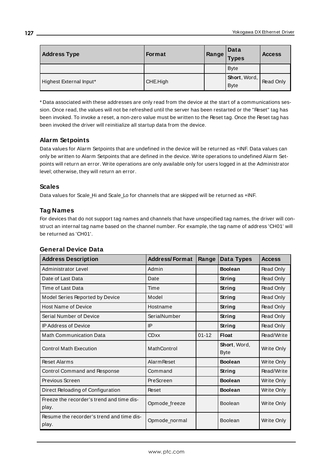| <b>Address Type</b>     | <b>Format</b> | Range | Data<br><b>Types</b>        | <b>Access</b> |
|-------------------------|---------------|-------|-----------------------------|---------------|
|                         |               |       | <b>Byte</b>                 |               |
| Highest External Input* | CHE.High      |       | Short, Word,<br><b>Byte</b> | Read Only     |

\* Data associated with these addresses are only read from the device at the start of a communications session. Once read, the values will not be refreshed until the server has been restarted or the "Reset" tag has been invoked. To invoke a reset, a non-zero value must be written to the Reset tag. Once the Reset tag has been invoked the driver will reinitialize all startup data from the device.

#### **Alarm Setpoints**

Data values for Alarm Setpoints that are undefined in the device will be returned as +INF. Data values can only be written to Alarm Setpoints that are defined in the device. Write operations to undefined Alarm Setpoints will return an error. Write operations are only available only for users logged in at the Administrator level; otherwise, they will return an error.

#### **Scales**

Data values for Scale\_Hi and Scale\_Lo for channels that are skipped will be returned as +INF.

## **Tag Names**

For devices that do not support tag names and channels that have unspecified tag names, the driver will construct an internal tag name based on the channel number. For example, the tag name of address 'CH01' will be returned as 'CH01'.

| <b>Address Description</b>                         | <b>Address/Format</b> | Range     | Data Types                          | <b>Access</b> |
|----------------------------------------------------|-----------------------|-----------|-------------------------------------|---------------|
| Administrator Level                                | Admin                 |           | <b>Boolean</b>                      | Read Only     |
| Date of Last Data                                  | Date                  |           | String                              | Read Only     |
| Time of Last Data                                  | Time                  |           | String                              | Read Only     |
| Model Series Reported by Device                    | Model                 |           | String                              | Read Only     |
| <b>Host Name of Device</b>                         | Hostname              |           | String                              | Read Only     |
| Serial Number of Device                            | SerialNumber          |           | <b>String</b>                       | Read Only     |
| <b>IP Address of Device</b>                        | IP                    |           | String                              | Read Only     |
| <b>Math Communication Data</b>                     | <b>CDxx</b>           | $01 - 12$ | Float                               | Read/Write    |
| <b>Control Math Execution</b>                      | MathControl           |           | <b>Short</b> , Word,<br><b>Byte</b> | Write Only    |
| <b>Reset Alarms</b>                                | <b>Alarm Reset</b>    |           | <b>Boolean</b>                      | Write Only    |
| Control Command and Response                       | Command               |           | String                              | Read/Write    |
| Previous Screen                                    | PreScreen             |           | <b>Boolean</b>                      | Write Only    |
| Direct Reloading of Configuration                  | Reset                 |           | <b>Boolean</b>                      | Write Only    |
| Freeze the recorder's trend and time dis-<br>play. | Opmode_freeze         |           | <b>Boolean</b>                      | Write Only    |
| Resume the recorder's trend and time dis-<br>play. | Opmode_normal         |           | <b>Boolean</b>                      | Write Only    |

#### **General Device Data**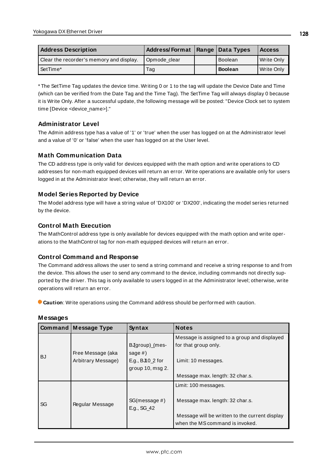| <b>Address Description</b>               | Address/Format   Range   Data Types |                | <b>Access</b> |
|------------------------------------------|-------------------------------------|----------------|---------------|
| Clear the recorder's memory and display. | Opmode clear                        | <b>Boolean</b> | Write Only    |
| l SetTime*                               | Taq                                 | <b>Boolean</b> | Write Only    |

\* The SetTime Tag updates the device time. Writing 0 or 1 to the tag will update the Device Date and Time (which can be verified from the Date Tag and the Time Tag). The SetTime Tag will always display 0 because it is Write Only. After a successful update, the following message will be posted: "Device Clock set to system time [Device <device\_name>]."

## **Administrator Level**

The Admin address type has a value of '1' or 'true' when the user has logged on at the Administrator level and a value of '0' or 'false' when the user has logged on at the User level.

# **Math Communication Data**

The CD address type is only valid for devices equipped with the math option and write operations to CD addresses for non-math equipped devices will return an error. Write operations are available only for users logged in at the Administrator level; otherwise, they will return an error.

## **Model Series Reported by Device**

The Model address type will have a string value of 'DX100' or 'DX200', indicating the model series returned by the device.

## **Control Math Execution**

The MathControl address type is only available for devices equipped with the math option and write operations to the MathControl tag for non-math equipped devices will return an error.

#### **Control Command and Response**

The Command address allows the user to send a string command and receive a string response to and from the device. This allows the user to send any command to the device, including commands not directly supported by the driver. This tag is only available to users logged in at the Administrator level; otherwise, write operations will return an error.

**Caution**: Write operations using the Command address should be performed with caution.

|           | <b>Command Message Type</b> | Syntax                                 | <b>Notes</b>                                                                      |
|-----------|-----------------------------|----------------------------------------|-----------------------------------------------------------------------------------|
|           |                             | BJgroup)_(mes-                         | Message is assigned to a group and displayed<br>for that group only.              |
| <b>BJ</b> | Free Message (aka           | sage $#$ )                             |                                                                                   |
|           | Arbitrary Message)          | E.g., $BJ10_2$ for<br>group 10, msg 2. | Limit: 10 messages.                                                               |
|           |                             |                                        | Message max. length: 32 char.s.                                                   |
|           |                             |                                        | Limit: 100 messages.                                                              |
| SG        | Regular Message             | SG(message #)<br>E.g., SG_42           | Message max. length: 32 char.s.                                                   |
|           |                             |                                        | Message will be written to the current display<br>when the MS command is invoked. |

#### **Messages**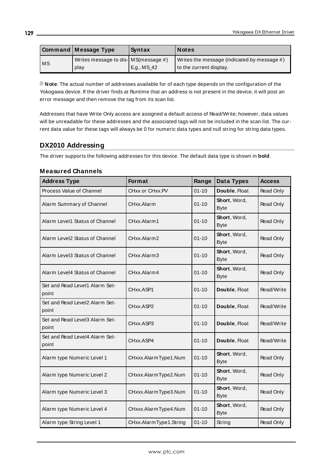|           | Command   Message Type                | Syntax      | <b>Notes</b>                                |
|-----------|---------------------------------------|-------------|---------------------------------------------|
|           | Writes message to dis- MS (message #) |             | Writes the message (indicated by message #) |
| <b>MS</b> | play                                  | E.g., MS_42 | to the current display.                     |

**Note**: The actual number of addresses available for of each type depends on the configuration of the Yokogawa device. If the driver finds at Runtime that an address is not present in the device, it will post an error message and then remove the tag from its scan list.

Addresses that have Write Only access are assigned a default access of Read/Write; however, data values will be unreadable for these addresses and the associated tags will not be included in the scan list. The current data value for these tags will always be 0 for numeric data types and null string for string data types.

## **DX2010 Addressing**

The driver supports the following addresses for this device. The default data type is shown in **bold**.

#### **Measured Channels**

| <b>Address Type</b>                     | <b>Format</b>          | Range     | Data Types                  | <b>Access</b>    |
|-----------------------------------------|------------------------|-----------|-----------------------------|------------------|
| Process Value of Channel                | CHxx or CHxx.PV        | $01 - 10$ | Double, Float               | Read Only        |
| Alarm Summary of Channel                | CHxx.Alarm             | $01 - 10$ | Short, Word,<br><b>Byte</b> | <b>Read Only</b> |
| Alarm Level1 Status of Channel          | CHxx.Alarm1            | $01 - 10$ | Short, Word,<br><b>Byte</b> | <b>Read Only</b> |
| Alarm Level2 Status of Channel          | CHxx.Alarm2            | $01 - 10$ | Short, Word,<br><b>Byte</b> | Read Only        |
| Alarm Level3 Status of Channel          | CHxx.Alarm3            | $01 - 10$ | Short, Word,<br><b>Byte</b> | Read Only        |
| Alarm Level4 Status of Channel          | CHxx.Alarm4            | $01 - 10$ | Short, Word,<br><b>Byte</b> | Read Only        |
| Set and Read Level1 Alarm Set-<br>point | CHxx.ASP1              | $01 - 10$ | Double, Float               | Read/Write       |
| Set and Read Level2 Alarm Set-<br>point | CHxx.ASP2              | $01 - 10$ | Double, Float               | Read/Write       |
| Set and Read Level3 Alarm Set-<br>point | CHxx.ASP3              | $01 - 10$ | Double, Float               | Read/Write       |
| Set and Read Level4 Alarm Set-<br>point | CHxx.ASP4              | $01 - 10$ | Double, Float               | Read/Write       |
| Alarm type Numeric Level 1              | CHxxx.AlarmType1.Num   | $01 - 10$ | Short, Word,<br><b>Byte</b> | Read Only        |
| Alarm type Numeric Level 2              | CHxxx.AlarmType2.Num   | $01 - 10$ | Short, Word,<br><b>Byte</b> | <b>Read Only</b> |
| Alarm type Numeric Level 3              | CHxxx.AlarmType3.Num   | $01 - 10$ | Short, Word,<br><b>Byte</b> | Read Only        |
| Alarm type Numeric Level 4              | CHxxx.AlarmType4.Num   | $01 - 10$ | Short, Word,<br><b>Byte</b> | Read Only        |
| Alarm type String Level 1               | CHxx.AlarmType1.String | $01 - 10$ | String                      | Read Only        |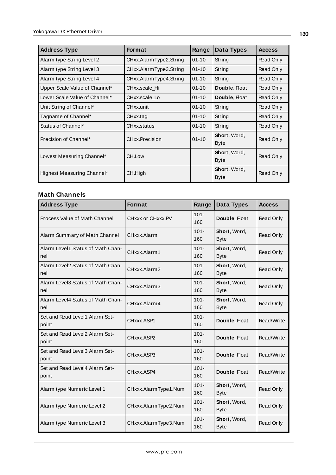| <b>Address Type</b>           | Format                 | Range     | Data Types                          | <b>Access</b> |
|-------------------------------|------------------------|-----------|-------------------------------------|---------------|
| Alarm type String Level 2     | CHxx.AlarmType2.String | $01 - 10$ | String                              | Read Only     |
| Alarm type String Level 3     | CHxx.AlarmType3.String | $01 - 10$ | String                              | Read Only     |
| Alarm type String Level 4     | CHxx.AlarmType4.String | $01 - 10$ | String                              | Read Only     |
| Upper Scale Value of Channel* | CHxx.scale Hi          | $01 - 10$ | Double, Float                       | Read Only     |
| Lower Scale Value of Channel* | CHxx.scale Lo          | $01 - 10$ | Double, Float                       | Read Only     |
| Unit String of Channel*       | CHxx.unit              | $01 - 10$ | String                              | Read Only     |
| Tagname of Channel*           | CHxx.tag               | $01 - 10$ | String                              | Read Only     |
| Status of Channel*            | CHxx.status            | $01 - 10$ | String                              | Read Only     |
| Precision of Channel*         | CHxx.Precision         | $01 - 10$ | Short, Word,<br>Byte                | Read Only     |
| Lowest Measuring Channel*     | CH.Low                 |           | Short, Word,<br><b>Byte</b>         | Read Only     |
| Highest Measuring Channel*    | CH.High                |           | <b>Short</b> , Word,<br><b>Byte</b> | Read Only     |

| <b>Address Type</b>                      | Format               | Range          | Data Types                  | <b>Access</b> |
|------------------------------------------|----------------------|----------------|-----------------------------|---------------|
| Process Value of Math Channel            | CHxxx or CHxxx.PV    | $101 -$<br>160 | Double, Float               | Read Only     |
| Alarm Summary of Math Channel            | CHxxx.Alarm          | $101 -$<br>160 | Short, Word,<br><b>Byte</b> | Read Only     |
| Alarm Level1 Status of Math Chan-<br>nel | CHxxx.Alarm1         | $101 -$<br>160 | Short, Word,<br><b>Byte</b> | Read Only     |
| Alarm Level2 Status of Math Chan-<br>nel | CHxxx.Alarm2         | $101 -$<br>160 | Short, Word,<br><b>Byte</b> | Read Only     |
| Alarm Level3 Status of Math Chan-<br>nel | CHxxx.Alarm3         | $101 -$<br>160 | Short, Word,<br><b>Byte</b> | Read Only     |
| Alarm Level4 Status of Math Chan-<br>nel | CHxxx.Alarm4         | $101 -$<br>160 | Short, Word,<br><b>Byte</b> | Read Only     |
| Set and Read Level1 Alarm Set-<br>point  | CHxxx.ASP1           | $101 -$<br>160 | Double, Float               | Read/Write    |
| Set and Read Level2 Alarm Set-<br>point  | CHxxx.ASP2           | $101 -$<br>160 | Double, Float               | Read/Write    |
| Set and Read Level3 Alarm Set-<br>point  | CHxxx.ASP3           | $101 -$<br>160 | Double, Float               | Read/Write    |
| Set and Read Level4 Alarm Set-<br>point  | CHxxx.ASP4           | $101 -$<br>160 | Double, Float               | Read/Write    |
| Alarm type Numeric Level 1               | CHxxx.AlarmType1.Num | $101 -$<br>160 | Short, Word,<br><b>Byte</b> | Read Only     |
| Alarm type Numeric Level 2               | CHxxx.AlarmType2.Num | $101 -$<br>160 | Short, Word,<br><b>Byte</b> | Read Only     |
| Alarm type Numeric Level 3               | CHxxx.AlarmType3.Num | $101 -$<br>160 | Short, Word,<br><b>Byte</b> | Read Only     |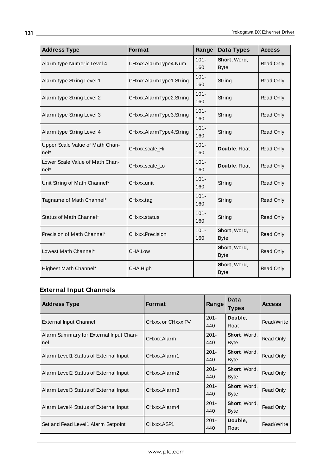| <b>Address Type</b>                       | Format                  | Range          | <b>Data Types</b>           | <b>Access</b> |
|-------------------------------------------|-------------------------|----------------|-----------------------------|---------------|
| Alarm type Numeric Level 4                | CHxxx.AlarmType4.Num    | $101 -$<br>160 | Short, Word,<br><b>Byte</b> | Read Only     |
| Alarm type String Level 1                 | CHxxx.AlarmType1.String | $101 -$<br>160 | String                      | Read Only     |
| Alarm type String Level 2                 | CHxxx.AlarmType2.String | $101 -$<br>160 | String                      | Read Only     |
| Alarm type String Level 3                 | CHxxx.AlarmType3.String | $101 -$<br>160 | String                      | Read Only     |
| Alarm type String Level 4                 | CHxxx.AlarmType4.String | $101 -$<br>160 | String                      | Read Only     |
| Upper Scale Value of Math Chan-<br>$nel*$ | CHxxx.scale_Hi          | $101 -$<br>160 | Double, Float               | Read Only     |
| Lower Scale Value of Math Chan-<br>$nel*$ | CHxxx.scale Lo          | $101 -$<br>160 | Double, Float               | Read Only     |
| Unit String of Math Channel*              | CHxxx.unit              | $101 -$<br>160 | String                      | Read Only     |
| Tagname of Math Channel*                  | CHxxx.tag               | $101 -$<br>160 | String                      | Read Only     |
| Status of Math Channel*                   | CHxxx.status            | $101 -$<br>160 | String                      | Read Only     |
| Precision of Math Channel*                | CHxxx.Precision         | $101 -$<br>160 | Short, Word,<br><b>Byte</b> | Read Only     |
| Lowest Math Channel*                      | CHA.Low                 |                | Short, Word,<br><b>Byte</b> | Read Only     |
| Highest Math Channel*                     | CHA.High                |                | Short, Word,<br><b>Byte</b> | Read Only     |

# **External Input Channels**

| <b>Address Type</b>                           | <b>Format</b>     | Range          | Data<br><b>Types</b>        | <b>Access</b> |
|-----------------------------------------------|-------------------|----------------|-----------------------------|---------------|
| <b>External Input Channel</b>                 | CHxxx or CHxxx.PV | $201 -$<br>440 | Double,<br>Float            | Read/Write    |
| Alarm Summary for External Input Chan-<br>nel | CHxxx.Alarm       | $201 -$<br>440 | Short, Word,<br><b>Byte</b> | Read Only     |
| Alarm Level1 Status of External Input         | CHxxx.Alarm1      | $201 -$<br>440 | Short, Word,<br><b>Byte</b> | Read Only     |
| Alarm Level2 Status of External Input         | CHxxx.Alarm2      | $201 -$<br>440 | Short, Word,<br><b>Byte</b> | Read Only     |
| Alarm Level3 Status of External Input         | CHxxx.Alarm3      | $201 -$<br>440 | Short, Word,<br><b>Byte</b> | Read Only     |
| Alarm Level4 Status of External Input         | CHxxx.Alarm4      | $201 -$<br>440 | Short, Word,<br><b>Byte</b> | Read Only     |
| Set and Read Level1 Alarm Setpoint            | CHxxx.ASP1        | $201 -$<br>440 | Double,<br><b>Float</b>     | Read/Write    |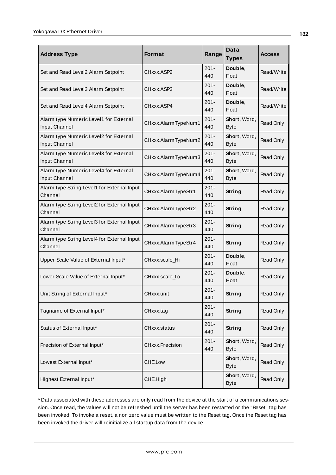| <b>Address Type</b>                                     | <b>Format</b>       | Range          | Data<br><b>Types</b>        | <b>Access</b> |
|---------------------------------------------------------|---------------------|----------------|-----------------------------|---------------|
| Set and Read Level2 Alarm Setpoint                      | CHxxx.ASP2          | $201 -$<br>440 | Double,<br><b>Float</b>     | Read/Write    |
| Set and Read Level3 Alarm Setpoint                      | CHxxx.ASP3          | $201 -$<br>440 | Double,<br><b>Float</b>     | Read/Write    |
| Set and Read Level4 Alarm Setpoint                      | CHxxx.ASP4          | $201 -$<br>440 | Double,<br><b>Float</b>     | Read/Write    |
| Alarm type Numeric Level1 for External<br>Input Channel | CHxxx.AlarmTypeNum1 | $201 -$<br>440 | Short, Word,<br><b>Byte</b> | Read Only     |
| Alarm type Numeric Level2 for External<br>Input Channel | CHxxx.AlarmTypeNum2 | $201 -$<br>440 | Short, Word,<br><b>Byte</b> | Read Only     |
| Alarm type Numeric Level3 for External<br>Input Channel | CHxxx.AlarmTypeNum3 | 201-<br>440    | Short, Word,<br><b>Byte</b> | Read Only     |
| Alarm type Numeric Level4 for External<br>Input Channel | CHxxx.AlarmTypeNum4 | $201 -$<br>440 | Short, Word,<br><b>Byte</b> | Read Only     |
| Alarm type String Level1 for External Input<br>Channel  | CHxxx.AlarmTypeStr1 | $201 -$<br>440 | String                      | Read Only     |
| Alarm type String Level2 for External Input<br>Channel  | CHxxx.AlarmTypeStr2 | $201 -$<br>440 | String                      | Read Only     |
| Alarm type String Level3 for External Input<br>Channel  | CHxxx.AlarmTypeStr3 | $201 -$<br>440 | String                      | Read Only     |
| Alarm type String Level4 for External Input<br>Channel  | CHxxx.AlarmTypeStr4 | $201 -$<br>440 | <b>String</b>               | Read Only     |
| Upper Scale Value of External Input*                    | CHxxx.scale_Hi      | $201 -$<br>440 | Double,<br><b>Float</b>     | Read Only     |
| Lower Scale Value of External Input*                    | CHxxx.scale_Lo      | $201 -$<br>440 | Double,<br><b>Float</b>     | Read Only     |
| Unit String of External Input*                          | CHxxx.unit          | $201 -$<br>440 | <b>String</b>               | Read Only     |
| Tagname of External Input*                              | CHxxx.tag           | $201 -$<br>440 | <b>String</b>               | Read Only     |
| Status of External Input*                               | CHxxx.status        | $201 -$<br>440 | <b>String</b>               | Read Only     |
| Precision of External Input*                            | CHxxx.Precision     | $201 -$<br>440 | Short, Word,<br><b>Byte</b> | Read Only     |
| Lowest External Input*                                  | CHE.Low             |                | Short, Word,<br><b>Byte</b> | Read Only     |
| Highest External Input*                                 | CHE.High            |                | Short, Word,<br><b>Byte</b> | Read Only     |

\* Data associated with these addresses are only read from the device at the start of a communications session. Once read, the values will not be refreshed until the server has been restarted or the "Reset" tag has been invoked. To invoke a reset, a non zero value must be written to the Reset tag. Once the Reset tag has been invoked the driver will reinitialize all startup data from the device.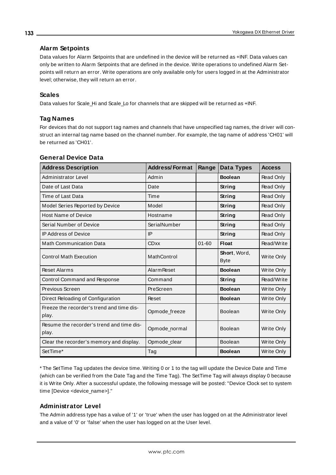## **Alarm Setpoints**

Data values for Alarm Setpoints that are undefined in the device will be returned as +INF. Data values can only be written to Alarm Setpoints that are defined in the device. Write operations to undefined Alarm Setpoints will return an error. Write operations are only available only for users logged in at the Administrator level; otherwise, they will return an error.

## **Scales**

Data values for Scale\_Hi and Scale\_Lo for channels that are skipped will be returned as +INF.

## **Tag Names**

For devices that do not support tag names and channels that have unspecified tag names, the driver will construct an internal tag name based on the channel number. For example, the tag name of address 'CH01' will be returned as 'CH01'.

| <b>Address Description</b>                         | <b>Address/Format</b> | Range     | Data Types                  | <b>Access</b>     |
|----------------------------------------------------|-----------------------|-----------|-----------------------------|-------------------|
| Administrator Level                                | Admin                 |           | <b>Boolean</b>              | Read Only         |
| Date of Last Data                                  | Date                  |           | String                      | Read Only         |
| Time of Last Data                                  | Time                  |           | String                      | Read Only         |
| Model Series Reported by Device                    | Model                 |           | String                      | Read Only         |
| <b>Host Name of Device</b>                         | Hostname              |           | String                      | Read Only         |
| Serial Number of Device                            | SerialNumber          |           | String                      | <b>Read Only</b>  |
| <b>IP Address of Device</b>                        | IP                    |           | <b>String</b>               | Read Only         |
| <b>Math Communication Data</b>                     | <b>CDxx</b>           | $01 - 60$ | <b>Float</b>                | Read/Write        |
| <b>Control Math Execution</b>                      | MathControl           |           | Short, Word,<br><b>Byte</b> | <b>Write Only</b> |
| <b>Reset Alarms</b>                                | <b>Alarm Reset</b>    |           | <b>Boolean</b>              | Write Only        |
| Control Command and Response                       | Command               |           | String                      | Read/Write        |
| Previous Screen                                    | PreScreen             |           | <b>Boolean</b>              | Write Only        |
| Direct Reloading of Configuration                  | Reset                 |           | <b>Boolean</b>              | Write Only        |
| Freeze the recorder's trend and time dis-<br>play. | Opmode_freeze         |           | Boolean                     | Write Only        |
| Resume the recorder's trend and time dis-<br>play. | Opmode_normal         |           | Boolean                     | <b>Write Only</b> |
| Clear the recorder's memory and display.           | Opmode_clear          |           | <b>Boolean</b>              | Write Only        |
| SetTime*                                           | Tag                   |           | <b>Boolean</b>              | Write Only        |

#### **General Device Data**

\* The SetTime Tag updates the device time. Writing 0 or 1 to the tag will update the Device Date and Time (which can be verified from the Date Tag and the Time Tag). The SetTime Tag will always display 0 because it is Write Only. After a successful update, the following message will be posted: "Device Clock set to system time [Device <device\_name>]."

#### **Administrator Level**

The Admin address type has a value of '1' or 'true' when the user has logged on at the Administrator level and a value of '0' or 'false' when the user has logged on at the User level.

#### **133**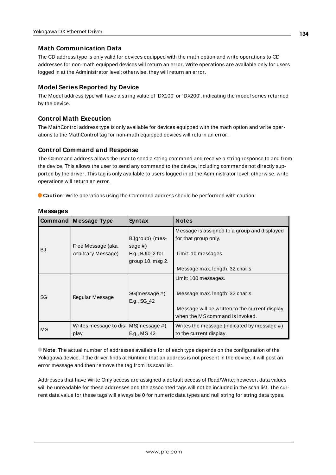#### **Math Communication Data**

The CD address type is only valid for devices equipped with the math option and write operations to CD addresses for non-math equipped devices will return an error. Write operations are available only for users logged in at the Administrator level; otherwise, they will return an error.

#### **Model Series Reported by Device**

The Model address type will have a string value of 'DX100' or 'DX200', indicating the model series returned by the device.

#### **Control Math Execution**

The MathControl address type is only available for devices equipped with the math option and write operations to the MathControl tag for non-math equipped devices will return an error.

#### **Control Command and Response**

The Command address allows the user to send a string command and receive a string response to and from the device. This allows the user to send any command to the device, including commands not directly supported by the driver. This tag is only available to users logged in at the Administrator level; otherwise, write operations will return an error.

**Caution**: Write operations using the Command address should be performed with caution.

|           | Command   Message Type                               | Syntax                       | <b>Notes</b>                                                                      |
|-----------|------------------------------------------------------|------------------------------|-----------------------------------------------------------------------------------|
|           |                                                      |                              | Message is assigned to a group and displayed                                      |
|           |                                                      | BJgroup)_(mes-               | for that group only.                                                              |
| <b>BJ</b> | Free Message (aka                                    | sage $#$ )                   |                                                                                   |
|           | Arbitrary Message)                                   | E.g., $BJ10_2$ for           | Limit: 10 messages.                                                               |
|           |                                                      | group $10$ , msg $2$ .       |                                                                                   |
|           |                                                      |                              | Message max. length: 32 char.s.                                                   |
|           |                                                      |                              | Limit: 100 messages.                                                              |
| SG        | Regular Message                                      | SG(message #)<br>E.g., SG_42 | Message max. length: 32 char.s.<br>Message will be written to the current display |
|           |                                                      |                              | when the MS command is invoked.                                                   |
| MS        | Writes message to dis- $MS(m \, e \, s \, a \, \mu)$ |                              | Writes the message (indicated by message $#$ )                                    |
|           | play                                                 | E.g., MS 42                  | to the current display.                                                           |

#### **Messages**

**Note**: The actual number of addresses available for of each type depends on the configuration of the Yokogawa device. If the driver finds at Runtime that an address is not present in the device, it will post an error message and then remove the tag from its scan list.

Addresses that have Write Only access are assigned a default access of Read/Write; however, data values will be unreadable for these addresses and the associated tags will not be included in the scan list. The current data value for these tags will always be 0 for numeric data types and null string for string data types.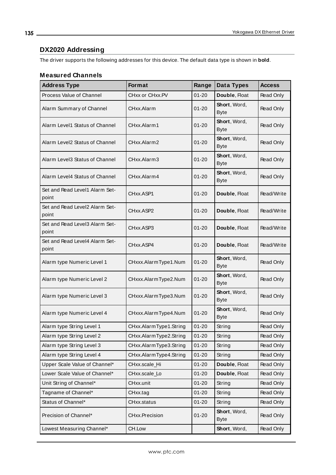# **DX2020 Addressing**

The driver supports the following addresses for this device. The default data type is shown in **bold**.

<u> 1980 - Johann Barbara, martxa a</u>

#### **Measured Channels**

| <b>Address Type</b>                     | <b>Format</b>          | Range     | Data Types                  | <b>Access</b>    |
|-----------------------------------------|------------------------|-----------|-----------------------------|------------------|
| Process Value of Channel                | CHxx or CHxx.PV        | $01 - 20$ | Double, Float               | Read Only        |
| Alarm Summary of Channel                | CHxx.Alarm             | $01 - 20$ | Short, Word,<br><b>Byte</b> | Read Only        |
| Alarm Level1 Status of Channel          | CHxx.Alarm1            | $01 - 20$ | Short, Word,<br><b>Byte</b> | Read Only        |
| Alarm Level2 Status of Channel          | CHxx.Alarm2            | $01 - 20$ | Short, Word,<br><b>Byte</b> | Read Only        |
| Alarm Level3 Status of Channel          | CHxx.Alarm3            | $01 - 20$ | Short, Word,<br><b>Byte</b> | Read Only        |
| Alarm Level4 Status of Channel          | CHxx.Alarm4            | $01 - 20$ | Short, Word,<br><b>Byte</b> | Read Only        |
| Set and Read Level1 Alarm Set-<br>point | CHxx.ASP1              | $01 - 20$ | Double, Float               | Read/Write       |
| Set and Read Level2 Alarm Set-<br>point | CHxx.ASP2              | $01 - 20$ | Double, Float               | Read/Write       |
| Set and Read Level3 Alarm Set-<br>point | CHxx.ASP3              | $01 - 20$ | Double, Float               | Read/Write       |
| Set and Read Level4 Alarm Set-<br>point | CHxx.ASP4              | $01 - 20$ | Double, Float               | Read/Write       |
| Alarm type Numeric Level 1              | CHxxx.AlarmType1.Num   | $01 - 20$ | Short, Word,<br><b>Byte</b> | Read Only        |
| Alarm type Numeric Level 2              | CHxxx.AlarmType2.Num   | $01 - 20$ | Short, Word,<br><b>Byte</b> | Read Only        |
| Alarm type Numeric Level 3              | CHxxx.AlarmType3.Num   | $01 - 20$ | Short, Word,<br><b>Byte</b> | Read Only        |
| Alarm type Numeric Level 4              | CHxxx.AlarmType4.Num   | $01 - 20$ | Short, Word,<br><b>Byte</b> | Read Only        |
| Alarm type String Level 1               | CHxx.AlarmType1.String | $01 - 20$ | String                      | Read Only        |
| Alarm type String Level 2               | CHxx.AlarmType2.String | $01 - 20$ | String                      | <b>Read Only</b> |
| Alarm type String Level 3               | CHxx.AlarmType3.String | $01 - 20$ | String                      | Read Only        |
| Alarm type String Level 4               | CHxx.AlarmType4.String | $01 - 20$ | String                      | Read Only        |
| Upper Scale Value of Channel*           | CHxx.scale_Hi          | $01 - 20$ | Double, Float               | Read Only        |
| Lower Scale Value of Channel*           | CHxx.scale_Lo          | $01 - 20$ | Double, Float               | Read Only        |
| Unit String of Channel*                 | CHxx.unit              | $01 - 20$ | String                      | Read Only        |
| Tagname of Channel*                     | CHxx.tag               | $01 - 20$ | String                      | Read Only        |
| Status of Channel*                      | CHxx.status            | $01 - 20$ | String                      | Read Only        |
| Precision of Channel*                   | CHxx.Precision         | $01 - 20$ | Short, Word,<br><b>Byte</b> | Read Only        |
| Lowest Measuring Channel*               | CH.Low                 |           | Short, Word,                | Read Only        |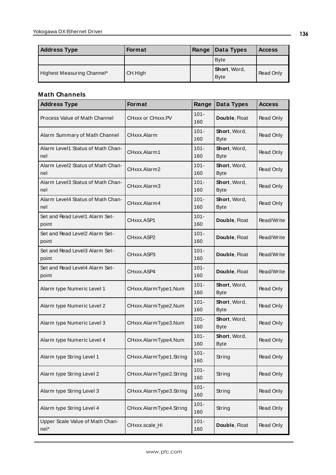| <b>Address Type</b>        | <b>Format</b> | Range | Data Types                  | <b>Access</b> |
|----------------------------|---------------|-------|-----------------------------|---------------|
|                            |               |       | <b>Byte</b>                 |               |
| Highest Measuring Channel* | CH.High       |       | Short, Word,<br><b>Byte</b> | Read Only     |

| <b>Address Type</b>                      | <b>Format</b>           | Range          | Data Types                  | <b>Access</b>    |
|------------------------------------------|-------------------------|----------------|-----------------------------|------------------|
| Process Value of Math Channel            | CHxxx or CHxxx.PV       | $101 -$<br>160 | Double, Float               | Read Only        |
| Alarm Summary of Math Channel            | CHxxx.Alarm             | $101 -$<br>160 | Short, Word,<br><b>Byte</b> | Read Only        |
| Alarm Level1 Status of Math Chan-<br>nel | CHxxx.Alarm1            | $101 -$<br>160 | Short, Word,<br><b>Byte</b> | Read Only        |
| Alarm Level2 Status of Math Chan-<br>nel | CHxxx.Alarm2            | $101 -$<br>160 | Short, Word,<br><b>Byte</b> | Read Only        |
| Alarm Level3 Status of Math Chan-<br>nel | CHxxx.Alarm3            | $101 -$<br>160 | Short, Word,<br><b>Byte</b> | Read Only        |
| Alarm Level4 Status of Math Chan-<br>nel | CHxxx.Alarm4            | $101 -$<br>160 | Short, Word,<br><b>Byte</b> | Read Only        |
| Set and Read Level1 Alarm Set-<br>point  | CHxxx ASP1              | $101 -$<br>160 | Double, Float               | Read/Write       |
| Set and Read Level2 Alarm Set-<br>point  | CHxxx.ASP2              | $101 -$<br>160 | Double, Float               | Read/Write       |
| Set and Read Level3 Alarm Set-<br>point  | CHxxx.ASP3              | $101 -$<br>160 | Double, Float               | Read/Write       |
| Set and Read Level4 Alarm Set-<br>point  | CHxxx.ASP4              | $101 -$<br>160 | Double, Float               | Read/Write       |
| Alarm type Numeric Level 1               | CHxxx.AlarmType1.Num    | $101 -$<br>160 | Short, Word,<br><b>Byte</b> | Read Only        |
| Alarm type Numeric Level 2               | CHxxx.AlarmType2.Num    | $101 -$<br>160 | Short, Word,<br><b>Byte</b> | Read Only        |
| Alarm type Numeric Level 3               | CHxxx.AlarmType3.Num    | $101 -$<br>160 | Short, Word,<br><b>Byte</b> | Read Only        |
| Alarm type Numeric Level 4               | CHxxx.AlarmType4.Num    | $101 -$<br>160 | Short, Word,<br><b>Byte</b> | Read Only        |
| Alarm type String Level 1                | CHxxx.AlarmType1.String | $101 -$<br>160 | String                      | Read Only        |
| Alarm type String Level 2                | CHxxx.AlarmType2.String | $101 -$<br>160 | String                      | Read Only        |
| Alarm type String Level 3                | CHxxx.AlarmType3.String | $101 -$<br>160 | String                      | <b>Read Only</b> |
| Alarm type String Level 4                | CHxxx.AlarmType4.String | $101 -$<br>160 | String                      | Read Only        |
| Upper Scale Value of Math Chan-<br>nel*  | CHxxx.scale_Hi          | $101 -$<br>160 | Double, Float               | Read Only        |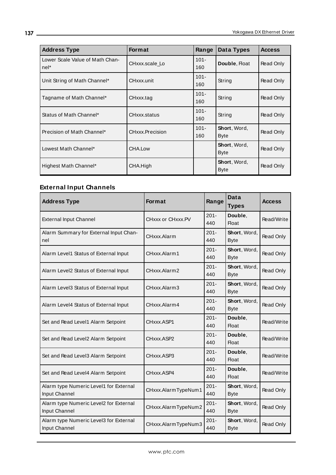| <b>Address Type</b>                     | Format          | Range          | Data Types                  | <b>Access</b> |
|-----------------------------------------|-----------------|----------------|-----------------------------|---------------|
| Lower Scale Value of Math Chan-<br>nel* | CHxxx.scale Lo  | $101 -$<br>160 | Double, Float               | Read Only     |
| Unit String of Math Channel*            | CHxxx.unit      | $101 -$<br>160 | String                      | Read Only     |
| Tagname of Math Channel*                | CHxxx.tag       | $101 -$<br>160 | String                      | Read Only     |
| Status of Math Channel*                 | CHxxx.status    | $101 -$<br>160 | String                      | Read Only     |
| Precision of Math Channel*              | CHxxx.Precision | $101 -$<br>160 | Short, Word,<br><b>Byte</b> | Read Only     |
| Lowest Math Channel*                    | CHA.Low         |                | Short, Word,<br><b>Byte</b> | Read Only     |
| Highest Math Channel*                   | CHA.High        |                | Short, Word,<br><b>Byte</b> | Read Only     |

# **External Input Channels**

| <b>Address Type</b>                                     | <b>Format</b>       | Range          | Data<br><b>Types</b>        | <b>Access</b> |
|---------------------------------------------------------|---------------------|----------------|-----------------------------|---------------|
| <b>External Input Channel</b>                           | CHxxx or CHxxx.PV   | $201 -$<br>440 | Double,<br><b>Float</b>     | Read/Write    |
| Alarm Summary for External Input Chan-<br>nel           | CHxxx.Alarm         | $201 -$<br>440 | Short, Word,<br><b>Byte</b> | Read Only     |
| Alarm Level1 Status of External Input                   | CHxxx.Alarm1        | $201 -$<br>440 | Short, Word,<br><b>Byte</b> | Read Only     |
| Alarm Level2 Status of External Input                   | CHxxx.Alarm2        | $201 -$<br>440 | Short, Word,<br><b>Byte</b> | Read Only     |
| Alarm Level3 Status of External Input                   | CHxxx.Alarm3        | $201 -$<br>440 | Short, Word,<br><b>Byte</b> | Read Only     |
| Alarm Level4 Status of External Input                   | CHxxx.Alarm4        | $201 -$<br>440 | Short, Word,<br><b>Byte</b> | Read Only     |
| Set and Read Level1 Alarm Setpoint                      | CHxxx.ASP1          | $201 -$<br>440 | Double,<br><b>Float</b>     | Read/Write    |
| Set and Read Level2 Alarm Setpoint                      | CHxxx.ASP2          | $201 -$<br>440 | Double.<br><b>Float</b>     | Read/Write    |
| Set and Read Level3 Alarm Setpoint                      | CHxxx.ASP3          | $201 -$<br>440 | Double.<br><b>Float</b>     | Read/Write    |
| Set and Read Level4 Alarm Setpoint                      | CHxxx.ASP4          | $201 -$<br>440 | Double.<br><b>Float</b>     | Read/Write    |
| Alarm type Numeric Level1 for External<br>Input Channel | CHxxx.AlarmTypeNum1 | $201 -$<br>440 | Short, Word,<br><b>Byte</b> | Read Only     |
| Alarm type Numeric Level2 for External<br>Input Channel | CHxxx.AlarmTypeNum2 | $201 -$<br>440 | Short, Word,<br><b>Byte</b> | Read Only     |
| Alarm type Numeric Level3 for External<br>Input Channel | CHxxx.AlarmTypeNum3 | $201 -$<br>440 | Short, Word,<br><b>Byte</b> | Read Only     |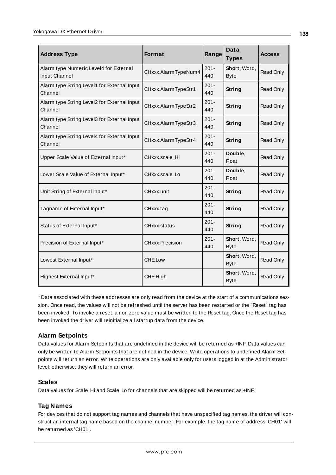| <b>Address Type</b>                                     | <b>Format</b>       | Range          | Data<br><b>Types</b>        | <b>Access</b> |
|---------------------------------------------------------|---------------------|----------------|-----------------------------|---------------|
| Alarm type Numeric Level4 for External<br>Input Channel | CHxxx.AlarmTypeNum4 | $201 -$<br>440 | Short, Word,<br><b>Byte</b> | Read Only     |
| Alarm type String Level1 for External Input<br>Channel  | CHxxx.AlarmTypeStr1 | $201 -$<br>440 | <b>String</b>               | Read Only     |
| Alarm type String Level2 for External Input<br>Channel  | CHxxx.AlarmTypeStr2 | $201 -$<br>440 | String                      | Read Only     |
| Alarm type String Level3 for External Input<br>Channel  | CHxxx.AlarmTypeStr3 | $201 -$<br>440 | <b>String</b>               | Read Only     |
| Alarm type String Level4 for External Input<br>Channel  | CHxxx.AlarmTypeStr4 | $201 -$<br>440 | String                      | Read Only     |
| Upper Scale Value of External Input*                    | CHxxx.scale Hi      | $201 -$<br>440 | Double,<br><b>Float</b>     | Read Only     |
| Lower Scale Value of External Input*                    | CHxxx.scale_Lo      | $201 -$<br>440 | Double,<br><b>Float</b>     | Read Only     |
| Unit String of External Input*                          | CHxxx.unit          | $201 -$<br>440 | String                      | Read Only     |
| Tagname of External Input*                              | CHxxx.tag           | $201 -$<br>440 | <b>String</b>               | Read Only     |
| Status of External Input*                               | CHxxx.status        | $201 -$<br>440 | <b>String</b>               | Read Only     |
| Precision of External Input*                            | CHxxx.Precision     | $201 -$<br>440 | Short, Word,<br><b>Byte</b> | Read Only     |
| Lowest External Input*                                  | CHE.Low             |                | Short, Word,<br><b>Byte</b> | Read Only     |
| Highest External Input*                                 | CHE.High            |                | Short, Word,<br><b>Byte</b> | Read Only     |

\* Data associated with these addresses are only read from the device at the start of a communications session. Once read, the values will not be refreshed until the server has been restarted or the "Reset" tag has been invoked. To invoke a reset, a non zero value must be written to the Reset tag. Once the Reset tag has been invoked the driver will reinitialize all startup data from the device.

## **Alarm Setpoints**

Data values for Alarm Setpoints that are undefined in the device will be returned as +INF. Data values can only be written to Alarm Setpoints that are defined in the device. Write operations to undefined Alarm Setpoints will return an error. Write operations are only available only for users logged in at the Administrator level; otherwise, they will return an error.

## **Scales**

Data values for Scale\_Hi and Scale\_Lo for channels that are skipped will be returned as +INF.

## **Tag Names**

For devices that do not support tag names and channels that have unspecified tag names, the driver will construct an internal tag name based on the channel number. For example, the tag name of address 'CH01' will be returned as 'CH01'.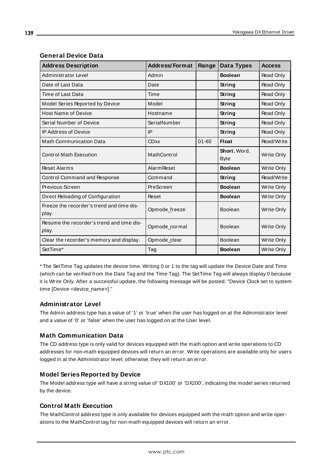| <b>Address Description</b>                         | <b>Address/Format</b> | Range     | Data Types                          | <b>Access</b>     |
|----------------------------------------------------|-----------------------|-----------|-------------------------------------|-------------------|
| Administrator Level                                | Admin                 |           | <b>Boolean</b>                      | Read Only         |
| Date of Last Data                                  | Date                  |           | String                              | Read Only         |
| Time of Last Data                                  | Time                  |           | String                              | Read Only         |
| Model Series Reported by Device                    | Model                 |           | String                              | Read Only         |
| <b>Host Name of Device</b>                         | Hostname              |           | String                              | Read Only         |
| Serial Number of Device                            | SerialNumber          |           | String                              | Read Only         |
| <b>IP Address of Device</b>                        | IP                    |           | String                              | Read Only         |
| <b>Math Communication Data</b>                     | <b>CDxx</b>           | $01 - 60$ | <b>Float</b>                        | Read/Write        |
| <b>Control Math Execution</b>                      | MathControl           |           | <b>Short</b> , Word,<br><b>Byte</b> | Write Only        |
| <b>Reset Alarms</b>                                | <b>Alarm Reset</b>    |           | <b>Boolean</b>                      | Write Only        |
| Control Command and Response                       | Command               |           | String                              | Read/Write        |
| Previous Screen                                    | PreScreen             |           | <b>Boolean</b>                      | Write Only        |
| Direct Reloading of Configuration                  | Reset                 |           | <b>Boolean</b>                      | Write Only        |
| Freeze the recorder's trend and time dis-<br>play. | Opmode_freeze         |           | <b>Boolean</b>                      | <b>Write Only</b> |
| Resume the recorder's trend and time dis-<br>play. | Opmode_normal         |           | Boolean                             | <b>Write Only</b> |
| Clear the recorder's memory and display.           | Opmode_clear          |           | Boolean                             | Write Only        |
| SetTime*                                           | Tag                   |           | <b>Boolean</b>                      | Write Only        |

## **General Device Data**

\* The SetTime Tag updates the device time. Writing 0 or 1 to the tag will update the Device Date and Time (which can be verified from the Date Tag and the Time Tag). The SetTime Tag will always display 0 because it is Write Only. After a successful update, the following message will be posted: "Device Clock set to system time [Device <device\_name>]."

## **Administrator Level**

The Admin address type has a value of '1' or 'true' when the user has logged on at the Administrator level and a value of '0' or 'false' when the user has logged on at the User level.

#### **Math Communication Data**

The CD address type is only valid for devices equipped with the math option and write operations to CD addresses for non-math equipped devices will return an error. Write operations are available only for users logged in at the Administrator level; otherwise, they will return an error.

#### **Model Series Reported by Device**

The Model address type will have a string value of 'DX100' or 'DX200', indicating the model series returned by the device.

#### **Control Math Execution**

The MathControl address type is only available for devices equipped with the math option and write operations to the MathControl tag for non-math equipped devices will return an error.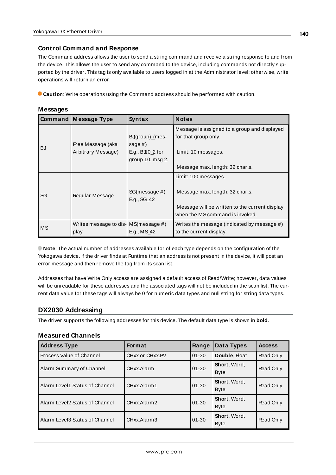#### **Control Command and Response**

The Command address allows the user to send a string command and receive a string response to and from the device. This allows the user to send any command to the device, including commands not directly supported by the driver. This tag is only available to users logged in at the Administrator level; otherwise, write operations will return an error.

**Caution**: Write operations using the Command address should be performed with caution.

#### **Messages**

|           | Command   Message Type                                      | Syntax                                                               | <b>Notes</b>                                                                                                                                 |
|-----------|-------------------------------------------------------------|----------------------------------------------------------------------|----------------------------------------------------------------------------------------------------------------------------------------------|
| <b>BJ</b> | Free Message (aka<br>Arbitrary Message)                     | BJgroup)_(mes-<br>sage $#$ )<br>E.g., BJI0_2 for<br>group 10, msg 2. | Message is assigned to a group and displayed<br>for that group only.<br>Limit: 10 messages.                                                  |
|           |                                                             |                                                                      | Message max. length: 32 char.s.                                                                                                              |
| SG        | Regular Message                                             | SG(message #)<br>E.g., SG_42                                         | Limit: 100 messages.<br>Message max. length: 32 char.s.<br>Message will be written to the current display<br>when the MS command is invoked. |
| MS        | Writes message to dis- $MS(m \, e \, s \, a \, \#)$<br>play | E.g., MS 42                                                          | Writes the message (indicated by message #)<br>to the current display.                                                                       |

**Note**: The actual number of addresses available for of each type depends on the configuration of the Yokogawa device. If the driver finds at Runtime that an address is not present in the device, it will post an error message and then remove the tag from its scan list.

Addresses that have Write Only access are assigned a default access of Read/Write; however, data values will be unreadable for these addresses and the associated tags will not be included in the scan list. The current data value for these tags will always be 0 for numeric data types and null string for string data types.

#### **DX2030 Addressing**

The driver supports the following addresses for this device. The default data type is shown in **bold**.

#### **Measured Channels**

| <b>Address Type</b>            | <b>Format</b>   | Range     | Data Types                  | <b>Access</b> |
|--------------------------------|-----------------|-----------|-----------------------------|---------------|
| Process Value of Channel       | CHxx or CHxx.PV | $01 - 30$ | Double, Float               | Read Only     |
| Alarm Summary of Channel       | CHxx.Alarm      | $01 - 30$ | Short, Word,<br><b>Byte</b> | Read Only     |
| Alarm Level1 Status of Channel | CHxx.Alarm1     | $01 - 30$ | Short, Word,<br><b>Byte</b> | Read Only     |
| Alarm Level2 Status of Channel | CHxx.Alarm2     | $01 - 30$ | Short, Word,<br><b>Byte</b> | Read Only     |
| Alarm Level3 Status of Channel | CHxx.Alarm3     | $01 - 30$ | Short, Word,<br><b>Byte</b> | Read Only     |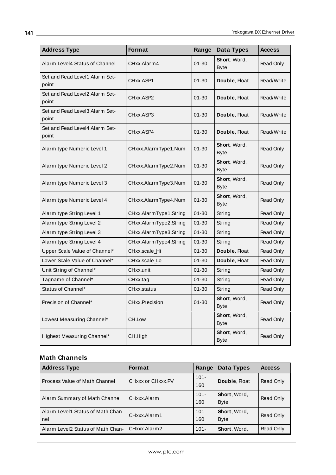| <b>Address Type</b>                     | Format                 | Range     | Data Types                  | <b>Access</b>    |
|-----------------------------------------|------------------------|-----------|-----------------------------|------------------|
| Alarm Level4 Status of Channel          | CHxx.Alarm4            | 01-30     | Short, Word,<br><b>Byte</b> | Read Only        |
| Set and Read Level1 Alarm Set-<br>point | CHxx.ASP1              | $01 - 30$ | Double, Float               | Read/Write       |
| Set and Read Level2 Alarm Set-<br>point | CHxx.ASP2              | $01 - 30$ | Double, Float               | Read/Write       |
| Set and Read Level3 Alarm Set-<br>point | CHxx.ASP3              | $01 - 30$ | Double, Float               | Read/Write       |
| Set and Read Level4 Alarm Set-<br>point | CHxx.ASP4              | $01 - 30$ | Double, Float               | Read/Write       |
| Alarm type Numeric Level 1              | CHxxx.AlarmType1.Num   | $01 - 30$ | Short, Word,<br><b>Byte</b> | Read Only        |
| Alarm type Numeric Level 2              | CHxxx.AlarmType2.Num   | 01-30     | Short, Word,<br><b>Byte</b> | Read Only        |
| Alarm type Numeric Level 3              | CHxxx.AlarmType3.Num   | $01 - 30$ | Short, Word,<br><b>Byte</b> | Read Only        |
| Alarm type Numeric Level 4              | CHxxx.AlarmType4.Num   | $01 - 30$ | Short, Word,<br><b>Byte</b> | Read Only        |
| Alarm type String Level 1               | CHxx.AlarmType1.String | $01 - 30$ | String                      | Read Only        |
| Alarm type String Level 2               | CHxx.AlarmType2.String | $01 - 30$ | String                      | Read Only        |
| Alarm type String Level 3               | CHxx.AlarmType3.String | $01 - 30$ | String                      | Read Only        |
| Alarm type String Level 4               | CHxx.AlarmType4.String | $01 - 30$ | String                      | Read Only        |
| Upper Scale Value of Channel*           | CHxx.scale_Hi          | $01 - 30$ | Double, Float               | Read Only        |
| Lower Scale Value of Channel*           | CHxx.scale_Lo          | $01 - 30$ | Double, Float               | Read Only        |
| Unit String of Channel*                 | CHxx.unit              | $01 - 30$ | String                      | Read Only        |
| Tagname of Channel*                     | CHxx.tag               | $01 - 30$ | String                      | Read Only        |
| Status of Channel*                      | CHxx.status            | $01 - 30$ | String                      | Read Only        |
| Precision of Channel*                   | CHxx.Precision         | $01 - 30$ | Short, Word,<br><b>Byte</b> | <b>Read Only</b> |
| Lowest Measuring Channel*               | CH.Low                 |           | Short, Word,<br><b>Byte</b> | Read Only        |
| Highest Measuring Channel*              | CH.High                |           | Short, Word,<br><b>Byte</b> | Read Only        |

| <b>Address Type</b>                      | <b>Format</b>     | Range          | Data Types                  | <b>Access</b> |
|------------------------------------------|-------------------|----------------|-----------------------------|---------------|
| Process Value of Math Channel            | CHxxx or CHxxx.PV | $101 -$<br>160 | Double, Float               | Read Only     |
| Alarm Summary of Math Channel            | CHxxx.Alarm       | $101 -$<br>160 | Short, Word,<br><b>Byte</b> | Read Only     |
| Alarm Level1 Status of Math Chan-<br>nel | CHxxx.Alarm1      | $101 -$<br>160 | Short, Word,<br><b>Byte</b> | Read Only     |
| Alarm Level2 Status of Math Chan-        | CHxxx.Alarm2      | $101 -$        | Short, Word,                | Read Only     |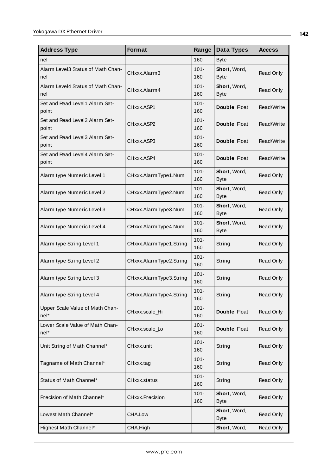| <b>Address Type</b>                      | Format                  | Range          | Data Types                  | Access           |
|------------------------------------------|-------------------------|----------------|-----------------------------|------------------|
| nel                                      |                         | 160            | <b>Byte</b>                 |                  |
| Alarm Level3 Status of Math Chan-<br>nel | CHxxx.Alarm3            | $101 -$<br>160 | Short, Word,<br><b>Byte</b> | <b>Read Only</b> |
| Alarm Level4 Status of Math Chan-<br>nel | CHxxx.Alarm4            | $101 -$<br>160 | Short, Word,<br><b>Byte</b> | Read Only        |
| Set and Read Level1 Alarm Set-<br>point  | CHxxx.ASP1              | $101 -$<br>160 | Double, Float               | Read/Write       |
| Set and Read Level2 Alarm Set-<br>point  | CHxxx.ASP2              | $101 -$<br>160 | Double, Float               | Read/Write       |
| Set and Read Level3 Alarm Set-<br>point  | CHxxx.ASP3              | $101 -$<br>160 | Double, Float               | Read/Write       |
| Set and Read Level4 Alarm Set-<br>point  | CHxxx.ASP4              | $101 -$<br>160 | Double, Float               | Read/Write       |
| Alarm type Numeric Level 1               | CHxxx.AlarmType1.Num    | $101 -$<br>160 | Short, Word,<br><b>Byte</b> | <b>Read Only</b> |
| Alarm type Numeric Level 2               | CHxxx.AlarmType2.Num    | $101 -$<br>160 | Short, Word,<br><b>Byte</b> | Read Only        |
| Alarm type Numeric Level 3               | CHxxx.AlarmType3.Num    | $101 -$<br>160 | Short, Word,<br><b>Byte</b> | Read Only        |
| Alarm type Numeric Level 4               | CHxxx.AlarmType4.Num    | $101 -$<br>160 | Short, Word,<br><b>Byte</b> | Read Only        |
| Alarm type String Level 1                | CHxxx.AlarmType1.String | $101 -$<br>160 | String                      | <b>Read Only</b> |
| Alarm type String Level 2                | CHxxx.AlarmType2.String | $101 -$<br>160 | String                      | <b>Read Only</b> |
| Alarm type String Level 3                | CHxxx.AlarmType3.String | $101 -$<br>160 | String                      | <b>Read Only</b> |
| Alarm type String Level 4                | CHxxx.AlarmType4.String | $101 -$<br>160 | String                      | Read Only        |
| Upper Scale Value of Math Chan-<br>nel*  | CHxxx.scale_Hi          | $101 -$<br>160 | Double, Float               | Read Only        |
| Lower Scale Value of Math Chan-<br>nel*  | CHxxx.scale_Lo          | $101 -$<br>160 | Double, Float               | Read Only        |
| Unit String of Math Channel*             | CHxxx.unit              | $101 -$<br>160 | String                      | <b>Read Only</b> |
| Tagname of Math Channel*                 | CHxxx.tag               | $101 -$<br>160 | String                      | Read Only        |
| Status of Math Channel*                  | CHxxx.status            | $101 -$<br>160 | String                      | Read Only        |
| Precision of Math Channel*               | <b>CHxxx.Precision</b>  | $101 -$<br>160 | Short, Word,<br><b>Byte</b> | Read Only        |
| Lowest Math Channel*                     | CHA.Low                 |                | Short, Word,<br><b>Byte</b> | Read Only        |
| Highest Math Channel*                    | CHA.High                |                | Short, Word,                | Read Only        |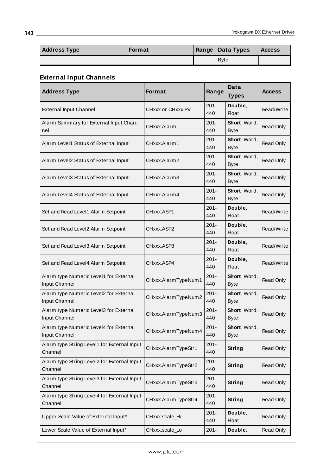| <b>Address Type</b> | <b>Format</b> | <b>Range Data Types</b> | <b>Access</b> |
|---------------------|---------------|-------------------------|---------------|
|                     |               | <b>Byte</b>             |               |

# **External Input Channels**

| <b>Address Type</b>                                     | <b>Format</b>       | Range          | Data<br><b>Types</b>        | <b>Access</b> |
|---------------------------------------------------------|---------------------|----------------|-----------------------------|---------------|
| <b>External Input Channel</b>                           | CHxxx or CHxxx.PV   | $201 -$<br>440 | Double,<br><b>Float</b>     | Read/Write    |
| Alarm Summary for External Input Chan-<br>nel           | CHxxx.Alarm         | $201 -$<br>440 | Short, Word,<br><b>Byte</b> | Read Only     |
| Alarm Level1 Status of External Input                   | CHxxx.Alarm1        | $201 -$<br>440 | Short, Word,<br><b>Byte</b> | Read Only     |
| Alarm Level2 Status of External Input                   | CHxxx.Alarm2        | $201 -$<br>440 | Short, Word,<br><b>Byte</b> | Read Only     |
| Alarm Level3 Status of External Input                   | CHxxx.Alarm3        | $201 -$<br>440 | Short, Word,<br><b>Byte</b> | Read Only     |
| Alarm Level4 Status of External Input                   | CHxxx.Alarm4        | $201 -$<br>440 | Short, Word,<br><b>Byte</b> | Read Only     |
| Set and Read Level1 Alarm Setpoint                      | CHxxx.ASP1          | $201 -$<br>440 | Double,<br><b>Float</b>     | Read/Write    |
| Set and Read Level2 Alarm Setpoint                      | CHxxx.ASP2          | $201 -$<br>440 | Double,<br>Float            | Read/Write    |
| Set and Read Level3 Alarm Setpoint                      | CHxxx.ASP3          | $201 -$<br>440 | Double,<br>Float            | Read/Write    |
| Set and Read Level4 Alarm Setpoint                      | CHxxx.ASP4          | $201 -$<br>440 | Double,<br><b>Float</b>     | Read/Write    |
| Alarm type Numeric Level1 for External<br>Input Channel | CHxxx.AlarmTypeNum1 | $201 -$<br>440 | Short, Word,<br><b>Byte</b> | Read Only     |
| Alarm type Numeric Level2 for External<br>Input Channel | CHxxx.AlarmTypeNum2 | $201 -$<br>440 | Short, Word,<br><b>Byte</b> | Read Only     |
| Alarm type Numeric Level3 for External<br>Input Channel | CHxxx.AlarmTypeNum3 | $201 -$<br>440 | Short, Word,<br><b>Byte</b> | Read Only     |
| Alarm type Numeric Level4 for External<br>Input Channel | CHxxx.AlarmTypeNum4 | $201 -$<br>440 | Short, Word,<br><b>Byte</b> | Read Only     |
| Alarm type String Level1 for External Input<br>Channel  | CHxxx.AlarmTypeStr1 | $201 -$<br>440 | <b>String</b>               | Read Only     |
| Alarm type String Level2 for External Input<br>Channel  | CHxxx.AlarmTypeStr2 | $201 -$<br>440 | String                      | Read Only     |
| Alarm type String Level3 for External Input<br>Channel  | CHxxx.AlarmTypeStr3 | $201 -$<br>440 | <b>String</b>               | Read Only     |
| Alarm type String Level4 for External Input<br>Channel  | CHxxx.AlarmTypeStr4 | $201 -$<br>440 | <b>String</b>               | Read Only     |
| Upper Scale Value of External Input*                    | CHxxx.scale_Hi      | $201 -$<br>440 | Double,<br><b>Float</b>     | Read Only     |
| Lower Scale Value of External Input*                    | CHxxx.scale_Lo      | $201 -$        | Double,                     | Read Only     |

**143**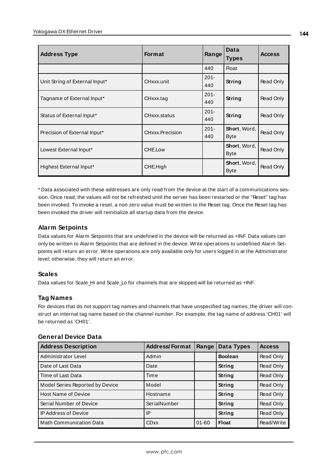| <b>Address Type</b>            | <b>Format</b>   | Range          | Data<br><b>Types</b>        | <b>Access</b>    |
|--------------------------------|-----------------|----------------|-----------------------------|------------------|
|                                |                 | 440            | <b>Float</b>                |                  |
| Unit String of External Input* | CHxxx.unit      | $201 -$<br>440 | String                      | Read Only        |
| Tagname of External Input*     | CHxxx.tag       | $201 -$<br>440 | String                      | Read Only        |
| Status of External Input*      | CHxxx.status    | $201 -$<br>440 | <b>String</b>               | Read Only        |
| Precision of External Input*   | CHxxx.Precision | $201 -$<br>440 | Short, Word,<br><b>Byte</b> | Read Only        |
| Lowest External Input*         | CHE.Low         |                | Short, Word,<br><b>Byte</b> | Read Only        |
| Highest External Input*        | CHE.High        |                | Short, Word,<br><b>Byte</b> | <b>Read Only</b> |

\* Data associated with these addresses are only read from the device at the start of a communications session. Once read, the values will not be refreshed until the server has been restarted or the "Reset" tag has been invoked. To invoke a reset, a non zero value must be written to the Reset tag. Once the Reset tag has been invoked the driver will reinitialize all startup data from the device.

## **Alarm Setpoints**

Data values for Alarm Setpoints that are undefined in the device will be returned as +INF. Data values can only be written to Alarm Setpoints that are defined in the device. Write operations to undefined Alarm Setpoints will return an error. Write operations are only available only for users logged in at the Administrator level; otherwise, they will return an error.

#### **Scales**

Data values for Scale\_Hi and Scale\_Lo for channels that are skipped will be returned as +INF.

#### **Tag Names**

For devices that do not support tag names and channels that have unspecified tag names, the driver will construct an internal tag name based on the channel number. For example, the tag name of address 'CH01' will be returned as 'CH01'.

#### **General Device Data**

| <b>Address Description</b>      | <b>Address/Format</b> | Range     | Data Types     | <b>Access</b> |
|---------------------------------|-----------------------|-----------|----------------|---------------|
| Administrator Level             | Admin                 |           | <b>Boolean</b> | Read Only     |
| Date of Last Data               | Date                  |           | String         | Read Only     |
| Time of Last Data               | Time                  |           | String         | Read Only     |
| Model Series Reported by Device | Model                 |           | <b>String</b>  | Read Only     |
| <b>Host Name of Device</b>      | Hostname              |           | <b>String</b>  | Read Only     |
| Serial Number of Device         | SerialNumber          |           | <b>String</b>  | Read Only     |
| <b>IP Address of Device</b>     | IP                    |           | <b>String</b>  | Read Only     |
| <b>Math Communication Data</b>  | <b>CDxx</b>           | $01 - 60$ | <b>Float</b>   | Read/Write    |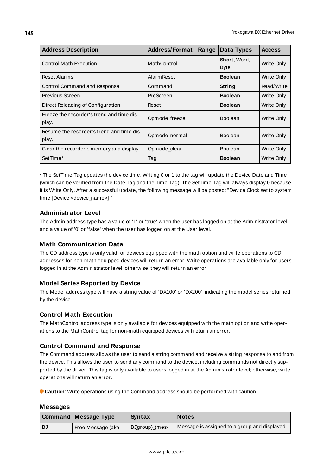| <b>Address Description</b>                         | <b>Address/Format</b> | Range | Data Types                  | <b>Access</b> |
|----------------------------------------------------|-----------------------|-------|-----------------------------|---------------|
| <b>Control Math Execution</b>                      | MathControl           |       | Short, Word,<br><b>Byte</b> | Write Only    |
| <b>Reset Alarms</b>                                | <b>Alarm Reset</b>    |       | <b>Boolean</b>              | Write Only    |
| Control Command and Response                       | Command               |       | String                      | Read/Write    |
| Previous Screen                                    | PreScreen             |       | <b>Boolean</b>              | Write Only    |
| Direct Reloading of Configuration                  | Reset                 |       | <b>Boolean</b>              | Write Only    |
| Freeze the recorder's trend and time dis-<br>play. | Opmode_freeze         |       | <b>Boolean</b>              | Write Only    |
| Resume the recorder's trend and time dis-<br>play. | Opmode normal         |       | <b>Boolean</b>              | Write Only    |
| Clear the recorder's memory and display.           | Opmode clear          |       | <b>Boolean</b>              | Write Only    |
| SetTime*                                           | Tag                   |       | <b>Boolean</b>              | Write Only    |

\* The SetTime Tag updates the device time. Writing 0 or 1 to the tag will update the Device Date and Time (which can be verified from the Date Tag and the Time Tag). The SetTime Tag will always display 0 because it is Write Only. After a successful update, the following message will be posted: "Device Clock set to system time [Device <device\_name>]."

# **Administrator Level**

The Admin address type has a value of '1' or 'true' when the user has logged on at the Administrator level and a value of '0' or 'false' when the user has logged on at the User level.

# **Math Communication Data**

The CD address type is only valid for devices equipped with the math option and write operations to CD addresses for non-math equipped devices will return an error. Write operations are available only for users logged in at the Administrator level; otherwise, they will return an error.

# **Model Series Reported by Device**

The Model address type will have a string value of 'DX100' or 'DX200', indicating the model series returned by the device.

# **Control Math Execution**

The MathControl address type is only available for devices equipped with the math option and write operations to the MathControl tag for non-math equipped devices will return an error.

# **Control Command and Response**

The Command address allows the user to send a string command and receive a string response to and from the device. This allows the user to send any command to the device, including commands not directly supported by the driver. This tag is only available to users logged in at the Administrator level; otherwise, write operations will return an error.

**Caution**: Write operations using the Command address should be performed with caution.

#### **Messages**

|      | <b>Command Message Type</b> | Syntax         | <b>Notes</b>                                 |
|------|-----------------------------|----------------|----------------------------------------------|
| ' BJ | Free Message (aka           | BJgroup)_(mes- | Message is assigned to a group and displayed |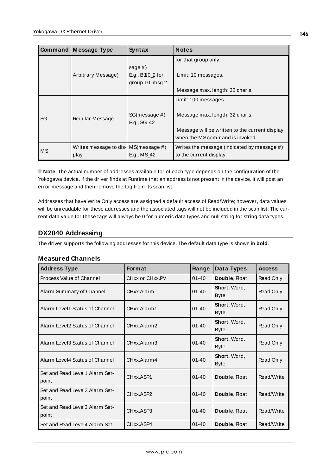|    | <b>Command Message Type</b>                         | <b>Syntax</b>                | <b>Notes</b>                                   |
|----|-----------------------------------------------------|------------------------------|------------------------------------------------|
|    |                                                     |                              | for that group only.                           |
|    |                                                     | sage $#$ )                   |                                                |
|    | Arbitrary Message)                                  | E.g., $BJ10_2$ for           | Limit: 10 messages.                            |
|    |                                                     | group $10$ , msg $2$ .       |                                                |
|    |                                                     |                              | Message max. length: 32 char.s.                |
|    |                                                     |                              | Limit: 100 messages.                           |
| SG | Regular Message                                     | SG(message #)<br>E.g., SG_42 | Message max. length: 32 char.s.                |
|    |                                                     |                              | Message will be written to the current display |
|    |                                                     |                              | when the MS command is invoked.                |
| МS | Writes message to dis- $MS(m \, e \, s \, a \, \#)$ |                              | Writes the message (indicated by message #)    |
|    | play                                                | E.g., MS_42                  | to the current display.                        |

**Note**: The actual number of addresses available for of each type depends on the configuration of the Yokogawa device. If the driver finds at Runtime that an address is not present in the device, it will post an error message and then remove the tag from its scan list.

Addresses that have Write Only access are assigned a default access of Read/Write; however, data values will be unreadable for these addresses and the associated tags will not be included in the scan list. The current data value for these tags will always be 0 for numeric data types and null string for string data types.

# <span id="page-145-0"></span>**DX2040 Addressing**

The driver supports the following addresses for this device. The default data type is shown in **bold**.

#### **Measured Channels**

| <b>Address Type</b>                     | <b>Format</b>   | Range     | Data Types                          | <b>Access</b> |
|-----------------------------------------|-----------------|-----------|-------------------------------------|---------------|
| Process Value of Channel                | CHxx or CHxx.PV | $01 - 40$ | Double, Float                       | Read Only     |
| Alarm Summary of Channel                | CHxx.Alarm      | $01 - 40$ | <b>Short</b> , Word,<br><b>Byte</b> | Read Only     |
| Alarm Level1 Status of Channel          | CHxx.Alarm1     | $01 - 40$ | <b>Short</b> , Word,<br><b>Byte</b> | Read Only     |
| Alarm Level2 Status of Channel          | CHxx.Alarm2     | $01 - 40$ | Short, Word,<br><b>Byte</b>         | Read Only     |
| Alarm Level3 Status of Channel          | CHxx.Alarm3     | $01 - 40$ | Short, Word,<br><b>Byte</b>         | Read Only     |
| Alarm Level4 Status of Channel          | CHxx.Alarm4     | $01 - 40$ | Short, Word,<br><b>Byte</b>         | Read Only     |
| Set and Read Level1 Alarm Set-<br>point | CHxx.ASP1       | $01 - 40$ | Double, Float                       | Read/Write    |
| Set and Read Level2 Alarm Set-<br>point | CHxx.ASP2       | $01 - 40$ | Double, Float                       | Read/Write    |
| Set and Read Level3 Alarm Set-<br>point | CHxx.ASP3       | $01 - 40$ | Double, Float                       | Read/Write    |
| Set and Read Level4 Alarm Set-          | CHxx.ASP4       | $01 - 40$ | Double, Float                       | Read/Write    |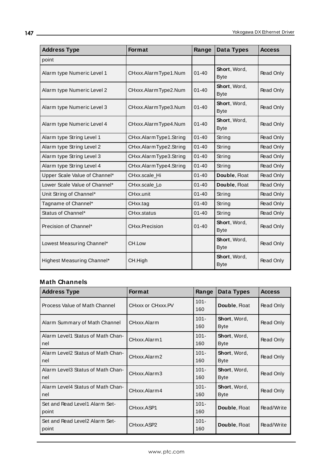| <b>Address Type</b>           | <b>Format</b>          | Range     | Data Types                  | <b>Access</b> |
|-------------------------------|------------------------|-----------|-----------------------------|---------------|
| point                         |                        |           |                             |               |
| Alarm type Numeric Level 1    | CHxxx.AlarmType1.Num   | $01 - 40$ | Short, Word,<br><b>Byte</b> | Read Only     |
| Alarm type Numeric Level 2    | CHxxx.AlarmType2.Num   | $01 - 40$ | Short, Word,<br><b>Byte</b> | Read Only     |
| Alarm type Numeric Level 3    | CHxxx.AlarmType3.Num   | $01 - 40$ | Short, Word,<br><b>Byte</b> | Read Only     |
| Alarm type Numeric Level 4    | CHxxx.AlarmType4.Num   | $01 - 40$ | Short, Word,<br><b>Byte</b> | Read Only     |
| Alarm type String Level 1     | CHxx.AlarmType1.String | $01 - 40$ | String                      | Read Only     |
| Alarm type String Level 2     | CHxx.AlarmType2.String | $01 - 40$ | String                      | Read Only     |
| Alarm type String Level 3     | CHxx.AlarmType3.String | $01 - 40$ | String                      | Read Only     |
| Alarm type String Level 4     | CHxx.AlarmType4.String | $01 - 40$ | String                      | Read Only     |
| Upper Scale Value of Channel* | CHxx.scale_Hi          | $01 - 40$ | Double, Float               | Read Only     |
| Lower Scale Value of Channel* | CHxx.scale_Lo          | $01 - 40$ | Double, Float               | Read Only     |
| Unit String of Channel*       | CHxx.unit              | $01 - 40$ | String                      | Read Only     |
| Tagname of Channel*           | CHxx.tag               | $01 - 40$ | String                      | Read Only     |
| Status of Channel*            | CHxx.status            | $01 - 40$ | String                      | Read Only     |
| Precision of Channel*         | CHxx.Precision         | $01 - 40$ | Short, Word,<br><b>Byte</b> | Read Only     |
| Lowest Measuring Channel*     | CH.Low                 |           | Short, Word,<br><b>Byte</b> | Read Only     |
| Highest Measuring Channel*    | CH.High                |           | Short, Word,<br><b>Byte</b> | Read Only     |

# **Math Channels**

| <b>Address Type</b>                      | <b>Format</b>     | Range          | Data Types                  | <b>Access</b> |
|------------------------------------------|-------------------|----------------|-----------------------------|---------------|
| Process Value of Math Channel            | CHxxx or CHxxx.PV | $101 -$<br>160 | Double, Float               | Read Only     |
| Alarm Summary of Math Channel            | CHxxx.Alarm       | $101 -$<br>160 | Short, Word,<br><b>Byte</b> | Read Only     |
| Alarm Level1 Status of Math Chan-<br>nel | CHxxx.Alarm1      | $101 -$<br>160 | Short, Word,<br><b>Byte</b> | Read Only     |
| Alarm Level2 Status of Math Chan-<br>nel | CHxxx.Alarm2      | $101 -$<br>160 | Short, Word,<br>Byte        | Read Only     |
| Alarm Level3 Status of Math Chan-<br>nel | CHxxx.Alarm3      | $101 -$<br>160 | Short, Word,<br><b>Byte</b> | Read Only     |
| Alarm Level4 Status of Math Chan-<br>nel | CHxxx.Alarm4      | $101 -$<br>160 | Short, Word,<br><b>Byte</b> | Read Only     |
| Set and Read Level1 Alarm Set-<br>point  | CHxxx.ASP1        | $101 -$<br>160 | Double, Float               | Read/Write    |
| Set and Read Level2 Alarm Set-<br>point  | CHxxx.ASP2        | $101 -$<br>160 | Double, Float               | Read/Write    |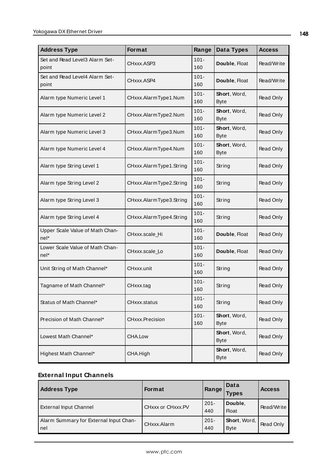| <b>Address Type</b>                       | Format                  | Range          | Data Types                  | <b>Access</b>    |
|-------------------------------------------|-------------------------|----------------|-----------------------------|------------------|
| Set and Read Level3 Alarm Set-<br>point   | CHxxx.ASP3              | $101 -$<br>160 | Double, Float               | Read/Write       |
| Set and Read Level4 Alarm Set-<br>point   | CHxxx.ASP4              | $101 -$<br>160 | Double, Float               | Read/Write       |
| Alarm type Numeric Level 1                | CHxxx.AlarmType1.Num    | $101 -$<br>160 | Short, Word,<br><b>Byte</b> | Read Only        |
| Alarm type Numeric Level 2                | CHxxx.AlarmType2.Num    | $101 -$<br>160 | Short, Word,<br><b>Byte</b> | Read Only        |
| Alarm type Numeric Level 3                | CHxxx.AlarmType3.Num    | $101 -$<br>160 | Short, Word,<br><b>Byte</b> | Read Only        |
| Alarm type Numeric Level 4                | CHxxx.AlarmType4.Num    | $101 -$<br>160 | Short, Word,<br><b>Byte</b> | Read Only        |
| Alarm type String Level 1                 | CHxxx.AlarmType1.String | $101 -$<br>160 | String                      | Read Only        |
| Alarm type String Level 2                 | CHxxx.AlarmType2.String | $101 -$<br>160 | String                      | Read Only        |
| Alarm type String Level 3                 | CHxxx.AlarmType3.String | $101 -$<br>160 | String                      | Read Only        |
| Alarm type String Level 4                 | CHxxx.AlarmType4.String | $101 -$<br>160 | String                      | Read Only        |
| Upper Scale Value of Math Chan-<br>$nel*$ | CHxxx.scale_Hi          | $101 -$<br>160 | Double, Float               | Read Only        |
| Lower Scale Value of Math Chan-<br>$nel*$ | CHxxx.scale_Lo          | $101 -$<br>160 | Double, Float               | <b>Read Only</b> |
| Unit String of Math Channel*              | CHxxx.unit              | $101 -$<br>160 | String                      | Read Only        |
| Tagname of Math Channel*                  | CHxxx.tag               | $101 -$<br>160 | String                      | Read Only        |
| Status of Math Channel*                   | CHxxx.status            | $101 -$<br>160 | String                      | Read Only        |
| Precision of Math Channel*                | CHxxx.Precision         | $101 -$<br>160 | Short, Word,<br><b>Byte</b> | Read Only        |
| Lowest Math Channel*                      | CHA.Low                 |                | Short, Word,<br><b>Byte</b> | Read Only        |
| Highest Math Channel*                     | CHA.High                |                | Short, Word,<br><b>Byte</b> | Read Only        |

# **External Input Channels**

| <b>Address Type</b>                           | <b>Format</b>     | Range          | Data<br>Types                       | <b>Access</b> |
|-----------------------------------------------|-------------------|----------------|-------------------------------------|---------------|
| <b>External Input Channel</b>                 | CHxxx or CHxxx.PV | $201 -$<br>440 | Double.<br><b>Float</b>             | Read/Write    |
| Alarm Summary for External Input Chan-<br>nel | CHxxx.Alarm       | $201 -$<br>440 | <b>Short</b> , Word,<br><b>Byte</b> | Read Only     |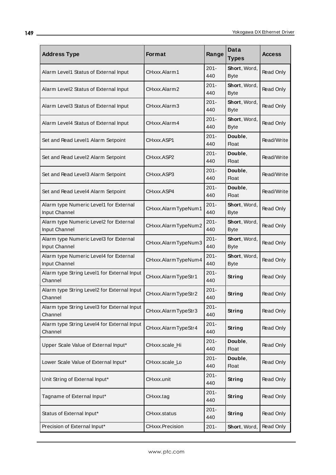| <b>Address Type</b>                                     | <b>Format</b>       | Range          | Data<br><b>Types</b>        | <b>Access</b> |
|---------------------------------------------------------|---------------------|----------------|-----------------------------|---------------|
| Alarm Level1 Status of External Input                   | CHxxx.Alarm1        | $201 -$<br>440 | Short, Word,<br><b>Byte</b> | Read Only     |
| Alarm Level2 Status of External Input                   | CHxxx.Alarm2        | $201 -$<br>440 | Short, Word,<br><b>Byte</b> | Read Only     |
| Alarm Level3 Status of External Input                   | CHxxx.Alarm3        | $201 -$<br>440 | Short, Word,<br><b>Byte</b> | Read Only     |
| Alarm Level4 Status of External Input                   | CHxxx.Alarm4        | $201 -$<br>440 | Short, Word,<br><b>Byte</b> | Read Only     |
| Set and Read Level1 Alarm Setpoint                      | CHxxx.ASP1          | $201 -$<br>440 | Double,<br>Float            | Read/Write    |
| Set and Read Level2 Alarm Setpoint                      | CHxxx.ASP2          | $201 -$<br>440 | Double,<br><b>Float</b>     | Read/Write    |
| Set and Read Level3 Alarm Setpoint                      | CHxxx.ASP3          | $201 -$<br>440 | Double,<br><b>Float</b>     | Read/Write    |
| Set and Read Level4 Alarm Setpoint                      | CHxxx.ASP4          | $201 -$<br>440 | Double,<br><b>Float</b>     | Read/Write    |
| Alarm type Numeric Level1 for External<br>Input Channel | CHxxx.AlarmTypeNum1 | $201 -$<br>440 | Short, Word,<br><b>Byte</b> | Read Only     |
| Alarm type Numeric Level2 for External<br>Input Channel | CHxxx.AlarmTypeNum2 | $201 -$<br>440 | Short, Word,<br><b>Byte</b> | Read Only     |
| Alarm type Numeric Level3 for External<br>Input Channel | CHxxx.AlarmTypeNum3 | $201 -$<br>440 | Short, Word,<br><b>Byte</b> | Read Only     |
| Alarm type Numeric Level4 for External<br>Input Channel | CHxxx.AlarmTypeNum4 | $201 -$<br>440 | Short, Word,<br><b>Byte</b> | Read Only     |
| Alarm type String Level1 for External Input<br>Channel  | CHxxx.AlarmTypeStr1 | $201 -$<br>440 | <b>String</b>               | Read Only     |
| Alarm type String Level2 for External Input<br>Channel  | CHxxx.AlarmTypeStr2 | $201 -$<br>440 | <b>String</b>               | Read Only     |
| Alarm type String Level3 for External Input<br>Channel  | CHxxx.AlarmTypeStr3 | $201 -$<br>440 | <b>String</b>               | Read Only     |
| Alarm type String Level4 for External Input<br>Channel  | CHxxx.AlarmTypeStr4 | $201 -$<br>440 | <b>String</b>               | Read Only     |
| Upper Scale Value of External Input*                    | CHxxx.scale_Hi      | $201 -$<br>440 | Double,<br><b>Float</b>     | Read Only     |
| Lower Scale Value of External Input*                    | CHxxx.scale_Lo      | $201 -$<br>440 | Double,<br><b>Float</b>     | Read Only     |
| Unit String of External Input*                          | CHxxx.unit          | $201 -$<br>440 | <b>String</b>               | Read Only     |
| Tagname of External Input*                              | CHxxx.tag           | $201 -$<br>440 | <b>String</b>               | Read Only     |
| Status of External Input*                               | CHxxx.status        | $201 -$<br>440 | <b>String</b>               | Read Only     |
| Precision of External Input*                            | CHxxx.Precision     | $201 -$        | Short, Word,                | Read Only     |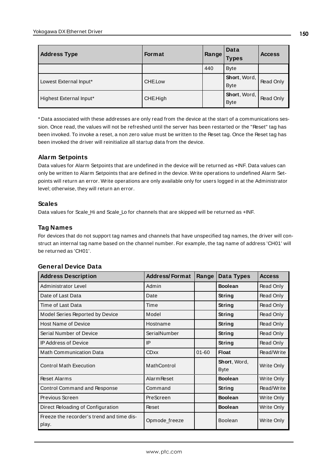| <b>Address Type</b>     | <b>Format</b> | ⊪Range <sup>r</sup> | Data<br><b>Types</b>        | <b>Access</b>    |
|-------------------------|---------------|---------------------|-----------------------------|------------------|
|                         |               | 440                 | <b>Byte</b>                 |                  |
| Lowest External Input*  | CHE.Low       |                     | Short, Word,<br><b>Byte</b> | Read Only        |
| Highest External Input* | CHE.High      |                     | Short, Word,<br><b>Byte</b> | <b>Read Only</b> |

\* Data associated with these addresses are only read from the device at the start of a communications session. Once read, the values will not be refreshed until the server has been restarted or the "Reset" tag has been invoked. To invoke a reset, a non zero value must be written to the Reset tag. Once the Reset tag has been invoked the driver will reinitialize all startup data from the device.

# **Alarm Setpoints**

Data values for Alarm Setpoints that are undefined in the device will be returned as +INF. Data values can only be written to Alarm Setpoints that are defined in the device. Write operations to undefined Alarm Setpoints will return an error. Write operations are only available only for users logged in at the Administrator level; otherwise, they will return an error.

# **Scales**

Data values for Scale\_Hi and Scale\_Lo for channels that are skipped will be returned as +INF.

# **Tag Names**

For devices that do not support tag names and channels that have unspecified tag names, the driver will construct an internal tag name based on the channel number. For example, the tag name of address 'CH01' will be returned as 'CH01'.

| <b>Address Description</b>                         | <b>Address/Format</b> | Range     | Data Types                  | <b>Access</b> |
|----------------------------------------------------|-----------------------|-----------|-----------------------------|---------------|
| Administrator Level                                | Admin                 |           | <b>Boolean</b>              | Read Only     |
| Date of Last Data                                  | Date                  |           | String                      | Read Only     |
| Time of Last Data                                  | Time                  |           | <b>String</b>               | Read Only     |
| Model Series Reported by Device                    | Model                 |           | <b>String</b>               | Read Only     |
| <b>Host Name of Device</b>                         | Hostname              |           | String                      | Read Only     |
| Serial Number of Device                            | SerialNumber          |           | String                      | Read Only     |
| <b>IP Address of Device</b>                        | IP                    |           | <b>String</b>               | Read Only     |
| <b>Math Communication Data</b>                     | <b>CDxx</b>           | $01 - 60$ | <b>Float</b>                | Read/Write    |
| <b>Control Math Execution</b>                      | MathControl           |           | Short, Word,<br><b>Byte</b> | Write Only    |
| <b>Reset Alarms</b>                                | <b>Alarm Reset</b>    |           | <b>Boolean</b>              | Write Only    |
| Control Command and Response                       | Command               |           | String                      | Read/Write    |
| Previous Screen                                    | PreScreen             |           | <b>Boolean</b>              | Write Only    |
| Direct Reloading of Configuration                  | Reset                 |           | <b>Boolean</b>              | Write Only    |
| Freeze the recorder's trend and time dis-<br>play. | Opmode_freeze         |           | <b>Boolean</b>              | Write Only    |

# **General Device Data**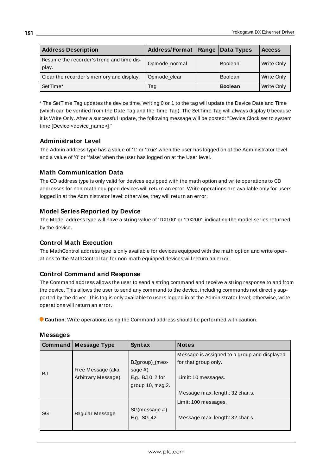| <b>Address Description</b>                         | <b>Address/Format</b> | Range Data Types | <b>Access</b> |
|----------------------------------------------------|-----------------------|------------------|---------------|
| Resume the recorder's trend and time dis-<br>play. | Opmode_normal         | <b>Boolean</b>   | Write Only    |
| Clear the recorder's memory and display.           | Opmode_clear          | <b>Boolean</b>   | Write Only    |
| SetTime*                                           | Tag                   | <b>Boolean</b>   | Write Only    |

\* The SetTime Tag updates the device time. Writing 0 or 1 to the tag will update the Device Date and Time (which can be verified from the Date Tag and the Time Tag). The SetTime Tag will always display 0 because it is Write Only. After a successful update, the following message will be posted: "Device Clock set to system time [Device <device\_name>]."

# **Administrator Level**

The Admin address type has a value of '1' or 'true' when the user has logged on at the Administrator level and a value of '0' or 'false' when the user has logged on at the User level.

# **Math Communication Data**

The CD address type is only valid for devices equipped with the math option and write operations to CD addresses for non-math equipped devices will return an error. Write operations are available only for users logged in at the Administrator level; otherwise, they will return an error.

# **Model Series Reported by Device**

The Model address type will have a string value of 'DX100' or 'DX200', indicating the model series returned by the device.

# **Control Math Execution**

The MathControl address type is only available for devices equipped with the math option and write operations to the MathControl tag for non-math equipped devices will return an error.

# **Control Command and Response**

The Command address allows the user to send a string command and receive a string response to and from the device. This allows the user to send any command to the device, including commands not directly supported by the driver. This tag is only available to users logged in at the Administrator level; otherwise, write operations will return an error.

**Caution**: Write operations using the Command address should be performed with caution.

|           | Command   Message Type                  | Syntax                                                                     | <b>Notes</b>                                                                                |
|-----------|-----------------------------------------|----------------------------------------------------------------------------|---------------------------------------------------------------------------------------------|
| <b>BJ</b> | Free Message (aka<br>Arbitrary Message) | BJgroup)_(mes-<br>sage $#$ )<br>E.g., BJI0_2 for<br>group $10$ , msg $2$ . | Message is assigned to a group and displayed<br>for that group only.<br>Limit: 10 messages. |
|           |                                         |                                                                            | Message max. length: 32 char.s.                                                             |
| SG        | Regular Message                         | SG(message #)<br>E.g., SG_42                                               | Limit: 100 messages.<br>Message max. length: 32 char.s.                                     |

#### **Messages**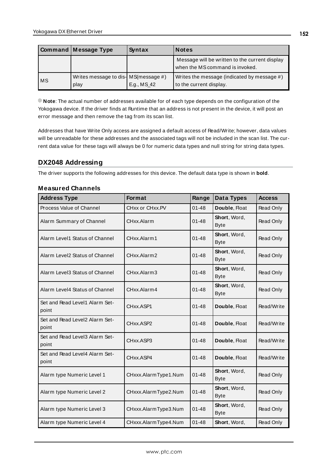|    | Command Message Type                          | Syntax      | <b>Notes</b>                                                                      |
|----|-----------------------------------------------|-------------|-----------------------------------------------------------------------------------|
|    |                                               |             | Message will be written to the current display<br>when the MS command is invoked. |
| MS | Writes message to dis- MS (message #)<br>play | E.g., MS_42 | Writes the message (indicated by message #)<br>to the current display.            |

**Note**: The actual number of addresses available for of each type depends on the configuration of the Yokogawa device. If the driver finds at Runtime that an address is not present in the device, it will post an error message and then remove the tag from its scan list.

Addresses that have Write Only access are assigned a default access of Read/Write; however, data values will be unreadable for these addresses and the associated tags will not be included in the scan list. The current data value for these tags will always be 0 for numeric data types and null string for string data types.

# <span id="page-151-0"></span>**DX2048 Addressing**

The driver supports the following addresses for this device. The default data type is shown in **bold**.

### **Measured Channels**

| <b>Address Type</b>                     | <b>Format</b>        | Range     | Data Types                  | <b>Access</b> |
|-----------------------------------------|----------------------|-----------|-----------------------------|---------------|
| Process Value of Channel                | CHxx or CHxx.PV      | $01 - 48$ | Double, Float               | Read Only     |
| Alarm Summary of Channel                | CHxx.Alarm           | $01 - 48$ | Short, Word,<br><b>Byte</b> | Read Only     |
| Alarm Level1 Status of Channel          | CHxx.Alarm1          | $01 - 48$ | Short, Word,<br><b>Byte</b> | Read Only     |
| Alarm Level2 Status of Channel          | CHxx.Alarm2          | $01 - 48$ | Short, Word,<br><b>Byte</b> | Read Only     |
| Alarm Level3 Status of Channel          | CHxx.Alarm3          | $01 - 48$ | Short, Word,<br><b>Byte</b> | Read Only     |
| Alarm Level4 Status of Channel          | CHxx.Alarm4          | $01 - 48$ | Short, Word,<br><b>Byte</b> | Read Only     |
| Set and Read Level1 Alarm Set-<br>point | CHxx.ASP1            | $01 - 48$ | Double, Float               | Read/Write    |
| Set and Read Level2 Alarm Set-<br>point | CHxx.ASP2            | 01-48     | Double, Float               | Read/Write    |
| Set and Read Level3 Alarm Set-<br>point | CHxx.ASP3            | $01 - 48$ | Double, Float               | Read/Write    |
| Set and Read Level4 Alarm Set-<br>point | CHxx.ASP4            | $01 - 48$ | Double, Float               | Read/Write    |
| Alarm type Numeric Level 1              | CHxxx.AlarmType1.Num | $01 - 48$ | Short, Word,<br><b>Byte</b> | Read Only     |
| Alarm type Numeric Level 2              | CHxxx.AlarmType2.Num | $01 - 48$ | Short, Word,<br><b>Byte</b> | Read Only     |
| Alarm type Numeric Level 3              | CHxxx.AlarmType3.Num | $01 - 48$ | Short, Word,<br><b>Byte</b> | Read Only     |
| Alarm type Numeric Level 4              | CHxxx.AlarmType4.Num | $01 - 48$ | Short, Word,                | Read Only     |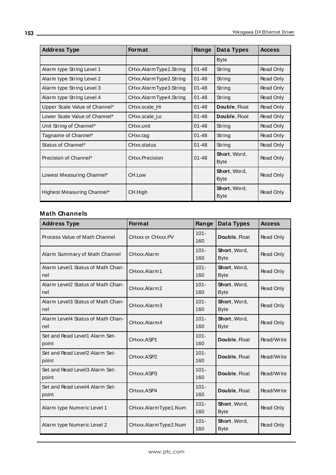| <b>Address Type</b>           | <b>Format</b>          | Range     | Data Types                          | <b>Access</b> |
|-------------------------------|------------------------|-----------|-------------------------------------|---------------|
|                               |                        |           | <b>Byte</b>                         |               |
| Alarm type String Level 1     | CHxx.AlarmType1.String | $01 - 48$ | String                              | Read Only     |
| Alarm type String Level 2     | CHxx.AlarmType2.String | $01 - 48$ | String                              | Read Only     |
| Alarm type String Level 3     | CHxx.AlarmType3.String | $01 - 48$ | String                              | Read Only     |
| Alarm type String Level 4     | CHxx.AlarmType4.String | $01 - 48$ | String                              | Read Only     |
| Upper Scale Value of Channel* | CHxx.scale Hi          | $01 - 48$ | Double, Float                       | Read Only     |
| Lower Scale Value of Channel* | CHxx.scale Lo          | $01 - 48$ | Double, Float                       | Read Only     |
| Unit String of Channel*       | CHxx.unit              | $01 - 48$ | String                              | Read Only     |
| Tagname of Channel*           | CHxx.tag               | $01 - 48$ | String                              | Read Only     |
| Status of Channel*            | CHxx.status            | $01 - 48$ | String                              | Read Only     |
| Precision of Channel*         | CHxx.Precision         | $01 - 48$ | <b>Short</b> , Word,<br>Byte        | Read Only     |
| Lowest Measuring Channel*     | CH.Low                 |           | <b>Short</b> , Word,<br><b>Byte</b> | Read Only     |
| Highest Measuring Channel*    | CH.High                |           | <b>Short</b> , Word,<br><b>Byte</b> | Read Only     |

# **Math Channels**

| <b>Address Type</b>                      | Format               | Range          | Data Types                  | <b>Access</b> |
|------------------------------------------|----------------------|----------------|-----------------------------|---------------|
| Process Value of Math Channel            | CHxxx or CHxxx.PV    | $101 -$<br>160 | Double, Float               | Read Only     |
| Alarm Summary of Math Channel            | CHxxx.Alarm          | $101 -$<br>160 | Short, Word,<br><b>Byte</b> | Read Only     |
| Alarm Level1 Status of Math Chan-<br>nel | CHxxx.Alarm1         | $101 -$<br>160 | Short, Word,<br><b>Byte</b> | Read Only     |
| Alarm Level2 Status of Math Chan-<br>nel | CHxxx.Alarm2         | $101 -$<br>160 | Short, Word,<br><b>Byte</b> | Read Only     |
| Alarm Level3 Status of Math Chan-<br>nel | CHxxx.Alarm3         | $101 -$<br>160 | Short, Word,<br><b>Byte</b> | Read Only     |
| Alarm Level4 Status of Math Chan-<br>nel | CHxxx.Alarm4         | $101 -$<br>160 | Short, Word,<br><b>Byte</b> | Read Only     |
| Set and Read Level1 Alarm Set-<br>point  | CHxxx.ASP1           | $101 -$<br>160 | Double, Float               | Read/Write    |
| Set and Read Level2 Alarm Set-<br>point  | CHxxx.ASP2           | $101 -$<br>160 | Double, Float               | Read/Write    |
| Set and Read Level3 Alarm Set-<br>point  | CHxxx.ASP3           | $101 -$<br>160 | Double, Float               | Read/Write    |
| Set and Read Level4 Alarm Set-<br>point  | CHxxx.ASP4           | $101 -$<br>160 | Double, Float               | Read/Write    |
| Alarm type Numeric Level 1               | CHxxx.AlarmType1.Num | $101 -$<br>160 | Short, Word,<br><b>Byte</b> | Read Only     |
| Alarm type Numeric Level 2               | CHxxx.AlarmType2.Num | $101 -$<br>160 | Short, Word,<br><b>Byte</b> | Read Only     |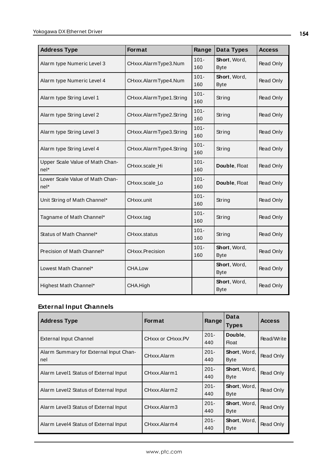| <b>Address Type</b>                     | Format                  | Range          | Data Types                  | <b>Access</b> |
|-----------------------------------------|-------------------------|----------------|-----------------------------|---------------|
| Alarm type Numeric Level 3              | CHxxx.AlarmType3.Num    | $101 -$<br>160 | Short, Word,<br><b>Byte</b> | Read Only     |
| Alarm type Numeric Level 4              | CHxxx.AlarmType4.Num    | $101 -$<br>160 | Short, Word,<br><b>Byte</b> | Read Only     |
| Alarm type String Level 1               | CHxxx.AlarmType1.String | $101 -$<br>160 | String                      | Read Only     |
| Alarm type String Level 2               | CHxxx.AlarmType2.String | $101 -$<br>160 | String                      | Read Only     |
| Alarm type String Level 3               | CHxxx.AlarmType3.String | $101 -$<br>160 | String                      | Read Only     |
| Alarm type String Level 4               | CHxxx.AlarmType4.String | $101 -$<br>160 | String                      | Read Only     |
| Upper Scale Value of Math Chan-<br>nel* | CHxxx.scale_Hi          | $101 -$<br>160 | Double, Float               | Read Only     |
| Lower Scale Value of Math Chan-<br>nel* | CHxxx.scale_Lo          | $101 -$<br>160 | Double, Float               | Read Only     |
| Unit String of Math Channel*            | CHxxx.unit              | $101 -$<br>160 | String                      | Read Only     |
| Tagname of Math Channel*                | CHxxx.tag               | $101 -$<br>160 | String                      | Read Only     |
| Status of Math Channel*                 | CHxxx.status            | $101 -$<br>160 | String                      | Read Only     |
| Precision of Math Channel*              | CHxxx.Precision         | $101 -$<br>160 | Short, Word,<br><b>Byte</b> | Read Only     |
| Lowest Math Channel*                    | CHA.Low                 |                | Short, Word,<br><b>Byte</b> | Read Only     |
| Highest Math Channel*                   | CHA.High                |                | Short, Word,<br><b>Byte</b> | Read Only     |

# **External Input Channels**

| <b>Address Type</b>                           | <b>Format</b>     | Range          | Data<br><b>Types</b> | <b>Access</b> |
|-----------------------------------------------|-------------------|----------------|----------------------|---------------|
| External Input Channel                        | CHxxx or CHxxx.PV | $201 -$<br>440 | Double,<br>Float     | Read/Write    |
| Alarm Summary for External Input Chan-<br>nel | CHxxx.Alarm       | $201 -$<br>440 | Short, Word,<br>Byte | Read Only     |
| Alarm Level1 Status of External Input         | CHxxx.Alarm1      | $201 -$<br>440 | Short, Word,<br>Byte | Read Only     |
| Alarm Level2 Status of External Input         | CHxxx.Alarm2      | $201 -$<br>440 | Short, Word,<br>Byte | Read Only     |
| Alarm Level3 Status of External Input         | CHxxx.Alarm3      | $201 -$<br>440 | Short, Word,<br>Byte | Read Only     |
| Alarm Level4 Status of External Input         | CHxxx.Alarm4      | $201 -$<br>440 | Short, Word,<br>Byte | Read Only     |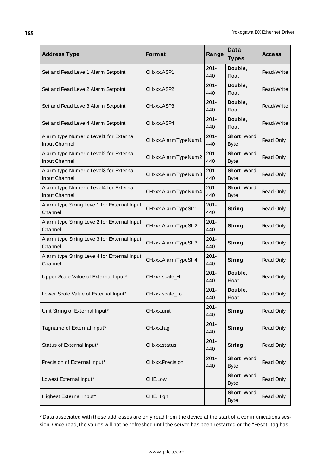| <b>Address Type</b>                                     | <b>Format</b>       | Range          | Data<br><b>Types</b>        | <b>Access</b> |
|---------------------------------------------------------|---------------------|----------------|-----------------------------|---------------|
| Set and Read Level1 Alarm Setpoint                      | CHxxx.ASP1          | $201 -$<br>440 | Double,<br><b>Float</b>     | Read/Write    |
| Set and Read Level2 Alarm Setpoint                      | CHxxx.ASP2          | $201 -$<br>440 | Double,<br><b>Float</b>     | Read/Write    |
| Set and Read Level3 Alarm Setpoint                      | CHxxx.ASP3          | $201 -$<br>440 | Double,<br><b>Float</b>     | Read/Write    |
| Set and Read Level4 Alarm Setpoint                      | CHxxx.ASP4          | $201 -$<br>440 | Double,<br>Float            | Read/Write    |
| Alarm type Numeric Level1 for External<br>Input Channel | CHxxx.AlarmTypeNum1 | $201 -$<br>440 | Short, Word,<br><b>Byte</b> | Read Only     |
| Alarm type Numeric Level2 for External<br>Input Channel | CHxxx.AlarmTypeNum2 | $201 -$<br>440 | Short, Word,<br><b>Byte</b> | Read Only     |
| Alarm type Numeric Level3 for External<br>Input Channel | CHxxx.AlarmTypeNum3 | $201 -$<br>440 | Short, Word,<br><b>Byte</b> | Read Only     |
| Alarm type Numeric Level4 for External<br>Input Channel | CHxxx.AlarmTypeNum4 | $201 -$<br>440 | Short, Word,<br><b>Byte</b> | Read Only     |
| Alarm type String Level1 for External Input<br>Channel  | CHxxx.AlarmTypeStr1 | $201 -$<br>440 | String                      | Read Only     |
| Alarm type String Level2 for External Input<br>Channel  | CHxxx.AlarmTypeStr2 | $201 -$<br>440 | String                      | Read Only     |
| Alarm type String Level3 for External Input<br>Channel  | CHxxx.AlarmTypeStr3 | $201 -$<br>440 | String                      | Read Only     |
| Alarm type String Level4 for External Input<br>Channel  | CHxxx.AlarmTypeStr4 | $201 -$<br>440 | <b>String</b>               | Read Only     |
| Upper Scale Value of External Input*                    | CHxxx.scale_Hi      | $201 -$<br>440 | Double,<br><b>Float</b>     | Read Only     |
| Lower Scale Value of External Input*                    | CHxxx.scale_Lo      | $201 -$<br>440 | Double.<br>Float            | Read Only     |
| Unit String of External Input*                          | CHxxx.unit          | $201 -$<br>440 | <b>String</b>               | Read Only     |
| Tagname of External Input*                              | CHxxx.tag           | $201 -$<br>440 | <b>String</b>               | Read Only     |
| Status of External Input*                               | CHxxx.status        | $201 -$<br>440 | <b>String</b>               | Read Only     |
| Precision of External Input*                            | CHxxx.Precision     | $201 -$<br>440 | Short, Word,<br><b>Byte</b> | Read Only     |
| Lowest External Input*                                  | CHE.Low             |                | Short, Word,<br><b>Byte</b> | Read Only     |
| Highest External Input*                                 | CHE.High            |                | Short, Word,<br><b>Byte</b> | Read Only     |

\* Data associated with these addresses are only read from the device at the start of a communications session. Once read, the values will not be refreshed until the server has been restarted or the "Reset" tag has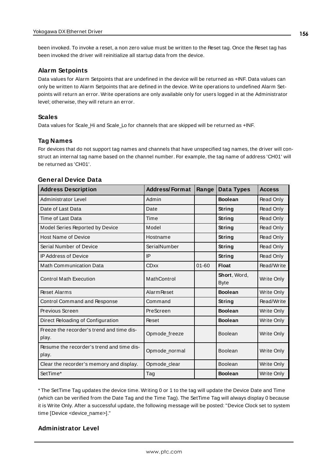been invoked. To invoke a reset, a non zero value must be written to the Reset tag. Once the Reset tag has been invoked the driver will reinitialize all startup data from the device.

#### **Alarm Setpoints**

Data values for Alarm Setpoints that are undefined in the device will be returned as +INF. Data values can only be written to Alarm Setpoints that are defined in the device. Write operations to undefined Alarm Setpoints will return an error. Write operations are only available only for users logged in at the Administrator level; otherwise, they will return an error.

#### **Scales**

Data values for Scale\_Hi and Scale\_Lo for channels that are skipped will be returned as +INF.

#### **Tag Names**

For devices that do not support tag names and channels that have unspecified tag names, the driver will construct an internal tag name based on the channel number. For example, the tag name of address 'CH01' will be returned as 'CH01'.

| <b>Address Description</b>                         | <b>Address/Format</b> | Range     | Data Types                  | <b>Access</b>     |
|----------------------------------------------------|-----------------------|-----------|-----------------------------|-------------------|
| Administrator Level                                | Admin                 |           | <b>Boolean</b>              | Read Only         |
| Date of Last Data                                  | Date                  |           | String                      | Read Only         |
| Time of Last Data                                  | Time                  |           | String                      | Read Only         |
| Model Series Reported by Device                    | Model                 |           | String                      | Read Only         |
| <b>Host Name of Device</b>                         | Hostname              |           | String                      | Read Only         |
| Serial Number of Device                            | SerialNumber          |           | String                      | Read Only         |
| <b>IP Address of Device</b>                        | IP                    |           | String                      | Read Only         |
| <b>Math Communication Data</b>                     | <b>CDxx</b>           | $01 - 60$ | <b>Float</b>                | Read/Write        |
| <b>Control Math Execution</b>                      | MathControl           |           | Short, Word,<br><b>Byte</b> | <b>Write Only</b> |
| <b>Reset Alarms</b>                                | <b>Alarm Reset</b>    |           | <b>Boolean</b>              | <b>Write Only</b> |
| Control Command and Response                       | Command               |           | String                      | Read/Write        |
| Previous Screen                                    | PreScreen             |           | <b>Boolean</b>              | Write Only        |
| Direct Reloading of Configuration                  | Reset                 |           | <b>Boolean</b>              | Write Only        |
| Freeze the recorder's trend and time dis-<br>play. | Opmode_freeze         |           | Boolean                     | Write Only        |
| Resume the recorder's trend and time dis-<br>play. | Opmode_normal         |           | Boolean                     | Write Only        |
| Clear the recorder's memory and display.           | Opmode_clear          |           | <b>Boolean</b>              | Write Only        |
| SetTime*                                           | Tag                   |           | <b>Boolean</b>              | Write Only        |

#### **General Device Data**

\* The SetTime Tag updates the device time. Writing 0 or 1 to the tag will update the Device Date and Time (which can be verified from the Date Tag and the Time Tag). The SetTime Tag will always display 0 because it is Write Only. After a successful update, the following message will be posted: "Device Clock set to system time [Device <device\_name>]."

#### **Administrator Level**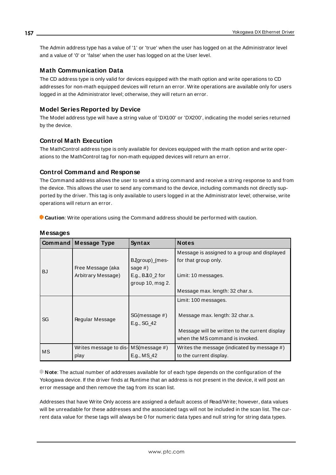The Admin address type has a value of '1' or 'true' when the user has logged on at the Administrator level and a value of '0' or 'false' when the user has logged on at the User level.

### **Math Communication Data**

The CD address type is only valid for devices equipped with the math option and write operations to CD addresses for non-math equipped devices will return an error. Write operations are available only for users logged in at the Administrator level; otherwise, they will return an error.

#### **Model Series Reported by Device**

The Model address type will have a string value of 'DX100' or 'DX200', indicating the model series returned by the device.

#### **Control Math Execution**

The MathControl address type is only available for devices equipped with the math option and write operations to the MathControl tag for non-math equipped devices will return an error.

#### **Control Command and Response**

The Command address allows the user to send a string command and receive a string response to and from the device. This allows the user to send any command to the device, including commands not directly supported by the driver. This tag is only available to users logged in at the Administrator level; otherwise, write operations will return an error.

**Caution**: Write operations using the Command address should be performed with caution.

|           | <b>Command Message Type</b>           | Syntax                       | <b>Notes</b>                                                                      |
|-----------|---------------------------------------|------------------------------|-----------------------------------------------------------------------------------|
|           |                                       |                              | Message is assigned to a group and displayed                                      |
|           |                                       | BJgroup)_(mes-               | for that group only.                                                              |
| <b>BJ</b> | Free Message (aka                     | sage $#$ )                   |                                                                                   |
|           | Arbitrary Message)                    | E.g., $BJ10_2$ for           | Limit: 10 messages.                                                               |
|           |                                       | group 10, msg 2.             |                                                                                   |
|           |                                       |                              | Message max. length: 32 char.s.                                                   |
|           |                                       |                              | Limit: 100 messages.                                                              |
| SG        | Regular Message                       | SG(message #)<br>E.g., SG_42 | Message max. length: 32 char.s.                                                   |
|           |                                       |                              | Message will be written to the current display<br>when the MS command is invoked. |
| MS        | Writes message to dis- MS (message #) |                              | Writes the message (indicated by message #)                                       |
|           | play                                  | E.g., MS 42                  | to the current display.                                                           |

# **Messages**

**Note**: The actual number of addresses available for of each type depends on the configuration of the Yokogawa device. If the driver finds at Runtime that an address is not present in the device, it will post an error message and then remove the tag from its scan list.

Addresses that have Write Only access are assigned a default access of Read/Write; however, data values will be unreadable for these addresses and the associated tags will not be included in the scan list. The current data value for these tags will always be 0 for numeric data types and null string for string data types.

**157**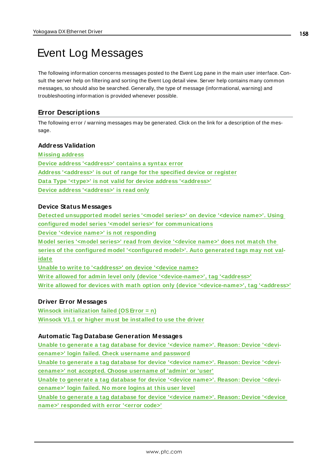# <span id="page-157-1"></span>Event Log Messages

The following information concerns messages posted to the Event Log pane in the main user interface. Consult the server help on filtering and sorting the Event Log detail view. Server help contains many common messages, so should also be searched. Generally, the type of message (informational, warning) and troubleshooting information is provided whenever possible.

# <span id="page-157-0"></span>**Error Descriptions**

The following error / warning messages may be generated. Click on the link for a description of the message.

# **Address Validation**

**[M issing](#page-158-0) address Device address ['<address>'](#page-158-1) contains a syntax error Address ['<address>'](#page-158-2) is out of range for the specified device or register Data Type '<type>' is not valid for device address ['<address>'](#page-158-3) Device address ['<address>'](#page-158-4) is read only**

# **Device Status Messages**

**Detected [unsupported](#page-159-0) model series '<model series>' on device '<device name>'. Using configured model series '<model series>' for [communications](#page-159-0) Device '<device name>' is not [responding](#page-159-1) M odel series '<model series>' read from device ['<device](#page-160-0) name>' does not match the series of the configured model ['<configured](#page-160-0) model>'. Auto generated tags may not val[idate](#page-160-0) Unable to write to ['<address>'](#page-160-1) on device '<device name> Write allowed for admin level only (device ['<device-name>',](#page-161-0) tag '<address>'**

**Write allowed for devices with math option only (device ['<device-name>',](#page-161-1) tag '<address>'**

# **Driver Error Messages**

**Winsock [initialization](#page-161-2) failed (OSError = n) Winsock V1.1 or higher must be [installed](#page-161-3) to use the driver**

# **Automatic Tag Database Generation Messages**

**Unable to [generate](#page-162-0) a tag database for device '<device name>'. Reason: Device '<devicename>' login failed. Check [username](#page-162-0) and password**

**Unable to [generate](#page-162-1) a tag database for device '<device name>'. Reason: Device '<devicename>' not accepted. Choose [username](#page-162-1) of 'admin' or 'user'**

**Unable to [generate](#page-162-2) a tag database for device '<device name>'. Reason: Device '<devi[cename>'](#page-162-2) login failed. No more logins at this user level**

**Unable to [generate](#page-163-0) a tag database for device '<device name>'. Reason: Device '<device name>' [responded](#page-163-0) with error '<error code>'**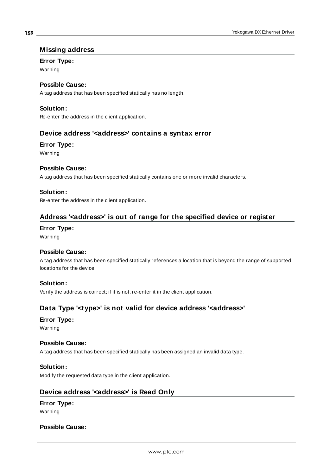#### <span id="page-158-0"></span>**Missing address**

#### **Error Type:**

Warning

# **Possible Cause:**

A tag address that has been specified statically has no length.

#### **Solution:**

<span id="page-158-1"></span>Re-enter the address in the client application.

# **Device address '<address>' contains a syntax error**

#### **Error Type:**

Warning

#### **Possible Cause:**

A tag address that has been specified statically contains one or more invalid characters.

#### **Solution:**

<span id="page-158-2"></span>Re-enter the address in the client application.

# **Address '<address>' is out of range for the specified device or register**

# **Error Type:**

Warning

#### **Possible Cause:**

A tag address that has been specified statically references a location that is beyond the range of supported locations for the device.

# **Solution:**

<span id="page-158-3"></span>Verify the address is correct; if it is not, re-enter it in the client application.

# **Data Type '<type>' is not valid for device address '<address>'**

#### **Error Type:**

Warning

#### **Possible Cause:**

A tag address that has been specified statically has been assigned an invalid data type.

#### **Solution:**

<span id="page-158-4"></span>Modify the requested data type in the client application.

# **Device address '<address>' is Read Only**

# **Error Type:**

Warning

#### **Possible Cause:**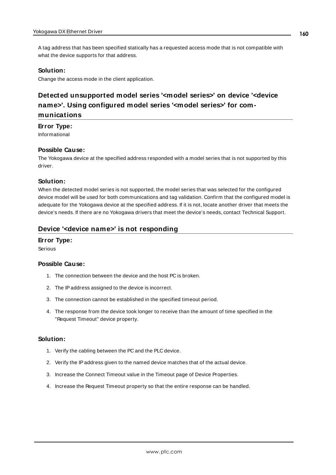A tag address that has been specified statically has a requested access mode that is not compatible with what the device supports for that address.

#### **Solution:**

<span id="page-159-0"></span>Change the access mode in the client application.

# **Detected unsupported model series '<model series>' on device '<device name>'. Using configured model series '<model series>' for communications**

#### **Error Type:**

Informational

#### **Possible Cause:**

The Yokogawa device at the specified address responded with a model series that is not supported by this driver.

#### **Solution:**

When the detected model series is not supported, the model series that was selected for the configured device model will be used for both communications and tag validation. Confirm that the configured model is adequate for the Yokogawa device at the specified address. If it is not, locate another driver that meets the device's needs. If there are no Yokogawa drivers that meet the device's needs, contact Technical Support.

#### <span id="page-159-1"></span>**Device '<device name>' is not responding**

#### **Error Type:**

Serious

#### **Possible Cause:**

- 1. The connection between the device and the host PC is broken.
- 2. The IPaddress assigned to the device is incorrect.
- 3. The connection cannot be established in the specified timeout period.
- 4. The response from the device took longer to receive than the amount of time specified in the "Request Timeout" device property.

#### **Solution:**

- 1. Verify the cabling between the PC and the PLC device.
- 2. Verify the IPaddress given to the named device matches that of the actual device.
- 3. Increase the Connect Timeout value in the Timeout page of Device Properties.
- 4. Increase the Request Timeout property so that the entire response can be handled.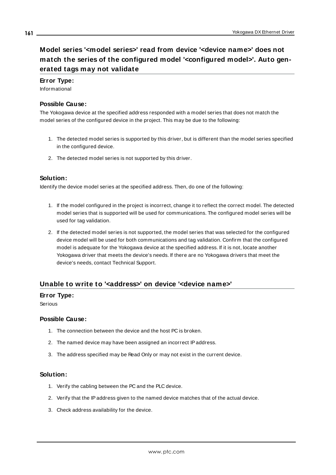# <span id="page-160-0"></span>**Model series '<model series>' read from device '<device name>' does not match the series of the configured model '<configured model>'. Auto generated tags may not validate**

#### **Error Type:**

Informational

#### **Possible Cause:**

The Yokogawa device at the specified address responded with a model series that does not match the model series of the configured device in the project. This may be due to the following:

- 1. The detected model series is supported by this driver, but is different than the model series specified in the configured device.
- 2. The detected model series is not supported by this driver.

#### **Solution:**

Identify the device model series at the specified address. Then, do one of the following:

- 1. If the model configured in the project is incorrect, change it to reflect the correct model. The detected model series that is supported will be used for communications. The configured model series will be used for tag validation.
- 2. If the detected model series is not supported, the model series that was selected for the configured device model will be used for both communications and tag validation. Confirm that the configured model is adequate for the Yokogawa device at the specified address. If it is not, locate another Yokogawa driver that meets the device's needs. If there are no Yokogawa drivers that meet the device's needs, contact Technical Support.

# <span id="page-160-1"></span>**Unable to write to '<address>' on device '<device name>'**

#### **Error Type:**

Serious

#### **Possible Cause:**

- 1. The connection between the device and the host PC is broken.
- 2. The named device may have been assigned an incorrect IPaddress.
- 3. The address specified may be Read Only or may not exist in the current device.

#### **Solution:**

- 1. Verify the cabling between the PC and the PLC device.
- 2. Verify that the IPaddress given to the named device matches that of the actual device.
- 3. Check address availability for the device.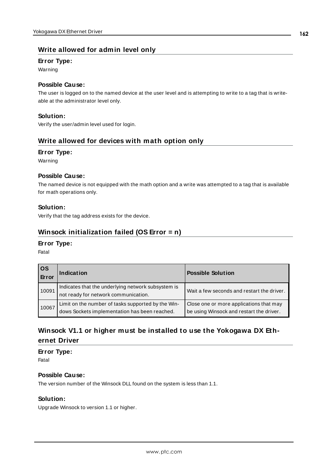# <span id="page-161-0"></span>**Write allowed for admin level only**

#### **Error Type:**

Warning

# **Possible Cause:**

The user is logged on to the named device at the user level and is attempting to write to a tag that is writeable at the administrator level only.

#### **Solution:**

<span id="page-161-1"></span>Verify the user/admin level used for login.

# **Write allowed for devices with math option only**

#### **Error Type:**

Warning

#### **Possible Cause:**

The named device is not equipped with the math option and a write was attempted to a tag that is available for math operations only.

#### **Solution:**

<span id="page-161-2"></span>Verify that the tag address exists for the device.

# **Winsock initialization failed (OS Error = n)**

#### **Error Type:**

Fatal

| <b>OS</b><br>Error | Indication                                                                                          | <b>Possible Solution</b>                                                            |
|--------------------|-----------------------------------------------------------------------------------------------------|-------------------------------------------------------------------------------------|
| 10091              | Indicates that the underlying network subsystem is<br>not ready for network communication.          | Wait a few seconds and restart the driver.                                          |
| 10067              | Limit on the number of tasks supported by the Win-<br>dows Sockets implementation has been reached. | Close one or more applications that may<br>be using Winsock and restart the driver. |

# <span id="page-161-3"></span>**Winsock V1.1 or higher must be installed to use the Yokogawa DX Ethernet Driver**

# **Error Type:**

Fatal

#### **Possible Cause:**

The version number of the Winsock DLL found on the system is less than 1.1.

#### **Solution:**

Upgrade Winsock to version 1.1 or higher.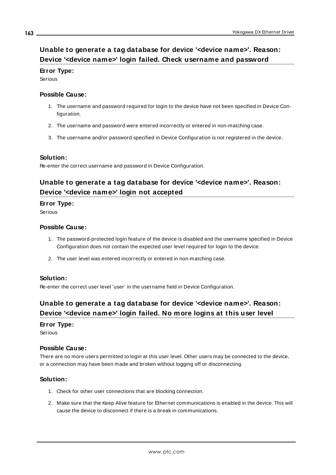# <span id="page-162-0"></span>**Unable to generate a tag database for device '<device name>'. Reason: Device '<device name>' login failed. Check username and password**

### **Error Type:**

Serious

#### **Possible Cause:**

- 1. The username and password required for login to the device have not been specified in Device Configuration.
- 2. The username and password were entered incorrectly or entered in non-matching case.
- 3. The username and/or password specified in Device Configuration is not registered in the device.

# **Solution:**

<span id="page-162-1"></span>Re-enter the correct username and password in Device Configuration.

# **Unable to generate a tag database for device '<device name>'. Reason: Device '<device name>' login not accepted**

#### **Error Type:**

**Serious** 

#### **Possible Cause:**

- 1. The password-protected login feature of the device is disabled and the username specified in Device Configuration does not contain the expected user level required for login to the device.
- 2. The user level was entered incorrectly or entered in non-matching case.

#### **Solution:**

<span id="page-162-2"></span>Re-enter the correct user level 'user' in the username field in Device Configuration.

# **Unable to generate a tag database for device '<device name>'. Reason: Device '<device name>' login failed. No more logins at this user level**

#### **Error Type:**

Serious

#### **Possible Cause:**

There are no more users permitted to login at this user level. Other users may be connected to the device, or a connection may have been made and broken without logging off or disconnecting.

#### **Solution:**

- 1. Check for other user connections that are blocking connection.
- 2. Make sure that the Keep Alive feature for Ethernet communications is enabled in the device. This will cause the device to disconnect if there is a break in communications.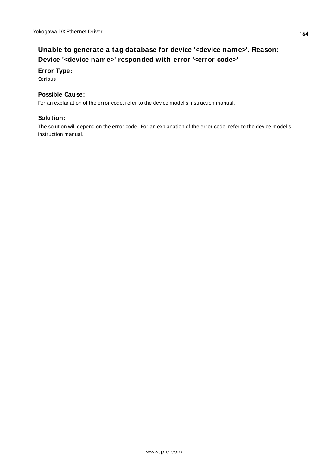### <span id="page-163-0"></span>**Error Type:**

Serious

### **Possible Cause:**

For an explanation of the error code, refer to the device model's instruction manual.

### **Solution:**

The solution will depend on the error code. For an explanation of the error code, refer to the device model's instruction manual.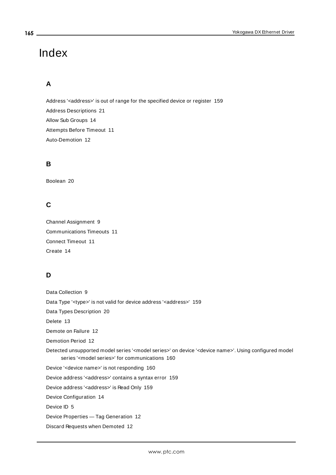# Index

# **A**

Address '< address>' is out of range for the specified device or register [159](#page-158-2) Address Descriptions [21](#page-20-0) Allow Sub Groups [14](#page-13-0) Attempts Before Timeout [11](#page-10-0) Auto-Demotion [12](#page-11-0)

# **B**

Boolean [20](#page-19-0)

# **C**

Channel Assignment [9](#page-8-0) Communications Timeouts [11](#page-10-1) Connect Timeout [11](#page-10-2) Create [14](#page-13-1)

# **D**

Data Collection [9](#page-8-1) Data Type '<type>' is not valid for device address '<address>' [159](#page-158-3) Data Types Description [20](#page-19-1) Delete [13](#page-12-0) Demote on Failure [12](#page-11-1) Demotion Period [12](#page-11-2) Detected unsupported model series '<model series>' on device '<device name>'. Using configured model series '<model series>' for communications [160](#page-159-0) Device '<device name>' is not responding [160](#page-159-1) Device address '< address>' contains a syntax error [159](#page-158-1) Device address '< address>' is Read Only [159](#page-158-4) Device Configuration [14](#page-13-2) Device ID [5](#page-4-0) Device Properties — Tag Generation [12](#page-11-3) Discard Requests when Demoted [12](#page-11-4)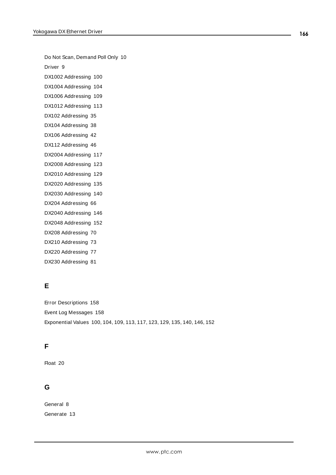Do Not Scan, Demand Poll Only [10](#page-9-0)

Driver [9](#page-8-2)

DX1002 Addressing [100](#page-99-0)

DX1004 Addressing [104](#page-103-0)

DX1006 Addressing [109](#page-108-0)

DX1012 Addressing [113](#page-112-0) DX102 Addressing [35](#page-34-0)

DX104 Addressing [38](#page-37-0)

DX106 Addressing [42](#page-41-0)

DX112 Addressing [46](#page-45-0)

DX2004 Addressing [117](#page-116-0)

DX2008 Addressing [123](#page-122-0)

DX2010 Addressing [129](#page-128-0)

DX2020 Addressing [135](#page-134-0)

DX2030 Addressing [140](#page-139-0)

DX204 Addressing [66](#page-65-0)

DX2040 Addressing [146](#page-145-0)

DX2048 Addressing [152](#page-151-0)

DX208 Addressing [70](#page-69-0)

DX210 Addressing [73](#page-72-0)

DX220 Addressing [77](#page-76-0)

DX230 Addressing [81](#page-80-0)

# **E**

Error Descriptions [158](#page-157-0) Event Log Messages [158](#page-157-1) Exponential Values [100,](#page-99-0) [104](#page-103-0), [109](#page-108-0), [113](#page-112-0), [117,](#page-116-0) [123](#page-122-0), [129](#page-128-0), [135,](#page-134-0) [140,](#page-139-0) [146](#page-145-0), [152](#page-151-0)

# **F**

Float [20](#page-19-2)

# **G**

General [8](#page-7-0) Generate [13](#page-12-1)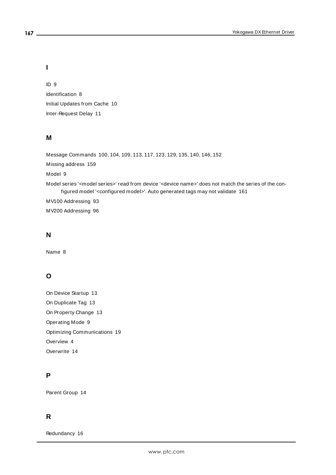# **I**

ID [9](#page-8-3) Identification [8](#page-7-0) Initial Updates from Cache [10](#page-9-1) Inter-Request Delay [11](#page-10-3)

#### **M**

Message Commands [100](#page-99-0), [104,](#page-103-0) [109](#page-108-0), [113](#page-112-0), [117,](#page-116-0) [123,](#page-122-0) [129](#page-128-0), [135](#page-134-0), [140](#page-139-0), [146,](#page-145-0) [152](#page-151-0) Missing address [159](#page-158-0) Model [9](#page-8-4) Model series '<model series>' read from device '<device name>' does not match the series of the configured model '<configured model>'. Auto generated tags may not validate [161](#page-160-0) MV100 Addressing [93](#page-92-0)

MV200 Addressing [96](#page-95-0)

# **N**

Name [8](#page-7-1)

# **O**

On Device Startup [13](#page-12-2) On Duplicate Tag [13](#page-12-3) On Property Change [13](#page-12-4) Operating Mode [9](#page-8-5) Optimizing Communications [19](#page-18-0) Overview [4](#page-3-0) Overwrite [14](#page-13-3)

# **P**

Parent Group [14](#page-13-4)

# **R**

Redundancy [16](#page-15-0)